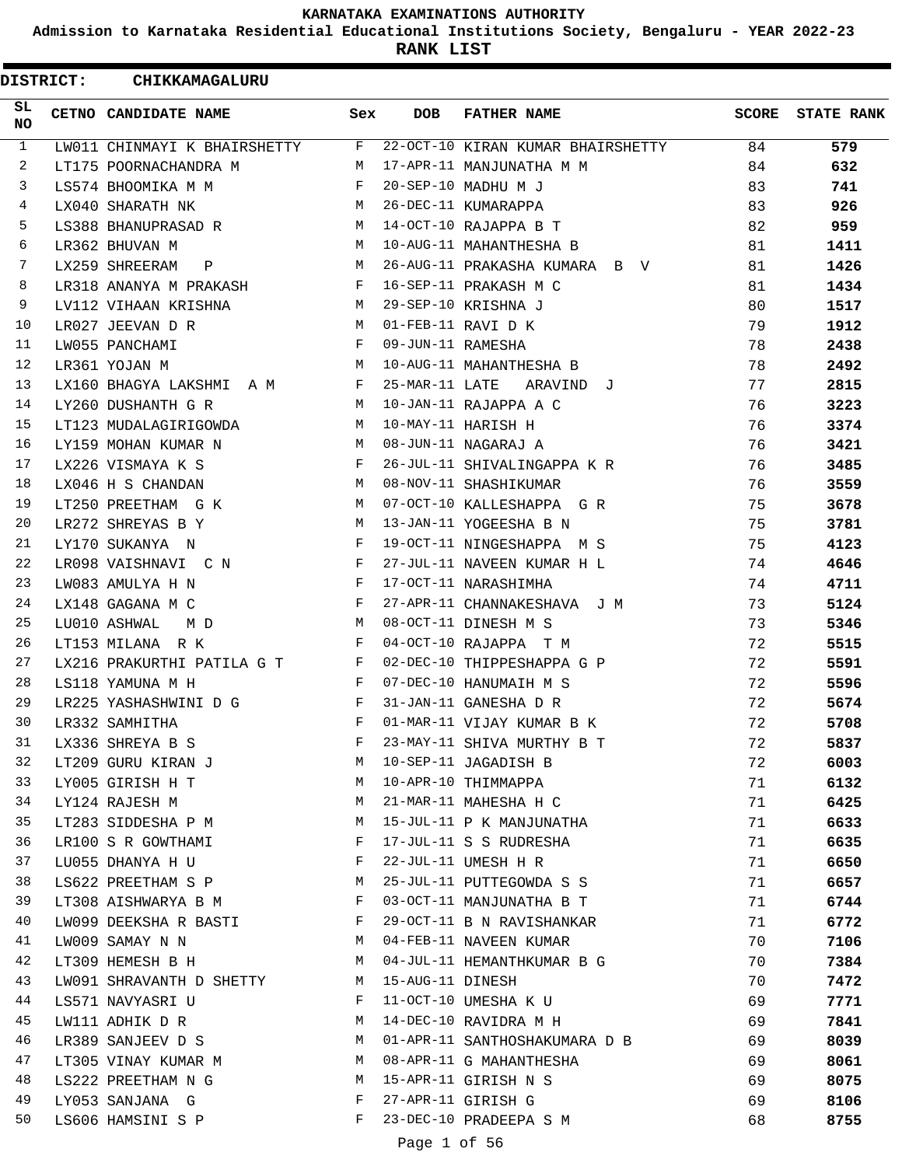**Admission to Karnataka Residential Educational Institutions Society, Bengaluru - YEAR 2022-23**

**RANK LIST**

| <b>DISTRICT:</b> | <b>CHIKKAMAGALURU</b>                                                           |              |              |                                                         |    |                  |
|------------------|---------------------------------------------------------------------------------|--------------|--------------|---------------------------------------------------------|----|------------------|
| SL<br><b>NO</b>  | CETNO CANDIDATE NAME                                                            | Sex          | <b>DOB</b>   | FATHER NAME                                             |    | SCORE STATE RANK |
| $\mathbf{1}$     | LW011 CHINMAYI K BHAIRSHETTY F                                                  |              |              | 22-OCT-10 KIRAN KUMAR BHAIRSHETTY 84                    |    | 579              |
| 2                | LT175 POORNACHANDRA M                                                           |              |              | M 17-APR-11 MANJUNATHA M M                              | 84 | 632              |
| 3                | F 20-SEP-10 MADHU M J<br>LS574 BHOOMIKA M M                                     |              |              |                                                         | 83 | 741              |
| $\overline{4}$   | LX040 SHARATH NK                                                                |              |              | M 26-DEC-11 KUMARAPPA                                   | 83 | 926              |
| 5                | LS388 BHANUPRASAD R                                                             |              |              | M 14-OCT-10 RAJAPPA B T                                 | 82 | 959              |
| 6                | LR362 BHUVAN M                                                                  |              |              | M 10-AUG-11 MAHANTHESHA B                               | 81 | 1411             |
| 7                | LX259 SHREERAM P                                                                |              |              | M 26-AUG-11 PRAKASHA KUMARA B V                         | 81 | 1426             |
| 8                | $\mathbf{F}$ and the set of $\mathbf{F}$ .<br>LR318 ANANYA M PRAKASH            |              |              | 16-SEP-11 PRAKASH M C                                   | 81 | 1434             |
| 9                | LV112 VIHAAN KRISHNA M 29-SEP-10 KRISHNA J                                      |              |              |                                                         | 80 | 1517             |
| 10               | LR027 JEEVAN D R<br>M 01-FEB-11 RAVI D K                                        |              |              |                                                         | 79 | 1912             |
| 11               | F 09-JUN-11 RAMESHA<br>LW055 PANCHAMI                                           |              |              |                                                         | 78 | 2438             |
| 12               | LR361 YOJAN M                                                                   |              |              | M 10-AUG-11 MAHANTHESHA B                               | 78 | 2492             |
| 13               | LX160 BHAGYA LAKSHMI A M F 25-MAR-11 LATE ARAVIND J                             |              |              |                                                         | 77 | 2815             |
| 14               | LY260 DUSHANTH G R M 10-JAN-11 RAJAPPA A C                                      |              |              |                                                         | 76 | 3223             |
| 15               | LT123 MUDALAGIRIGOWDA                                                           |              |              | M 10-MAY-11 HARISH H                                    | 76 | 3374             |
| 16               | LY159 MOHAN KUMAR N M 08-JUN-11 NAGARAJ A                                       |              |              |                                                         | 76 | 3421             |
| 17               | LX226 VISMAYA K S                                                               | $\mathbf{F}$ |              | 26-JUL-11 SHIVALINGAPPA K R                             | 76 | 3485             |
| 18               | M 08-NOV-11 SHASHIKUMAR<br>LX046 H S CHANDAN                                    |              |              |                                                         | 76 | 3559             |
| 19               |                                                                                 |              |              | LT250 PREETHAM G K M 07-OCT-10 KALLESHAPPA G R          | 75 | 3678             |
| 20               | LR272 SHREYAS B Y                                                               |              |              | M 13-JAN-11 YOGEESHA B N                                | 75 | 3781             |
| 21               | LY170 SUKANYA N                                                                 |              |              | F 19-OCT-11 NINGESHAPPA M S                             | 75 | 4123             |
| 22               | LR098 VAISHNAVI C N F                                                           |              |              | 27-JUL-11 NAVEEN KUMAR H L                              | 74 | 4646             |
| 23               | $\mathbf{F}$ . The contract of the contract of $\mathbf{F}$<br>LW083 AMULYA H N |              |              | 17-OCT-11 NARASHIMHA                                    | 74 | 4711             |
| 24               | $\mathbf{F}$<br>LX148 GAGANA M C                                                |              |              | 27-APR-11 CHANNAKESHAVA J M                             | 73 | 5124             |
| 25               | LU010 ASHWAL<br>$M$ D                                                           |              |              | M 08-OCT-11 DINESH M S                                  | 73 | 5346             |
| 26               | LT153 MILANA R K                                                                |              |              | F 04-OCT-10 RAJAPPA T M                                 | 72 | 5515             |
| 27               |                                                                                 |              |              | LX216 PRAKURTHI PATILA G T F 02-DEC-10 THIPPESHAPPA G P | 72 | 5591             |
| 28               | LS118 YAMUNA M H                                                                |              |              | F 07-DEC-10 HANUMAIH M S                                | 72 | 5596             |
| 29               | LR225 YASHASHWINI D G<br>$\mathbf{F}$ . The $\mathbf{F}$                        |              |              | 31-JAN-11 GANESHA D R                                   | 72 | 5674             |
| 30               | LR332 SAMHITHA                                                                  | F            |              | 01-MAR-11 VIJAY KUMAR B K                               | 72 | 5708             |
| 31               | LX336 SHREYA B S                                                                | $F$ and      |              | 23-MAY-11 SHIVA MURTHY B T                              | 72 | 5837             |
| 32               | LT209 GURU KIRAN J                                                              |              |              | M 10-SEP-11 JAGADISH B                                  | 72 | 6003             |
| 33               | LY005 GIRISH H T                                                                |              |              | M 10-APR-10 THIMMAPPA                                   | 71 | 6132             |
| 34               | LY124 RAJESH M<br><b>M</b>                                                      |              |              | 21-MAR-11 MAHESHA H C                                   | 71 | 6425             |
| 35               | LT283 SIDDESHA P M M                                                            |              |              | 15-JUL-11 P K MANJUNATHA                                | 71 | 6633             |
| 36               | LR100 S R GOWTHAMI                                                              | $\mathbf{F}$ |              | 17-JUL-11 S S RUDRESHA                                  | 71 | 6635             |
| 37               | LU055 DHANYA H U                                                                | F            |              | 22-JUL-11 UMESH H R                                     | 71 | 6650             |
| 38               | LS622 PREETHAM S P M 25-JUL-11 PUTTEGOWDA S S                                   |              |              |                                                         | 71 | 6657             |
| 39               | LT308 AISHWARYA B M $F$ 03-OCT-11 MANJUNATHA B T                                |              |              |                                                         | 71 |                  |
| 40               | LW099 DEEKSHA R BASTI $F$ 29-OCT-11 B N RAVISHANKAR                             |              |              |                                                         | 71 | 6744             |
| 41               | LW009 SAMAY N N                                                                 |              |              | M 04-FEB-11 NAVEEN KUMAR                                |    | 6772             |
| 42               |                                                                                 |              |              |                                                         | 70 | 7106             |
| 43               |                                                                                 |              |              | LT309 HEMESH B H M 04-JUL-11 HEMANTHKUMAR B G           | 70 | 7384             |
|                  | LW091 SHRAVANTH D SHETTY M 15-AUG-11 DINESH                                     |              |              |                                                         | 70 | 7472             |
| 44               | LS571 NAVYASRI U                                                                | $\mathbf{F}$ |              | 11-OCT-10 UMESHA K U                                    | 69 | 7771             |
| 45               | LW111 ADHIK D R                                                                 | M            |              | 14-DEC-10 RAVIDRA M H                                   | 69 | 7841             |
| 46               |                                                                                 |              |              | LR389 SANJEEV D S M 01-APR-11 SANTHOSHAKUMARA D B       | 69 | 8039             |
| 47               | LT305 VINAY KUMAR M M M 08-APR-11 G MAHANTHESHA                                 |              |              |                                                         | 69 | 8061             |
| 48               | LS222 PREETHAM N G                                                              |              |              | M 15-APR-11 GIRISH N S                                  | 69 | 8075             |
| 49               | LY053 SANJANA G                                                                 | $F$ and $F$  |              | 27-APR-11 GIRISH G                                      | 69 | 8106             |
| 50               | LS606 HAMSINI S P F                                                             |              |              | 23-DEC-10 PRADEEPA S M                                  | 68 | 8755             |
|                  |                                                                                 |              | Page 1 of 56 |                                                         |    |                  |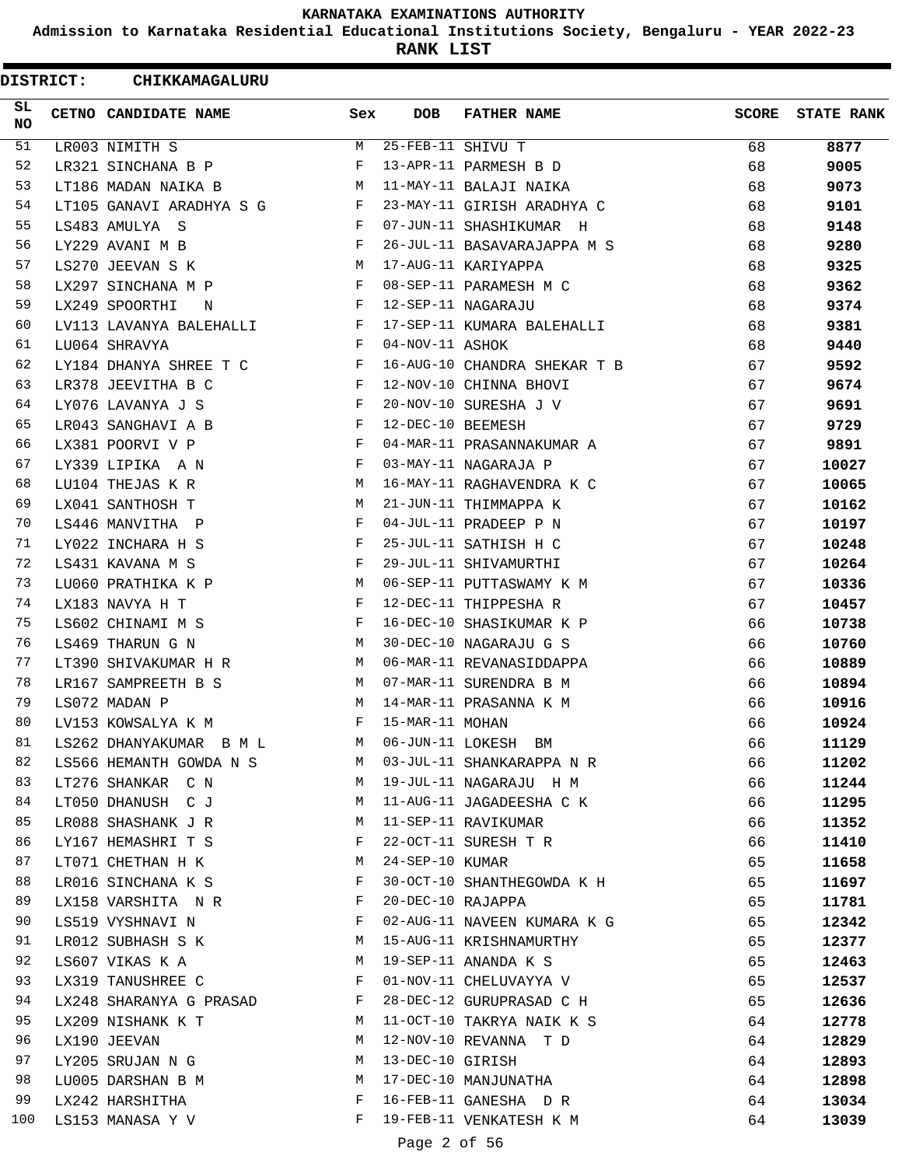**Admission to Karnataka Residential Educational Institutions Society, Bengaluru - YEAR 2022-23**

**RANK LIST**

| SL<br>CETNO CANDIDATE NAME<br>Sex<br><b>DOB</b><br><b>FATHER NAME</b><br><b>SCORE</b><br><b>NO</b><br>51<br>25-FEB-11 SHIVU T<br>М<br>8877<br>LR003 NIMITH S<br>68<br>52<br>68<br>LR321 SINCHANA B P<br>F<br>13-APR-11 PARMESH B D<br>9005<br>53<br>LT186 MADAN NAIKA B<br>11-MAY-11 BALAJI NAIKA<br>68<br>9073<br>М<br>54<br>23-MAY-11 GIRISH ARADHYA C<br>LT105 GANAVI ARADHYA S G<br>F<br>68<br>9101<br>55<br>LS483 AMULYA S<br>F<br>07-JUN-11 SHASHIKUMAR H<br>68<br>9148<br>56<br>F<br>LY229 AVANI M B<br>26-JUL-11 BASAVARAJAPPA M S<br>68<br>9280<br>57<br>LS270 JEEVAN S K<br>М<br>17-AUG-11 KARIYAPPA<br>68<br>9325<br>58<br>08-SEP-11 PARAMESH M C<br>LX297 SINCHANA M P<br>F<br>68<br>9362<br>59<br>LX249 SPOORTHI<br>F<br>12-SEP-11 NAGARAJU<br>68<br>9374<br>N<br>60<br>17-SEP-11 KUMARA BALEHALLI<br>LV113 LAVANYA BALEHALLI<br>F<br>68<br>9381<br>61<br>04-NOV-11 ASHOK<br>LU064 SHRAVYA<br>F<br>68<br>9440<br>62<br>16-AUG-10 CHANDRA SHEKAR T B<br>LY184 DHANYA SHREE T C<br>F<br>67<br>9592<br>63<br>LR378 JEEVITHA B C<br>F<br>12-NOV-10 CHINNA BHOVI<br>67<br>9674<br>64<br>20-NOV-10 SURESHA J V<br>LY076 LAVANYA J S<br>F<br>67<br>9691<br>65<br>12-DEC-10 BEEMESH<br>LR043 SANGHAVI A B<br>F<br>67<br>9729<br>66<br>04-MAR-11 PRASANNAKUMAR A<br>LX381 POORVI V P<br>F<br>67<br>9891<br>67<br>LY339 LIPIKA A N<br>F<br>03-MAY-11 NAGARAJA P<br>67<br>10027<br>68<br>LU104 THEJAS K R<br>М<br>16-MAY-11 RAGHAVENDRA K C<br>67<br>10065<br>69<br>21-JUN-11 THIMMAPPA K<br>LX041 SANTHOSH T<br>67<br>10162<br>M<br>70<br>04-JUL-11 PRADEEP P N<br>LS446 MANVITHA P<br>F<br>67<br>10197<br>71<br>LY022 INCHARA H S<br>F<br>25-JUL-11 SATHISH H C<br>67<br>10248<br>72<br>29-JUL-11 SHIVAMURTHI<br>LS431 KAVANA M S<br>F<br>67<br>10264<br>73<br>LU060 PRATHIKA K P<br>М<br>06-SEP-11 PUTTASWAMY K M<br>67<br>10336<br>74<br>12-DEC-11 THIPPESHA R<br>LX183 NAVYA H T<br>F<br>67<br>10457<br>75<br>LS602 CHINAMI M S<br>F<br>16-DEC-10 SHASIKUMAR K P<br>66<br>10738<br>76<br>30-DEC-10 NAGARAJU G S<br>LS469 THARUN G N<br>М<br>66<br>10760<br>77<br>LT390 SHIVAKUMAR H R<br>06-MAR-11 REVANASIDDAPPA<br>66<br>10889<br>М<br>78<br>LR167 SAMPREETH B S<br>M<br>07-MAR-11 SURENDRA B M<br>66<br>10894<br>79<br>LS072 MADAN P<br>M<br>14-MAR-11 PRASANNA K M<br>66<br>10916<br>15-MAR-11 MOHAN<br>80<br>LV153 KOWSALYA K M<br>10924<br>66<br>06-JUN-11 LOKESH BM<br>81<br>LS262 DHANYAKUMAR B M L<br>66<br>11129<br>M<br>82<br>03-JUL-11 SHANKARAPPA N R<br>66<br>LS566 HEMANTH GOWDA N S<br>M<br>11202<br>83<br>LT276 SHANKAR C N<br>19-JUL-11 NAGARAJU H M<br>66<br>М<br>11244<br>84<br>LT050 DHANUSH C J<br>11-AUG-11 JAGADEESHA C K<br>66<br>11295<br>M<br>85<br>LR088 SHASHANK J R<br>11-SEP-11 RAVIKUMAR<br>66<br>11352<br>M<br>86<br>22-OCT-11 SURESH T R<br>LY167 HEMASHRI T S<br>F<br>66<br>11410<br>87<br>24-SEP-10 KUMAR<br>LT071 CHETHAN H K<br>65<br>M<br>11658<br>88<br>30-OCT-10 SHANTHEGOWDA K H<br>65<br>LR016 SINCHANA K S<br>F<br>11697<br>89<br>20-DEC-10 RAJAPPA<br>LX158 VARSHITA N R<br>F<br>65<br>11781<br>90<br>LS519 VYSHNAVI N<br>F<br>02-AUG-11 NAVEEN KUMARA K G<br>65<br>12342<br>91<br>15-AUG-11 KRISHNAMURTHY<br>65<br>LR012 SUBHASH S K<br>M<br>12377<br>92<br>LS607 VIKAS K A<br>М<br>19-SEP-11 ANANDA K S<br>65<br>12463<br>93<br>LX319 TANUSHREE C<br>F<br>01-NOV-11 CHELUVAYYA V<br>65<br>12537<br>94<br>65<br>LX248 SHARANYA G PRASAD<br>$\mathbf{F}$<br>28-DEC-12 GURUPRASAD C H<br>12636<br>95<br>LX209 NISHANK K T<br>11-OCT-10 TAKRYA NAIK K S<br>64<br>M<br>12778<br>96<br>12-NOV-10 REVANNA T D<br>LX190 JEEVAN<br>М<br>64<br>12829<br>97<br>13-DEC-10 GIRISH<br>LY205 SRUJAN N G<br>64<br>12893<br>М<br>98<br>17-DEC-10 MANJUNATHA<br>LU005 DARSHAN B M<br>M<br>64<br>12898<br>99<br>F<br>16-FEB-11 GANESHA D R<br>64<br>LX242 HARSHITHA<br>13034<br>100<br>F<br>19-FEB-11 VENKATESH K M<br>64<br>LS153 MANASA Y V<br>13039<br>Page 2 of 56 | <b>DISTRICT:</b> | CHIKKAMAGALURU |  |  |                   |
|-----------------------------------------------------------------------------------------------------------------------------------------------------------------------------------------------------------------------------------------------------------------------------------------------------------------------------------------------------------------------------------------------------------------------------------------------------------------------------------------------------------------------------------------------------------------------------------------------------------------------------------------------------------------------------------------------------------------------------------------------------------------------------------------------------------------------------------------------------------------------------------------------------------------------------------------------------------------------------------------------------------------------------------------------------------------------------------------------------------------------------------------------------------------------------------------------------------------------------------------------------------------------------------------------------------------------------------------------------------------------------------------------------------------------------------------------------------------------------------------------------------------------------------------------------------------------------------------------------------------------------------------------------------------------------------------------------------------------------------------------------------------------------------------------------------------------------------------------------------------------------------------------------------------------------------------------------------------------------------------------------------------------------------------------------------------------------------------------------------------------------------------------------------------------------------------------------------------------------------------------------------------------------------------------------------------------------------------------------------------------------------------------------------------------------------------------------------------------------------------------------------------------------------------------------------------------------------------------------------------------------------------------------------------------------------------------------------------------------------------------------------------------------------------------------------------------------------------------------------------------------------------------------------------------------------------------------------------------------------------------------------------------------------------------------------------------------------------------------------------------------------------------------------------------------------------------------------------------------------------------------------------------------------------------------------------------------------------------------------------------------------------------------------------------------------------------------------------------------------------------------------------------------------------------------------------------------------------------------------------------------------------------------------------------------------------------------------------------------------------------------------------------------------------------------------------------------------------------------------------------------------------------------------|------------------|----------------|--|--|-------------------|
|                                                                                                                                                                                                                                                                                                                                                                                                                                                                                                                                                                                                                                                                                                                                                                                                                                                                                                                                                                                                                                                                                                                                                                                                                                                                                                                                                                                                                                                                                                                                                                                                                                                                                                                                                                                                                                                                                                                                                                                                                                                                                                                                                                                                                                                                                                                                                                                                                                                                                                                                                                                                                                                                                                                                                                                                                                                                                                                                                                                                                                                                                                                                                                                                                                                                                                                                                                                                                                                                                                                                                                                                                                                                                                                                                                                                                                                                                                           |                  |                |  |  | <b>STATE RANK</b> |
|                                                                                                                                                                                                                                                                                                                                                                                                                                                                                                                                                                                                                                                                                                                                                                                                                                                                                                                                                                                                                                                                                                                                                                                                                                                                                                                                                                                                                                                                                                                                                                                                                                                                                                                                                                                                                                                                                                                                                                                                                                                                                                                                                                                                                                                                                                                                                                                                                                                                                                                                                                                                                                                                                                                                                                                                                                                                                                                                                                                                                                                                                                                                                                                                                                                                                                                                                                                                                                                                                                                                                                                                                                                                                                                                                                                                                                                                                                           |                  |                |  |  |                   |
|                                                                                                                                                                                                                                                                                                                                                                                                                                                                                                                                                                                                                                                                                                                                                                                                                                                                                                                                                                                                                                                                                                                                                                                                                                                                                                                                                                                                                                                                                                                                                                                                                                                                                                                                                                                                                                                                                                                                                                                                                                                                                                                                                                                                                                                                                                                                                                                                                                                                                                                                                                                                                                                                                                                                                                                                                                                                                                                                                                                                                                                                                                                                                                                                                                                                                                                                                                                                                                                                                                                                                                                                                                                                                                                                                                                                                                                                                                           |                  |                |  |  |                   |
|                                                                                                                                                                                                                                                                                                                                                                                                                                                                                                                                                                                                                                                                                                                                                                                                                                                                                                                                                                                                                                                                                                                                                                                                                                                                                                                                                                                                                                                                                                                                                                                                                                                                                                                                                                                                                                                                                                                                                                                                                                                                                                                                                                                                                                                                                                                                                                                                                                                                                                                                                                                                                                                                                                                                                                                                                                                                                                                                                                                                                                                                                                                                                                                                                                                                                                                                                                                                                                                                                                                                                                                                                                                                                                                                                                                                                                                                                                           |                  |                |  |  |                   |
|                                                                                                                                                                                                                                                                                                                                                                                                                                                                                                                                                                                                                                                                                                                                                                                                                                                                                                                                                                                                                                                                                                                                                                                                                                                                                                                                                                                                                                                                                                                                                                                                                                                                                                                                                                                                                                                                                                                                                                                                                                                                                                                                                                                                                                                                                                                                                                                                                                                                                                                                                                                                                                                                                                                                                                                                                                                                                                                                                                                                                                                                                                                                                                                                                                                                                                                                                                                                                                                                                                                                                                                                                                                                                                                                                                                                                                                                                                           |                  |                |  |  |                   |
|                                                                                                                                                                                                                                                                                                                                                                                                                                                                                                                                                                                                                                                                                                                                                                                                                                                                                                                                                                                                                                                                                                                                                                                                                                                                                                                                                                                                                                                                                                                                                                                                                                                                                                                                                                                                                                                                                                                                                                                                                                                                                                                                                                                                                                                                                                                                                                                                                                                                                                                                                                                                                                                                                                                                                                                                                                                                                                                                                                                                                                                                                                                                                                                                                                                                                                                                                                                                                                                                                                                                                                                                                                                                                                                                                                                                                                                                                                           |                  |                |  |  |                   |
|                                                                                                                                                                                                                                                                                                                                                                                                                                                                                                                                                                                                                                                                                                                                                                                                                                                                                                                                                                                                                                                                                                                                                                                                                                                                                                                                                                                                                                                                                                                                                                                                                                                                                                                                                                                                                                                                                                                                                                                                                                                                                                                                                                                                                                                                                                                                                                                                                                                                                                                                                                                                                                                                                                                                                                                                                                                                                                                                                                                                                                                                                                                                                                                                                                                                                                                                                                                                                                                                                                                                                                                                                                                                                                                                                                                                                                                                                                           |                  |                |  |  |                   |
|                                                                                                                                                                                                                                                                                                                                                                                                                                                                                                                                                                                                                                                                                                                                                                                                                                                                                                                                                                                                                                                                                                                                                                                                                                                                                                                                                                                                                                                                                                                                                                                                                                                                                                                                                                                                                                                                                                                                                                                                                                                                                                                                                                                                                                                                                                                                                                                                                                                                                                                                                                                                                                                                                                                                                                                                                                                                                                                                                                                                                                                                                                                                                                                                                                                                                                                                                                                                                                                                                                                                                                                                                                                                                                                                                                                                                                                                                                           |                  |                |  |  |                   |
|                                                                                                                                                                                                                                                                                                                                                                                                                                                                                                                                                                                                                                                                                                                                                                                                                                                                                                                                                                                                                                                                                                                                                                                                                                                                                                                                                                                                                                                                                                                                                                                                                                                                                                                                                                                                                                                                                                                                                                                                                                                                                                                                                                                                                                                                                                                                                                                                                                                                                                                                                                                                                                                                                                                                                                                                                                                                                                                                                                                                                                                                                                                                                                                                                                                                                                                                                                                                                                                                                                                                                                                                                                                                                                                                                                                                                                                                                                           |                  |                |  |  |                   |
|                                                                                                                                                                                                                                                                                                                                                                                                                                                                                                                                                                                                                                                                                                                                                                                                                                                                                                                                                                                                                                                                                                                                                                                                                                                                                                                                                                                                                                                                                                                                                                                                                                                                                                                                                                                                                                                                                                                                                                                                                                                                                                                                                                                                                                                                                                                                                                                                                                                                                                                                                                                                                                                                                                                                                                                                                                                                                                                                                                                                                                                                                                                                                                                                                                                                                                                                                                                                                                                                                                                                                                                                                                                                                                                                                                                                                                                                                                           |                  |                |  |  |                   |
|                                                                                                                                                                                                                                                                                                                                                                                                                                                                                                                                                                                                                                                                                                                                                                                                                                                                                                                                                                                                                                                                                                                                                                                                                                                                                                                                                                                                                                                                                                                                                                                                                                                                                                                                                                                                                                                                                                                                                                                                                                                                                                                                                                                                                                                                                                                                                                                                                                                                                                                                                                                                                                                                                                                                                                                                                                                                                                                                                                                                                                                                                                                                                                                                                                                                                                                                                                                                                                                                                                                                                                                                                                                                                                                                                                                                                                                                                                           |                  |                |  |  |                   |
|                                                                                                                                                                                                                                                                                                                                                                                                                                                                                                                                                                                                                                                                                                                                                                                                                                                                                                                                                                                                                                                                                                                                                                                                                                                                                                                                                                                                                                                                                                                                                                                                                                                                                                                                                                                                                                                                                                                                                                                                                                                                                                                                                                                                                                                                                                                                                                                                                                                                                                                                                                                                                                                                                                                                                                                                                                                                                                                                                                                                                                                                                                                                                                                                                                                                                                                                                                                                                                                                                                                                                                                                                                                                                                                                                                                                                                                                                                           |                  |                |  |  |                   |
|                                                                                                                                                                                                                                                                                                                                                                                                                                                                                                                                                                                                                                                                                                                                                                                                                                                                                                                                                                                                                                                                                                                                                                                                                                                                                                                                                                                                                                                                                                                                                                                                                                                                                                                                                                                                                                                                                                                                                                                                                                                                                                                                                                                                                                                                                                                                                                                                                                                                                                                                                                                                                                                                                                                                                                                                                                                                                                                                                                                                                                                                                                                                                                                                                                                                                                                                                                                                                                                                                                                                                                                                                                                                                                                                                                                                                                                                                                           |                  |                |  |  |                   |
|                                                                                                                                                                                                                                                                                                                                                                                                                                                                                                                                                                                                                                                                                                                                                                                                                                                                                                                                                                                                                                                                                                                                                                                                                                                                                                                                                                                                                                                                                                                                                                                                                                                                                                                                                                                                                                                                                                                                                                                                                                                                                                                                                                                                                                                                                                                                                                                                                                                                                                                                                                                                                                                                                                                                                                                                                                                                                                                                                                                                                                                                                                                                                                                                                                                                                                                                                                                                                                                                                                                                                                                                                                                                                                                                                                                                                                                                                                           |                  |                |  |  |                   |
|                                                                                                                                                                                                                                                                                                                                                                                                                                                                                                                                                                                                                                                                                                                                                                                                                                                                                                                                                                                                                                                                                                                                                                                                                                                                                                                                                                                                                                                                                                                                                                                                                                                                                                                                                                                                                                                                                                                                                                                                                                                                                                                                                                                                                                                                                                                                                                                                                                                                                                                                                                                                                                                                                                                                                                                                                                                                                                                                                                                                                                                                                                                                                                                                                                                                                                                                                                                                                                                                                                                                                                                                                                                                                                                                                                                                                                                                                                           |                  |                |  |  |                   |
|                                                                                                                                                                                                                                                                                                                                                                                                                                                                                                                                                                                                                                                                                                                                                                                                                                                                                                                                                                                                                                                                                                                                                                                                                                                                                                                                                                                                                                                                                                                                                                                                                                                                                                                                                                                                                                                                                                                                                                                                                                                                                                                                                                                                                                                                                                                                                                                                                                                                                                                                                                                                                                                                                                                                                                                                                                                                                                                                                                                                                                                                                                                                                                                                                                                                                                                                                                                                                                                                                                                                                                                                                                                                                                                                                                                                                                                                                                           |                  |                |  |  |                   |
|                                                                                                                                                                                                                                                                                                                                                                                                                                                                                                                                                                                                                                                                                                                                                                                                                                                                                                                                                                                                                                                                                                                                                                                                                                                                                                                                                                                                                                                                                                                                                                                                                                                                                                                                                                                                                                                                                                                                                                                                                                                                                                                                                                                                                                                                                                                                                                                                                                                                                                                                                                                                                                                                                                                                                                                                                                                                                                                                                                                                                                                                                                                                                                                                                                                                                                                                                                                                                                                                                                                                                                                                                                                                                                                                                                                                                                                                                                           |                  |                |  |  |                   |
|                                                                                                                                                                                                                                                                                                                                                                                                                                                                                                                                                                                                                                                                                                                                                                                                                                                                                                                                                                                                                                                                                                                                                                                                                                                                                                                                                                                                                                                                                                                                                                                                                                                                                                                                                                                                                                                                                                                                                                                                                                                                                                                                                                                                                                                                                                                                                                                                                                                                                                                                                                                                                                                                                                                                                                                                                                                                                                                                                                                                                                                                                                                                                                                                                                                                                                                                                                                                                                                                                                                                                                                                                                                                                                                                                                                                                                                                                                           |                  |                |  |  |                   |
|                                                                                                                                                                                                                                                                                                                                                                                                                                                                                                                                                                                                                                                                                                                                                                                                                                                                                                                                                                                                                                                                                                                                                                                                                                                                                                                                                                                                                                                                                                                                                                                                                                                                                                                                                                                                                                                                                                                                                                                                                                                                                                                                                                                                                                                                                                                                                                                                                                                                                                                                                                                                                                                                                                                                                                                                                                                                                                                                                                                                                                                                                                                                                                                                                                                                                                                                                                                                                                                                                                                                                                                                                                                                                                                                                                                                                                                                                                           |                  |                |  |  |                   |
|                                                                                                                                                                                                                                                                                                                                                                                                                                                                                                                                                                                                                                                                                                                                                                                                                                                                                                                                                                                                                                                                                                                                                                                                                                                                                                                                                                                                                                                                                                                                                                                                                                                                                                                                                                                                                                                                                                                                                                                                                                                                                                                                                                                                                                                                                                                                                                                                                                                                                                                                                                                                                                                                                                                                                                                                                                                                                                                                                                                                                                                                                                                                                                                                                                                                                                                                                                                                                                                                                                                                                                                                                                                                                                                                                                                                                                                                                                           |                  |                |  |  |                   |
|                                                                                                                                                                                                                                                                                                                                                                                                                                                                                                                                                                                                                                                                                                                                                                                                                                                                                                                                                                                                                                                                                                                                                                                                                                                                                                                                                                                                                                                                                                                                                                                                                                                                                                                                                                                                                                                                                                                                                                                                                                                                                                                                                                                                                                                                                                                                                                                                                                                                                                                                                                                                                                                                                                                                                                                                                                                                                                                                                                                                                                                                                                                                                                                                                                                                                                                                                                                                                                                                                                                                                                                                                                                                                                                                                                                                                                                                                                           |                  |                |  |  |                   |
|                                                                                                                                                                                                                                                                                                                                                                                                                                                                                                                                                                                                                                                                                                                                                                                                                                                                                                                                                                                                                                                                                                                                                                                                                                                                                                                                                                                                                                                                                                                                                                                                                                                                                                                                                                                                                                                                                                                                                                                                                                                                                                                                                                                                                                                                                                                                                                                                                                                                                                                                                                                                                                                                                                                                                                                                                                                                                                                                                                                                                                                                                                                                                                                                                                                                                                                                                                                                                                                                                                                                                                                                                                                                                                                                                                                                                                                                                                           |                  |                |  |  |                   |
|                                                                                                                                                                                                                                                                                                                                                                                                                                                                                                                                                                                                                                                                                                                                                                                                                                                                                                                                                                                                                                                                                                                                                                                                                                                                                                                                                                                                                                                                                                                                                                                                                                                                                                                                                                                                                                                                                                                                                                                                                                                                                                                                                                                                                                                                                                                                                                                                                                                                                                                                                                                                                                                                                                                                                                                                                                                                                                                                                                                                                                                                                                                                                                                                                                                                                                                                                                                                                                                                                                                                                                                                                                                                                                                                                                                                                                                                                                           |                  |                |  |  |                   |
|                                                                                                                                                                                                                                                                                                                                                                                                                                                                                                                                                                                                                                                                                                                                                                                                                                                                                                                                                                                                                                                                                                                                                                                                                                                                                                                                                                                                                                                                                                                                                                                                                                                                                                                                                                                                                                                                                                                                                                                                                                                                                                                                                                                                                                                                                                                                                                                                                                                                                                                                                                                                                                                                                                                                                                                                                                                                                                                                                                                                                                                                                                                                                                                                                                                                                                                                                                                                                                                                                                                                                                                                                                                                                                                                                                                                                                                                                                           |                  |                |  |  |                   |
|                                                                                                                                                                                                                                                                                                                                                                                                                                                                                                                                                                                                                                                                                                                                                                                                                                                                                                                                                                                                                                                                                                                                                                                                                                                                                                                                                                                                                                                                                                                                                                                                                                                                                                                                                                                                                                                                                                                                                                                                                                                                                                                                                                                                                                                                                                                                                                                                                                                                                                                                                                                                                                                                                                                                                                                                                                                                                                                                                                                                                                                                                                                                                                                                                                                                                                                                                                                                                                                                                                                                                                                                                                                                                                                                                                                                                                                                                                           |                  |                |  |  |                   |
|                                                                                                                                                                                                                                                                                                                                                                                                                                                                                                                                                                                                                                                                                                                                                                                                                                                                                                                                                                                                                                                                                                                                                                                                                                                                                                                                                                                                                                                                                                                                                                                                                                                                                                                                                                                                                                                                                                                                                                                                                                                                                                                                                                                                                                                                                                                                                                                                                                                                                                                                                                                                                                                                                                                                                                                                                                                                                                                                                                                                                                                                                                                                                                                                                                                                                                                                                                                                                                                                                                                                                                                                                                                                                                                                                                                                                                                                                                           |                  |                |  |  |                   |
|                                                                                                                                                                                                                                                                                                                                                                                                                                                                                                                                                                                                                                                                                                                                                                                                                                                                                                                                                                                                                                                                                                                                                                                                                                                                                                                                                                                                                                                                                                                                                                                                                                                                                                                                                                                                                                                                                                                                                                                                                                                                                                                                                                                                                                                                                                                                                                                                                                                                                                                                                                                                                                                                                                                                                                                                                                                                                                                                                                                                                                                                                                                                                                                                                                                                                                                                                                                                                                                                                                                                                                                                                                                                                                                                                                                                                                                                                                           |                  |                |  |  |                   |
|                                                                                                                                                                                                                                                                                                                                                                                                                                                                                                                                                                                                                                                                                                                                                                                                                                                                                                                                                                                                                                                                                                                                                                                                                                                                                                                                                                                                                                                                                                                                                                                                                                                                                                                                                                                                                                                                                                                                                                                                                                                                                                                                                                                                                                                                                                                                                                                                                                                                                                                                                                                                                                                                                                                                                                                                                                                                                                                                                                                                                                                                                                                                                                                                                                                                                                                                                                                                                                                                                                                                                                                                                                                                                                                                                                                                                                                                                                           |                  |                |  |  |                   |
|                                                                                                                                                                                                                                                                                                                                                                                                                                                                                                                                                                                                                                                                                                                                                                                                                                                                                                                                                                                                                                                                                                                                                                                                                                                                                                                                                                                                                                                                                                                                                                                                                                                                                                                                                                                                                                                                                                                                                                                                                                                                                                                                                                                                                                                                                                                                                                                                                                                                                                                                                                                                                                                                                                                                                                                                                                                                                                                                                                                                                                                                                                                                                                                                                                                                                                                                                                                                                                                                                                                                                                                                                                                                                                                                                                                                                                                                                                           |                  |                |  |  |                   |
|                                                                                                                                                                                                                                                                                                                                                                                                                                                                                                                                                                                                                                                                                                                                                                                                                                                                                                                                                                                                                                                                                                                                                                                                                                                                                                                                                                                                                                                                                                                                                                                                                                                                                                                                                                                                                                                                                                                                                                                                                                                                                                                                                                                                                                                                                                                                                                                                                                                                                                                                                                                                                                                                                                                                                                                                                                                                                                                                                                                                                                                                                                                                                                                                                                                                                                                                                                                                                                                                                                                                                                                                                                                                                                                                                                                                                                                                                                           |                  |                |  |  |                   |
|                                                                                                                                                                                                                                                                                                                                                                                                                                                                                                                                                                                                                                                                                                                                                                                                                                                                                                                                                                                                                                                                                                                                                                                                                                                                                                                                                                                                                                                                                                                                                                                                                                                                                                                                                                                                                                                                                                                                                                                                                                                                                                                                                                                                                                                                                                                                                                                                                                                                                                                                                                                                                                                                                                                                                                                                                                                                                                                                                                                                                                                                                                                                                                                                                                                                                                                                                                                                                                                                                                                                                                                                                                                                                                                                                                                                                                                                                                           |                  |                |  |  |                   |
|                                                                                                                                                                                                                                                                                                                                                                                                                                                                                                                                                                                                                                                                                                                                                                                                                                                                                                                                                                                                                                                                                                                                                                                                                                                                                                                                                                                                                                                                                                                                                                                                                                                                                                                                                                                                                                                                                                                                                                                                                                                                                                                                                                                                                                                                                                                                                                                                                                                                                                                                                                                                                                                                                                                                                                                                                                                                                                                                                                                                                                                                                                                                                                                                                                                                                                                                                                                                                                                                                                                                                                                                                                                                                                                                                                                                                                                                                                           |                  |                |  |  |                   |
|                                                                                                                                                                                                                                                                                                                                                                                                                                                                                                                                                                                                                                                                                                                                                                                                                                                                                                                                                                                                                                                                                                                                                                                                                                                                                                                                                                                                                                                                                                                                                                                                                                                                                                                                                                                                                                                                                                                                                                                                                                                                                                                                                                                                                                                                                                                                                                                                                                                                                                                                                                                                                                                                                                                                                                                                                                                                                                                                                                                                                                                                                                                                                                                                                                                                                                                                                                                                                                                                                                                                                                                                                                                                                                                                                                                                                                                                                                           |                  |                |  |  |                   |
|                                                                                                                                                                                                                                                                                                                                                                                                                                                                                                                                                                                                                                                                                                                                                                                                                                                                                                                                                                                                                                                                                                                                                                                                                                                                                                                                                                                                                                                                                                                                                                                                                                                                                                                                                                                                                                                                                                                                                                                                                                                                                                                                                                                                                                                                                                                                                                                                                                                                                                                                                                                                                                                                                                                                                                                                                                                                                                                                                                                                                                                                                                                                                                                                                                                                                                                                                                                                                                                                                                                                                                                                                                                                                                                                                                                                                                                                                                           |                  |                |  |  |                   |
|                                                                                                                                                                                                                                                                                                                                                                                                                                                                                                                                                                                                                                                                                                                                                                                                                                                                                                                                                                                                                                                                                                                                                                                                                                                                                                                                                                                                                                                                                                                                                                                                                                                                                                                                                                                                                                                                                                                                                                                                                                                                                                                                                                                                                                                                                                                                                                                                                                                                                                                                                                                                                                                                                                                                                                                                                                                                                                                                                                                                                                                                                                                                                                                                                                                                                                                                                                                                                                                                                                                                                                                                                                                                                                                                                                                                                                                                                                           |                  |                |  |  |                   |
|                                                                                                                                                                                                                                                                                                                                                                                                                                                                                                                                                                                                                                                                                                                                                                                                                                                                                                                                                                                                                                                                                                                                                                                                                                                                                                                                                                                                                                                                                                                                                                                                                                                                                                                                                                                                                                                                                                                                                                                                                                                                                                                                                                                                                                                                                                                                                                                                                                                                                                                                                                                                                                                                                                                                                                                                                                                                                                                                                                                                                                                                                                                                                                                                                                                                                                                                                                                                                                                                                                                                                                                                                                                                                                                                                                                                                                                                                                           |                  |                |  |  |                   |
|                                                                                                                                                                                                                                                                                                                                                                                                                                                                                                                                                                                                                                                                                                                                                                                                                                                                                                                                                                                                                                                                                                                                                                                                                                                                                                                                                                                                                                                                                                                                                                                                                                                                                                                                                                                                                                                                                                                                                                                                                                                                                                                                                                                                                                                                                                                                                                                                                                                                                                                                                                                                                                                                                                                                                                                                                                                                                                                                                                                                                                                                                                                                                                                                                                                                                                                                                                                                                                                                                                                                                                                                                                                                                                                                                                                                                                                                                                           |                  |                |  |  |                   |
|                                                                                                                                                                                                                                                                                                                                                                                                                                                                                                                                                                                                                                                                                                                                                                                                                                                                                                                                                                                                                                                                                                                                                                                                                                                                                                                                                                                                                                                                                                                                                                                                                                                                                                                                                                                                                                                                                                                                                                                                                                                                                                                                                                                                                                                                                                                                                                                                                                                                                                                                                                                                                                                                                                                                                                                                                                                                                                                                                                                                                                                                                                                                                                                                                                                                                                                                                                                                                                                                                                                                                                                                                                                                                                                                                                                                                                                                                                           |                  |                |  |  |                   |
|                                                                                                                                                                                                                                                                                                                                                                                                                                                                                                                                                                                                                                                                                                                                                                                                                                                                                                                                                                                                                                                                                                                                                                                                                                                                                                                                                                                                                                                                                                                                                                                                                                                                                                                                                                                                                                                                                                                                                                                                                                                                                                                                                                                                                                                                                                                                                                                                                                                                                                                                                                                                                                                                                                                                                                                                                                                                                                                                                                                                                                                                                                                                                                                                                                                                                                                                                                                                                                                                                                                                                                                                                                                                                                                                                                                                                                                                                                           |                  |                |  |  |                   |
|                                                                                                                                                                                                                                                                                                                                                                                                                                                                                                                                                                                                                                                                                                                                                                                                                                                                                                                                                                                                                                                                                                                                                                                                                                                                                                                                                                                                                                                                                                                                                                                                                                                                                                                                                                                                                                                                                                                                                                                                                                                                                                                                                                                                                                                                                                                                                                                                                                                                                                                                                                                                                                                                                                                                                                                                                                                                                                                                                                                                                                                                                                                                                                                                                                                                                                                                                                                                                                                                                                                                                                                                                                                                                                                                                                                                                                                                                                           |                  |                |  |  |                   |
|                                                                                                                                                                                                                                                                                                                                                                                                                                                                                                                                                                                                                                                                                                                                                                                                                                                                                                                                                                                                                                                                                                                                                                                                                                                                                                                                                                                                                                                                                                                                                                                                                                                                                                                                                                                                                                                                                                                                                                                                                                                                                                                                                                                                                                                                                                                                                                                                                                                                                                                                                                                                                                                                                                                                                                                                                                                                                                                                                                                                                                                                                                                                                                                                                                                                                                                                                                                                                                                                                                                                                                                                                                                                                                                                                                                                                                                                                                           |                  |                |  |  |                   |
|                                                                                                                                                                                                                                                                                                                                                                                                                                                                                                                                                                                                                                                                                                                                                                                                                                                                                                                                                                                                                                                                                                                                                                                                                                                                                                                                                                                                                                                                                                                                                                                                                                                                                                                                                                                                                                                                                                                                                                                                                                                                                                                                                                                                                                                                                                                                                                                                                                                                                                                                                                                                                                                                                                                                                                                                                                                                                                                                                                                                                                                                                                                                                                                                                                                                                                                                                                                                                                                                                                                                                                                                                                                                                                                                                                                                                                                                                                           |                  |                |  |  |                   |
|                                                                                                                                                                                                                                                                                                                                                                                                                                                                                                                                                                                                                                                                                                                                                                                                                                                                                                                                                                                                                                                                                                                                                                                                                                                                                                                                                                                                                                                                                                                                                                                                                                                                                                                                                                                                                                                                                                                                                                                                                                                                                                                                                                                                                                                                                                                                                                                                                                                                                                                                                                                                                                                                                                                                                                                                                                                                                                                                                                                                                                                                                                                                                                                                                                                                                                                                                                                                                                                                                                                                                                                                                                                                                                                                                                                                                                                                                                           |                  |                |  |  |                   |
|                                                                                                                                                                                                                                                                                                                                                                                                                                                                                                                                                                                                                                                                                                                                                                                                                                                                                                                                                                                                                                                                                                                                                                                                                                                                                                                                                                                                                                                                                                                                                                                                                                                                                                                                                                                                                                                                                                                                                                                                                                                                                                                                                                                                                                                                                                                                                                                                                                                                                                                                                                                                                                                                                                                                                                                                                                                                                                                                                                                                                                                                                                                                                                                                                                                                                                                                                                                                                                                                                                                                                                                                                                                                                                                                                                                                                                                                                                           |                  |                |  |  |                   |
|                                                                                                                                                                                                                                                                                                                                                                                                                                                                                                                                                                                                                                                                                                                                                                                                                                                                                                                                                                                                                                                                                                                                                                                                                                                                                                                                                                                                                                                                                                                                                                                                                                                                                                                                                                                                                                                                                                                                                                                                                                                                                                                                                                                                                                                                                                                                                                                                                                                                                                                                                                                                                                                                                                                                                                                                                                                                                                                                                                                                                                                                                                                                                                                                                                                                                                                                                                                                                                                                                                                                                                                                                                                                                                                                                                                                                                                                                                           |                  |                |  |  |                   |
|                                                                                                                                                                                                                                                                                                                                                                                                                                                                                                                                                                                                                                                                                                                                                                                                                                                                                                                                                                                                                                                                                                                                                                                                                                                                                                                                                                                                                                                                                                                                                                                                                                                                                                                                                                                                                                                                                                                                                                                                                                                                                                                                                                                                                                                                                                                                                                                                                                                                                                                                                                                                                                                                                                                                                                                                                                                                                                                                                                                                                                                                                                                                                                                                                                                                                                                                                                                                                                                                                                                                                                                                                                                                                                                                                                                                                                                                                                           |                  |                |  |  |                   |
|                                                                                                                                                                                                                                                                                                                                                                                                                                                                                                                                                                                                                                                                                                                                                                                                                                                                                                                                                                                                                                                                                                                                                                                                                                                                                                                                                                                                                                                                                                                                                                                                                                                                                                                                                                                                                                                                                                                                                                                                                                                                                                                                                                                                                                                                                                                                                                                                                                                                                                                                                                                                                                                                                                                                                                                                                                                                                                                                                                                                                                                                                                                                                                                                                                                                                                                                                                                                                                                                                                                                                                                                                                                                                                                                                                                                                                                                                                           |                  |                |  |  |                   |
|                                                                                                                                                                                                                                                                                                                                                                                                                                                                                                                                                                                                                                                                                                                                                                                                                                                                                                                                                                                                                                                                                                                                                                                                                                                                                                                                                                                                                                                                                                                                                                                                                                                                                                                                                                                                                                                                                                                                                                                                                                                                                                                                                                                                                                                                                                                                                                                                                                                                                                                                                                                                                                                                                                                                                                                                                                                                                                                                                                                                                                                                                                                                                                                                                                                                                                                                                                                                                                                                                                                                                                                                                                                                                                                                                                                                                                                                                                           |                  |                |  |  |                   |
|                                                                                                                                                                                                                                                                                                                                                                                                                                                                                                                                                                                                                                                                                                                                                                                                                                                                                                                                                                                                                                                                                                                                                                                                                                                                                                                                                                                                                                                                                                                                                                                                                                                                                                                                                                                                                                                                                                                                                                                                                                                                                                                                                                                                                                                                                                                                                                                                                                                                                                                                                                                                                                                                                                                                                                                                                                                                                                                                                                                                                                                                                                                                                                                                                                                                                                                                                                                                                                                                                                                                                                                                                                                                                                                                                                                                                                                                                                           |                  |                |  |  |                   |
|                                                                                                                                                                                                                                                                                                                                                                                                                                                                                                                                                                                                                                                                                                                                                                                                                                                                                                                                                                                                                                                                                                                                                                                                                                                                                                                                                                                                                                                                                                                                                                                                                                                                                                                                                                                                                                                                                                                                                                                                                                                                                                                                                                                                                                                                                                                                                                                                                                                                                                                                                                                                                                                                                                                                                                                                                                                                                                                                                                                                                                                                                                                                                                                                                                                                                                                                                                                                                                                                                                                                                                                                                                                                                                                                                                                                                                                                                                           |                  |                |  |  |                   |
|                                                                                                                                                                                                                                                                                                                                                                                                                                                                                                                                                                                                                                                                                                                                                                                                                                                                                                                                                                                                                                                                                                                                                                                                                                                                                                                                                                                                                                                                                                                                                                                                                                                                                                                                                                                                                                                                                                                                                                                                                                                                                                                                                                                                                                                                                                                                                                                                                                                                                                                                                                                                                                                                                                                                                                                                                                                                                                                                                                                                                                                                                                                                                                                                                                                                                                                                                                                                                                                                                                                                                                                                                                                                                                                                                                                                                                                                                                           |                  |                |  |  |                   |
|                                                                                                                                                                                                                                                                                                                                                                                                                                                                                                                                                                                                                                                                                                                                                                                                                                                                                                                                                                                                                                                                                                                                                                                                                                                                                                                                                                                                                                                                                                                                                                                                                                                                                                                                                                                                                                                                                                                                                                                                                                                                                                                                                                                                                                                                                                                                                                                                                                                                                                                                                                                                                                                                                                                                                                                                                                                                                                                                                                                                                                                                                                                                                                                                                                                                                                                                                                                                                                                                                                                                                                                                                                                                                                                                                                                                                                                                                                           |                  |                |  |  |                   |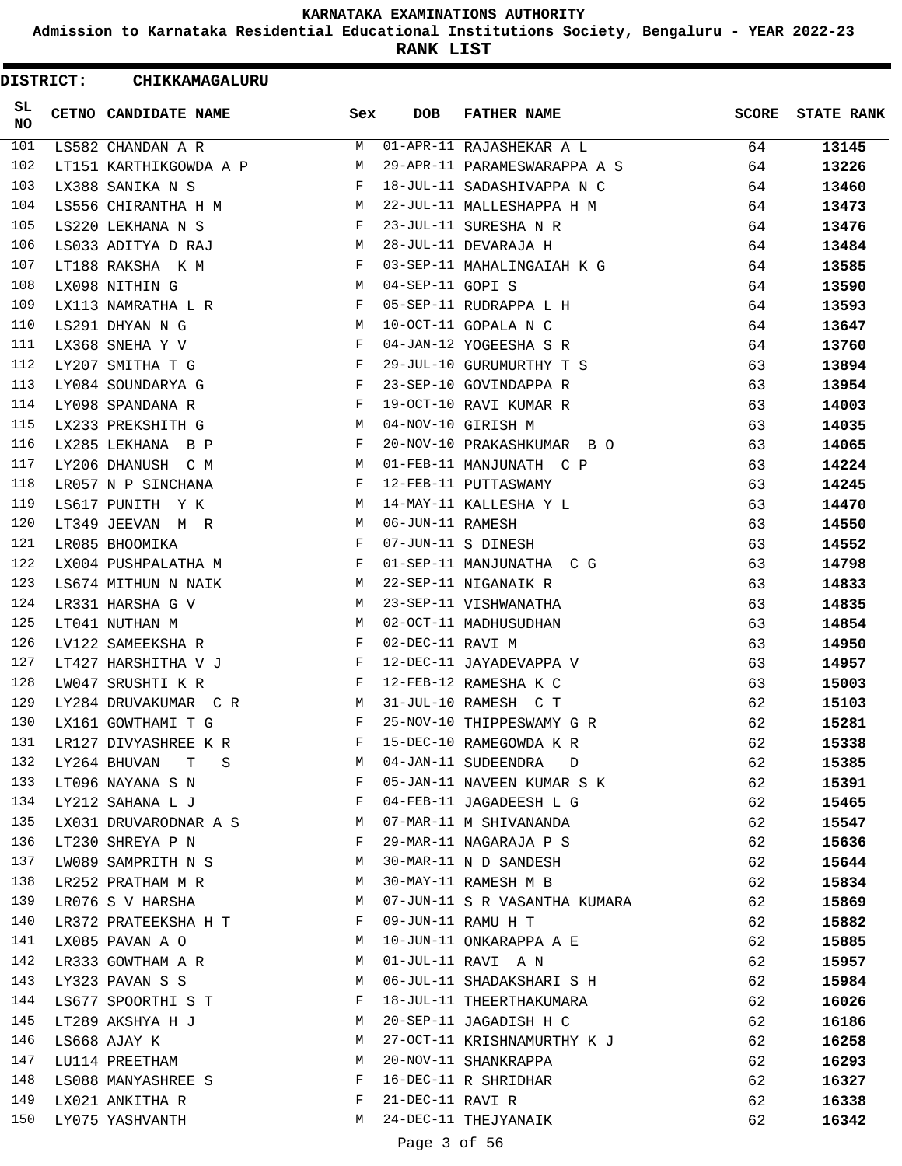**Admission to Karnataka Residential Educational Institutions Society, Bengaluru - YEAR 2022-23**

**RANK LIST**

|                 | <b>DISTRICT:</b> | CHIKKAMAGALURU                    |     |                  |                               |              |                   |
|-----------------|------------------|-----------------------------------|-----|------------------|-------------------------------|--------------|-------------------|
| SL<br><b>NO</b> |                  | CETNO CANDIDATE NAME              | Sex | DOB              | <b>FATHER NAME</b>            | <b>SCORE</b> | <b>STATE RANK</b> |
| 101             |                  | LS582 CHANDAN A R                 | М   |                  | 01-APR-11 RAJASHEKAR A L      | 64           | 13145             |
| 102             |                  | LT151 KARTHIKGOWDA A P            | М   |                  | 29-APR-11 PARAMESWARAPPA A S  | 64           | 13226             |
| 103             |                  | LX388 SANIKA N S                  | F   |                  | 18-JUL-11 SADASHIVAPPA N C    | 64           | 13460             |
| 104             |                  | LS556 CHIRANTHA H M               | М   |                  | 22-JUL-11 MALLESHAPPA H M     | 64           | 13473             |
| 105             |                  | LS220 LEKHANA N S                 | F   |                  | 23-JUL-11 SURESHA N R         | 64           | 13476             |
| 106             |                  | LS033 ADITYA D RAJ                | M   |                  | 28-JUL-11 DEVARAJA H          | 64           | 13484             |
| 107             |                  | LT188 RAKSHA K M                  | F   |                  | 03-SEP-11 MAHALINGAIAH K G    | 64           | 13585             |
| 108             |                  | LX098 NITHIN G                    | М   | 04-SEP-11 GOPI S |                               | 64           | 13590             |
| 109             |                  | LX113 NAMRATHA L R                | F   |                  | 05-SEP-11 RUDRAPPA L H        | 64           | 13593             |
| 110             |                  | LS291 DHYAN N G                   | М   |                  | 10-OCT-11 GOPALA N C          | 64           | 13647             |
| 111             |                  | LX368 SNEHA Y V                   | F   |                  | 04-JAN-12 YOGEESHA S R        | 64           | 13760             |
| 112             |                  | LY207 SMITHA T G                  | F   |                  | 29-JUL-10 GURUMURTHY T S      | 63           | 13894             |
| 113             |                  | LY084 SOUNDARYA G                 | F   |                  | 23-SEP-10 GOVINDAPPA R        | 63           | 13954             |
| 114             |                  | LY098 SPANDANA R                  | F   |                  | 19-OCT-10 RAVI KUMAR R        | 63           | 14003             |
| 115             |                  | LX233 PREKSHITH G                 | М   |                  | 04-NOV-10 GIRISH M            | 63           | 14035             |
| 116             |                  | LX285 LEKHANA B P                 | F   |                  | 20-NOV-10 PRAKASHKUMAR B O    | 63           | 14065             |
| 117             |                  | LY206 DHANUSH C M                 | М   |                  | 01-FEB-11 MANJUNATH C P       | 63           | 14224             |
| 118             |                  | LR057 N P SINCHANA                | F   |                  | 12-FEB-11 PUTTASWAMY          | 63           | 14245             |
| 119             |                  | LS617 PUNITH Y K                  | М   |                  | 14-MAY-11 KALLESHA Y L        | 63           | 14470             |
| 120             |                  | LT349 JEEVAN M R                  | M   | 06-JUN-11 RAMESH |                               | 63           | 14550             |
| 121             |                  | LR085 BHOOMIKA                    | F   |                  | 07-JUN-11 S DINESH            | 63           | 14552             |
| 122             |                  | LX004 PUSHPALATHA M               | F   |                  | 01-SEP-11 MANJUNATHA C G      | 63           | 14798             |
| 123             |                  | LS674 MITHUN N NAIK               | M   |                  | 22-SEP-11 NIGANAIK R          | 63           | 14833             |
| 124             |                  | LR331 HARSHA G V                  | М   |                  | 23-SEP-11 VISHWANATHA         | 63           | 14835             |
| 125             |                  | LT041 NUTHAN M                    | М   |                  | 02-OCT-11 MADHUSUDHAN         | 63           | 14854             |
| 126             |                  | LV122 SAMEEKSHA R                 | F   | 02-DEC-11 RAVI M |                               | 63           | 14950             |
| 127             |                  | LT427 HARSHITHA V J               | F   |                  | 12-DEC-11 JAYADEVAPPA V       | 63           | 14957             |
| 128             |                  | LW047 SRUSHTI K R                 | F   |                  | 12-FEB-12 RAMESHA K C         | 63           | 15003             |
| 129             |                  | LY284 DRUVAKUMAR CR               | M   |                  | 31-JUL-10 RAMESH C T          | 62           | 15103             |
| 130             |                  | LX161 GOWTHAMI T G                | F   |                  | 25-NOV-10 THIPPESWAMY G R     | 62           | 15281             |
| 131             |                  | LR127 DIVYASHREE K R              | F   |                  | 15-DEC-10 RAMEGOWDA K R       | 62           | 15338             |
| 132             |                  | LY264 BHUVAN<br>$\mathbf{T}$<br>S | M   |                  | 04-JAN-11 SUDEENDRA D         | 62           | 15385             |
| 133             |                  | LT096 NAYANA S N                  | F   |                  | 05-JAN-11 NAVEEN KUMAR S K    | 62           | 15391             |
| 134             |                  | LY212 SAHANA L J                  | F   |                  | 04-FEB-11 JAGADEESH L G       | 62           | 15465             |
| 135             |                  | LX031 DRUVARODNAR A S             | M   |                  | 07-MAR-11 M SHIVANANDA        | 62           | 15547             |
| 136             |                  | LT230 SHREYA P N                  | F   |                  | 29-MAR-11 NAGARAJA P S        | 62           | 15636             |
| 137             |                  | LW089 SAMPRITH N S                | М   |                  | 30-MAR-11 N D SANDESH         | 62           | 15644             |
| 138             |                  | LR252 PRATHAM M R                 | M   |                  | 30-MAY-11 RAMESH M B          | 62           | 15834             |
| 139             |                  | LR076 S V HARSHA                  | M   |                  | 07-JUN-11 S R VASANTHA KUMARA | 62           | 15869             |
| 140             |                  | LR372 PRATEEKSHA H T              | F   |                  | 09-JUN-11 RAMU H T            | 62           | 15882             |
| 141             |                  | LX085 PAVAN A O                   | M   |                  | 10-JUN-11 ONKARAPPA A E       | 62           | 15885             |
| 142             |                  | LR333 GOWTHAM A R                 | M   |                  | 01-JUL-11 RAVI A N            | 62           | 15957             |
| 143             |                  | LY323 PAVAN S S                   | M   |                  | 06-JUL-11 SHADAKSHARI S H     | 62           | 15984             |
| 144             |                  | LS677 SPOORTHI S T                | F   |                  | 18-JUL-11 THEERTHAKUMARA      | 62           | 16026             |
| 145             |                  | LT289 AKSHYA H J                  | M   |                  | 20-SEP-11 JAGADISH H C        | 62           | 16186             |
| 146             |                  | LS668 AJAY K                      | М   |                  | 27-OCT-11 KRISHNAMURTHY K J   | 62           | 16258             |
| 147             |                  | LU114 PREETHAM                    | М   |                  | 20-NOV-11 SHANKRAPPA          | 62           | 16293             |
| 148             |                  | LS088 MANYASHREE S                | F   |                  | 16-DEC-11 R SHRIDHAR          | 62           | 16327             |
| 149             |                  | LX021 ANKITHA R                   | F   | 21-DEC-11 RAVI R |                               | 62           | 16338             |
| 150             |                  | LY075 YASHVANTH                   | M   |                  | 24-DEC-11 THEJYANAIK          | 62           | 16342             |
|                 |                  |                                   |     | Page 3 of 56     |                               |              |                   |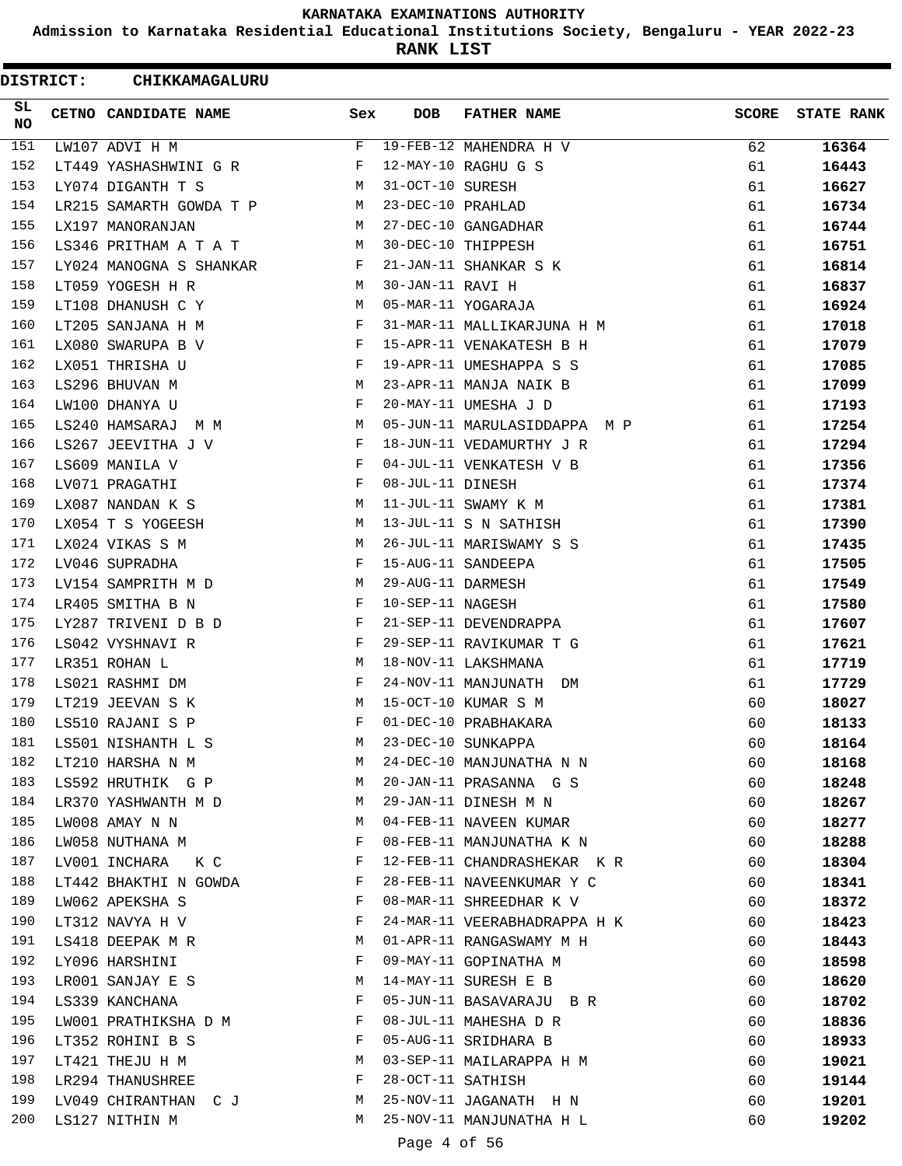**Admission to Karnataka Residential Educational Institutions Society, Bengaluru - YEAR 2022-23**

**RANK LIST**

| <b>DISTRICT:</b> | CHIKKAMAGALURU          |     |                   |                              |              |                   |
|------------------|-------------------------|-----|-------------------|------------------------------|--------------|-------------------|
| SL<br>NO.        | CETNO CANDIDATE NAME    | Sex | <b>DOB</b>        | <b>FATHER NAME</b>           | <b>SCORE</b> | <b>STATE RANK</b> |
| 151              | LW107 ADVI H M          | F   |                   | 19-FEB-12 MAHENDRA H V       | 62           | 16364             |
| 152              | LT449 YASHASHWINI G R   | F   |                   | 12-MAY-10 RAGHU G S          | 61           | 16443             |
| 153              | LY074 DIGANTH T S       | М   | 31-OCT-10 SURESH  |                              | 61           | 16627             |
| 154              | LR215 SAMARTH GOWDA T P | М   | 23-DEC-10 PRAHLAD |                              | 61           | 16734             |
| 155              | LX197 MANORANJAN        | M   |                   | 27-DEC-10 GANGADHAR          | 61           | 16744             |
| 156              | LS346 PRITHAM A T A T   | M   |                   | 30-DEC-10 THIPPESH           | 61           | 16751             |
| 157              | LY024 MANOGNA S SHANKAR | F   |                   | 21-JAN-11 SHANKAR S K        | 61           | 16814             |
| 158              | LT059 YOGESH H R        | М   | 30-JAN-11 RAVI H  |                              | 61           | 16837             |
| 159              | LT108 DHANUSH C Y       | М   |                   | 05-MAR-11 YOGARAJA           | 61           | 16924             |
| 160              | LT205 SANJANA H M       | F   |                   | 31-MAR-11 MALLIKARJUNA H M   | 61           | 17018             |
| 161              | LX080 SWARUPA B V       | F   |                   | 15-APR-11 VENAKATESH B H     | 61           | 17079             |
| 162              | LX051 THRISHA U         | F   |                   | 19-APR-11 UMESHAPPA S S      | 61           | 17085             |
| 163              | LS296 BHUVAN M          | М   |                   | 23-APR-11 MANJA NAIK B       | 61           | 17099             |
| 164              | LW100 DHANYA U          | F   |                   | 20-MAY-11 UMESHA J D         | 61           | 17193             |
| 165              | LS240 HAMSARAJ<br>M M   | М   |                   | 05-JUN-11 MARULASIDDAPPA M P | 61           | 17254             |
| 166              | LS267 JEEVITHA J V      | F   |                   | 18-JUN-11 VEDAMURTHY J R     | 61           | 17294             |
| 167              | LS609 MANILA V          | F   |                   | 04-JUL-11 VENKATESH V B      | 61           | 17356             |
| 168              | LV071 PRAGATHI          | F   | 08-JUL-11 DINESH  |                              | 61           | 17374             |
| 169              | LX087 NANDAN K S        | М   |                   | 11-JUL-11 SWAMY K M          | 61           | 17381             |
| 170              | LX054 T S YOGEESH       | M   |                   | 13-JUL-11 S N SATHISH        | 61           | 17390             |
| 171              | LX024 VIKAS S M         | M   |                   | 26-JUL-11 MARISWAMY S S      | 61           | 17435             |
| 172              | LV046 SUPRADHA          | F   |                   | 15-AUG-11 SANDEEPA           | 61           | 17505             |
| 173              | LV154 SAMPRITH M D      | М   | 29-AUG-11 DARMESH |                              | 61           | 17549             |
| 174              | LR405 SMITHA B N        | F   | 10-SEP-11 NAGESH  |                              | 61           | 17580             |
| 175              | LY287 TRIVENI D B D     | F   |                   | 21-SEP-11 DEVENDRAPPA        | 61           | 17607             |
| 176              | LS042 VYSHNAVI R        | F   |                   | 29-SEP-11 RAVIKUMAR T G      | 61           | 17621             |
| 177              | LR351 ROHAN L           | М   |                   | 18-NOV-11 LAKSHMANA          | 61           | 17719             |
| 178              | LS021 RASHMI DM         | F   |                   | 24-NOV-11 MANJUNATH DM       | 61           | 17729             |
| 179              | LT219 JEEVAN S K        | М   |                   | 15-OCT-10 KUMAR S M          | 60           | 18027             |
| 180              | LS510 RAJANI S P        | F   |                   | 01-DEC-10 PRABHAKARA         | 60           | 18133             |
| 181              | LS501 NISHANTH L S      | M   |                   | 23-DEC-10 SUNKAPPA           | 60           | 18164             |
| 182              | LT210 HARSHA N M        | M   |                   | 24-DEC-10 MANJUNATHA N N     | 60           | 18168             |
| 183              | LS592 HRUTHIK G P       | M   |                   | 20-JAN-11 PRASANNA G S       | 60           | 18248             |
| 184              | LR370 YASHWANTH M D     | M   |                   | 29-JAN-11 DINESH M N         | 60           | 18267             |
| 185              | LW008 AMAY N N          | M   |                   | 04-FEB-11 NAVEEN KUMAR       | 60           | 18277             |
| 186              | LW058 NUTHANA M         | F   |                   | 08-FEB-11 MANJUNATHA K N     | 60           | 18288             |
| 187              | LV001 INCHARA K C       | F   |                   | 12-FEB-11 CHANDRASHEKAR K R  | 60           | 18304             |
| 188              | LT442 BHAKTHI N GOWDA   | F   |                   | 28-FEB-11 NAVEENKUMAR Y C    | 60           | 18341             |
| 189              | LW062 APEKSHA S         | F   |                   | 08-MAR-11 SHREEDHAR K V      | 60           | 18372             |
| 190              | LT312 NAVYA H V         | F   |                   | 24-MAR-11 VEERABHADRAPPA H K | 60           | 18423             |
| 191              | LS418 DEEPAK M R        | M   |                   | 01-APR-11 RANGASWAMY M H     | 60           | 18443             |
| 192              | LY096 HARSHINI          | F   |                   | 09-MAY-11 GOPINATHA M        | 60           | 18598             |
| 193              | LR001 SANJAY E S        | M   |                   | 14-MAY-11 SURESH E B         | 60           | 18620             |
| 194              | LS339 KANCHANA          | F   |                   | 05-JUN-11 BASAVARAJU B R     | 60           | 18702             |
| 195              | LW001 PRATHIKSHA D M    | F   |                   | 08-JUL-11 MAHESHA D R        | 60           | 18836             |
| 196              | LT352 ROHINI B S        | F   |                   | 05-AUG-11 SRIDHARA B         | 60           | 18933             |
| 197              | LT421 THEJU H M         | M   |                   | 03-SEP-11 MAILARAPPA H M     | 60           | 19021             |
| 198              | LR294 THANUSHREE        | F   | 28-OCT-11 SATHISH |                              | 60           | 19144             |
| 199              | LV049 CHIRANTHAN C J    | M   |                   | 25-NOV-11 JAGANATH H N       | 60           | 19201             |
| 200              | LS127 NITHIN M          | М   |                   | 25-NOV-11 MANJUNATHA H L     | 60           | 19202             |
|                  |                         |     | Page 4 of 56      |                              |              |                   |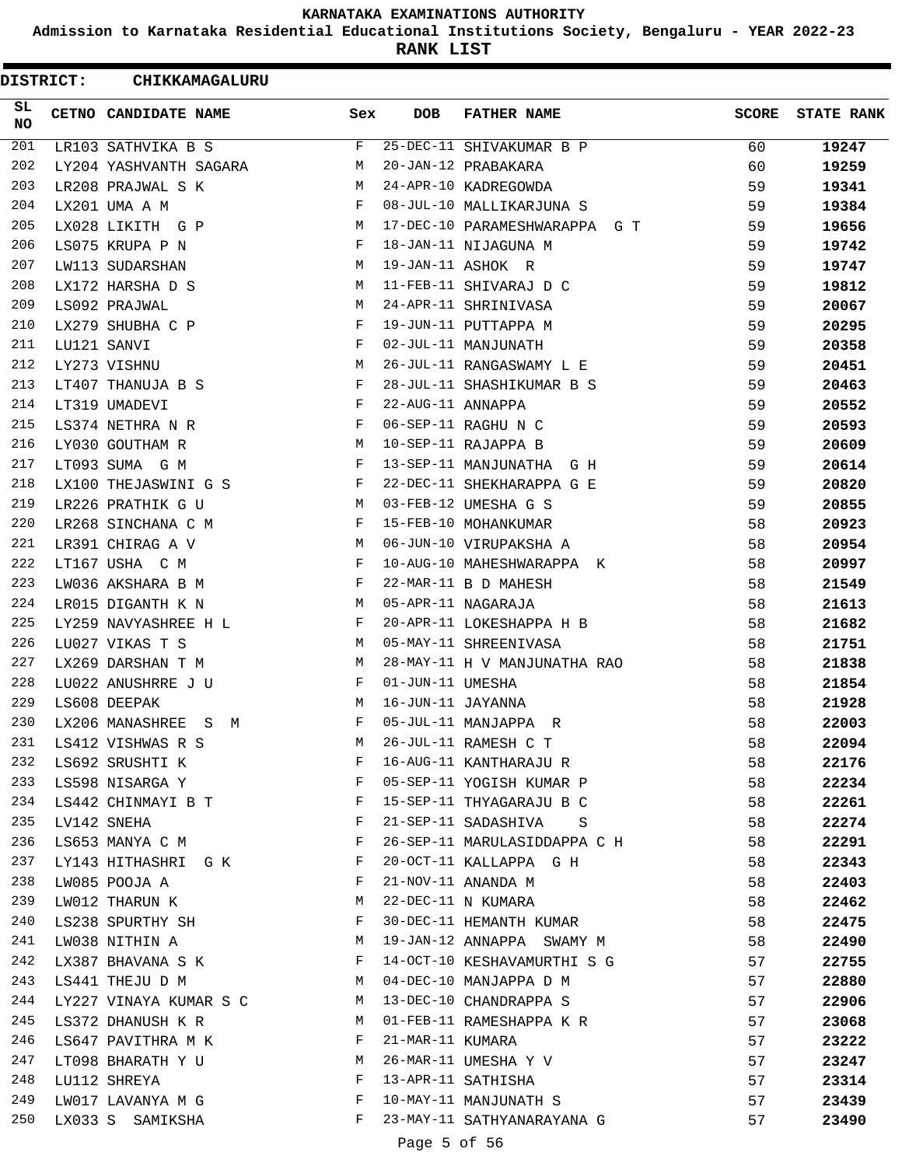**Admission to Karnataka Residential Educational Institutions Society, Bengaluru - YEAR 2022-23**

**RANK LIST**

| <b>DISTRICT:</b> | CHIKKAMAGALURU         |                                         |                   |                               |              |                   |
|------------------|------------------------|-----------------------------------------|-------------------|-------------------------------|--------------|-------------------|
| SL.<br>NO.       | CETNO CANDIDATE NAME   | Sex                                     | <b>DOB</b>        | <b>FATHER NAME</b>            | <b>SCORE</b> | <b>STATE RANK</b> |
| 201              | LR103 SATHVIKA B S     | F                                       |                   | 25-DEC-11 SHIVAKUMAR B P      | 60           | 19247             |
| 202              | LY204 YASHVANTH SAGARA | М                                       |                   | 20-JAN-12 PRABAKARA           | 60           | 19259             |
| 203              | LR208 PRAJWAL S K      | M                                       |                   | 24-APR-10 KADREGOWDA          | 59           | 19341             |
| 204              | LX201 UMA A M          | F                                       |                   | 08-JUL-10 MALLIKARJUNA S      | 59           | 19384             |
| 205              | LX028 LIKITH G P       | М                                       |                   | 17-DEC-10 PARAMESHWARAPPA G T | 59           | 19656             |
| 206              | LS075 KRUPA P N        | F                                       |                   | 18-JAN-11 NIJAGUNA M          | 59           | 19742             |
| 207              | LW113 SUDARSHAN        | M                                       |                   | 19-JAN-11 ASHOK R             | 59           | 19747             |
| 208              | LX172 HARSHA D S       | M                                       |                   | 11-FEB-11 SHIVARAJ D C        | 59           | 19812             |
| 209              | LS092 PRAJWAL          | М                                       |                   | 24-APR-11 SHRINIVASA          | 59           | 20067             |
| 210              | LX279 SHUBHA C P       | F                                       |                   | 19-JUN-11 PUTTAPPA M          | 59           | 20295             |
| 211              | LU121 SANVI            | F                                       |                   | 02-JUL-11 MANJUNATH           | 59           | 20358             |
| 212              | LY273 VISHNU           | М                                       |                   | 26-JUL-11 RANGASWAMY L E      | 59           | 20451             |
| 213              | LT407 THANUJA B S      | F                                       |                   | 28-JUL-11 SHASHIKUMAR B S     | 59           | 20463             |
| 214              | LT319 UMADEVI          | F                                       | 22-AUG-11 ANNAPPA |                               | 59           | 20552             |
| 215              | LS374 NETHRA N R       | F                                       |                   | 06-SEP-11 RAGHU N C           | 59           | 20593             |
| 216              | LY030 GOUTHAM R        | М                                       |                   | 10-SEP-11 RAJAPPA B           | 59           | 20609             |
| 217              | LT093 SUMA G M         | F                                       |                   | 13-SEP-11 MANJUNATHA G H      | 59           | 20614             |
| 218              | LX100 THEJASWINI G S   | F                                       |                   | 22-DEC-11 SHEKHARAPPA G E     | 59           | 20820             |
| 219              | LR226 PRATHIK G U      | M                                       |                   | 03-FEB-12 UMESHA G S          | 59           | 20855             |
| 220              | LR268 SINCHANA C M     | F                                       |                   | 15-FEB-10 MOHANKUMAR          | 58           | 20923             |
| 221              | LR391 CHIRAG A V       | M                                       |                   | 06-JUN-10 VIRUPAKSHA A        | 58           | 20954             |
| 222              | LT167 USHA C M         | F                                       |                   | 10-AUG-10 MAHESHWARAPPA K     | 58           | 20997             |
| 223              | LW036 AKSHARA B M      | F                                       |                   | 22-MAR-11 B D MAHESH          | 58           | 21549             |
| 224              | LR015 DIGANTH K N      | M                                       |                   | 05-APR-11 NAGARAJA            | 58           | 21613             |
| 225              | LY259 NAVYASHREE H L   | F                                       |                   | 20-APR-11 LOKESHAPPA H B      | 58           | 21682             |
| 226              | LU027 VIKAS T S        | М                                       |                   | 05-MAY-11 SHREENIVASA         | 58           | 21751             |
| 227              | LX269 DARSHAN T M      | M                                       |                   | 28-MAY-11 H V MANJUNATHA RAO  | 58           | 21838             |
| 228              | LU022 ANUSHRRE J U     | F                                       | 01-JUN-11 UMESHA  |                               | 58           | 21854             |
| 229              | LS608 DEEPAK           | M                                       | 16-JUN-11 JAYANNA |                               | 58           | 21928             |
| 230              | LX206 MANASHREE S M    | F                                       |                   | 05-JUL-11 MANJAPPA R          | 58           | 22003             |
| 231              | LS412 VISHWAS R S      | М                                       |                   | 26-JUL-11 RAMESH C T          | 58           | 22094             |
| 232              | LS692 SRUSHTI K        | F                                       |                   | 16-AUG-11 KANTHARAJU R        | 58           | 22176             |
| 233              | LS598 NISARGA Y        | and the state of the Party of the Party |                   | 05-SEP-11 YOGISH KUMAR P      | 58           | 22234             |
| 234              | LS442 CHINMAYI B T     | $\mathbf{F}$                            |                   | 15-SEP-11 THYAGARAJU B C      | 58           | 22261             |
| 235              | LV142 SNEHA            | F                                       |                   | 21-SEP-11 SADASHIVA S         | 58           | 22274             |
| 236              | LS653 MANYA C M        | F                                       |                   | 26-SEP-11 MARULASIDDAPPA C H  | 58           | 22291             |
| 237              | LY143 HITHASHRI G K    | F                                       |                   | 20-OCT-11 KALLAPPA G H        | 58           | 22343             |
| 238              | LW085 POOJA A          | F                                       |                   | 21-NOV-11 ANANDA M            | 58           | 22403             |
| 239              | LW012 THARUN K         | M                                       |                   | 22-DEC-11 N KUMARA            | 58           | 22462             |
| 240              | LS238 SPURTHY SH       | F                                       |                   | 30-DEC-11 HEMANTH KUMAR       | 58           | 22475             |
| 241              | LW038 NITHIN A         | <b>M</b>                                |                   | 19-JAN-12 ANNAPPA SWAMY M     | 58           | 22490             |
| 242              | LX387 BHAVANA S K      | F                                       |                   | 14-OCT-10 KESHAVAMURTHI S G   | 57           | 22755             |
| 243              | LS441 THEJU D M        | M                                       |                   | 04-DEC-10 MANJAPPA D M        | 57           | 22880             |
| 244              | LY227 VINAYA KUMAR S C | M                                       |                   | 13-DEC-10 CHANDRAPPA S        | 57           | 22906             |
| 245              | LS372 DHANUSH K R      | M                                       |                   | 01-FEB-11 RAMESHAPPA K R      | 57           | 23068             |
| 246              | LS647 PAVITHRA M K     | F                                       | 21-MAR-11 KUMARA  |                               | 57           | 23222             |
| 247              | LT098 BHARATH Y U      | М                                       |                   | 26-MAR-11 UMESHA Y V          | 57           | 23247             |
| 248              | LU112 SHREYA           | F                                       |                   | 13-APR-11 SATHISHA            | 57           | 23314             |
| 249              | LW017 LAVANYA M G      | $\mathbf{F}$ and $\mathbf{F}$           |                   | 10-MAY-11 MANJUNATH S         | 57           | 23439             |
| 250              | LX033 S SAMIKSHA       | F                                       |                   | 23-MAY-11 SATHYANARAYANA G    | 57           | 23490             |
|                  |                        |                                         | Page 5 of 56      |                               |              |                   |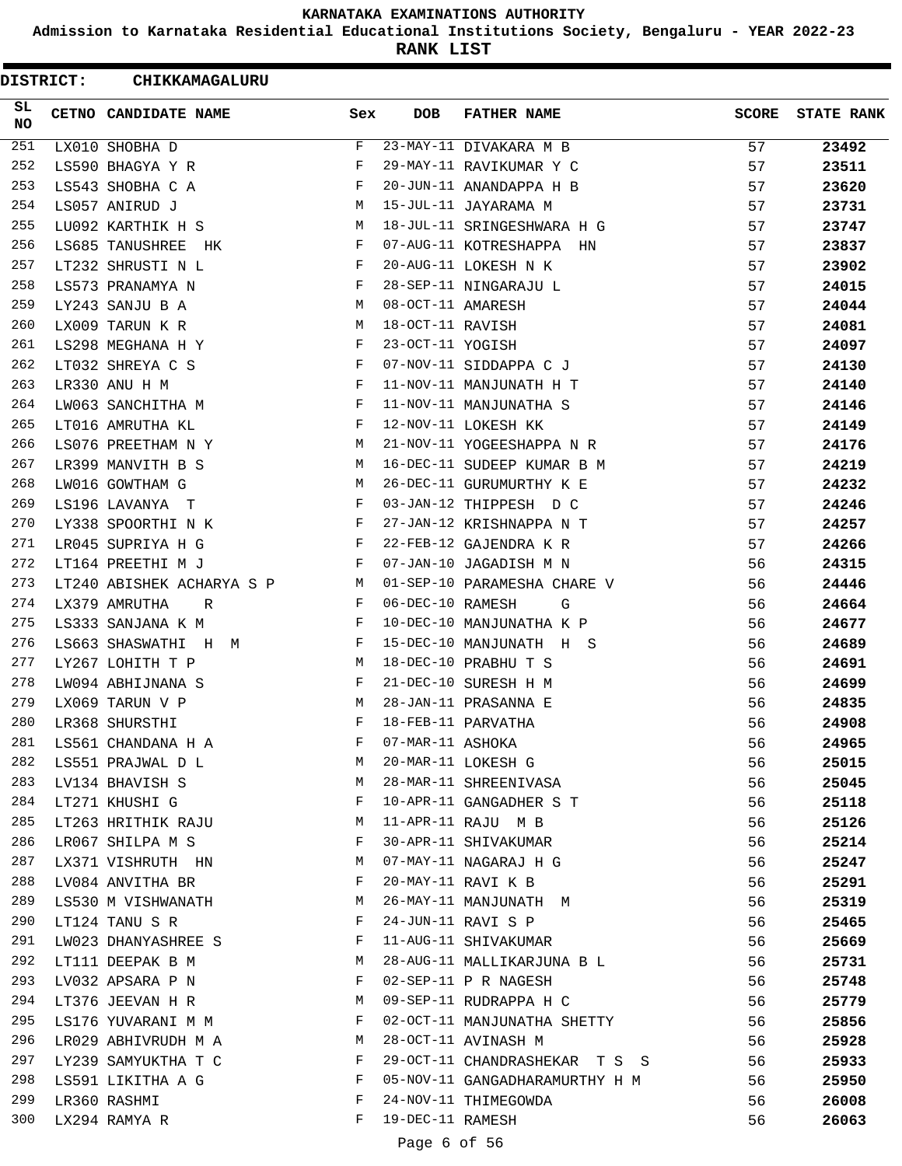**Admission to Karnataka Residential Educational Institutions Society, Bengaluru - YEAR 2022-23**

**RANK LIST**

 $\blacksquare$ 

| SL.<br>CETNO CANDIDATE NAME<br>Sex<br><b>DOB</b><br><b>FATHER NAME</b><br><b>SCORE</b><br>NO.<br>251<br>23-MAY-11 DIVAKARA M B<br>F<br>57<br>23492<br>LX010 SHOBHA D<br>252<br>29-MAY-11 RAVIKUMAR Y C<br>57<br>LS590 BHAGYA Y R<br>F<br>23511<br>253<br>LS543 SHOBHA C A<br>F<br>20-JUN-11 ANANDAPPA H B<br>57<br>23620<br>254<br>LS057 ANIRUD J<br>М<br>15-JUL-11 JAYARAMA M<br>57<br>23731<br>255<br>LU092 KARTHIK H S<br>М<br>18-JUL-11 SRINGESHWARA H G<br>57<br>23747<br>256<br>LS685 TANUSHREE HK<br>F<br>07-AUG-11 KOTRESHAPPA HN<br>57<br>23837<br>257<br>LT232 SHRUSTI N L<br>F<br>20-AUG-11 LOKESH N K<br>57<br>23902<br>258<br>28-SEP-11 NINGARAJU L<br>LS573 PRANAMYA N<br>F<br>57<br>24015<br>259<br>08-OCT-11 AMARESH<br>LY243 SANJU B A<br>М<br>57<br>24044<br>260<br>18-OCT-11 RAVISH<br>LX009 TARUN K R<br>М<br>57<br>24081<br>261<br>LS298 MEGHANA H Y<br>F<br>23-OCT-11 YOGISH<br>57<br>24097<br>262<br>LT032 SHREYA C S<br>F<br>07-NOV-11 SIDDAPPA C J<br>57<br>24130<br>263<br>LR330 ANU H M<br>F<br>11-NOV-11 MANJUNATH H T<br>57<br>24140<br>264<br>11-NOV-11 MANJUNATHA S<br>LW063 SANCHITHA M<br>F<br>57<br>24146<br>265<br>LT016 AMRUTHA KL<br>F<br>12-NOV-11 LOKESH KK<br>57<br>24149<br>266<br>LS076 PREETHAM N Y<br>М<br>21-NOV-11 YOGEESHAPPA N R<br>57<br>24176<br>267<br>LR399 MANVITH B S<br>16-DEC-11 SUDEEP KUMAR B M<br>57<br>24219<br>М<br>268<br>LW016 GOWTHAM G<br>М<br>26-DEC-11 GURUMURTHY K E<br>57<br>24232<br>269<br>LS196 LAVANYA T<br>F<br>03-JAN-12 THIPPESH D C<br>57<br>24246<br>270<br>LY338 SPOORTHI N K<br>F<br>27-JAN-12 KRISHNAPPA N T<br>57<br>24257<br>271<br>LR045 SUPRIYA H G<br>F<br>22-FEB-12 GAJENDRA K R<br>57<br>24266<br>272<br>07-JAN-10 JAGADISH M N<br>LT164 PREETHI M J<br>F<br>56<br>24315<br>273<br>LT240 ABISHEK ACHARYA S P<br>01-SEP-10 PARAMESHA CHARE V<br>56<br>24446<br>M<br>274<br>06-DEC-10 RAMESH<br>LX379 AMRUTHA<br>F<br>56<br>24664<br>R<br>G<br>275<br>10-DEC-10 MANJUNATHA K P<br>LS333 SANJANA K M<br>F<br>56<br>24677<br>276<br>15-DEC-10 MANJUNATH H S<br>LS663 SHASWATHI H M<br>F<br>56<br>24689<br>277<br>18-DEC-10 PRABHU T S<br>56<br>24691<br>LY267 LOHITH T P<br>M<br>278<br>21-DEC-10 SURESH H M<br>LW094 ABHIJNANA S<br>F<br>56<br>24699<br>279<br>28-JAN-11 PRASANNA E<br>LX069 TARUN V P<br>M<br>56<br>24835<br>280<br>$_{\rm F}$<br>18-FEB-11 PARVATHA<br>LR368 SHURSTHI<br>56<br>24908<br>281<br>07-MAR-11 ASHOKA<br>F<br>24965<br>LS561 CHANDANA H A<br>56<br>282<br>20-MAR-11 LOKESH G<br>M<br>56<br>LS551 PRAJWAL D L<br>25015<br>283<br>LV134 BHAVISH S<br>M<br>28-MAR-11 SHREENIVASA<br>56<br>25045<br>284<br>10-APR-11 GANGADHER S T<br>LT271 KHUSHI G<br>F<br>56<br>25118<br>285<br>LT263 HRITHIK RAJU<br>11-APR-11 RAJU M B<br>56<br>25126<br>M<br>286<br>30-APR-11 SHIVAKUMAR<br>56<br>LR067 SHILPA M S<br>F<br>25214<br>287<br>07-MAY-11 NAGARAJ H G<br>LX371 VISHRUTH HN<br>М<br>56<br>25247<br>288<br>20-MAY-11 RAVI K B<br>LV084 ANVITHA BR<br>F<br>56<br>25291<br>289<br>26-MAY-11 MANJUNATH M<br>56<br>25319<br>LS530 M VISHWANATH<br>M<br>290<br>LT124 TANU S R<br>F<br>24-JUN-11 RAVI S P<br>56<br>25465<br>291<br>LW023 DHANYASHREE S<br>F<br>11-AUG-11 SHIVAKUMAR<br>56<br>25669<br>292<br>28-AUG-11 MALLIKARJUNA B L<br>LT111 DEEPAK B M<br>М<br>56<br>25731<br>293<br>LV032 APSARA P N<br>F<br>02-SEP-11 P R NAGESH<br>56<br>25748<br>294<br>56<br>LT376 JEEVAN H R<br>М<br>09-SEP-11 RUDRAPPA H C<br>25779<br>295<br>LS176 YUVARANI M M<br>F<br>02-OCT-11 MANJUNATHA SHETTY<br>56<br>25856<br>296<br>28-OCT-11 AVINASH M<br>LR029 ABHIVRUDH M A<br>M<br>56<br>25928<br>297<br>LY239 SAMYUKTHA T C<br>F<br>29-OCT-11 CHANDRASHEKAR T S S<br>56<br>25933<br>298<br>LS591 LIKITHA A G<br>F<br>05-NOV-11 GANGADHARAMURTHY H M<br>56<br>25950<br>299<br>24-NOV-11 THIMEGOWDA<br>LR360 RASHMI<br>F<br>56<br>26008<br>300<br>19-DEC-11 RAMESH<br>F<br>56<br>LX294 RAMYA R<br>26063 | <b>DISTRICT:</b> | CHIKKAMAGALURU |  |  |                   |
|--------------------------------------------------------------------------------------------------------------------------------------------------------------------------------------------------------------------------------------------------------------------------------------------------------------------------------------------------------------------------------------------------------------------------------------------------------------------------------------------------------------------------------------------------------------------------------------------------------------------------------------------------------------------------------------------------------------------------------------------------------------------------------------------------------------------------------------------------------------------------------------------------------------------------------------------------------------------------------------------------------------------------------------------------------------------------------------------------------------------------------------------------------------------------------------------------------------------------------------------------------------------------------------------------------------------------------------------------------------------------------------------------------------------------------------------------------------------------------------------------------------------------------------------------------------------------------------------------------------------------------------------------------------------------------------------------------------------------------------------------------------------------------------------------------------------------------------------------------------------------------------------------------------------------------------------------------------------------------------------------------------------------------------------------------------------------------------------------------------------------------------------------------------------------------------------------------------------------------------------------------------------------------------------------------------------------------------------------------------------------------------------------------------------------------------------------------------------------------------------------------------------------------------------------------------------------------------------------------------------------------------------------------------------------------------------------------------------------------------------------------------------------------------------------------------------------------------------------------------------------------------------------------------------------------------------------------------------------------------------------------------------------------------------------------------------------------------------------------------------------------------------------------------------------------------------------------------------------------------------------------------------------------------------------------------------------------------------------------------------------------------------------------------------------------------------------------------------------------------------------------------------------------------------------------------------------------------------------------------------------------------------------------------------------------------------------------------------------------------------------------------------------------------------------------------------------------------------------------------------------------------------------------|------------------|----------------|--|--|-------------------|
|                                                                                                                                                                                                                                                                                                                                                                                                                                                                                                                                                                                                                                                                                                                                                                                                                                                                                                                                                                                                                                                                                                                                                                                                                                                                                                                                                                                                                                                                                                                                                                                                                                                                                                                                                                                                                                                                                                                                                                                                                                                                                                                                                                                                                                                                                                                                                                                                                                                                                                                                                                                                                                                                                                                                                                                                                                                                                                                                                                                                                                                                                                                                                                                                                                                                                                                                                                                                                                                                                                                                                                                                                                                                                                                                                                                                                                                                                                        |                  |                |  |  | <b>STATE RANK</b> |
|                                                                                                                                                                                                                                                                                                                                                                                                                                                                                                                                                                                                                                                                                                                                                                                                                                                                                                                                                                                                                                                                                                                                                                                                                                                                                                                                                                                                                                                                                                                                                                                                                                                                                                                                                                                                                                                                                                                                                                                                                                                                                                                                                                                                                                                                                                                                                                                                                                                                                                                                                                                                                                                                                                                                                                                                                                                                                                                                                                                                                                                                                                                                                                                                                                                                                                                                                                                                                                                                                                                                                                                                                                                                                                                                                                                                                                                                                                        |                  |                |  |  |                   |
|                                                                                                                                                                                                                                                                                                                                                                                                                                                                                                                                                                                                                                                                                                                                                                                                                                                                                                                                                                                                                                                                                                                                                                                                                                                                                                                                                                                                                                                                                                                                                                                                                                                                                                                                                                                                                                                                                                                                                                                                                                                                                                                                                                                                                                                                                                                                                                                                                                                                                                                                                                                                                                                                                                                                                                                                                                                                                                                                                                                                                                                                                                                                                                                                                                                                                                                                                                                                                                                                                                                                                                                                                                                                                                                                                                                                                                                                                                        |                  |                |  |  |                   |
|                                                                                                                                                                                                                                                                                                                                                                                                                                                                                                                                                                                                                                                                                                                                                                                                                                                                                                                                                                                                                                                                                                                                                                                                                                                                                                                                                                                                                                                                                                                                                                                                                                                                                                                                                                                                                                                                                                                                                                                                                                                                                                                                                                                                                                                                                                                                                                                                                                                                                                                                                                                                                                                                                                                                                                                                                                                                                                                                                                                                                                                                                                                                                                                                                                                                                                                                                                                                                                                                                                                                                                                                                                                                                                                                                                                                                                                                                                        |                  |                |  |  |                   |
|                                                                                                                                                                                                                                                                                                                                                                                                                                                                                                                                                                                                                                                                                                                                                                                                                                                                                                                                                                                                                                                                                                                                                                                                                                                                                                                                                                                                                                                                                                                                                                                                                                                                                                                                                                                                                                                                                                                                                                                                                                                                                                                                                                                                                                                                                                                                                                                                                                                                                                                                                                                                                                                                                                                                                                                                                                                                                                                                                                                                                                                                                                                                                                                                                                                                                                                                                                                                                                                                                                                                                                                                                                                                                                                                                                                                                                                                                                        |                  |                |  |  |                   |
|                                                                                                                                                                                                                                                                                                                                                                                                                                                                                                                                                                                                                                                                                                                                                                                                                                                                                                                                                                                                                                                                                                                                                                                                                                                                                                                                                                                                                                                                                                                                                                                                                                                                                                                                                                                                                                                                                                                                                                                                                                                                                                                                                                                                                                                                                                                                                                                                                                                                                                                                                                                                                                                                                                                                                                                                                                                                                                                                                                                                                                                                                                                                                                                                                                                                                                                                                                                                                                                                                                                                                                                                                                                                                                                                                                                                                                                                                                        |                  |                |  |  |                   |
|                                                                                                                                                                                                                                                                                                                                                                                                                                                                                                                                                                                                                                                                                                                                                                                                                                                                                                                                                                                                                                                                                                                                                                                                                                                                                                                                                                                                                                                                                                                                                                                                                                                                                                                                                                                                                                                                                                                                                                                                                                                                                                                                                                                                                                                                                                                                                                                                                                                                                                                                                                                                                                                                                                                                                                                                                                                                                                                                                                                                                                                                                                                                                                                                                                                                                                                                                                                                                                                                                                                                                                                                                                                                                                                                                                                                                                                                                                        |                  |                |  |  |                   |
|                                                                                                                                                                                                                                                                                                                                                                                                                                                                                                                                                                                                                                                                                                                                                                                                                                                                                                                                                                                                                                                                                                                                                                                                                                                                                                                                                                                                                                                                                                                                                                                                                                                                                                                                                                                                                                                                                                                                                                                                                                                                                                                                                                                                                                                                                                                                                                                                                                                                                                                                                                                                                                                                                                                                                                                                                                                                                                                                                                                                                                                                                                                                                                                                                                                                                                                                                                                                                                                                                                                                                                                                                                                                                                                                                                                                                                                                                                        |                  |                |  |  |                   |
|                                                                                                                                                                                                                                                                                                                                                                                                                                                                                                                                                                                                                                                                                                                                                                                                                                                                                                                                                                                                                                                                                                                                                                                                                                                                                                                                                                                                                                                                                                                                                                                                                                                                                                                                                                                                                                                                                                                                                                                                                                                                                                                                                                                                                                                                                                                                                                                                                                                                                                                                                                                                                                                                                                                                                                                                                                                                                                                                                                                                                                                                                                                                                                                                                                                                                                                                                                                                                                                                                                                                                                                                                                                                                                                                                                                                                                                                                                        |                  |                |  |  |                   |
|                                                                                                                                                                                                                                                                                                                                                                                                                                                                                                                                                                                                                                                                                                                                                                                                                                                                                                                                                                                                                                                                                                                                                                                                                                                                                                                                                                                                                                                                                                                                                                                                                                                                                                                                                                                                                                                                                                                                                                                                                                                                                                                                                                                                                                                                                                                                                                                                                                                                                                                                                                                                                                                                                                                                                                                                                                                                                                                                                                                                                                                                                                                                                                                                                                                                                                                                                                                                                                                                                                                                                                                                                                                                                                                                                                                                                                                                                                        |                  |                |  |  |                   |
|                                                                                                                                                                                                                                                                                                                                                                                                                                                                                                                                                                                                                                                                                                                                                                                                                                                                                                                                                                                                                                                                                                                                                                                                                                                                                                                                                                                                                                                                                                                                                                                                                                                                                                                                                                                                                                                                                                                                                                                                                                                                                                                                                                                                                                                                                                                                                                                                                                                                                                                                                                                                                                                                                                                                                                                                                                                                                                                                                                                                                                                                                                                                                                                                                                                                                                                                                                                                                                                                                                                                                                                                                                                                                                                                                                                                                                                                                                        |                  |                |  |  |                   |
|                                                                                                                                                                                                                                                                                                                                                                                                                                                                                                                                                                                                                                                                                                                                                                                                                                                                                                                                                                                                                                                                                                                                                                                                                                                                                                                                                                                                                                                                                                                                                                                                                                                                                                                                                                                                                                                                                                                                                                                                                                                                                                                                                                                                                                                                                                                                                                                                                                                                                                                                                                                                                                                                                                                                                                                                                                                                                                                                                                                                                                                                                                                                                                                                                                                                                                                                                                                                                                                                                                                                                                                                                                                                                                                                                                                                                                                                                                        |                  |                |  |  |                   |
|                                                                                                                                                                                                                                                                                                                                                                                                                                                                                                                                                                                                                                                                                                                                                                                                                                                                                                                                                                                                                                                                                                                                                                                                                                                                                                                                                                                                                                                                                                                                                                                                                                                                                                                                                                                                                                                                                                                                                                                                                                                                                                                                                                                                                                                                                                                                                                                                                                                                                                                                                                                                                                                                                                                                                                                                                                                                                                                                                                                                                                                                                                                                                                                                                                                                                                                                                                                                                                                                                                                                                                                                                                                                                                                                                                                                                                                                                                        |                  |                |  |  |                   |
|                                                                                                                                                                                                                                                                                                                                                                                                                                                                                                                                                                                                                                                                                                                                                                                                                                                                                                                                                                                                                                                                                                                                                                                                                                                                                                                                                                                                                                                                                                                                                                                                                                                                                                                                                                                                                                                                                                                                                                                                                                                                                                                                                                                                                                                                                                                                                                                                                                                                                                                                                                                                                                                                                                                                                                                                                                                                                                                                                                                                                                                                                                                                                                                                                                                                                                                                                                                                                                                                                                                                                                                                                                                                                                                                                                                                                                                                                                        |                  |                |  |  |                   |
|                                                                                                                                                                                                                                                                                                                                                                                                                                                                                                                                                                                                                                                                                                                                                                                                                                                                                                                                                                                                                                                                                                                                                                                                                                                                                                                                                                                                                                                                                                                                                                                                                                                                                                                                                                                                                                                                                                                                                                                                                                                                                                                                                                                                                                                                                                                                                                                                                                                                                                                                                                                                                                                                                                                                                                                                                                                                                                                                                                                                                                                                                                                                                                                                                                                                                                                                                                                                                                                                                                                                                                                                                                                                                                                                                                                                                                                                                                        |                  |                |  |  |                   |
|                                                                                                                                                                                                                                                                                                                                                                                                                                                                                                                                                                                                                                                                                                                                                                                                                                                                                                                                                                                                                                                                                                                                                                                                                                                                                                                                                                                                                                                                                                                                                                                                                                                                                                                                                                                                                                                                                                                                                                                                                                                                                                                                                                                                                                                                                                                                                                                                                                                                                                                                                                                                                                                                                                                                                                                                                                                                                                                                                                                                                                                                                                                                                                                                                                                                                                                                                                                                                                                                                                                                                                                                                                                                                                                                                                                                                                                                                                        |                  |                |  |  |                   |
|                                                                                                                                                                                                                                                                                                                                                                                                                                                                                                                                                                                                                                                                                                                                                                                                                                                                                                                                                                                                                                                                                                                                                                                                                                                                                                                                                                                                                                                                                                                                                                                                                                                                                                                                                                                                                                                                                                                                                                                                                                                                                                                                                                                                                                                                                                                                                                                                                                                                                                                                                                                                                                                                                                                                                                                                                                                                                                                                                                                                                                                                                                                                                                                                                                                                                                                                                                                                                                                                                                                                                                                                                                                                                                                                                                                                                                                                                                        |                  |                |  |  |                   |
|                                                                                                                                                                                                                                                                                                                                                                                                                                                                                                                                                                                                                                                                                                                                                                                                                                                                                                                                                                                                                                                                                                                                                                                                                                                                                                                                                                                                                                                                                                                                                                                                                                                                                                                                                                                                                                                                                                                                                                                                                                                                                                                                                                                                                                                                                                                                                                                                                                                                                                                                                                                                                                                                                                                                                                                                                                                                                                                                                                                                                                                                                                                                                                                                                                                                                                                                                                                                                                                                                                                                                                                                                                                                                                                                                                                                                                                                                                        |                  |                |  |  |                   |
|                                                                                                                                                                                                                                                                                                                                                                                                                                                                                                                                                                                                                                                                                                                                                                                                                                                                                                                                                                                                                                                                                                                                                                                                                                                                                                                                                                                                                                                                                                                                                                                                                                                                                                                                                                                                                                                                                                                                                                                                                                                                                                                                                                                                                                                                                                                                                                                                                                                                                                                                                                                                                                                                                                                                                                                                                                                                                                                                                                                                                                                                                                                                                                                                                                                                                                                                                                                                                                                                                                                                                                                                                                                                                                                                                                                                                                                                                                        |                  |                |  |  |                   |
|                                                                                                                                                                                                                                                                                                                                                                                                                                                                                                                                                                                                                                                                                                                                                                                                                                                                                                                                                                                                                                                                                                                                                                                                                                                                                                                                                                                                                                                                                                                                                                                                                                                                                                                                                                                                                                                                                                                                                                                                                                                                                                                                                                                                                                                                                                                                                                                                                                                                                                                                                                                                                                                                                                                                                                                                                                                                                                                                                                                                                                                                                                                                                                                                                                                                                                                                                                                                                                                                                                                                                                                                                                                                                                                                                                                                                                                                                                        |                  |                |  |  |                   |
|                                                                                                                                                                                                                                                                                                                                                                                                                                                                                                                                                                                                                                                                                                                                                                                                                                                                                                                                                                                                                                                                                                                                                                                                                                                                                                                                                                                                                                                                                                                                                                                                                                                                                                                                                                                                                                                                                                                                                                                                                                                                                                                                                                                                                                                                                                                                                                                                                                                                                                                                                                                                                                                                                                                                                                                                                                                                                                                                                                                                                                                                                                                                                                                                                                                                                                                                                                                                                                                                                                                                                                                                                                                                                                                                                                                                                                                                                                        |                  |                |  |  |                   |
|                                                                                                                                                                                                                                                                                                                                                                                                                                                                                                                                                                                                                                                                                                                                                                                                                                                                                                                                                                                                                                                                                                                                                                                                                                                                                                                                                                                                                                                                                                                                                                                                                                                                                                                                                                                                                                                                                                                                                                                                                                                                                                                                                                                                                                                                                                                                                                                                                                                                                                                                                                                                                                                                                                                                                                                                                                                                                                                                                                                                                                                                                                                                                                                                                                                                                                                                                                                                                                                                                                                                                                                                                                                                                                                                                                                                                                                                                                        |                  |                |  |  |                   |
|                                                                                                                                                                                                                                                                                                                                                                                                                                                                                                                                                                                                                                                                                                                                                                                                                                                                                                                                                                                                                                                                                                                                                                                                                                                                                                                                                                                                                                                                                                                                                                                                                                                                                                                                                                                                                                                                                                                                                                                                                                                                                                                                                                                                                                                                                                                                                                                                                                                                                                                                                                                                                                                                                                                                                                                                                                                                                                                                                                                                                                                                                                                                                                                                                                                                                                                                                                                                                                                                                                                                                                                                                                                                                                                                                                                                                                                                                                        |                  |                |  |  |                   |
|                                                                                                                                                                                                                                                                                                                                                                                                                                                                                                                                                                                                                                                                                                                                                                                                                                                                                                                                                                                                                                                                                                                                                                                                                                                                                                                                                                                                                                                                                                                                                                                                                                                                                                                                                                                                                                                                                                                                                                                                                                                                                                                                                                                                                                                                                                                                                                                                                                                                                                                                                                                                                                                                                                                                                                                                                                                                                                                                                                                                                                                                                                                                                                                                                                                                                                                                                                                                                                                                                                                                                                                                                                                                                                                                                                                                                                                                                                        |                  |                |  |  |                   |
|                                                                                                                                                                                                                                                                                                                                                                                                                                                                                                                                                                                                                                                                                                                                                                                                                                                                                                                                                                                                                                                                                                                                                                                                                                                                                                                                                                                                                                                                                                                                                                                                                                                                                                                                                                                                                                                                                                                                                                                                                                                                                                                                                                                                                                                                                                                                                                                                                                                                                                                                                                                                                                                                                                                                                                                                                                                                                                                                                                                                                                                                                                                                                                                                                                                                                                                                                                                                                                                                                                                                                                                                                                                                                                                                                                                                                                                                                                        |                  |                |  |  |                   |
|                                                                                                                                                                                                                                                                                                                                                                                                                                                                                                                                                                                                                                                                                                                                                                                                                                                                                                                                                                                                                                                                                                                                                                                                                                                                                                                                                                                                                                                                                                                                                                                                                                                                                                                                                                                                                                                                                                                                                                                                                                                                                                                                                                                                                                                                                                                                                                                                                                                                                                                                                                                                                                                                                                                                                                                                                                                                                                                                                                                                                                                                                                                                                                                                                                                                                                                                                                                                                                                                                                                                                                                                                                                                                                                                                                                                                                                                                                        |                  |                |  |  |                   |
|                                                                                                                                                                                                                                                                                                                                                                                                                                                                                                                                                                                                                                                                                                                                                                                                                                                                                                                                                                                                                                                                                                                                                                                                                                                                                                                                                                                                                                                                                                                                                                                                                                                                                                                                                                                                                                                                                                                                                                                                                                                                                                                                                                                                                                                                                                                                                                                                                                                                                                                                                                                                                                                                                                                                                                                                                                                                                                                                                                                                                                                                                                                                                                                                                                                                                                                                                                                                                                                                                                                                                                                                                                                                                                                                                                                                                                                                                                        |                  |                |  |  |                   |
|                                                                                                                                                                                                                                                                                                                                                                                                                                                                                                                                                                                                                                                                                                                                                                                                                                                                                                                                                                                                                                                                                                                                                                                                                                                                                                                                                                                                                                                                                                                                                                                                                                                                                                                                                                                                                                                                                                                                                                                                                                                                                                                                                                                                                                                                                                                                                                                                                                                                                                                                                                                                                                                                                                                                                                                                                                                                                                                                                                                                                                                                                                                                                                                                                                                                                                                                                                                                                                                                                                                                                                                                                                                                                                                                                                                                                                                                                                        |                  |                |  |  |                   |
|                                                                                                                                                                                                                                                                                                                                                                                                                                                                                                                                                                                                                                                                                                                                                                                                                                                                                                                                                                                                                                                                                                                                                                                                                                                                                                                                                                                                                                                                                                                                                                                                                                                                                                                                                                                                                                                                                                                                                                                                                                                                                                                                                                                                                                                                                                                                                                                                                                                                                                                                                                                                                                                                                                                                                                                                                                                                                                                                                                                                                                                                                                                                                                                                                                                                                                                                                                                                                                                                                                                                                                                                                                                                                                                                                                                                                                                                                                        |                  |                |  |  |                   |
|                                                                                                                                                                                                                                                                                                                                                                                                                                                                                                                                                                                                                                                                                                                                                                                                                                                                                                                                                                                                                                                                                                                                                                                                                                                                                                                                                                                                                                                                                                                                                                                                                                                                                                                                                                                                                                                                                                                                                                                                                                                                                                                                                                                                                                                                                                                                                                                                                                                                                                                                                                                                                                                                                                                                                                                                                                                                                                                                                                                                                                                                                                                                                                                                                                                                                                                                                                                                                                                                                                                                                                                                                                                                                                                                                                                                                                                                                                        |                  |                |  |  |                   |
|                                                                                                                                                                                                                                                                                                                                                                                                                                                                                                                                                                                                                                                                                                                                                                                                                                                                                                                                                                                                                                                                                                                                                                                                                                                                                                                                                                                                                                                                                                                                                                                                                                                                                                                                                                                                                                                                                                                                                                                                                                                                                                                                                                                                                                                                                                                                                                                                                                                                                                                                                                                                                                                                                                                                                                                                                                                                                                                                                                                                                                                                                                                                                                                                                                                                                                                                                                                                                                                                                                                                                                                                                                                                                                                                                                                                                                                                                                        |                  |                |  |  |                   |
|                                                                                                                                                                                                                                                                                                                                                                                                                                                                                                                                                                                                                                                                                                                                                                                                                                                                                                                                                                                                                                                                                                                                                                                                                                                                                                                                                                                                                                                                                                                                                                                                                                                                                                                                                                                                                                                                                                                                                                                                                                                                                                                                                                                                                                                                                                                                                                                                                                                                                                                                                                                                                                                                                                                                                                                                                                                                                                                                                                                                                                                                                                                                                                                                                                                                                                                                                                                                                                                                                                                                                                                                                                                                                                                                                                                                                                                                                                        |                  |                |  |  |                   |
|                                                                                                                                                                                                                                                                                                                                                                                                                                                                                                                                                                                                                                                                                                                                                                                                                                                                                                                                                                                                                                                                                                                                                                                                                                                                                                                                                                                                                                                                                                                                                                                                                                                                                                                                                                                                                                                                                                                                                                                                                                                                                                                                                                                                                                                                                                                                                                                                                                                                                                                                                                                                                                                                                                                                                                                                                                                                                                                                                                                                                                                                                                                                                                                                                                                                                                                                                                                                                                                                                                                                                                                                                                                                                                                                                                                                                                                                                                        |                  |                |  |  |                   |
|                                                                                                                                                                                                                                                                                                                                                                                                                                                                                                                                                                                                                                                                                                                                                                                                                                                                                                                                                                                                                                                                                                                                                                                                                                                                                                                                                                                                                                                                                                                                                                                                                                                                                                                                                                                                                                                                                                                                                                                                                                                                                                                                                                                                                                                                                                                                                                                                                                                                                                                                                                                                                                                                                                                                                                                                                                                                                                                                                                                                                                                                                                                                                                                                                                                                                                                                                                                                                                                                                                                                                                                                                                                                                                                                                                                                                                                                                                        |                  |                |  |  |                   |
|                                                                                                                                                                                                                                                                                                                                                                                                                                                                                                                                                                                                                                                                                                                                                                                                                                                                                                                                                                                                                                                                                                                                                                                                                                                                                                                                                                                                                                                                                                                                                                                                                                                                                                                                                                                                                                                                                                                                                                                                                                                                                                                                                                                                                                                                                                                                                                                                                                                                                                                                                                                                                                                                                                                                                                                                                                                                                                                                                                                                                                                                                                                                                                                                                                                                                                                                                                                                                                                                                                                                                                                                                                                                                                                                                                                                                                                                                                        |                  |                |  |  |                   |
|                                                                                                                                                                                                                                                                                                                                                                                                                                                                                                                                                                                                                                                                                                                                                                                                                                                                                                                                                                                                                                                                                                                                                                                                                                                                                                                                                                                                                                                                                                                                                                                                                                                                                                                                                                                                                                                                                                                                                                                                                                                                                                                                                                                                                                                                                                                                                                                                                                                                                                                                                                                                                                                                                                                                                                                                                                                                                                                                                                                                                                                                                                                                                                                                                                                                                                                                                                                                                                                                                                                                                                                                                                                                                                                                                                                                                                                                                                        |                  |                |  |  |                   |
|                                                                                                                                                                                                                                                                                                                                                                                                                                                                                                                                                                                                                                                                                                                                                                                                                                                                                                                                                                                                                                                                                                                                                                                                                                                                                                                                                                                                                                                                                                                                                                                                                                                                                                                                                                                                                                                                                                                                                                                                                                                                                                                                                                                                                                                                                                                                                                                                                                                                                                                                                                                                                                                                                                                                                                                                                                                                                                                                                                                                                                                                                                                                                                                                                                                                                                                                                                                                                                                                                                                                                                                                                                                                                                                                                                                                                                                                                                        |                  |                |  |  |                   |
|                                                                                                                                                                                                                                                                                                                                                                                                                                                                                                                                                                                                                                                                                                                                                                                                                                                                                                                                                                                                                                                                                                                                                                                                                                                                                                                                                                                                                                                                                                                                                                                                                                                                                                                                                                                                                                                                                                                                                                                                                                                                                                                                                                                                                                                                                                                                                                                                                                                                                                                                                                                                                                                                                                                                                                                                                                                                                                                                                                                                                                                                                                                                                                                                                                                                                                                                                                                                                                                                                                                                                                                                                                                                                                                                                                                                                                                                                                        |                  |                |  |  |                   |
|                                                                                                                                                                                                                                                                                                                                                                                                                                                                                                                                                                                                                                                                                                                                                                                                                                                                                                                                                                                                                                                                                                                                                                                                                                                                                                                                                                                                                                                                                                                                                                                                                                                                                                                                                                                                                                                                                                                                                                                                                                                                                                                                                                                                                                                                                                                                                                                                                                                                                                                                                                                                                                                                                                                                                                                                                                                                                                                                                                                                                                                                                                                                                                                                                                                                                                                                                                                                                                                                                                                                                                                                                                                                                                                                                                                                                                                                                                        |                  |                |  |  |                   |
|                                                                                                                                                                                                                                                                                                                                                                                                                                                                                                                                                                                                                                                                                                                                                                                                                                                                                                                                                                                                                                                                                                                                                                                                                                                                                                                                                                                                                                                                                                                                                                                                                                                                                                                                                                                                                                                                                                                                                                                                                                                                                                                                                                                                                                                                                                                                                                                                                                                                                                                                                                                                                                                                                                                                                                                                                                                                                                                                                                                                                                                                                                                                                                                                                                                                                                                                                                                                                                                                                                                                                                                                                                                                                                                                                                                                                                                                                                        |                  |                |  |  |                   |
|                                                                                                                                                                                                                                                                                                                                                                                                                                                                                                                                                                                                                                                                                                                                                                                                                                                                                                                                                                                                                                                                                                                                                                                                                                                                                                                                                                                                                                                                                                                                                                                                                                                                                                                                                                                                                                                                                                                                                                                                                                                                                                                                                                                                                                                                                                                                                                                                                                                                                                                                                                                                                                                                                                                                                                                                                                                                                                                                                                                                                                                                                                                                                                                                                                                                                                                                                                                                                                                                                                                                                                                                                                                                                                                                                                                                                                                                                                        |                  |                |  |  |                   |
|                                                                                                                                                                                                                                                                                                                                                                                                                                                                                                                                                                                                                                                                                                                                                                                                                                                                                                                                                                                                                                                                                                                                                                                                                                                                                                                                                                                                                                                                                                                                                                                                                                                                                                                                                                                                                                                                                                                                                                                                                                                                                                                                                                                                                                                                                                                                                                                                                                                                                                                                                                                                                                                                                                                                                                                                                                                                                                                                                                                                                                                                                                                                                                                                                                                                                                                                                                                                                                                                                                                                                                                                                                                                                                                                                                                                                                                                                                        |                  |                |  |  |                   |
|                                                                                                                                                                                                                                                                                                                                                                                                                                                                                                                                                                                                                                                                                                                                                                                                                                                                                                                                                                                                                                                                                                                                                                                                                                                                                                                                                                                                                                                                                                                                                                                                                                                                                                                                                                                                                                                                                                                                                                                                                                                                                                                                                                                                                                                                                                                                                                                                                                                                                                                                                                                                                                                                                                                                                                                                                                                                                                                                                                                                                                                                                                                                                                                                                                                                                                                                                                                                                                                                                                                                                                                                                                                                                                                                                                                                                                                                                                        |                  |                |  |  |                   |
|                                                                                                                                                                                                                                                                                                                                                                                                                                                                                                                                                                                                                                                                                                                                                                                                                                                                                                                                                                                                                                                                                                                                                                                                                                                                                                                                                                                                                                                                                                                                                                                                                                                                                                                                                                                                                                                                                                                                                                                                                                                                                                                                                                                                                                                                                                                                                                                                                                                                                                                                                                                                                                                                                                                                                                                                                                                                                                                                                                                                                                                                                                                                                                                                                                                                                                                                                                                                                                                                                                                                                                                                                                                                                                                                                                                                                                                                                                        |                  |                |  |  |                   |
|                                                                                                                                                                                                                                                                                                                                                                                                                                                                                                                                                                                                                                                                                                                                                                                                                                                                                                                                                                                                                                                                                                                                                                                                                                                                                                                                                                                                                                                                                                                                                                                                                                                                                                                                                                                                                                                                                                                                                                                                                                                                                                                                                                                                                                                                                                                                                                                                                                                                                                                                                                                                                                                                                                                                                                                                                                                                                                                                                                                                                                                                                                                                                                                                                                                                                                                                                                                                                                                                                                                                                                                                                                                                                                                                                                                                                                                                                                        |                  |                |  |  |                   |
|                                                                                                                                                                                                                                                                                                                                                                                                                                                                                                                                                                                                                                                                                                                                                                                                                                                                                                                                                                                                                                                                                                                                                                                                                                                                                                                                                                                                                                                                                                                                                                                                                                                                                                                                                                                                                                                                                                                                                                                                                                                                                                                                                                                                                                                                                                                                                                                                                                                                                                                                                                                                                                                                                                                                                                                                                                                                                                                                                                                                                                                                                                                                                                                                                                                                                                                                                                                                                                                                                                                                                                                                                                                                                                                                                                                                                                                                                                        |                  |                |  |  |                   |
|                                                                                                                                                                                                                                                                                                                                                                                                                                                                                                                                                                                                                                                                                                                                                                                                                                                                                                                                                                                                                                                                                                                                                                                                                                                                                                                                                                                                                                                                                                                                                                                                                                                                                                                                                                                                                                                                                                                                                                                                                                                                                                                                                                                                                                                                                                                                                                                                                                                                                                                                                                                                                                                                                                                                                                                                                                                                                                                                                                                                                                                                                                                                                                                                                                                                                                                                                                                                                                                                                                                                                                                                                                                                                                                                                                                                                                                                                                        |                  |                |  |  |                   |
|                                                                                                                                                                                                                                                                                                                                                                                                                                                                                                                                                                                                                                                                                                                                                                                                                                                                                                                                                                                                                                                                                                                                                                                                                                                                                                                                                                                                                                                                                                                                                                                                                                                                                                                                                                                                                                                                                                                                                                                                                                                                                                                                                                                                                                                                                                                                                                                                                                                                                                                                                                                                                                                                                                                                                                                                                                                                                                                                                                                                                                                                                                                                                                                                                                                                                                                                                                                                                                                                                                                                                                                                                                                                                                                                                                                                                                                                                                        |                  |                |  |  |                   |
|                                                                                                                                                                                                                                                                                                                                                                                                                                                                                                                                                                                                                                                                                                                                                                                                                                                                                                                                                                                                                                                                                                                                                                                                                                                                                                                                                                                                                                                                                                                                                                                                                                                                                                                                                                                                                                                                                                                                                                                                                                                                                                                                                                                                                                                                                                                                                                                                                                                                                                                                                                                                                                                                                                                                                                                                                                                                                                                                                                                                                                                                                                                                                                                                                                                                                                                                                                                                                                                                                                                                                                                                                                                                                                                                                                                                                                                                                                        |                  |                |  |  |                   |
|                                                                                                                                                                                                                                                                                                                                                                                                                                                                                                                                                                                                                                                                                                                                                                                                                                                                                                                                                                                                                                                                                                                                                                                                                                                                                                                                                                                                                                                                                                                                                                                                                                                                                                                                                                                                                                                                                                                                                                                                                                                                                                                                                                                                                                                                                                                                                                                                                                                                                                                                                                                                                                                                                                                                                                                                                                                                                                                                                                                                                                                                                                                                                                                                                                                                                                                                                                                                                                                                                                                                                                                                                                                                                                                                                                                                                                                                                                        |                  |                |  |  |                   |
|                                                                                                                                                                                                                                                                                                                                                                                                                                                                                                                                                                                                                                                                                                                                                                                                                                                                                                                                                                                                                                                                                                                                                                                                                                                                                                                                                                                                                                                                                                                                                                                                                                                                                                                                                                                                                                                                                                                                                                                                                                                                                                                                                                                                                                                                                                                                                                                                                                                                                                                                                                                                                                                                                                                                                                                                                                                                                                                                                                                                                                                                                                                                                                                                                                                                                                                                                                                                                                                                                                                                                                                                                                                                                                                                                                                                                                                                                                        |                  |                |  |  |                   |

# Page 6 of 56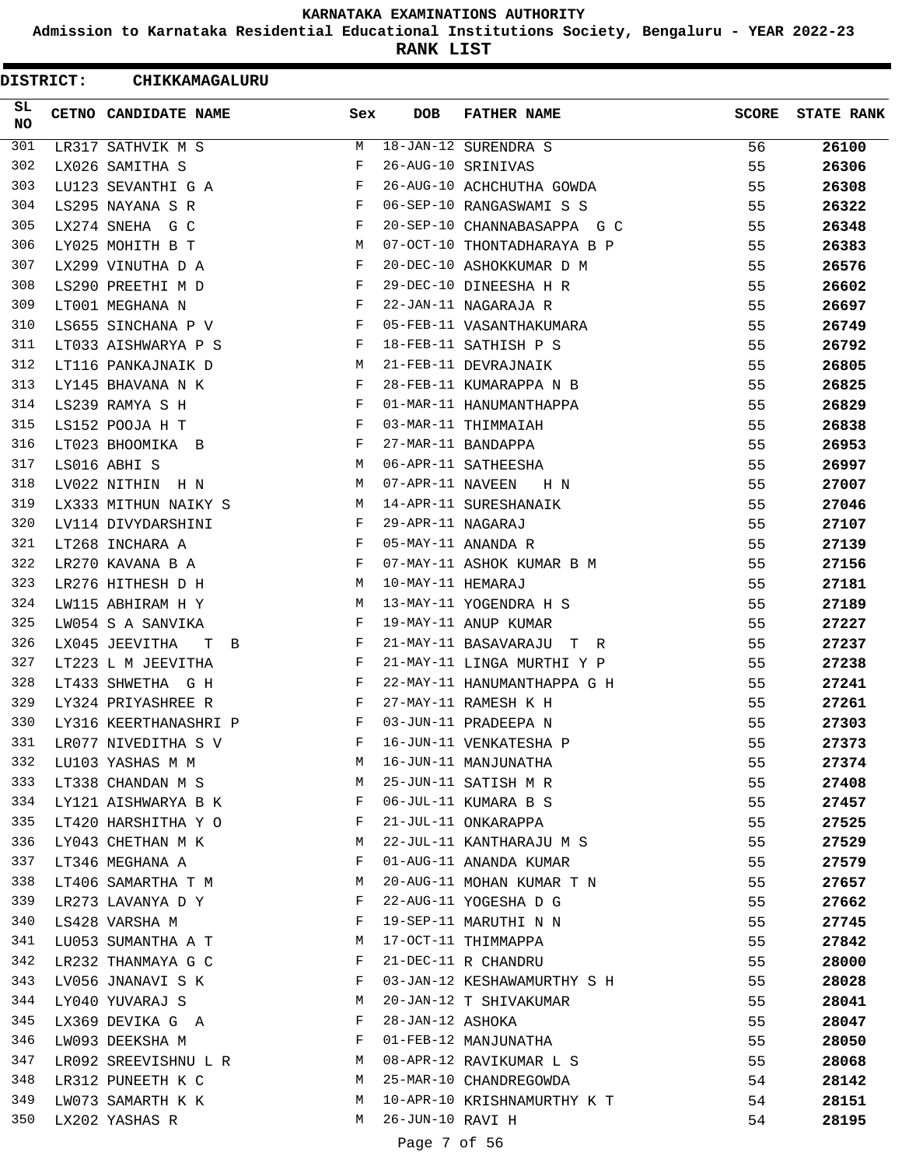**Admission to Karnataka Residential Educational Institutions Society, Bengaluru - YEAR 2022-23**

**RANK LIST**

| <b>DISTRICT:</b> | CHIKKAMAGALURU                |     |                   |                             |              |                   |
|------------------|-------------------------------|-----|-------------------|-----------------------------|--------------|-------------------|
| SL.<br>NO.       | CETNO CANDIDATE NAME          | Sex | <b>DOB</b>        | <b>FATHER NAME</b>          | <b>SCORE</b> | <b>STATE RANK</b> |
| 301              | LR317 SATHVIK M S             | М   |                   | 18-JAN-12 SURENDRA S        | 56           | 26100             |
| 302              | LX026 SAMITHA S               | F   |                   | 26-AUG-10 SRINIVAS          | 55           | 26306             |
| 303              | LU123 SEVANTHI G A            | F   |                   | 26-AUG-10 ACHCHUTHA GOWDA   | 55           | 26308             |
| 304              | LS295 NAYANA S R              | F   |                   | 06-SEP-10 RANGASWAMI S S    | 55           | 26322             |
| 305              | LX274 SNEHA G C               | F   |                   | 20-SEP-10 CHANNABASAPPA G C | 55           | 26348             |
| 306              | LY025 MOHITH B T              | M   |                   | 07-OCT-10 THONTADHARAYA B P | 55           | 26383             |
| 307              | LX299 VINUTHA D A             | F   |                   | 20-DEC-10 ASHOKKUMAR D M    | 55           | 26576             |
| 308              | LS290 PREETHI M D             | F   |                   | 29-DEC-10 DINEESHA H R      | 55           | 26602             |
| 309              | LT001 MEGHANA N               | F   |                   | 22-JAN-11 NAGARAJA R        | 55           | 26697             |
| 310              | LS655 SINCHANA P V            | F   |                   | 05-FEB-11 VASANTHAKUMARA    | 55           | 26749             |
| 311              | LT033 AISHWARYA P S           | F   |                   | 18-FEB-11 SATHISH P S       | 55           | 26792             |
| 312              | LT116 PANKAJNAIK D            | М   |                   | 21-FEB-11 DEVRAJNAIK        | 55           | 26805             |
| 313              | LY145 BHAVANA N K             | F   |                   | 28-FEB-11 KUMARAPPA N B     | 55           | 26825             |
| 314              | LS239 RAMYA S H               | F   |                   | 01-MAR-11 HANUMANTHAPPA     | 55           | 26829             |
| 315              | LS152 POOJA H T               | F   |                   | 03-MAR-11 THIMMAIAH         | 55           | 26838             |
| 316              | LT023 BHOOMIKA B              | F   |                   | 27-MAR-11 BANDAPPA          | 55           | 26953             |
| 317              | LS016 ABHI S                  | М   |                   | 06-APR-11 SATHEESHA         | 55           | 26997             |
| 318              | LV022 NITHIN H N              | М   | 07-APR-11 NAVEEN  | H N                         | 55           | 27007             |
| 319              | LX333 MITHUN NAIKY S          | М   |                   | 14-APR-11 SURESHANAIK       | 55           | 27046             |
| 320              | LV114 DIVYDARSHINI            | F   | 29-APR-11 NAGARAJ |                             | 55           | 27107             |
| 321              | LT268 INCHARA A               | F   |                   | 05-MAY-11 ANANDA R          | 55           | 27139             |
| 322              | LR270 KAVANA B A              | F   |                   | 07-MAY-11 ASHOK KUMAR B M   | 55           | 27156             |
| 323              | LR276 HITHESH D H             | М   | 10-MAY-11 HEMARAJ |                             | 55           | 27181             |
| 324              | LW115 ABHIRAM H Y             | M   |                   | 13-MAY-11 YOGENDRA H S      | 55           | 27189             |
| 325              | LW054 S A SANVIKA             | F   |                   | 19-MAY-11 ANUP KUMAR        | 55           | 27227             |
| 326              | LX045 JEEVITHA<br>т<br>$\Box$ | F   |                   | 21-MAY-11 BASAVARAJU T R    | 55           | 27237             |
| 327              | LT223 L M JEEVITHA            | F   |                   | 21-MAY-11 LINGA MURTHI Y P  | 55           | 27238             |
| 328              | LT433 SHWETHA G H             | F   |                   | 22-MAY-11 HANUMANTHAPPA G H | 55           | 27241             |
| 329              | LY324 PRIYASHREE R            | F   |                   | 27-MAY-11 RAMESH K H        | 55           | 27261             |
| 330              | LY316 KEERTHANASHRI P         | F   |                   | 03-JUN-11 PRADEEPA N        | 55           | 27303             |
| 331              | LR077 NIVEDITHA S V           | F   |                   | 16-JUN-11 VENKATESHA P      | 55           | 27373             |
| 332              | LU103 YASHAS M M              | M   |                   | 16-JUN-11 MANJUNATHA        | 55           | 27374             |
| 333              | LT338 CHANDAN M S             | М   |                   | 25-JUN-11 SATISH M R        | 55           | 27408             |
| 334              | LY121 AISHWARYA B K           | F   |                   | 06-JUL-11 KUMARA B S        | 55           | 27457             |
| 335              | LT420 HARSHITHA Y O           | F   |                   | 21-JUL-11 ONKARAPPA         | 55           | 27525             |
| 336              | LY043 CHETHAN M K             | M   |                   | 22-JUL-11 KANTHARAJU M S    | 55           | 27529             |
| 337              | LT346 MEGHANA A               | F   |                   | 01-AUG-11 ANANDA KUMAR      | 55           | 27579             |
| 338              | LT406 SAMARTHA T M            | M   |                   | 20-AUG-11 MOHAN KUMAR T N   | 55           | 27657             |
| 339              | LR273 LAVANYA D Y             | F   |                   | 22-AUG-11 YOGESHA D G       | 55           | 27662             |
| 340              | LS428 VARSHA M                | F   |                   | 19-SEP-11 MARUTHI N N       | 55           | 27745             |
| 341              | LU053 SUMANTHA A T            | M   |                   | 17-OCT-11 THIMMAPPA         | 55           | 27842             |
| 342              | LR232 THANMAYA G C            | F   |                   | 21-DEC-11 R CHANDRU         | 55           | 28000             |
| 343              | LV056 JNANAVI S K             | F   |                   | 03-JAN-12 KESHAWAMURTHY S H | 55           | 28028             |
| 344              | LY040 YUVARAJ S               | М   |                   | 20-JAN-12 T SHIVAKUMAR      | 55           | 28041             |
| 345              | LX369 DEVIKA G A              | F   | 28-JAN-12 ASHOKA  |                             | 55           | 28047             |
| 346              | LW093 DEEKSHA M               | F   |                   | 01-FEB-12 MANJUNATHA        | 55           | 28050             |
| 347              | LR092 SREEVISHNU L R          | M   |                   | 08-APR-12 RAVIKUMAR L S     | 55           | 28068             |
| 348              | LR312 PUNEETH K C             | M   |                   | 25-MAR-10 CHANDREGOWDA      | 54           | 28142             |
| 349              | LW073 SAMARTH K K             | M   |                   | 10-APR-10 KRISHNAMURTHY K T | 54           | 28151             |
| 350              | LX202 YASHAS R                | M   | 26-JUN-10 RAVI H  |                             | 54           | 28195             |
|                  |                               |     |                   |                             |              |                   |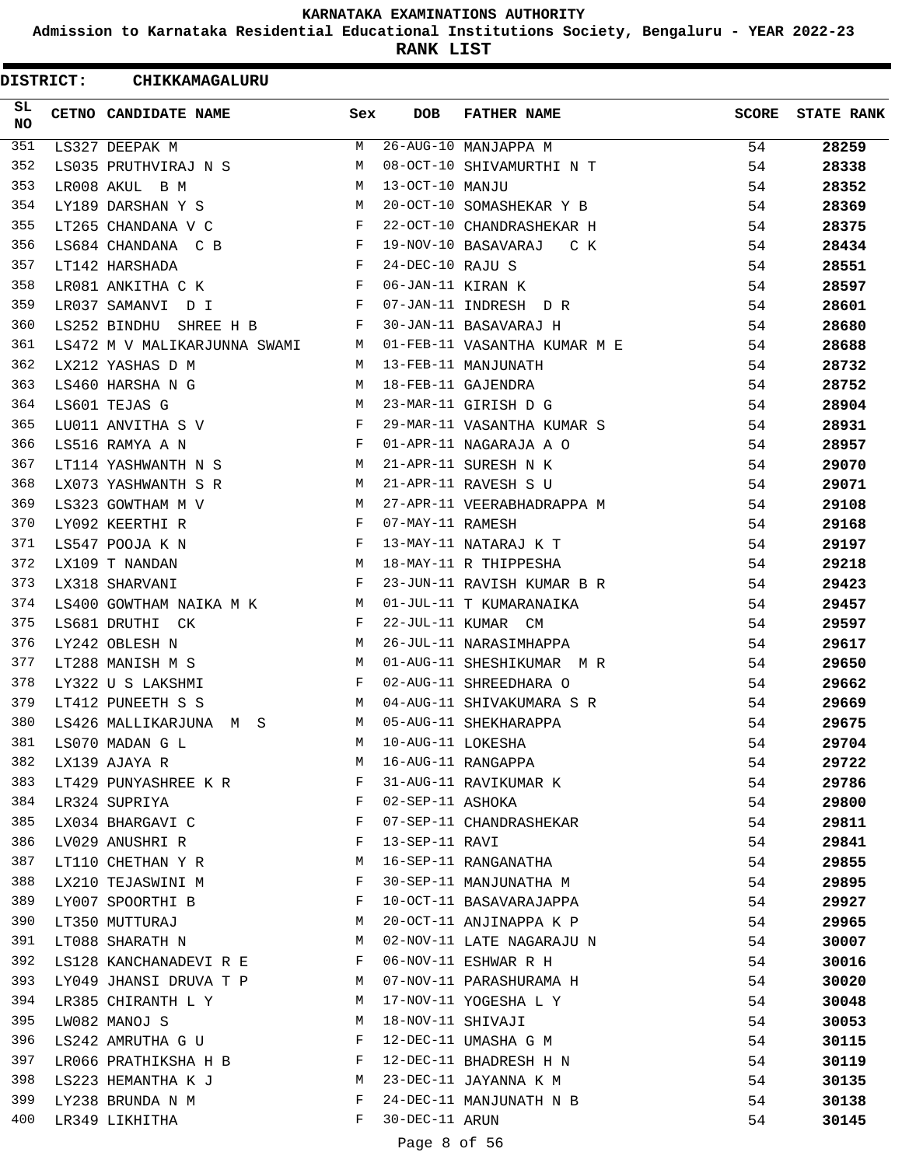**Admission to Karnataka Residential Educational Institutions Society, Bengaluru - YEAR 2022-23**

**RANK LIST**

| <b>DISTRICT:</b> | CHIKKAMAGALURU                               |     |                   |                              |              |                   |
|------------------|----------------------------------------------|-----|-------------------|------------------------------|--------------|-------------------|
| SL.<br>NO.       | CETNO CANDIDATE NAME                         | Sex | <b>DOB</b>        | <b>FATHER NAME</b>           | <b>SCORE</b> | <b>STATE RANK</b> |
| 351              | LS327 DEEPAK M                               | M   |                   | 26-AUG-10 MANJAPPA M         | 54           | 28259             |
| 352              | LS035 PRUTHVIRAJ N S                         | M   |                   | 08-OCT-10 SHIVAMURTHI N T    | 54           | 28338             |
| 353              | LR008 AKUL B M                               | M   | 13-OCT-10 MANJU   |                              | 54           | 28352             |
| 354              | LY189 DARSHAN Y S                            | М   |                   | 20-OCT-10 SOMASHEKAR Y B     | 54           | 28369             |
| 355              | LT265 CHANDANA V C                           | F   |                   | 22-OCT-10 CHANDRASHEKAR H    | 54           | 28375             |
| 356              | LS684 CHANDANA C B                           | F   |                   | 19-NOV-10 BASAVARAJ<br>C K   | 54           | 28434             |
| 357              | LT142 HARSHADA                               | F   | 24-DEC-10 RAJU S  |                              | 54           | 28551             |
| 358              | LR081 ANKITHA C K                            | F   | 06-JAN-11 KIRAN K |                              | 54           | 28597             |
| 359              | LR037 SAMANVI D I                            | F   |                   | 07-JAN-11 INDRESH D R        | 54           | 28601             |
| 360              | LS252 BINDHU<br>SHREE H B                    | F   |                   | 30-JAN-11 BASAVARAJ H        | 54           | 28680             |
| 361              | LS472 M V MALIKARJUNNA SWAMI                 | M   |                   | 01-FEB-11 VASANTHA KUMAR M E | 54           | 28688             |
| 362              | LX212 YASHAS D M                             | M   |                   | 13-FEB-11 MANJUNATH          | 54           | 28732             |
| 363              | LS460 HARSHA N G                             | M   |                   | 18-FEB-11 GAJENDRA           | 54           | 28752             |
| 364              | LS601 TEJAS G                                | M   |                   | 23-MAR-11 GIRISH D G         | 54           | 28904             |
| 365              | LU011 ANVITHA S V                            | F   |                   | 29-MAR-11 VASANTHA KUMAR S   | 54           | 28931             |
| 366              | LS516 RAMYA A N                              | F   |                   | 01-APR-11 NAGARAJA A O       | 54           | 28957             |
| 367              | LT114 YASHWANTH N S                          | M   |                   | 21-APR-11 SURESH N K         | 54           | 29070             |
| 368              | LX073 YASHWANTH S R                          | М   |                   | 21-APR-11 RAVESH S U         | 54           | 29071             |
| 369              | LS323 GOWTHAM M V                            | М   |                   | 27-APR-11 VEERABHADRAPPA M   | 54           | 29108             |
| 370              | LY092 KEERTHI R                              | F   | 07-MAY-11 RAMESH  |                              | 54           | 29168             |
| 371              | LS547 POOJA K N                              | F   |                   | 13-MAY-11 NATARAJ K T        | 54           | 29197             |
| 372              | LX109 T NANDAN                               | M   |                   | 18-MAY-11 R THIPPESHA        | 54           | 29218             |
| 373              | LX318 SHARVANI                               | F   |                   | 23-JUN-11 RAVISH KUMAR B R   | 54           | 29423             |
| 374              | LS400 GOWTHAM NAIKA M K<br><b>Example 18</b> |     |                   | 01-JUL-11 T KUMARANAIKA      | 54           | 29457             |
| 375              | LS681 DRUTHI CK                              | F   |                   | 22-JUL-11 KUMAR CM           | 54           | 29597             |
| 376              | LY242 OBLESH N                               | M   |                   | 26-JUL-11 NARASIMHAPPA       | 54           | 29617             |
| 377              | LT288 MANISH M S                             | M   |                   | 01-AUG-11 SHESHIKUMAR M R    | 54           | 29650             |
| 378              | LY322 U S LAKSHMI                            | F   |                   | 02-AUG-11 SHREEDHARA O       | 54           | 29662             |
| 379              | LT412 PUNEETH S S                            | M   |                   | 04-AUG-11 SHIVAKUMARA S R    | 54           | 29669             |
| 380              | LS426 MALLIKARJUNA M S                       | M   |                   | 05-AUG-11 SHEKHARAPPA        | 54           | 29675             |
| 381              | LS070 MADAN G L                              | M   | 10-AUG-11 LOKESHA |                              | 54           | 29704             |
| 382              | LX139 AJAYA R                                | М   |                   | 16-AUG-11 RANGAPPA           | 54           | 29722             |
| 383              | LT429 PUNYASHREE K R                         | F   |                   | 31-AUG-11 RAVIKUMAR K        | 54           | 29786             |
| 384              | LR324 SUPRIYA                                | F   | 02-SEP-11 ASHOKA  |                              | 54           | 29800             |
| 385              | LX034 BHARGAVI C                             | F   |                   | 07-SEP-11 CHANDRASHEKAR      | 54           | 29811             |
| 386              | LV029 ANUSHRI R                              | F   | 13-SEP-11 RAVI    |                              | 54           | 29841             |
| 387              | LT110 CHETHAN Y R                            | М   |                   | 16-SEP-11 RANGANATHA         | 54           | 29855             |
| 388              | LX210 TEJASWINI M                            | F   |                   | 30-SEP-11 MANJUNATHA M       | 54           | 29895             |
| 389              | LY007 SPOORTHI B                             | F   |                   | 10-OCT-11 BASAVARAJAPPA      | 54           | 29927             |
| 390              | LT350 MUTTURAJ                               | М   |                   | 20-OCT-11 ANJINAPPA K P      | 54           | 29965             |
| 391              | LT088 SHARATH N                              | М   |                   | 02-NOV-11 LATE NAGARAJU N    | 54           | 30007             |
| 392              | LS128 KANCHANADEVI R E                       | F   |                   | 06-NOV-11 ESHWAR R H         | 54           | 30016             |
| 393              | LY049 JHANSI DRUVA T P                       | M   |                   | 07-NOV-11 PARASHURAMA H      | 54           | 30020             |
| 394              | LR385 CHIRANTH L Y                           | М   |                   | 17-NOV-11 YOGESHA L Y        | 54           | 30048             |
| 395              | LW082 MANOJ S                                | М   | 18-NOV-11 SHIVAJI |                              | 54           | 30053             |
| 396              | LS242 AMRUTHA G U                            | F   |                   | 12-DEC-11 UMASHA G M         | 54           | 30115             |
| 397              | LR066 PRATHIKSHA H B                         | F   |                   | 12-DEC-11 BHADRESH H N       | 54           | 30119             |
| 398              | LS223 HEMANTHA K J                           | M   |                   | 23-DEC-11 JAYANNA K M        | 54           | 30135             |
| 399              | LY238 BRUNDA N M                             | F   |                   | 24-DEC-11 MANJUNATH N B      | 54           | 30138             |
| 400              | LR349 LIKHITHA                               | F   | 30-DEC-11 ARUN    |                              | 54           | 30145             |
|                  |                                              |     |                   |                              |              |                   |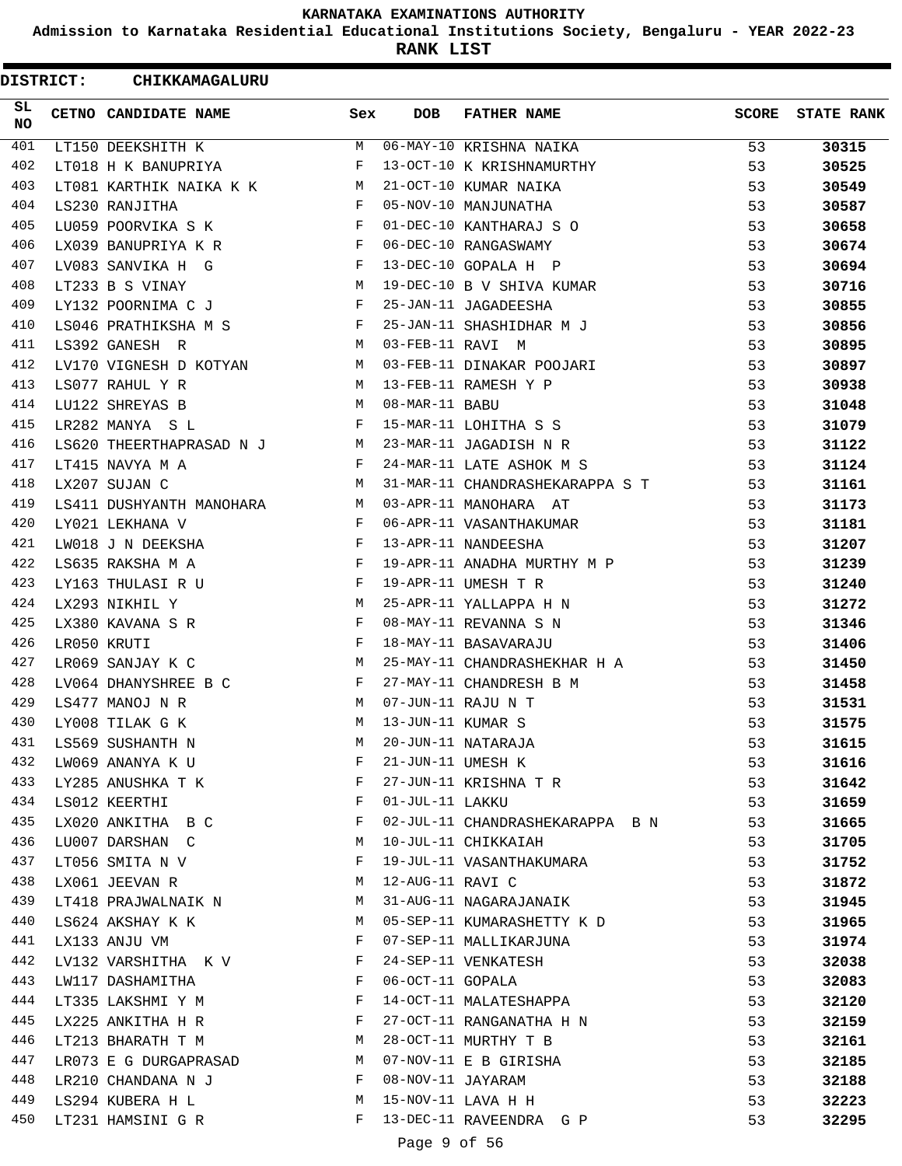**Admission to Karnataka Residential Educational Institutions Society, Bengaluru - YEAR 2022-23**

**RANK LIST**

ı

| SL<br>CETNO CANDIDATE NAME<br><b>DOB</b><br><b>FATHER NAME</b><br>SCORE<br>Sex<br><b>NO</b><br>401<br>06-MAY-10 KRISHNA NAIKA<br>LT150 DEEKSHITH K<br>M<br>53<br>30315<br>402<br>$_{\rm F}$<br>13-OCT-10 K KRISHNAMURTHY<br>53<br>30525<br>LT018 H K BANUPRIYA<br>403<br>21-OCT-10 KUMAR NAIKA<br>53<br>LT081 KARTHIK NAIKA K K M<br>30549<br>404<br>05-NOV-10 MANJUNATHA<br>LS230 RANJITHA<br>$\mathbf{F}$<br>53<br>30587<br>405<br>01-DEC-10 KANTHARAJ S O<br>LU059 POORVIKA S K<br>$\mathbf{F}$<br>53<br>30658<br>406<br>$\mathbf{F}$<br>06-DEC-10 RANGASWAMY<br>53<br>LX039 BANUPRIYA K R<br>30674<br>407<br>13-DEC-10 GOPALA H P<br>LV083 SANVIKA H G<br>F<br>53<br>30694<br>408<br>19-DEC-10 B V SHIVA KUMAR<br>LT233 B S VINAY<br>М<br>53<br>30716<br>409<br>25-JAN-11 JAGADEESHA<br>LY132 POORNIMA C J<br>F<br>53<br>30855<br>410<br>F<br>25-JAN-11 SHASHIDHAR M J<br>53<br>LS046 PRATHIKSHA M S<br>30856<br>411<br><b>M</b><br>03-FEB-11 RAVI M<br>53<br>LS392 GANESH R<br>30895<br>412<br>LV170 VIGNESH D KOTYAN<br>03-FEB-11 DINAKAR POOJARI<br>53<br>M<br>30897<br>413<br>LS077 RAHUL Y R<br>M<br>13-FEB-11 RAMESH Y P<br>53<br>30938<br>414<br>08-MAR-11 BABU<br>LU122 SHREYAS B<br>M<br>53<br>31048<br>415<br>LR282 MANYA SL<br>$\mathbf{F}$<br>15-MAR-11 LOHITHA S S<br>53<br>31079<br>416<br>LS620 THEERTHAPRASAD N J M<br>23-MAR-11 JAGADISH N R<br>53<br>31122<br>417<br>LT415 NAVYA M A<br>$\mathbf{F}$<br>24-MAR-11 LATE ASHOK M S<br>53<br>31124<br>418<br>M<br>31-MAR-11 CHANDRASHEKARAPPA S T<br>LX207 SUJAN C<br>53<br>31161<br>419<br>03-APR-11 MANOHARA AT<br>53<br>31173<br>LS411 DUSHYANTH MANOHARA<br>M<br>420<br>LY021 LEKHANA V<br>$\mathbf{F}$<br>06-APR-11 VASANTHAKUMAR<br>53<br>31181<br>421<br><b>Example 19</b><br>13-APR-11 NANDEESHA<br>LW018 J N DEEKSHA<br>53<br>31207<br>422<br>19-APR-11 ANADHA MURTHY M P<br>F<br>53<br>LS635 RAKSHA M A<br>31239<br>423<br>LY163 THULASI R U<br>$\mathbf{F}$ and $\mathbf{F}$ and $\mathbf{F}$<br>19-APR-11 UMESH T R<br>53<br>31240<br>424<br>LX293 NIKHIL Y<br>М<br>25-APR-11 YALLAPPA H N<br>53<br>31272<br>425<br>08-MAY-11 REVANNA S N<br>LX380 KAVANA S R<br>F<br>53<br>31346<br>426<br>LR050 KRUTI<br>$_{\rm F}$<br>18-MAY-11 BASAVARAJU<br>53<br>31406<br>427<br>25-MAY-11 CHANDRASHEKHAR H A<br>53<br>LR069 SANJAY K C<br>M<br>31450<br>428<br>F<br>27-MAY-11 CHANDRESH B M<br>LV064 DHANYSHREE B C<br>53<br>31458<br>429<br>07-JUN-11 RAJU N T<br>LS477 MANOJ N R<br>М<br>53<br>31531<br>430<br>13-JUN-11 KUMAR S<br>LY008 TILAK G K<br>M<br>53<br>31575<br>431<br>20-JUN-11 NATARAJA<br>31615<br>LS569 SUSHANTH N<br>M<br>53<br>432<br>21-JUN-11 UMESH K<br>F<br>53<br>31616<br>LW069 ANANYA K U<br>433<br>27-JUN-11 KRISHNA T R<br>53<br>LY285 ANUSHKA T K<br>F<br>31642<br>434<br>F<br>01-JUL-11 LAKKU<br>53<br>LS012 KEERTHI<br>31659<br>435<br>02-JUL-11 CHANDRASHEKARAPPA B N<br>LX020 ANKITHA B C<br>F<br>53<br>31665<br>436<br>10-JUL-11 CHIKKAIAH<br>LU007 DARSHAN C<br>М<br>53<br>31705<br>437<br>19-JUL-11 VASANTHAKUMARA<br>53<br>LT056 SMITA N V<br>F<br>31752<br>438<br>12-AUG-11 RAVI C<br>LX061 JEEVAN R<br>М<br>53<br>31872<br>439<br>53<br>31-AUG-11 NAGARAJANAIK<br>LT418 PRAJWALNAIK N<br>M<br>31945<br>440<br>LS624 AKSHAY K K<br>05-SEP-11 KUMARASHETTY K D<br>53<br>M<br>31965<br>441<br>$\mathbf{F}$<br>07-SEP-11 MALLIKARJUNA<br>53<br>31974<br>LX133 ANJU VM<br>442<br>$\mathbf{F}$<br>24-SEP-11 VENKATESH<br>53<br>LV132 VARSHITHA K V<br>32038<br>443<br>06-OCT-11 GOPALA<br>53<br>LW117 DASHAMITHA<br>$\mathbf{F}$<br>32083<br>444<br>14-OCT-11 MALATESHAPPA<br>LT335 LAKSHMI Y M<br>F<br>53<br>32120<br>445<br>27-OCT-11 RANGANATHA H N<br>53<br>LX225 ANKITHA H R<br>F<br>32159<br>446<br>28-OCT-11 MURTHY T B<br>М<br>53<br>LT213 BHARATH T M<br>32161<br>447<br>07-NOV-11 E B GIRISHA<br>53<br>32185<br>LR073 E G DURGAPRASAD<br>M<br>448<br>08-NOV-11 JAYARAM<br>F<br>53<br>LR210 CHANDANA N J<br>32188<br>449<br>15-NOV-11 LAVA H H<br>LS294 KUBERA H L<br>53<br>М<br>32223<br>450<br>13-DEC-11 RAVEENDRA G P<br>F<br>LT231 HAMSINI G R<br>53<br>32295 | <b>DISTRICT:</b> | CHIKKAMAGALURU |  |  |                   |
|----------------------------------------------------------------------------------------------------------------------------------------------------------------------------------------------------------------------------------------------------------------------------------------------------------------------------------------------------------------------------------------------------------------------------------------------------------------------------------------------------------------------------------------------------------------------------------------------------------------------------------------------------------------------------------------------------------------------------------------------------------------------------------------------------------------------------------------------------------------------------------------------------------------------------------------------------------------------------------------------------------------------------------------------------------------------------------------------------------------------------------------------------------------------------------------------------------------------------------------------------------------------------------------------------------------------------------------------------------------------------------------------------------------------------------------------------------------------------------------------------------------------------------------------------------------------------------------------------------------------------------------------------------------------------------------------------------------------------------------------------------------------------------------------------------------------------------------------------------------------------------------------------------------------------------------------------------------------------------------------------------------------------------------------------------------------------------------------------------------------------------------------------------------------------------------------------------------------------------------------------------------------------------------------------------------------------------------------------------------------------------------------------------------------------------------------------------------------------------------------------------------------------------------------------------------------------------------------------------------------------------------------------------------------------------------------------------------------------------------------------------------------------------------------------------------------------------------------------------------------------------------------------------------------------------------------------------------------------------------------------------------------------------------------------------------------------------------------------------------------------------------------------------------------------------------------------------------------------------------------------------------------------------------------------------------------------------------------------------------------------------------------------------------------------------------------------------------------------------------------------------------------------------------------------------------------------------------------------------------------------------------------------------------------------------------------------------------------------------------------------------------------------------------------------------------------------------------------------------------------------------------------------------------------------------------------------------------------------------------------------------------------------------------------------------------------------------|------------------|----------------|--|--|-------------------|
|                                                                                                                                                                                                                                                                                                                                                                                                                                                                                                                                                                                                                                                                                                                                                                                                                                                                                                                                                                                                                                                                                                                                                                                                                                                                                                                                                                                                                                                                                                                                                                                                                                                                                                                                                                                                                                                                                                                                                                                                                                                                                                                                                                                                                                                                                                                                                                                                                                                                                                                                                                                                                                                                                                                                                                                                                                                                                                                                                                                                                                                                                                                                                                                                                                                                                                                                                                                                                                                                                                                                                                                                                                                                                                                                                                                                                                                                                                                                                                                                                                                                                  |                  |                |  |  | <b>STATE RANK</b> |
|                                                                                                                                                                                                                                                                                                                                                                                                                                                                                                                                                                                                                                                                                                                                                                                                                                                                                                                                                                                                                                                                                                                                                                                                                                                                                                                                                                                                                                                                                                                                                                                                                                                                                                                                                                                                                                                                                                                                                                                                                                                                                                                                                                                                                                                                                                                                                                                                                                                                                                                                                                                                                                                                                                                                                                                                                                                                                                                                                                                                                                                                                                                                                                                                                                                                                                                                                                                                                                                                                                                                                                                                                                                                                                                                                                                                                                                                                                                                                                                                                                                                                  |                  |                |  |  |                   |
|                                                                                                                                                                                                                                                                                                                                                                                                                                                                                                                                                                                                                                                                                                                                                                                                                                                                                                                                                                                                                                                                                                                                                                                                                                                                                                                                                                                                                                                                                                                                                                                                                                                                                                                                                                                                                                                                                                                                                                                                                                                                                                                                                                                                                                                                                                                                                                                                                                                                                                                                                                                                                                                                                                                                                                                                                                                                                                                                                                                                                                                                                                                                                                                                                                                                                                                                                                                                                                                                                                                                                                                                                                                                                                                                                                                                                                                                                                                                                                                                                                                                                  |                  |                |  |  |                   |
|                                                                                                                                                                                                                                                                                                                                                                                                                                                                                                                                                                                                                                                                                                                                                                                                                                                                                                                                                                                                                                                                                                                                                                                                                                                                                                                                                                                                                                                                                                                                                                                                                                                                                                                                                                                                                                                                                                                                                                                                                                                                                                                                                                                                                                                                                                                                                                                                                                                                                                                                                                                                                                                                                                                                                                                                                                                                                                                                                                                                                                                                                                                                                                                                                                                                                                                                                                                                                                                                                                                                                                                                                                                                                                                                                                                                                                                                                                                                                                                                                                                                                  |                  |                |  |  |                   |
|                                                                                                                                                                                                                                                                                                                                                                                                                                                                                                                                                                                                                                                                                                                                                                                                                                                                                                                                                                                                                                                                                                                                                                                                                                                                                                                                                                                                                                                                                                                                                                                                                                                                                                                                                                                                                                                                                                                                                                                                                                                                                                                                                                                                                                                                                                                                                                                                                                                                                                                                                                                                                                                                                                                                                                                                                                                                                                                                                                                                                                                                                                                                                                                                                                                                                                                                                                                                                                                                                                                                                                                                                                                                                                                                                                                                                                                                                                                                                                                                                                                                                  |                  |                |  |  |                   |
|                                                                                                                                                                                                                                                                                                                                                                                                                                                                                                                                                                                                                                                                                                                                                                                                                                                                                                                                                                                                                                                                                                                                                                                                                                                                                                                                                                                                                                                                                                                                                                                                                                                                                                                                                                                                                                                                                                                                                                                                                                                                                                                                                                                                                                                                                                                                                                                                                                                                                                                                                                                                                                                                                                                                                                                                                                                                                                                                                                                                                                                                                                                                                                                                                                                                                                                                                                                                                                                                                                                                                                                                                                                                                                                                                                                                                                                                                                                                                                                                                                                                                  |                  |                |  |  |                   |
|                                                                                                                                                                                                                                                                                                                                                                                                                                                                                                                                                                                                                                                                                                                                                                                                                                                                                                                                                                                                                                                                                                                                                                                                                                                                                                                                                                                                                                                                                                                                                                                                                                                                                                                                                                                                                                                                                                                                                                                                                                                                                                                                                                                                                                                                                                                                                                                                                                                                                                                                                                                                                                                                                                                                                                                                                                                                                                                                                                                                                                                                                                                                                                                                                                                                                                                                                                                                                                                                                                                                                                                                                                                                                                                                                                                                                                                                                                                                                                                                                                                                                  |                  |                |  |  |                   |
|                                                                                                                                                                                                                                                                                                                                                                                                                                                                                                                                                                                                                                                                                                                                                                                                                                                                                                                                                                                                                                                                                                                                                                                                                                                                                                                                                                                                                                                                                                                                                                                                                                                                                                                                                                                                                                                                                                                                                                                                                                                                                                                                                                                                                                                                                                                                                                                                                                                                                                                                                                                                                                                                                                                                                                                                                                                                                                                                                                                                                                                                                                                                                                                                                                                                                                                                                                                                                                                                                                                                                                                                                                                                                                                                                                                                                                                                                                                                                                                                                                                                                  |                  |                |  |  |                   |
|                                                                                                                                                                                                                                                                                                                                                                                                                                                                                                                                                                                                                                                                                                                                                                                                                                                                                                                                                                                                                                                                                                                                                                                                                                                                                                                                                                                                                                                                                                                                                                                                                                                                                                                                                                                                                                                                                                                                                                                                                                                                                                                                                                                                                                                                                                                                                                                                                                                                                                                                                                                                                                                                                                                                                                                                                                                                                                                                                                                                                                                                                                                                                                                                                                                                                                                                                                                                                                                                                                                                                                                                                                                                                                                                                                                                                                                                                                                                                                                                                                                                                  |                  |                |  |  |                   |
|                                                                                                                                                                                                                                                                                                                                                                                                                                                                                                                                                                                                                                                                                                                                                                                                                                                                                                                                                                                                                                                                                                                                                                                                                                                                                                                                                                                                                                                                                                                                                                                                                                                                                                                                                                                                                                                                                                                                                                                                                                                                                                                                                                                                                                                                                                                                                                                                                                                                                                                                                                                                                                                                                                                                                                                                                                                                                                                                                                                                                                                                                                                                                                                                                                                                                                                                                                                                                                                                                                                                                                                                                                                                                                                                                                                                                                                                                                                                                                                                                                                                                  |                  |                |  |  |                   |
|                                                                                                                                                                                                                                                                                                                                                                                                                                                                                                                                                                                                                                                                                                                                                                                                                                                                                                                                                                                                                                                                                                                                                                                                                                                                                                                                                                                                                                                                                                                                                                                                                                                                                                                                                                                                                                                                                                                                                                                                                                                                                                                                                                                                                                                                                                                                                                                                                                                                                                                                                                                                                                                                                                                                                                                                                                                                                                                                                                                                                                                                                                                                                                                                                                                                                                                                                                                                                                                                                                                                                                                                                                                                                                                                                                                                                                                                                                                                                                                                                                                                                  |                  |                |  |  |                   |
|                                                                                                                                                                                                                                                                                                                                                                                                                                                                                                                                                                                                                                                                                                                                                                                                                                                                                                                                                                                                                                                                                                                                                                                                                                                                                                                                                                                                                                                                                                                                                                                                                                                                                                                                                                                                                                                                                                                                                                                                                                                                                                                                                                                                                                                                                                                                                                                                                                                                                                                                                                                                                                                                                                                                                                                                                                                                                                                                                                                                                                                                                                                                                                                                                                                                                                                                                                                                                                                                                                                                                                                                                                                                                                                                                                                                                                                                                                                                                                                                                                                                                  |                  |                |  |  |                   |
|                                                                                                                                                                                                                                                                                                                                                                                                                                                                                                                                                                                                                                                                                                                                                                                                                                                                                                                                                                                                                                                                                                                                                                                                                                                                                                                                                                                                                                                                                                                                                                                                                                                                                                                                                                                                                                                                                                                                                                                                                                                                                                                                                                                                                                                                                                                                                                                                                                                                                                                                                                                                                                                                                                                                                                                                                                                                                                                                                                                                                                                                                                                                                                                                                                                                                                                                                                                                                                                                                                                                                                                                                                                                                                                                                                                                                                                                                                                                                                                                                                                                                  |                  |                |  |  |                   |
|                                                                                                                                                                                                                                                                                                                                                                                                                                                                                                                                                                                                                                                                                                                                                                                                                                                                                                                                                                                                                                                                                                                                                                                                                                                                                                                                                                                                                                                                                                                                                                                                                                                                                                                                                                                                                                                                                                                                                                                                                                                                                                                                                                                                                                                                                                                                                                                                                                                                                                                                                                                                                                                                                                                                                                                                                                                                                                                                                                                                                                                                                                                                                                                                                                                                                                                                                                                                                                                                                                                                                                                                                                                                                                                                                                                                                                                                                                                                                                                                                                                                                  |                  |                |  |  |                   |
|                                                                                                                                                                                                                                                                                                                                                                                                                                                                                                                                                                                                                                                                                                                                                                                                                                                                                                                                                                                                                                                                                                                                                                                                                                                                                                                                                                                                                                                                                                                                                                                                                                                                                                                                                                                                                                                                                                                                                                                                                                                                                                                                                                                                                                                                                                                                                                                                                                                                                                                                                                                                                                                                                                                                                                                                                                                                                                                                                                                                                                                                                                                                                                                                                                                                                                                                                                                                                                                                                                                                                                                                                                                                                                                                                                                                                                                                                                                                                                                                                                                                                  |                  |                |  |  |                   |
|                                                                                                                                                                                                                                                                                                                                                                                                                                                                                                                                                                                                                                                                                                                                                                                                                                                                                                                                                                                                                                                                                                                                                                                                                                                                                                                                                                                                                                                                                                                                                                                                                                                                                                                                                                                                                                                                                                                                                                                                                                                                                                                                                                                                                                                                                                                                                                                                                                                                                                                                                                                                                                                                                                                                                                                                                                                                                                                                                                                                                                                                                                                                                                                                                                                                                                                                                                                                                                                                                                                                                                                                                                                                                                                                                                                                                                                                                                                                                                                                                                                                                  |                  |                |  |  |                   |
|                                                                                                                                                                                                                                                                                                                                                                                                                                                                                                                                                                                                                                                                                                                                                                                                                                                                                                                                                                                                                                                                                                                                                                                                                                                                                                                                                                                                                                                                                                                                                                                                                                                                                                                                                                                                                                                                                                                                                                                                                                                                                                                                                                                                                                                                                                                                                                                                                                                                                                                                                                                                                                                                                                                                                                                                                                                                                                                                                                                                                                                                                                                                                                                                                                                                                                                                                                                                                                                                                                                                                                                                                                                                                                                                                                                                                                                                                                                                                                                                                                                                                  |                  |                |  |  |                   |
|                                                                                                                                                                                                                                                                                                                                                                                                                                                                                                                                                                                                                                                                                                                                                                                                                                                                                                                                                                                                                                                                                                                                                                                                                                                                                                                                                                                                                                                                                                                                                                                                                                                                                                                                                                                                                                                                                                                                                                                                                                                                                                                                                                                                                                                                                                                                                                                                                                                                                                                                                                                                                                                                                                                                                                                                                                                                                                                                                                                                                                                                                                                                                                                                                                                                                                                                                                                                                                                                                                                                                                                                                                                                                                                                                                                                                                                                                                                                                                                                                                                                                  |                  |                |  |  |                   |
|                                                                                                                                                                                                                                                                                                                                                                                                                                                                                                                                                                                                                                                                                                                                                                                                                                                                                                                                                                                                                                                                                                                                                                                                                                                                                                                                                                                                                                                                                                                                                                                                                                                                                                                                                                                                                                                                                                                                                                                                                                                                                                                                                                                                                                                                                                                                                                                                                                                                                                                                                                                                                                                                                                                                                                                                                                                                                                                                                                                                                                                                                                                                                                                                                                                                                                                                                                                                                                                                                                                                                                                                                                                                                                                                                                                                                                                                                                                                                                                                                                                                                  |                  |                |  |  |                   |
|                                                                                                                                                                                                                                                                                                                                                                                                                                                                                                                                                                                                                                                                                                                                                                                                                                                                                                                                                                                                                                                                                                                                                                                                                                                                                                                                                                                                                                                                                                                                                                                                                                                                                                                                                                                                                                                                                                                                                                                                                                                                                                                                                                                                                                                                                                                                                                                                                                                                                                                                                                                                                                                                                                                                                                                                                                                                                                                                                                                                                                                                                                                                                                                                                                                                                                                                                                                                                                                                                                                                                                                                                                                                                                                                                                                                                                                                                                                                                                                                                                                                                  |                  |                |  |  |                   |
|                                                                                                                                                                                                                                                                                                                                                                                                                                                                                                                                                                                                                                                                                                                                                                                                                                                                                                                                                                                                                                                                                                                                                                                                                                                                                                                                                                                                                                                                                                                                                                                                                                                                                                                                                                                                                                                                                                                                                                                                                                                                                                                                                                                                                                                                                                                                                                                                                                                                                                                                                                                                                                                                                                                                                                                                                                                                                                                                                                                                                                                                                                                                                                                                                                                                                                                                                                                                                                                                                                                                                                                                                                                                                                                                                                                                                                                                                                                                                                                                                                                                                  |                  |                |  |  |                   |
|                                                                                                                                                                                                                                                                                                                                                                                                                                                                                                                                                                                                                                                                                                                                                                                                                                                                                                                                                                                                                                                                                                                                                                                                                                                                                                                                                                                                                                                                                                                                                                                                                                                                                                                                                                                                                                                                                                                                                                                                                                                                                                                                                                                                                                                                                                                                                                                                                                                                                                                                                                                                                                                                                                                                                                                                                                                                                                                                                                                                                                                                                                                                                                                                                                                                                                                                                                                                                                                                                                                                                                                                                                                                                                                                                                                                                                                                                                                                                                                                                                                                                  |                  |                |  |  |                   |
|                                                                                                                                                                                                                                                                                                                                                                                                                                                                                                                                                                                                                                                                                                                                                                                                                                                                                                                                                                                                                                                                                                                                                                                                                                                                                                                                                                                                                                                                                                                                                                                                                                                                                                                                                                                                                                                                                                                                                                                                                                                                                                                                                                                                                                                                                                                                                                                                                                                                                                                                                                                                                                                                                                                                                                                                                                                                                                                                                                                                                                                                                                                                                                                                                                                                                                                                                                                                                                                                                                                                                                                                                                                                                                                                                                                                                                                                                                                                                                                                                                                                                  |                  |                |  |  |                   |
|                                                                                                                                                                                                                                                                                                                                                                                                                                                                                                                                                                                                                                                                                                                                                                                                                                                                                                                                                                                                                                                                                                                                                                                                                                                                                                                                                                                                                                                                                                                                                                                                                                                                                                                                                                                                                                                                                                                                                                                                                                                                                                                                                                                                                                                                                                                                                                                                                                                                                                                                                                                                                                                                                                                                                                                                                                                                                                                                                                                                                                                                                                                                                                                                                                                                                                                                                                                                                                                                                                                                                                                                                                                                                                                                                                                                                                                                                                                                                                                                                                                                                  |                  |                |  |  |                   |
|                                                                                                                                                                                                                                                                                                                                                                                                                                                                                                                                                                                                                                                                                                                                                                                                                                                                                                                                                                                                                                                                                                                                                                                                                                                                                                                                                                                                                                                                                                                                                                                                                                                                                                                                                                                                                                                                                                                                                                                                                                                                                                                                                                                                                                                                                                                                                                                                                                                                                                                                                                                                                                                                                                                                                                                                                                                                                                                                                                                                                                                                                                                                                                                                                                                                                                                                                                                                                                                                                                                                                                                                                                                                                                                                                                                                                                                                                                                                                                                                                                                                                  |                  |                |  |  |                   |
|                                                                                                                                                                                                                                                                                                                                                                                                                                                                                                                                                                                                                                                                                                                                                                                                                                                                                                                                                                                                                                                                                                                                                                                                                                                                                                                                                                                                                                                                                                                                                                                                                                                                                                                                                                                                                                                                                                                                                                                                                                                                                                                                                                                                                                                                                                                                                                                                                                                                                                                                                                                                                                                                                                                                                                                                                                                                                                                                                                                                                                                                                                                                                                                                                                                                                                                                                                                                                                                                                                                                                                                                                                                                                                                                                                                                                                                                                                                                                                                                                                                                                  |                  |                |  |  |                   |
|                                                                                                                                                                                                                                                                                                                                                                                                                                                                                                                                                                                                                                                                                                                                                                                                                                                                                                                                                                                                                                                                                                                                                                                                                                                                                                                                                                                                                                                                                                                                                                                                                                                                                                                                                                                                                                                                                                                                                                                                                                                                                                                                                                                                                                                                                                                                                                                                                                                                                                                                                                                                                                                                                                                                                                                                                                                                                                                                                                                                                                                                                                                                                                                                                                                                                                                                                                                                                                                                                                                                                                                                                                                                                                                                                                                                                                                                                                                                                                                                                                                                                  |                  |                |  |  |                   |
|                                                                                                                                                                                                                                                                                                                                                                                                                                                                                                                                                                                                                                                                                                                                                                                                                                                                                                                                                                                                                                                                                                                                                                                                                                                                                                                                                                                                                                                                                                                                                                                                                                                                                                                                                                                                                                                                                                                                                                                                                                                                                                                                                                                                                                                                                                                                                                                                                                                                                                                                                                                                                                                                                                                                                                                                                                                                                                                                                                                                                                                                                                                                                                                                                                                                                                                                                                                                                                                                                                                                                                                                                                                                                                                                                                                                                                                                                                                                                                                                                                                                                  |                  |                |  |  |                   |
|                                                                                                                                                                                                                                                                                                                                                                                                                                                                                                                                                                                                                                                                                                                                                                                                                                                                                                                                                                                                                                                                                                                                                                                                                                                                                                                                                                                                                                                                                                                                                                                                                                                                                                                                                                                                                                                                                                                                                                                                                                                                                                                                                                                                                                                                                                                                                                                                                                                                                                                                                                                                                                                                                                                                                                                                                                                                                                                                                                                                                                                                                                                                                                                                                                                                                                                                                                                                                                                                                                                                                                                                                                                                                                                                                                                                                                                                                                                                                                                                                                                                                  |                  |                |  |  |                   |
|                                                                                                                                                                                                                                                                                                                                                                                                                                                                                                                                                                                                                                                                                                                                                                                                                                                                                                                                                                                                                                                                                                                                                                                                                                                                                                                                                                                                                                                                                                                                                                                                                                                                                                                                                                                                                                                                                                                                                                                                                                                                                                                                                                                                                                                                                                                                                                                                                                                                                                                                                                                                                                                                                                                                                                                                                                                                                                                                                                                                                                                                                                                                                                                                                                                                                                                                                                                                                                                                                                                                                                                                                                                                                                                                                                                                                                                                                                                                                                                                                                                                                  |                  |                |  |  |                   |
|                                                                                                                                                                                                                                                                                                                                                                                                                                                                                                                                                                                                                                                                                                                                                                                                                                                                                                                                                                                                                                                                                                                                                                                                                                                                                                                                                                                                                                                                                                                                                                                                                                                                                                                                                                                                                                                                                                                                                                                                                                                                                                                                                                                                                                                                                                                                                                                                                                                                                                                                                                                                                                                                                                                                                                                                                                                                                                                                                                                                                                                                                                                                                                                                                                                                                                                                                                                                                                                                                                                                                                                                                                                                                                                                                                                                                                                                                                                                                                                                                                                                                  |                  |                |  |  |                   |
|                                                                                                                                                                                                                                                                                                                                                                                                                                                                                                                                                                                                                                                                                                                                                                                                                                                                                                                                                                                                                                                                                                                                                                                                                                                                                                                                                                                                                                                                                                                                                                                                                                                                                                                                                                                                                                                                                                                                                                                                                                                                                                                                                                                                                                                                                                                                                                                                                                                                                                                                                                                                                                                                                                                                                                                                                                                                                                                                                                                                                                                                                                                                                                                                                                                                                                                                                                                                                                                                                                                                                                                                                                                                                                                                                                                                                                                                                                                                                                                                                                                                                  |                  |                |  |  |                   |
|                                                                                                                                                                                                                                                                                                                                                                                                                                                                                                                                                                                                                                                                                                                                                                                                                                                                                                                                                                                                                                                                                                                                                                                                                                                                                                                                                                                                                                                                                                                                                                                                                                                                                                                                                                                                                                                                                                                                                                                                                                                                                                                                                                                                                                                                                                                                                                                                                                                                                                                                                                                                                                                                                                                                                                                                                                                                                                                                                                                                                                                                                                                                                                                                                                                                                                                                                                                                                                                                                                                                                                                                                                                                                                                                                                                                                                                                                                                                                                                                                                                                                  |                  |                |  |  |                   |
|                                                                                                                                                                                                                                                                                                                                                                                                                                                                                                                                                                                                                                                                                                                                                                                                                                                                                                                                                                                                                                                                                                                                                                                                                                                                                                                                                                                                                                                                                                                                                                                                                                                                                                                                                                                                                                                                                                                                                                                                                                                                                                                                                                                                                                                                                                                                                                                                                                                                                                                                                                                                                                                                                                                                                                                                                                                                                                                                                                                                                                                                                                                                                                                                                                                                                                                                                                                                                                                                                                                                                                                                                                                                                                                                                                                                                                                                                                                                                                                                                                                                                  |                  |                |  |  |                   |
|                                                                                                                                                                                                                                                                                                                                                                                                                                                                                                                                                                                                                                                                                                                                                                                                                                                                                                                                                                                                                                                                                                                                                                                                                                                                                                                                                                                                                                                                                                                                                                                                                                                                                                                                                                                                                                                                                                                                                                                                                                                                                                                                                                                                                                                                                                                                                                                                                                                                                                                                                                                                                                                                                                                                                                                                                                                                                                                                                                                                                                                                                                                                                                                                                                                                                                                                                                                                                                                                                                                                                                                                                                                                                                                                                                                                                                                                                                                                                                                                                                                                                  |                  |                |  |  |                   |
|                                                                                                                                                                                                                                                                                                                                                                                                                                                                                                                                                                                                                                                                                                                                                                                                                                                                                                                                                                                                                                                                                                                                                                                                                                                                                                                                                                                                                                                                                                                                                                                                                                                                                                                                                                                                                                                                                                                                                                                                                                                                                                                                                                                                                                                                                                                                                                                                                                                                                                                                                                                                                                                                                                                                                                                                                                                                                                                                                                                                                                                                                                                                                                                                                                                                                                                                                                                                                                                                                                                                                                                                                                                                                                                                                                                                                                                                                                                                                                                                                                                                                  |                  |                |  |  |                   |
|                                                                                                                                                                                                                                                                                                                                                                                                                                                                                                                                                                                                                                                                                                                                                                                                                                                                                                                                                                                                                                                                                                                                                                                                                                                                                                                                                                                                                                                                                                                                                                                                                                                                                                                                                                                                                                                                                                                                                                                                                                                                                                                                                                                                                                                                                                                                                                                                                                                                                                                                                                                                                                                                                                                                                                                                                                                                                                                                                                                                                                                                                                                                                                                                                                                                                                                                                                                                                                                                                                                                                                                                                                                                                                                                                                                                                                                                                                                                                                                                                                                                                  |                  |                |  |  |                   |
|                                                                                                                                                                                                                                                                                                                                                                                                                                                                                                                                                                                                                                                                                                                                                                                                                                                                                                                                                                                                                                                                                                                                                                                                                                                                                                                                                                                                                                                                                                                                                                                                                                                                                                                                                                                                                                                                                                                                                                                                                                                                                                                                                                                                                                                                                                                                                                                                                                                                                                                                                                                                                                                                                                                                                                                                                                                                                                                                                                                                                                                                                                                                                                                                                                                                                                                                                                                                                                                                                                                                                                                                                                                                                                                                                                                                                                                                                                                                                                                                                                                                                  |                  |                |  |  |                   |
|                                                                                                                                                                                                                                                                                                                                                                                                                                                                                                                                                                                                                                                                                                                                                                                                                                                                                                                                                                                                                                                                                                                                                                                                                                                                                                                                                                                                                                                                                                                                                                                                                                                                                                                                                                                                                                                                                                                                                                                                                                                                                                                                                                                                                                                                                                                                                                                                                                                                                                                                                                                                                                                                                                                                                                                                                                                                                                                                                                                                                                                                                                                                                                                                                                                                                                                                                                                                                                                                                                                                                                                                                                                                                                                                                                                                                                                                                                                                                                                                                                                                                  |                  |                |  |  |                   |
|                                                                                                                                                                                                                                                                                                                                                                                                                                                                                                                                                                                                                                                                                                                                                                                                                                                                                                                                                                                                                                                                                                                                                                                                                                                                                                                                                                                                                                                                                                                                                                                                                                                                                                                                                                                                                                                                                                                                                                                                                                                                                                                                                                                                                                                                                                                                                                                                                                                                                                                                                                                                                                                                                                                                                                                                                                                                                                                                                                                                                                                                                                                                                                                                                                                                                                                                                                                                                                                                                                                                                                                                                                                                                                                                                                                                                                                                                                                                                                                                                                                                                  |                  |                |  |  |                   |
|                                                                                                                                                                                                                                                                                                                                                                                                                                                                                                                                                                                                                                                                                                                                                                                                                                                                                                                                                                                                                                                                                                                                                                                                                                                                                                                                                                                                                                                                                                                                                                                                                                                                                                                                                                                                                                                                                                                                                                                                                                                                                                                                                                                                                                                                                                                                                                                                                                                                                                                                                                                                                                                                                                                                                                                                                                                                                                                                                                                                                                                                                                                                                                                                                                                                                                                                                                                                                                                                                                                                                                                                                                                                                                                                                                                                                                                                                                                                                                                                                                                                                  |                  |                |  |  |                   |
|                                                                                                                                                                                                                                                                                                                                                                                                                                                                                                                                                                                                                                                                                                                                                                                                                                                                                                                                                                                                                                                                                                                                                                                                                                                                                                                                                                                                                                                                                                                                                                                                                                                                                                                                                                                                                                                                                                                                                                                                                                                                                                                                                                                                                                                                                                                                                                                                                                                                                                                                                                                                                                                                                                                                                                                                                                                                                                                                                                                                                                                                                                                                                                                                                                                                                                                                                                                                                                                                                                                                                                                                                                                                                                                                                                                                                                                                                                                                                                                                                                                                                  |                  |                |  |  |                   |
|                                                                                                                                                                                                                                                                                                                                                                                                                                                                                                                                                                                                                                                                                                                                                                                                                                                                                                                                                                                                                                                                                                                                                                                                                                                                                                                                                                                                                                                                                                                                                                                                                                                                                                                                                                                                                                                                                                                                                                                                                                                                                                                                                                                                                                                                                                                                                                                                                                                                                                                                                                                                                                                                                                                                                                                                                                                                                                                                                                                                                                                                                                                                                                                                                                                                                                                                                                                                                                                                                                                                                                                                                                                                                                                                                                                                                                                                                                                                                                                                                                                                                  |                  |                |  |  |                   |
|                                                                                                                                                                                                                                                                                                                                                                                                                                                                                                                                                                                                                                                                                                                                                                                                                                                                                                                                                                                                                                                                                                                                                                                                                                                                                                                                                                                                                                                                                                                                                                                                                                                                                                                                                                                                                                                                                                                                                                                                                                                                                                                                                                                                                                                                                                                                                                                                                                                                                                                                                                                                                                                                                                                                                                                                                                                                                                                                                                                                                                                                                                                                                                                                                                                                                                                                                                                                                                                                                                                                                                                                                                                                                                                                                                                                                                                                                                                                                                                                                                                                                  |                  |                |  |  |                   |
|                                                                                                                                                                                                                                                                                                                                                                                                                                                                                                                                                                                                                                                                                                                                                                                                                                                                                                                                                                                                                                                                                                                                                                                                                                                                                                                                                                                                                                                                                                                                                                                                                                                                                                                                                                                                                                                                                                                                                                                                                                                                                                                                                                                                                                                                                                                                                                                                                                                                                                                                                                                                                                                                                                                                                                                                                                                                                                                                                                                                                                                                                                                                                                                                                                                                                                                                                                                                                                                                                                                                                                                                                                                                                                                                                                                                                                                                                                                                                                                                                                                                                  |                  |                |  |  |                   |
|                                                                                                                                                                                                                                                                                                                                                                                                                                                                                                                                                                                                                                                                                                                                                                                                                                                                                                                                                                                                                                                                                                                                                                                                                                                                                                                                                                                                                                                                                                                                                                                                                                                                                                                                                                                                                                                                                                                                                                                                                                                                                                                                                                                                                                                                                                                                                                                                                                                                                                                                                                                                                                                                                                                                                                                                                                                                                                                                                                                                                                                                                                                                                                                                                                                                                                                                                                                                                                                                                                                                                                                                                                                                                                                                                                                                                                                                                                                                                                                                                                                                                  |                  |                |  |  |                   |
|                                                                                                                                                                                                                                                                                                                                                                                                                                                                                                                                                                                                                                                                                                                                                                                                                                                                                                                                                                                                                                                                                                                                                                                                                                                                                                                                                                                                                                                                                                                                                                                                                                                                                                                                                                                                                                                                                                                                                                                                                                                                                                                                                                                                                                                                                                                                                                                                                                                                                                                                                                                                                                                                                                                                                                                                                                                                                                                                                                                                                                                                                                                                                                                                                                                                                                                                                                                                                                                                                                                                                                                                                                                                                                                                                                                                                                                                                                                                                                                                                                                                                  |                  |                |  |  |                   |
|                                                                                                                                                                                                                                                                                                                                                                                                                                                                                                                                                                                                                                                                                                                                                                                                                                                                                                                                                                                                                                                                                                                                                                                                                                                                                                                                                                                                                                                                                                                                                                                                                                                                                                                                                                                                                                                                                                                                                                                                                                                                                                                                                                                                                                                                                                                                                                                                                                                                                                                                                                                                                                                                                                                                                                                                                                                                                                                                                                                                                                                                                                                                                                                                                                                                                                                                                                                                                                                                                                                                                                                                                                                                                                                                                                                                                                                                                                                                                                                                                                                                                  |                  |                |  |  |                   |
|                                                                                                                                                                                                                                                                                                                                                                                                                                                                                                                                                                                                                                                                                                                                                                                                                                                                                                                                                                                                                                                                                                                                                                                                                                                                                                                                                                                                                                                                                                                                                                                                                                                                                                                                                                                                                                                                                                                                                                                                                                                                                                                                                                                                                                                                                                                                                                                                                                                                                                                                                                                                                                                                                                                                                                                                                                                                                                                                                                                                                                                                                                                                                                                                                                                                                                                                                                                                                                                                                                                                                                                                                                                                                                                                                                                                                                                                                                                                                                                                                                                                                  |                  |                |  |  |                   |
|                                                                                                                                                                                                                                                                                                                                                                                                                                                                                                                                                                                                                                                                                                                                                                                                                                                                                                                                                                                                                                                                                                                                                                                                                                                                                                                                                                                                                                                                                                                                                                                                                                                                                                                                                                                                                                                                                                                                                                                                                                                                                                                                                                                                                                                                                                                                                                                                                                                                                                                                                                                                                                                                                                                                                                                                                                                                                                                                                                                                                                                                                                                                                                                                                                                                                                                                                                                                                                                                                                                                                                                                                                                                                                                                                                                                                                                                                                                                                                                                                                                                                  |                  |                |  |  |                   |
| Page 9 of 56                                                                                                                                                                                                                                                                                                                                                                                                                                                                                                                                                                                                                                                                                                                                                                                                                                                                                                                                                                                                                                                                                                                                                                                                                                                                                                                                                                                                                                                                                                                                                                                                                                                                                                                                                                                                                                                                                                                                                                                                                                                                                                                                                                                                                                                                                                                                                                                                                                                                                                                                                                                                                                                                                                                                                                                                                                                                                                                                                                                                                                                                                                                                                                                                                                                                                                                                                                                                                                                                                                                                                                                                                                                                                                                                                                                                                                                                                                                                                                                                                                                                     |                  |                |  |  |                   |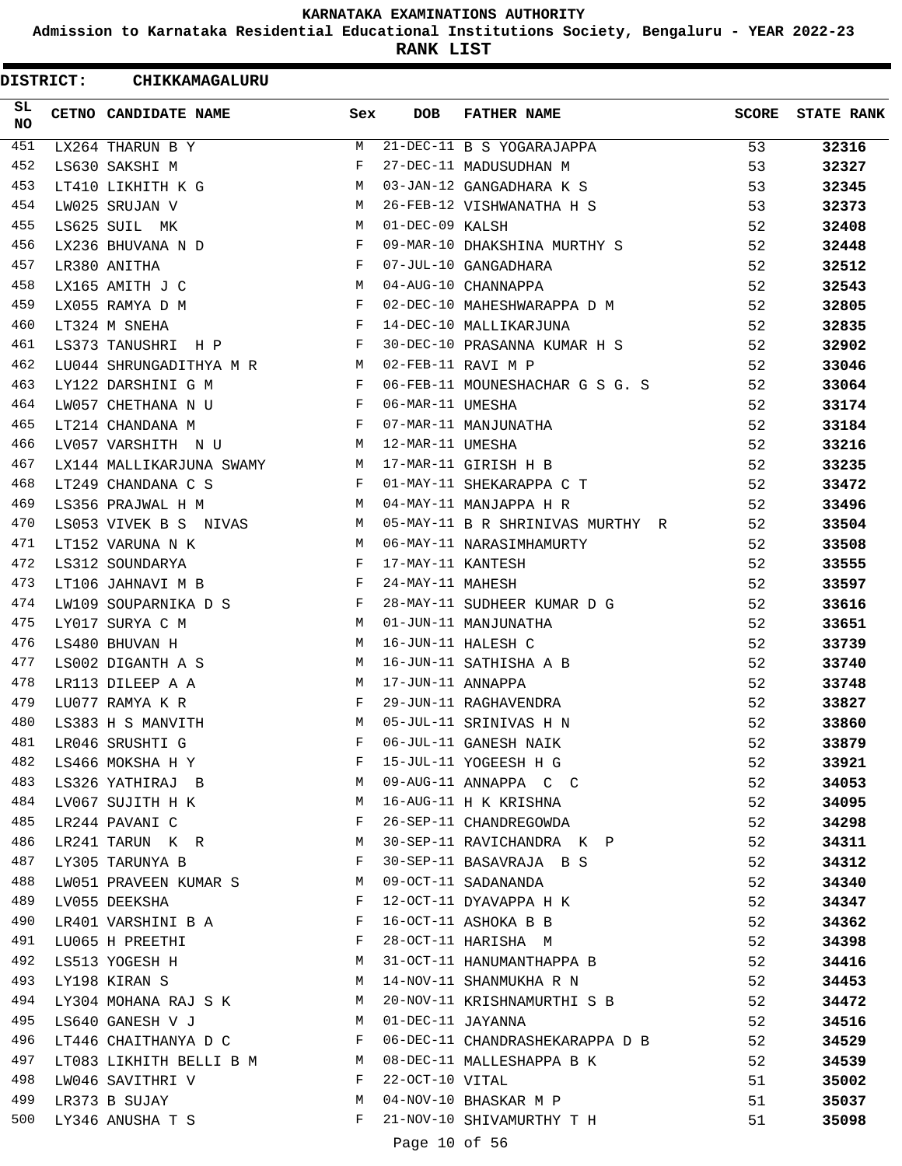**Admission to Karnataka Residential Educational Institutions Society, Bengaluru - YEAR 2022-23**

**RANK LIST**

ı

| <b>DISTRICT:</b> | CHIKKAMAGALURU               |                               |                   |                                  |       |                   |
|------------------|------------------------------|-------------------------------|-------------------|----------------------------------|-------|-------------------|
| SL<br><b>NO</b>  | CETNO CANDIDATE NAME         | Sex                           | <b>DOB</b>        | <b>FATHER NAME</b>               | SCORE | <b>STATE RANK</b> |
| 451              | LX264 THARUN B Y             | M                             |                   | 21-DEC-11 B S YOGARAJAPPA        | 53    | 32316             |
| 452              | LS630 SAKSHI M               | F                             |                   | 27-DEC-11 MADUSUDHAN M           | 53    | 32327             |
| 453              | LT410 LIKHITH K G            | М                             |                   | 03-JAN-12 GANGADHARA K S         | 53    | 32345             |
| 454              | LW025 SRUJAN V               | M                             |                   | 26-FEB-12 VISHWANATHA H S        | 53    | 32373             |
| 455              | LS625 SUIL MK                | M                             | 01-DEC-09 KALSH   |                                  | 52    | 32408             |
| 456              | LX236 BHUVANA N D            | F                             |                   | 09-MAR-10 DHAKSHINA MURTHY S     | 52    | 32448             |
| 457              | LR380 ANITHA                 | F                             |                   | 07-JUL-10 GANGADHARA             | 52    | 32512             |
| 458              | LX165 AMITH J C              | М                             |                   | 04-AUG-10 CHANNAPPA              | 52    | 32543             |
| 459              | LX055 RAMYA D M              | $\mathbf{F}$                  |                   | 02-DEC-10 MAHESHWARAPPA D M      | 52    | 32805             |
| 460              | LT324 M SNEHA                | $\mathbf{F}$                  |                   | 14-DEC-10 MALLIKARJUNA           | 52    | 32835             |
| 461              | LS373 TANUSHRI H P           | $\mathbf{F}$                  |                   | 30-DEC-10 PRASANNA KUMAR H S     | 52    | 32902             |
| 462              | LU044 SHRUNGADITHYA M R M    |                               |                   | 02-FEB-11 RAVI M P               | 52    | 33046             |
| 463              | LY122 DARSHINI G M           | F                             |                   | 06-FEB-11 MOUNESHACHAR G S G. S  | 52    | 33064             |
| 464              | LW057 CHETHANA N U           | F                             | 06-MAR-11 UMESHA  |                                  | 52    | 33174             |
| 465              | LT214 CHANDANA M             | $\mathbf{F}$                  |                   | 07-MAR-11 MANJUNATHA             | 52    | 33184             |
| 466              | LV057 VARSHITH N U           | M                             | 12-MAR-11 UMESHA  |                                  | 52    | 33216             |
| 467              | LX144 MALLIKARJUNA SWAMY M   |                               |                   | 17-MAR-11 GIRISH H B             | 52    | 33235             |
| 468              | LT249 CHANDANA C S           | $\mathbf{F}$                  |                   | 01-MAY-11 SHEKARAPPA C T         | 52    | 33472             |
| 469              | LS356 PRAJWAL H M            | M                             |                   | 04-MAY-11 MANJAPPA H R           | 52    | 33496             |
| 470              | LS053 VIVEK B S NIVAS        | M                             |                   | 05-MAY-11 B R SHRINIVAS MURTHY R | 52    | 33504             |
| 471              | LT152 VARUNA N K             | M                             |                   | 06-MAY-11 NARASIMHAMURTY         | 52    | 33508             |
| 472              | LS312 SOUNDARYA              | $_{\rm F}$                    | 17-MAY-11 KANTESH |                                  | 52    | 33555             |
| 473              | LT106 JAHNAVI M B            | $\mathbf{F}$                  | 24-MAY-11 MAHESH  |                                  | 52    | 33597             |
| 474              | LW109 SOUPARNIKA D S         | F                             |                   | 28-MAY-11 SUDHEER KUMAR D G      | 52    | 33616             |
| 475              | LY017 SURYA C M              | М                             |                   | 01-JUN-11 MANJUNATHA             | 52    | 33651             |
| 476              | LS480 BHUVAN H               | М                             |                   | 16-JUN-11 HALESH C               | 52    | 33739             |
| 477              | LS002 DIGANTH A S            | М                             |                   | 16-JUN-11 SATHISHA A B           | 52    | 33740             |
| 478              | LR113 DILEEP A A             | M                             | 17-JUN-11 ANNAPPA |                                  | 52    | 33748             |
| 479              | LU077 RAMYA K R              | F                             |                   | 29-JUN-11 RAGHAVENDRA            | 52    | 33827             |
| 480              | LS383 H S MANVITH            | M                             |                   | 05-JUL-11 SRINIVAS H N           | 52    | 33860             |
| 481              | LR046 SRUSHTI G              | F                             |                   | 06-JUL-11 GANESH NAIK            | 52    | 33879             |
| 482              | LS466 MOKSHA H Y             | F                             |                   | 15-JUL-11 YOGEESH H G            | 52    | 33921             |
| 483              | <b>M</b><br>LS326 YATHIRAJ B |                               |                   | 09-AUG-11 ANNAPPA C C            | 52    | 34053             |
| 484              | LV067 SUJITH H K             | M                             |                   | 16-AUG-11 H K KRISHNA            | 52    | 34095             |
| 485              | LR244 PAVANI C               | $\mathbb F$                   |                   | 26-SEP-11 CHANDREGOWDA           | 52    | 34298             |
| 486              | LR241 TARUN K R M            |                               |                   | 30-SEP-11 RAVICHANDRA K P        | 52    | 34311             |
| 487              | LY305 TARUNYA B              | $\mathbf{F}$                  |                   | 30-SEP-11 BASAVRAJA B S          | 52    | 34312             |
| 488              | LW051 PRAVEEN KUMAR S M      |                               |                   | 09-OCT-11 SADANANDA              | 52    | 34340             |
| 489              | LV055 DEEKSHA                | $\mathbf{F}$                  |                   | 12-OCT-11 DYAVAPPA H K           | 52    | 34347             |
| 490              | LR401 VARSHINI B A           | F                             |                   | 16-OCT-11 ASHOKA B B             | 52    | 34362             |
| 491              | LU065 H PREETHI              | $\mathbf{F}$ and $\mathbf{F}$ |                   | 28-OCT-11 HARISHA M              | 52    | 34398             |
| 492              |                              | M                             |                   | 31-OCT-11 HANUMANTHAPPA B        |       |                   |
| 493              | LS513 YOGESH H               |                               |                   |                                  | 52    | 34416             |
|                  | LY198 KIRAN S                | M                             |                   | 14-NOV-11 SHANMUKHA R N          | 52    | 34453             |
| 494              | LY304 MOHANA RAJ S K M       | M                             |                   | 20-NOV-11 KRISHNAMURTHI S B      | 52    | 34472             |
| 495              | LS640 GANESH V J             |                               |                   | 01-DEC-11 JAYANNA                | 52    | 34516             |
| 496              | LT446 CHAITHANYA D C         | $\mathbf{F}$                  |                   | 06-DEC-11 CHANDRASHEKARAPPA D B  | 52    | 34529             |
| 497              | LT083 LIKHITH BELLI B M M    |                               |                   | 08-DEC-11 MALLESHAPPA B K        | 52    | 34539             |
| 498              | LW046 SAVITHRI V             | F                             | 22-OCT-10 VITAL   |                                  | 51    | 35002             |
| 499              | LR373 B SUJAY                | M                             |                   | 04-NOV-10 BHASKAR M P            | 51    | 35037             |
| 500              | LY346 ANUSHA T S             | F                             |                   | 21-NOV-10 SHIVAMURTHY T H        | 51    | 35098             |
|                  |                              |                               | Page 10 of 56     |                                  |       |                   |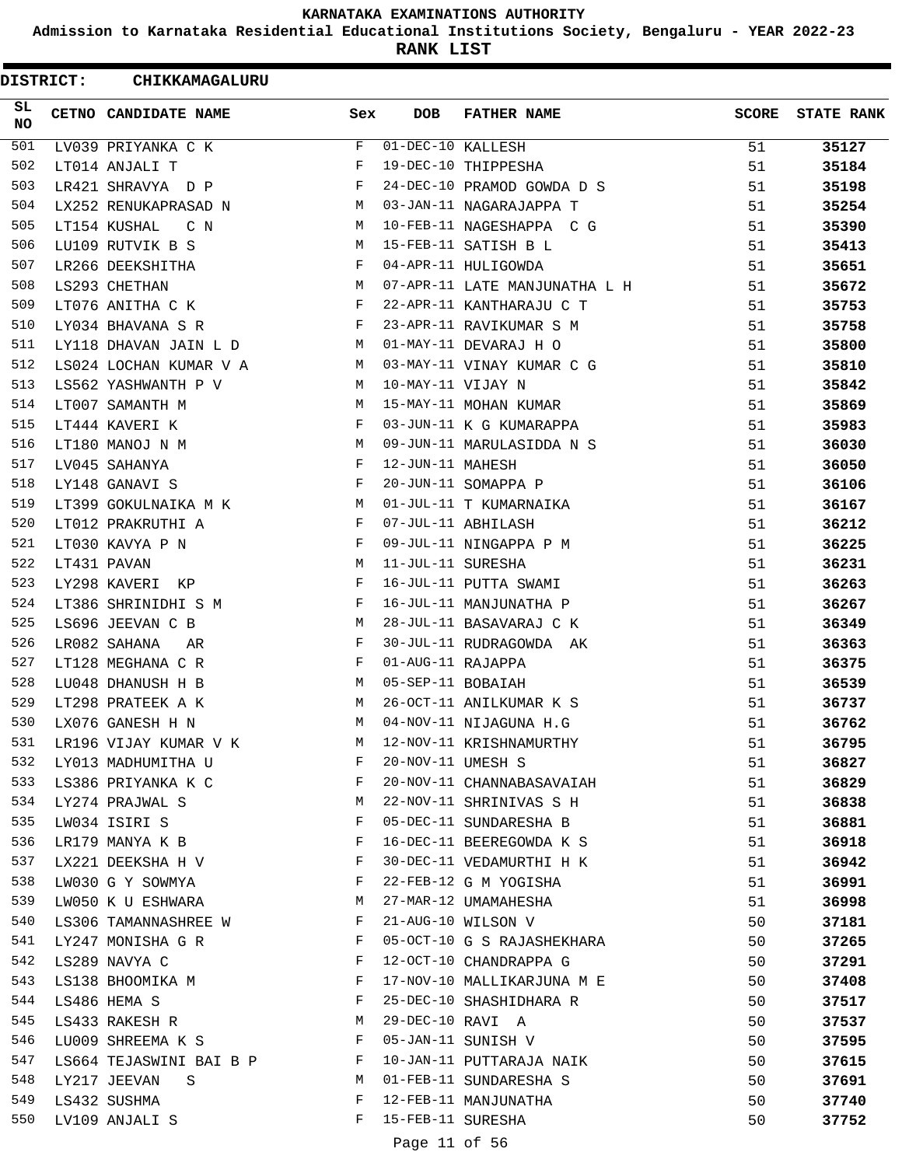**Admission to Karnataka Residential Educational Institutions Society, Bengaluru - YEAR 2022-23**

**RANK LIST**

| <b>DISTRICT:</b> | CHIKKAMAGALURU          |            |                   |                               |              |                   |
|------------------|-------------------------|------------|-------------------|-------------------------------|--------------|-------------------|
| SL<br><b>NO</b>  | CETNO CANDIDATE NAME    | Sex        | <b>DOB</b>        | <b>FATHER NAME</b>            | <b>SCORE</b> | <b>STATE RANK</b> |
| 501              | LV039 PRIYANKA C K      | F          | 01-DEC-10 KALLESH |                               | 51           | 35127             |
| 502              | LT014 ANJALI T          | F          |                   | 19-DEC-10 THIPPESHA           | 51           | 35184             |
| 503              | LR421 SHRAVYA D P       | F          |                   | 24-DEC-10 PRAMOD GOWDA D S    | 51           | 35198             |
| 504              | LX252 RENUKAPRASAD N    | М          |                   | 03-JAN-11 NAGARAJAPPA T       | 51           | 35254             |
| 505              | LT154 KUSHAL<br>C N     | M          |                   | 10-FEB-11 NAGESHAPPA C G      | 51           | 35390             |
| 506              | LU109 RUTVIK B S        | М          |                   | 15-FEB-11 SATISH B L          | 51           | 35413             |
| 507              | LR266 DEEKSHITHA        | $_{\rm F}$ |                   | 04-APR-11 HULIGOWDA           | 51           | 35651             |
| 508              | LS293 CHETHAN           | M          |                   | 07-APR-11 LATE MANJUNATHA L H | 51           | 35672             |
| 509              | LT076 ANITHA C K        | F          |                   | 22-APR-11 KANTHARAJU C T      | 51           | 35753             |
| 510              | LY034 BHAVANA S R       | F          |                   | 23-APR-11 RAVIKUMAR S M       | 51           | 35758             |
| 511              | LY118 DHAVAN JAIN L D   | M          |                   | 01-MAY-11 DEVARAJ H O         | 51           | 35800             |
| 512              | LS024 LOCHAN KUMAR V A  | M          |                   | 03-MAY-11 VINAY KUMAR C G     | 51           | 35810             |
| 513              | LS562 YASHWANTH P V     | M          | 10-MAY-11 VIJAY N |                               | 51           | 35842             |
| 514              | LT007 SAMANTH M         | М          |                   | 15-MAY-11 MOHAN KUMAR         | 51           | 35869             |
| 515              | LT444 KAVERI K          | F          |                   | 03-JUN-11 K G KUMARAPPA       | 51           | 35983             |
| 516              | LT180 MANOJ N M         | М          |                   | 09-JUN-11 MARULASIDDA N S     | 51           | 36030             |
| 517              | LV045 SAHANYA           | $_{\rm F}$ | 12-JUN-11 MAHESH  |                               | 51           | 36050             |
| 518              | LY148 GANAVI S          | F          |                   | 20-JUN-11 SOMAPPA P           | 51           | 36106             |
| 519              | LT399 GOKULNAIKA M K    | М          |                   | 01-JUL-11 T KUMARNAIKA        | 51           | 36167             |
| 520              | LT012 PRAKRUTHI A       | F          |                   | 07-JUL-11 ABHILASH            | 51           | 36212             |
| 521              | LT030 KAVYA P N         | F          |                   | 09-JUL-11 NINGAPPA P M        | 51           | 36225             |
| 522              | LT431 PAVAN             | М          | 11-JUL-11 SURESHA |                               | 51           | 36231             |
| 523              | LY298 KAVERI<br>KP      | F          |                   | 16-JUL-11 PUTTA SWAMI         | 51           | 36263             |
| 524              | LT386 SHRINIDHI S M     | F          |                   | 16-JUL-11 MANJUNATHA P        | 51           | 36267             |
| 525              | LS696 JEEVAN C B        | М          |                   | 28-JUL-11 BASAVARAJ C K       | 51           | 36349             |
| 526              | LR082 SAHANA<br>AR      | F          |                   | 30-JUL-11 RUDRAGOWDA AK       | 51           | 36363             |
| 527              | LT128 MEGHANA C R       | F          | 01-AUG-11 RAJAPPA |                               | 51           | 36375             |
| 528              | LU048 DHANUSH H B       | М          | 05-SEP-11 BOBAIAH |                               | 51           | 36539             |
| 529              | LT298 PRATEEK A K       | M          |                   | 26-OCT-11 ANILKUMAR K S       | 51           | 36737             |
| 530              | LX076 GANESH H N        | M          |                   | 04-NOV-11 NIJAGUNA H.G        | 51           | 36762             |
| 531              | LR196 VIJAY KUMAR V K   | М          |                   | 12-NOV-11 KRISHNAMURTHY       | 51           | 36795             |
| 532              | LY013 MADHUMITHA U      | F          | 20-NOV-11 UMESH S |                               | 51           | 36827             |
| 533              | LS386 PRIYANKA K C      | F          |                   | 20-NOV-11 CHANNABASAVAIAH     | 51           | 36829             |
| 534              | LY274 PRAJWAL S         | M          |                   | 22-NOV-11 SHRINIVAS S H       | 51           | 36838             |
| 535              | LW034 ISIRI S           | F          |                   | 05-DEC-11 SUNDARESHA B        | 51           | 36881             |
| 536              | LR179 MANYA K B         | F          |                   | 16-DEC-11 BEEREGOWDA K S      | 51           | 36918             |
| 537              | LX221 DEEKSHA H V       | F          |                   | 30-DEC-11 VEDAMURTHI H K      | 51           | 36942             |
| 538              | LW030 G Y SOWMYA        | F          |                   | 22-FEB-12 G M YOGISHA         | 51           | 36991             |
| 539              | LW050 K U ESHWARA       | М          |                   | 27-MAR-12 UMAMAHESHA          | 51           | 36998             |
| 540              | LS306 TAMANNASHREE W    | F          |                   | 21-AUG-10 WILSON V            | 50           | 37181             |
| 541              | LY247 MONISHA G R       | F          |                   | 05-OCT-10 G S RAJASHEKHARA    | 50           | 37265             |
| 542              | LS289 NAVYA C           | F          |                   | 12-OCT-10 CHANDRAPPA G        | 50           | 37291             |
| 543              | LS138 BHOOMIKA M        | F          |                   | 17-NOV-10 MALLIKARJUNA M E    | 50           | 37408             |
| 544              | LS486 HEMA S            | F          |                   | 25-DEC-10 SHASHIDHARA R       | 50           | 37517             |
| 545              | LS433 RAKESH R          | М          | 29-DEC-10 RAVI A  |                               | 50           | 37537             |
| 546              | LU009 SHREEMA K S       | F          |                   | 05-JAN-11 SUNISH V            | 50           | 37595             |
| 547              | LS664 TEJASWINI BAI B P | F          |                   | 10-JAN-11 PUTTARAJA NAIK      | 50           | 37615             |
| 548              | LY217 JEEVAN<br>S       | М          |                   | 01-FEB-11 SUNDARESHA S        | 50           | 37691             |
| 549              | LS432 SUSHMA            | F          |                   | 12-FEB-11 MANJUNATHA          | 50           | 37740             |
| 550              | LV109 ANJALI S          | F          | 15-FEB-11 SURESHA |                               | 50           | 37752             |
|                  |                         |            | Page 11 of 56     |                               |              |                   |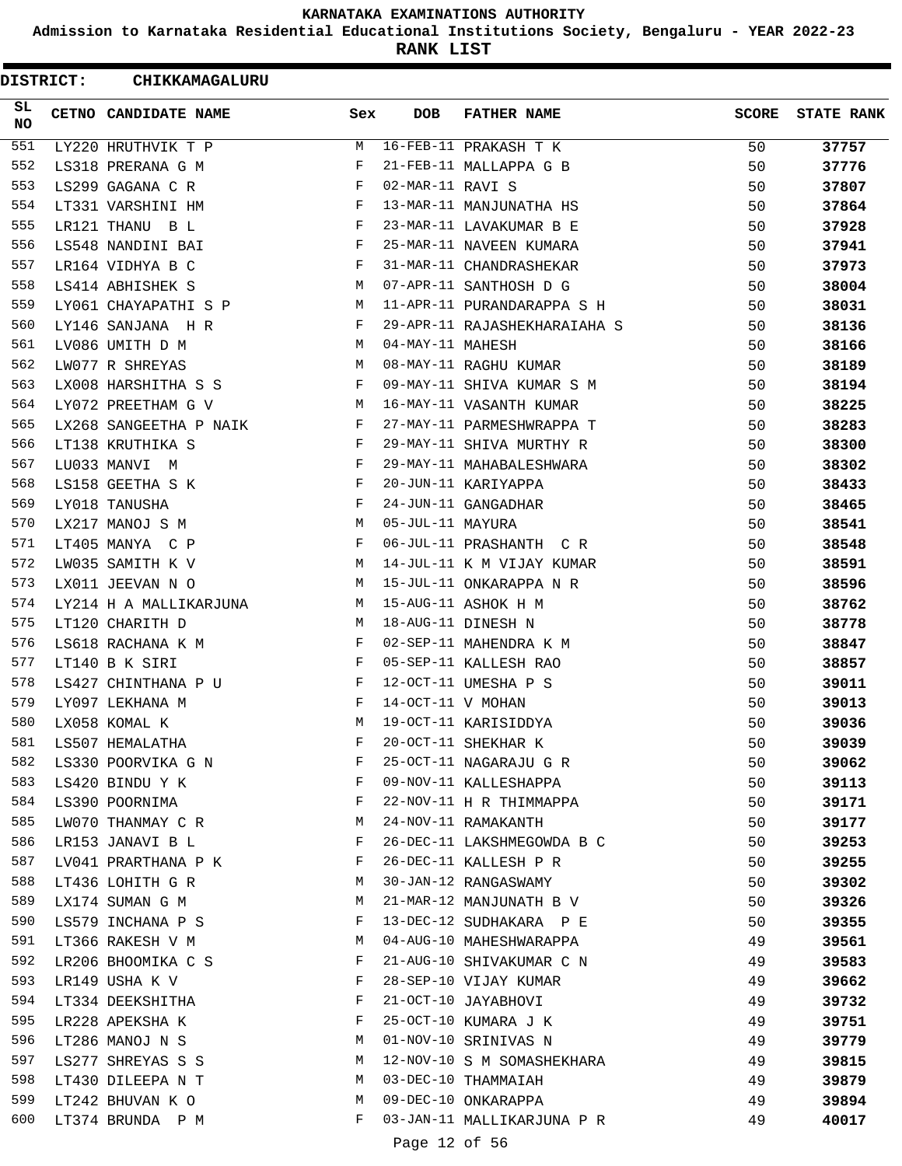**Admission to Karnataka Residential Educational Institutions Society, Bengaluru - YEAR 2022-23**

**RANK LIST**

 $\blacksquare$ 

| <b>DISTRICT:</b> | CHIKKAMAGALURU         |     |                   |                              |              |                   |
|------------------|------------------------|-----|-------------------|------------------------------|--------------|-------------------|
| SL<br>NO.        | CETNO CANDIDATE NAME   | Sex | <b>DOB</b>        | <b>FATHER NAME</b>           | <b>SCORE</b> | <b>STATE RANK</b> |
| 551              | LY220 HRUTHVIK T P     | М   |                   | 16-FEB-11 PRAKASH T K        | 50           | 37757             |
| 552              | LS318 PRERANA G M      | F   |                   | 21-FEB-11 MALLAPPA G B       | 50           | 37776             |
| 553              | LS299 GAGANA C R       | F   | 02-MAR-11 RAVI S  |                              | 50           | 37807             |
| 554              | LT331 VARSHINI HM      | F   |                   | 13-MAR-11 MANJUNATHA HS      | 50           | 37864             |
| 555              | LR121 THANU B L        | F   |                   | 23-MAR-11 LAVAKUMAR B E      | 50           | 37928             |
| 556              | LS548 NANDINI BAI      | F   |                   | 25-MAR-11 NAVEEN KUMARA      | 50           | 37941             |
| 557              | LR164 VIDHYA B C       | F   |                   | 31-MAR-11 CHANDRASHEKAR      | 50           | 37973             |
| 558              | LS414 ABHISHEK S       | М   |                   | 07-APR-11 SANTHOSH D G       | 50           | 38004             |
| 559              | LY061 CHAYAPATHI S P   | М   |                   | 11-APR-11 PURANDARAPPA S H   | 50           | 38031             |
| 560              | LY146 SANJANA H R      | F   |                   | 29-APR-11 RAJASHEKHARAIAHA S | 50           | 38136             |
| 561              | LV086 UMITH D M        | М   | 04-MAY-11 MAHESH  |                              | 50           | 38166             |
| 562              | LW077 R SHREYAS        | М   |                   | 08-MAY-11 RAGHU KUMAR        | 50           | 38189             |
| 563              | LX008 HARSHITHA S S    | F   |                   | 09-MAY-11 SHIVA KUMAR S M    | 50           | 38194             |
| 564              | LY072 PREETHAM G V     | М   |                   | 16-MAY-11 VASANTH KUMAR      | 50           | 38225             |
| 565              | LX268 SANGEETHA P NAIK | F   |                   | 27-MAY-11 PARMESHWRAPPA T    | 50           | 38283             |
| 566              | LT138 KRUTHIKA S       | F   |                   | 29-MAY-11 SHIVA MURTHY R     | 50           | 38300             |
| 567              | LU033 MANVI M          | F   |                   | 29-MAY-11 MAHABALESHWARA     | 50           | 38302             |
| 568              | LS158 GEETHA S K       | F   |                   | 20-JUN-11 KARIYAPPA          | 50           | 38433             |
| 569              | LY018 TANUSHA          | F   |                   | 24-JUN-11 GANGADHAR          | 50           | 38465             |
| 570              | LX217 MANOJ S M        | М   | 05-JUL-11 MAYURA  |                              | 50           | 38541             |
| 571              | LT405 MANYA C P        | F   |                   | 06-JUL-11 PRASHANTH C R      | 50           | 38548             |
| 572              | LW035 SAMITH K V       | М   |                   | 14-JUL-11 K M VIJAY KUMAR    | 50           | 38591             |
| 573              | LX011 JEEVAN N O       | М   |                   | 15-JUL-11 ONKARAPPA N R      | 50           | 38596             |
| 574              | LY214 H A MALLIKARJUNA | М   |                   | 15-AUG-11 ASHOK H M          | 50           | 38762             |
| 575              | LT120 CHARITH D        | М   |                   | 18-AUG-11 DINESH N           | 50           | 38778             |
| 576              | LS618 RACHANA K M      | F   |                   | 02-SEP-11 MAHENDRA K M       | 50           | 38847             |
| 577              | LT140 B K SIRI         | F   |                   | 05-SEP-11 KALLESH RAO        | 50           | 38857             |
| 578              | LS427 CHINTHANA P U    | F   |                   | 12-OCT-11 UMESHA P S         | 50           | 39011             |
| 579              | LY097 LEKHANA M        | F   | 14-OCT-11 V MOHAN |                              | 50           | 39013             |
| 580              | LX058 KOMAL K          | M   |                   | 19-OCT-11 KARISIDDYA         | 50           | 39036             |
| 581              | LS507 HEMALATHA        | F   |                   | 20-OCT-11 SHEKHAR K          | 50           | 39039             |
| 582              | LS330 POORVIKA G N     | F   |                   | 25-OCT-11 NAGARAJU G R       | 50           | 39062             |
| 583              | LS420 BINDU Y K        | F   |                   | 09-NOV-11 KALLESHAPPA        | 50           | 39113             |
| 584              | LS390 POORNIMA         | F   |                   | 22-NOV-11 H R THIMMAPPA      | 50           | 39171             |
| 585              | LW070 THANMAY C R      | M   |                   | 24-NOV-11 RAMAKANTH          | 50           | 39177             |
| 586              | LR153 JANAVI B L       | F   |                   | 26-DEC-11 LAKSHMEGOWDA B C   | 50           | 39253             |
| 587              | LV041 PRARTHANA P K    | F   |                   | 26-DEC-11 KALLESH P R        | 50           | 39255             |
| 588              | LT436 LOHITH G R       | М   |                   | 30-JAN-12 RANGASWAMY         | 50           | 39302             |
| 589              | LX174 SUMAN G M        | М   |                   | 21-MAR-12 MANJUNATH B V      | 50           | 39326             |
| 590              | LS579 INCHANA P S      | F   |                   | 13-DEC-12 SUDHAKARA P E      | 50           | 39355             |
| 591              | LT366 RAKESH V M       | М   |                   | 04-AUG-10 MAHESHWARAPPA      | 49           | 39561             |
| 592              | LR206 BHOOMIKA C S     | F   |                   | 21-AUG-10 SHIVAKUMAR C N     | 49           | 39583             |
| 593              | LR149 USHA K V         | F   |                   | 28-SEP-10 VIJAY KUMAR        | 49           | 39662             |
| 594              | LT334 DEEKSHITHA       | F   |                   | 21-OCT-10 JAYABHOVI          | 49           | 39732             |
| 595              | LR228 APEKSHA K        | F   |                   | 25-OCT-10 KUMARA J K         | 49           | 39751             |
| 596              | LT286 MANOJ N S        | М   |                   | 01-NOV-10 SRINIVAS N         | 49           | 39779             |
| 597              | LS277 SHREYAS S S      | М   |                   | 12-NOV-10 S M SOMASHEKHARA   | 49           | 39815             |
| 598              | LT430 DILEEPA N T      | M   |                   | 03-DEC-10 THAMMAIAH          | 49           | 39879             |
| 599              | LT242 BHUVAN K O       | М   |                   | 09-DEC-10 ONKARAPPA          | 49           | 39894             |
| 600              | LT374 BRUNDA P M       | F   |                   | 03-JAN-11 MALLIKARJUNA P R   | 49           | 40017             |
|                  |                        |     |                   |                              |              |                   |

Page 12 of 56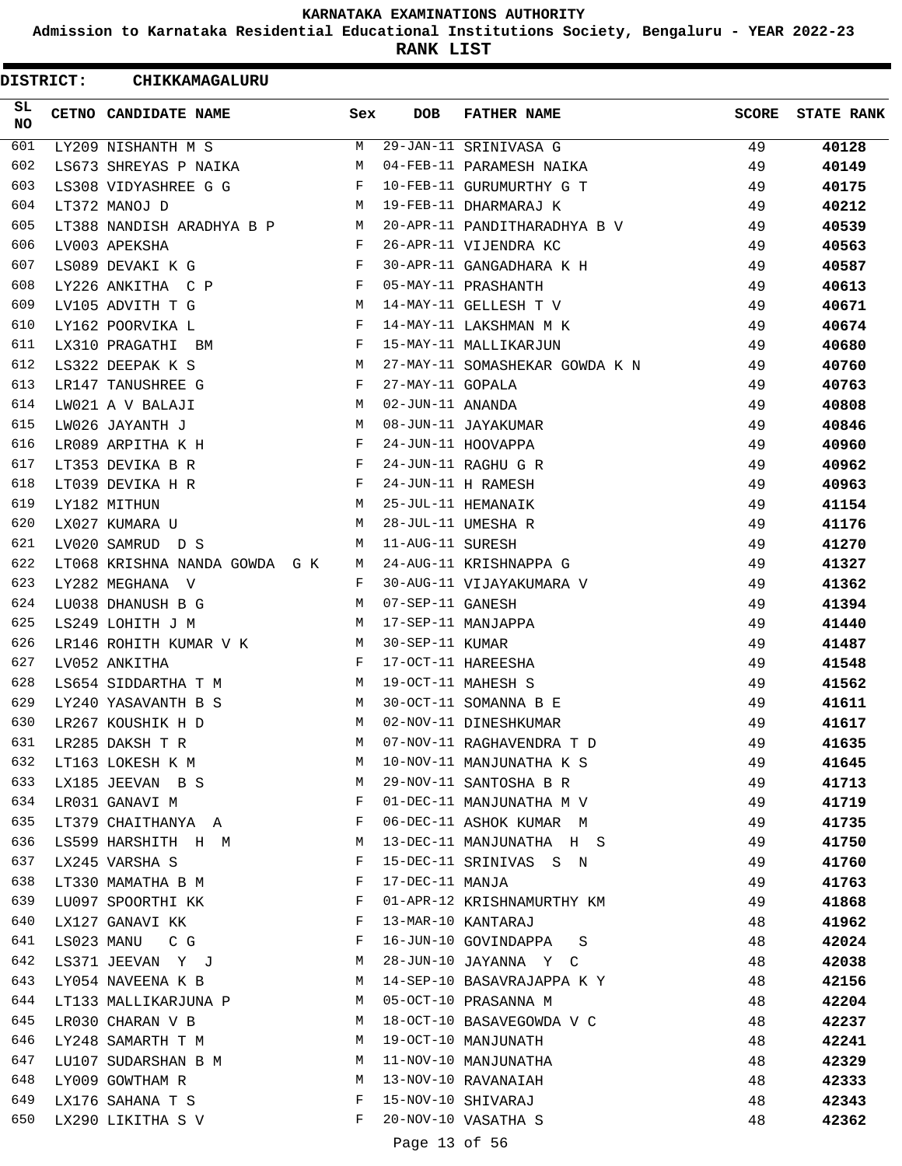**Admission to Karnataka Residential Educational Institutions Society, Bengaluru - YEAR 2022-23**

**RANK LIST**

ı

| <b>DISTRICT:</b> | CHIKKAMAGALURU                |     |                  |                                |              |                   |
|------------------|-------------------------------|-----|------------------|--------------------------------|--------------|-------------------|
| SL<br><b>NO</b>  | CETNO CANDIDATE NAME          | Sex | <b>DOB</b>       | <b>FATHER NAME</b>             | <b>SCORE</b> | <b>STATE RANK</b> |
| 601              | LY209 NISHANTH M S            | M   |                  | 29-JAN-11 SRINIVASA G          | 49           | 40128             |
| 602              | LS673 SHREYAS P NAIKA         | M   |                  | 04-FEB-11 PARAMESH NAIKA       | 49           | 40149             |
| 603              | LS308 VIDYASHREE G G          | F   |                  | 10-FEB-11 GURUMURTHY G T       | 49           | 40175             |
| 604              | LT372 MANOJ D                 | M   |                  | 19-FEB-11 DHARMARAJ K          | 49           | 40212             |
| 605              | LT388 NANDISH ARADHYA B P     | M   |                  | 20-APR-11 PANDITHARADHYA B V   | 49           | 40539             |
| 606              | LV003 APEKSHA                 | F   |                  | 26-APR-11 VIJENDRA KC          | 49           | 40563             |
| 607              | LS089 DEVAKI K G              | F   |                  | 30-APR-11 GANGADHARA K H       | 49           | 40587             |
| 608              | LY226 ANKITHA C P             | F   |                  | 05-MAY-11 PRASHANTH            | 49           | 40613             |
| 609              | LV105 ADVITH T G              | М   |                  | 14-MAY-11 GELLESH T V          | 49           | 40671             |
| 610              | LY162 POORVIKA L              | F   |                  | 14-MAY-11 LAKSHMAN M K         | 49           | 40674             |
| 611              | LX310 PRAGATHI BM             | F   |                  | 15-MAY-11 MALLIKARJUN          | 49           | 40680             |
| 612              | LS322 DEEPAK K S              | М   |                  | 27-MAY-11 SOMASHEKAR GOWDA K N | 49           | 40760             |
| 613              | LR147 TANUSHREE G             | F   | 27-MAY-11 GOPALA |                                | 49           | 40763             |
| 614              | LW021 A V BALAJI              | M   | 02-JUN-11 ANANDA |                                | 49           | 40808             |
| 615              | LW026 JAYANTH J               | M   |                  | 08-JUN-11 JAYAKUMAR            | 49           | 40846             |
| 616              | LR089 ARPITHA K H             | F   |                  | 24-JUN-11 HOOVAPPA             | 49           | 40960             |
| 617              | LT353 DEVIKA B R              | F   |                  | 24-JUN-11 RAGHU G R            | 49           | 40962             |
| 618              | LT039 DEVIKA H R              | F   |                  | 24-JUN-11 H RAMESH             | 49           | 40963             |
| 619              | LY182 MITHUN                  | М   |                  | 25-JUL-11 HEMANAIK             | 49           | 41154             |
| 620              | LX027 KUMARA U                | M   |                  | 28-JUL-11 UMESHA R             | 49           | 41176             |
| 621              | LV020 SAMRUD D S              | M   | 11-AUG-11 SURESH |                                | 49           | 41270             |
| 622              | LT068 KRISHNA NANDA GOWDA G K | M   |                  | 24-AUG-11 KRISHNAPPA G         | 49           | 41327             |
| 623              | LY282 MEGHANA V               | F   |                  | 30-AUG-11 VIJAYAKUMARA V       | 49           | 41362             |
| 624              | LU038 DHANUSH B G             | M   | 07-SEP-11 GANESH |                                | 49           | 41394             |
| 625              | LS249 LOHITH J M              | M   |                  | 17-SEP-11 MANJAPPA             | 49           | 41440             |
| 626              | LR146 ROHITH KUMAR V K        | M   | 30-SEP-11 KUMAR  |                                | 49           | 41487             |
| 627              | LV052 ANKITHA                 | F   |                  | 17-OCT-11 HAREESHA             | 49           | 41548             |
| 628              | LS654 SIDDARTHA T M           | М   |                  | 19-OCT-11 MAHESH S             | 49           | 41562             |
| 629              | LY240 YASAVANTH B S           | М   |                  | 30-OCT-11 SOMANNA B E          | 49           | 41611             |
| 630              | LR267 KOUSHIK H D             | M   |                  | 02-NOV-11 DINESHKUMAR          | 49           | 41617             |
| 631              | LR285 DAKSH T R               | М   |                  | 07-NOV-11 RAGHAVENDRA T D      | 49           | 41635             |
| 632              | LT163 LOKESH K M              | M   |                  | 10-NOV-11 MANJUNATHA K S       | 49           | 41645             |
| 633              | LX185 JEEVAN B S              | М   |                  | 29-NOV-11 SANTOSHA B R         | 49           | 41713             |
| 634              | LR031 GANAVI M                | F   |                  | 01-DEC-11 MANJUNATHA M V       | 49           | 41719             |
| 635              | LT379 CHAITHANYA A            | F   |                  | 06-DEC-11 ASHOK KUMAR M        | 49           | 41735             |
| 636              | LS599 HARSHITH H M            | M   |                  | 13-DEC-11 MANJUNATHA H S       | 49           | 41750             |
| 637              | LX245 VARSHA S                | F   |                  | 15-DEC-11 SRINIVAS S N         | 49           | 41760             |
| 638              | LT330 MAMATHA B M             | F   | 17-DEC-11 MANJA  |                                | 49           | 41763             |
| 639              | LU097 SPOORTHI KK             | F   |                  | 01-APR-12 KRISHNAMURTHY KM     | 49           | 41868             |
| 640              | LX127 GANAVI KK               | F   |                  | 13-MAR-10 KANTARAJ             | 48           | 41962             |
| 641              | LS023 MANU CG                 | F   |                  | 16-JUN-10 GOVINDAPPA S         | 48           | 42024             |
| 642              | LS371 JEEVAN Y J              | M   |                  | 28-JUN-10 JAYANNA Y C          | 48           | 42038             |
| 643              | LY054 NAVEENA K B             | M   |                  | 14-SEP-10 BASAVRAJAPPA K Y     | 48           | 42156             |
| 644              | LT133 MALLIKARJUNA P          | M   |                  | 05-OCT-10 PRASANNA M           | 48           | 42204             |
| 645              | LR030 CHARAN V B              | М   |                  | 18-OCT-10 BASAVEGOWDA V C      | 48           | 42237             |
| 646              | LY248 SAMARTH T M             | М   |                  | 19-OCT-10 MANJUNATH            | 48           | 42241             |
| 647              | LU107 SUDARSHAN B M           | M   |                  | 11-NOV-10 MANJUNATHA           | 48           | 42329             |
| 648              | LY009 GOWTHAM R               | M   |                  | 13-NOV-10 RAVANAIAH            | 48           | 42333             |
| 649              | LX176 SAHANA T S              | F   |                  | 15-NOV-10 SHIVARAJ             | 48           | 42343             |
| 650              | LX290 LIKITHA S V             | F   |                  | 20-NOV-10 VASATHA S            | 48           | 42362             |
|                  |                               |     | Page 13 of 56    |                                |              |                   |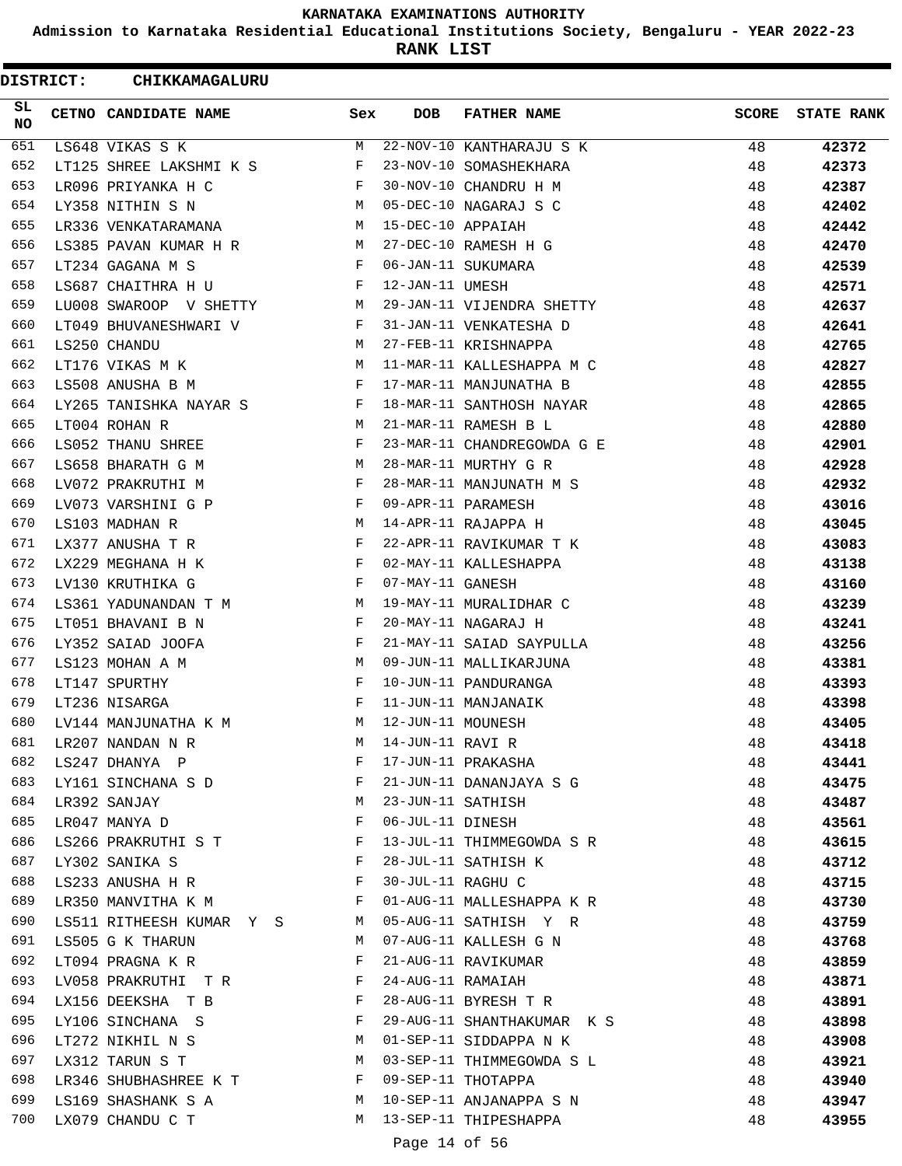**Admission to Karnataka Residential Educational Institutions Society, Bengaluru - YEAR 2022-23**

**RANK LIST**

ı

|                 | <b>DISTRICT:</b> | CHIKKAMAGALURU           |              |                   |                            |              |                   |
|-----------------|------------------|--------------------------|--------------|-------------------|----------------------------|--------------|-------------------|
| SL<br><b>NO</b> |                  | CETNO CANDIDATE NAME     | Sex          | <b>DOB</b>        | <b>FATHER NAME</b>         | <b>SCORE</b> | <b>STATE RANK</b> |
| 651             |                  | LS648 VIKAS S K          | M            |                   | 22-NOV-10 KANTHARAJU S K   | 48           | 42372             |
| 652             |                  | LT125 SHREE LAKSHMI K S  | F            |                   | 23-NOV-10 SOMASHEKHARA     | 48           | 42373             |
| 653             |                  | LR096 PRIYANKA H C       | F            |                   | 30-NOV-10 CHANDRU H M      | 48           | 42387             |
| 654             |                  | LY358 NITHIN S N         | М            |                   | 05-DEC-10 NAGARAJ S C      | 48           | 42402             |
| 655             |                  | LR336 VENKATARAMANA      | М            | 15-DEC-10 APPAIAH |                            | 48           | 42442             |
| 656             |                  | LS385 PAVAN KUMAR H R    | М            |                   | 27-DEC-10 RAMESH H G       | 48           | 42470             |
| 657             |                  | LT234 GAGANA M S         | F            |                   | 06-JAN-11 SUKUMARA         | 48           | 42539             |
| 658             |                  | LS687 CHAITHRA H U       | F            | 12-JAN-11 UMESH   |                            | 48           | 42571             |
| 659             |                  | LU008 SWAROOP V SHETTY   | M            |                   | 29-JAN-11 VIJENDRA SHETTY  | 48           | 42637             |
| 660             |                  | LT049 BHUVANESHWARI V    | F            |                   | 31-JAN-11 VENKATESHA D     | 48           | 42641             |
| 661             |                  | LS250 CHANDU             | М            |                   | 27-FEB-11 KRISHNAPPA       | 48           | 42765             |
| 662             |                  | LT176 VIKAS M K          | М            |                   | 11-MAR-11 KALLESHAPPA M C  | 48           | 42827             |
| 663             |                  | LS508 ANUSHA B M         | F            |                   | 17-MAR-11 MANJUNATHA B     | 48           | 42855             |
| 664             |                  | LY265 TANISHKA NAYAR S   | F            |                   | 18-MAR-11 SANTHOSH NAYAR   | 48           | 42865             |
| 665             |                  | LT004 ROHAN R            | М            |                   | 21-MAR-11 RAMESH B L       | 48           | 42880             |
| 666             |                  | LS052 THANU SHREE        | F            |                   | 23-MAR-11 CHANDREGOWDA G E | 48           | 42901             |
| 667             |                  | LS658 BHARATH G M        | M            |                   | 28-MAR-11 MURTHY G R       | 48           | 42928             |
| 668             |                  | LV072 PRAKRUTHI M        | F            |                   | 28-MAR-11 MANJUNATH M S    | 48           | 42932             |
| 669             |                  | LV073 VARSHINI G P       | F            |                   | 09-APR-11 PARAMESH         | 48           | 43016             |
| 670             |                  | LS103 MADHAN R           | М            |                   | 14-APR-11 RAJAPPA H        | 48           | 43045             |
| 671             |                  | LX377 ANUSHA T R         | F            |                   | 22-APR-11 RAVIKUMAR T K    | 48           | 43083             |
| 672             |                  | LX229 MEGHANA H K        | F            |                   | 02-MAY-11 KALLESHAPPA      | 48           | 43138             |
| 673             |                  | LV130 KRUTHIKA G         | F            | 07-MAY-11 GANESH  |                            | 48           | 43160             |
| 674             |                  | LS361 YADUNANDAN T M     | М            |                   | 19-MAY-11 MURALIDHAR C     | 48           | 43239             |
| 675             |                  | LT051 BHAVANI B N        | F            |                   | 20-MAY-11 NAGARAJ H        | 48           | 43241             |
| 676             |                  | LY352 SAIAD JOOFA        | F            |                   | 21-MAY-11 SAIAD SAYPULLA   | 48           | 43256             |
| 677             |                  | LS123 MOHAN A M          | М            |                   | 09-JUN-11 MALLIKARJUNA     | 48           |                   |
| 678             |                  | LT147 SPURTHY            | F            |                   | 10-JUN-11 PANDURANGA       | 48           | 43381             |
| 679             |                  |                          | F            |                   | 11-JUN-11 MANJANAIK        |              | 43393             |
|                 |                  | LT236 NISARGA            |              | 12-JUN-11 MOUNESH |                            | 48           | 43398             |
| 680             |                  | LV144 MANJUNATHA K M     | М            |                   |                            | 48           | 43405             |
| 681             |                  | LR207 NANDAN N R         | M            | 14-JUN-11 RAVI R  |                            | 48           | 43418             |
| 682             |                  | LS247 DHANYA P           | F            |                   | 17-JUN-11 PRAKASHA         | 48           | 43441             |
| 683             |                  | LY161 SINCHANA S D       | F            |                   | 21-JUN-11 DANANJAYA S G    | 48           | 43475             |
| 684             |                  | LR392 SANJAY             | М            | 23-JUN-11 SATHISH |                            | 48           | 43487             |
| 685             |                  | LR047 MANYA D            | F            | 06-JUL-11 DINESH  |                            | 48           | 43561             |
| 686             |                  | LS266 PRAKRUTHI S T      | $-F$         |                   | 13-JUL-11 THIMMEGOWDA S R  | 48           | 43615             |
| 687             |                  | LY302 SANIKA S           | F            |                   | 28-JUL-11 SATHISH K        | 48           | 43712             |
| 688             |                  | LS233 ANUSHA H R         | F            | 30-JUL-11 RAGHU C |                            | 48           | 43715             |
| 689             |                  | LR350 MANVITHA K M       | F            |                   | 01-AUG-11 MALLESHAPPA K R  | 48           | 43730             |
| 690             |                  | LS511 RITHEESH KUMAR Y S | M            |                   | 05-AUG-11 SATHISH Y R      | 48           | 43759             |
| 691             |                  | LS505 G K THARUN         | М            |                   | 07-AUG-11 KALLESH G N      | 48           | 43768             |
| 692             |                  | LT094 PRAGNA K R         | F            |                   | 21-AUG-11 RAVIKUMAR        | 48           | 43859             |
| 693             |                  | LV058 PRAKRUTHI TR       | F            | 24-AUG-11 RAMAIAH |                            | 48           | 43871             |
| 694             |                  | LX156 DEEKSHA T B        | $\mathbf{F}$ |                   | 28-AUG-11 BYRESH T R       | 48           | 43891             |
| 695             |                  | LY106 SINCHANA S         | F            |                   | 29-AUG-11 SHANTHAKUMAR K S | 48           | 43898             |
| 696             |                  | LT272 NIKHIL N S         | М            |                   | 01-SEP-11 SIDDAPPA N K     | 48           | 43908             |
| 697             |                  | LX312 TARUN S T          | M            |                   | 03-SEP-11 THIMMEGOWDA S L  | 48           | 43921             |
| 698             |                  | LR346 SHUBHASHREE K T    | F            |                   | 09-SEP-11 THOTAPPA         | 48           | 43940             |
| 699             |                  | LS169 SHASHANK S A       | М            |                   | 10-SEP-11 ANJANAPPA S N    | 48           | 43947             |
| 700             |                  | LX079 CHANDU C T         | М            |                   | 13-SEP-11 THIPESHAPPA      | 48           | 43955             |
|                 |                  |                          |              | Page 14 of 56     |                            |              |                   |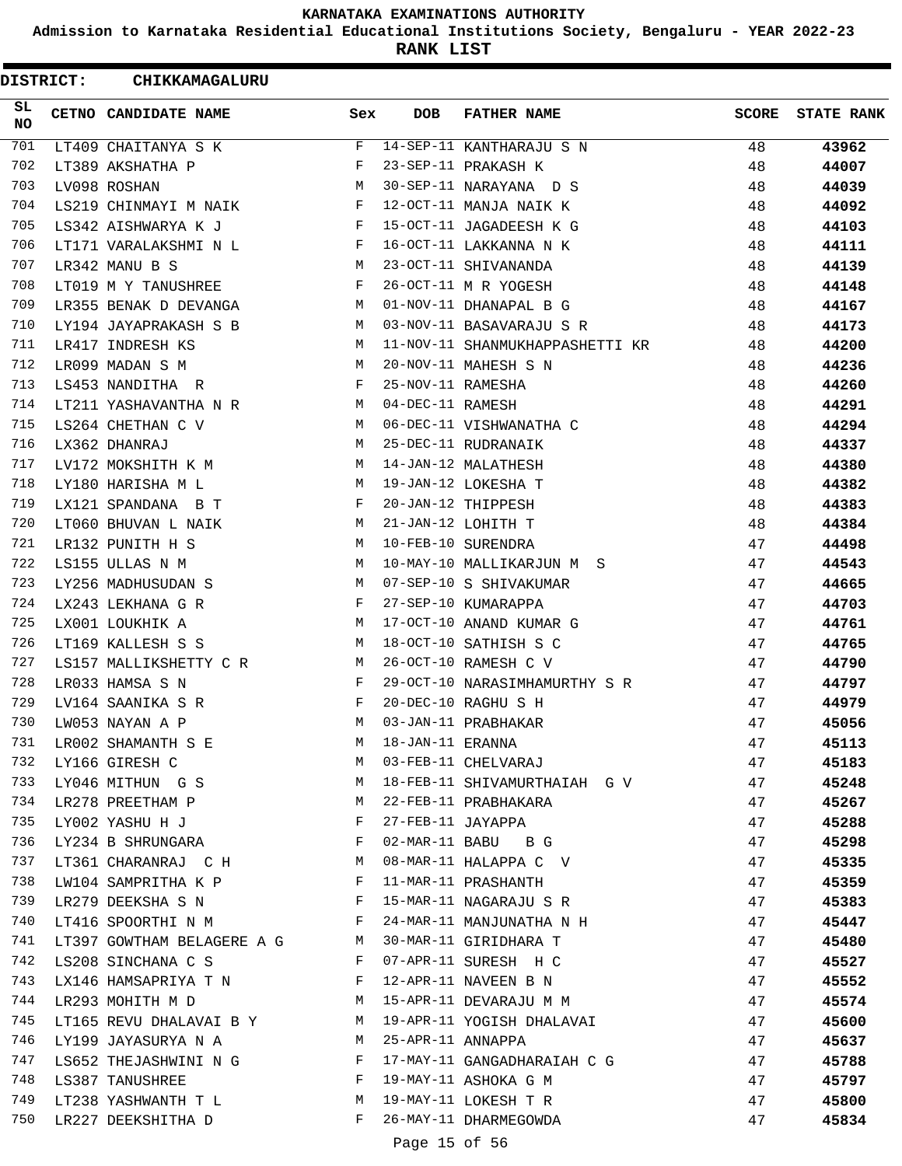**Admission to Karnataka Residential Educational Institutions Society, Bengaluru - YEAR 2022-23**

**RANK LIST**

ı

| <b>DISTRICT:</b> | CHIKKAMAGALURU                                                                 |                                                |                   |                                                |              |                   |
|------------------|--------------------------------------------------------------------------------|------------------------------------------------|-------------------|------------------------------------------------|--------------|-------------------|
| SL<br><b>NO</b>  | CETNO CANDIDATE NAME                                                           | Sex                                            | <b>DOB</b>        | <b>FATHER NAME</b>                             | <b>SCORE</b> | <b>STATE RANK</b> |
| 701              | LT409 CHAITANYA S K                                                            | F                                              |                   | 14-SEP-11 KANTHARAJU S N                       | 48           | 43962             |
| 702              | LT389 AKSHATHA P                                                               | F                                              |                   | 23-SEP-11 PRAKASH K                            | 48           | 44007             |
| 703              | LV098 ROSHAN                                                                   | М                                              |                   | 30-SEP-11 NARAYANA D S                         | 48           | 44039             |
| 704              | LS219 CHINMAYI M NAIK                                                          | F                                              |                   | 12-OCT-11 MANJA NAIK K                         | 48           | 44092             |
| 705              | LS342 AISHWARYA K J                                                            | F                                              |                   | 15-OCT-11 JAGADEESH K G                        | 48           | 44103             |
| 706              | LT171 VARALAKSHMI N L                                                          | F                                              |                   | 16-OCT-11 LAKKANNA N K                         | 48           | 44111             |
| 707              | LR342 MANU B S                                                                 | M                                              |                   | 23-OCT-11 SHIVANANDA                           | 48           | 44139             |
| 708              | LT019 M Y TANUSHREE                                                            | F                                              |                   | 26-OCT-11 M R YOGESH                           | 48           | 44148             |
| 709              | LR355 BENAK D DEVANGA                                                          | M                                              |                   | 01-NOV-11 DHANAPAL B G                         | 48           | 44167             |
| 710              | LY194 JAYAPRAKASH S B                                                          | М                                              |                   | 03-NOV-11 BASAVARAJU S R                       | 48           | 44173             |
| 711              | LR417 INDRESH KS                                                               | M                                              |                   | 11-NOV-11 SHANMUKHAPPASHETTI KR                | 48           | 44200             |
| 712              | LR099 MADAN S M                                                                | M                                              |                   | 20-NOV-11 MAHESH S N                           | 48           | 44236             |
| 713              | LS453 NANDITHA R                                                               | F                                              | 25-NOV-11 RAMESHA |                                                | 48           | 44260             |
| 714              | LT211 YASHAVANTHA N R                                                          | M                                              | 04-DEC-11 RAMESH  |                                                | 48           | 44291             |
| 715              | LS264 CHETHAN C V                                                              | M                                              |                   | 06-DEC-11 VISHWANATHA C                        | 48           | 44294             |
| 716              | LX362 DHANRAJ                                                                  | M                                              |                   | 25-DEC-11 RUDRANAIK                            | 48           | 44337             |
| 717              | LV172 MOKSHITH K M                                                             | М                                              |                   | 14-JAN-12 MALATHESH                            | 48           | 44380             |
| 718              | LY180 HARISHA M L                                                              | M                                              |                   | 19-JAN-12 LOKESHA T                            | 48           | 44382             |
| 719              | LX121 SPANDANA B T                                                             | F                                              |                   | 20-JAN-12 THIPPESH                             | 48           | 44383             |
| 720              | LT060 BHUVAN L NAIK                                                            | M                                              |                   | 21-JAN-12 LOHITH T                             | 48           | 44384             |
| 721              | LR132 PUNITH H S                                                               | М                                              |                   | 10-FEB-10 SURENDRA                             | 47           | 44498             |
| 722              | LS155 ULLAS N M                                                                | M                                              |                   | 10-MAY-10 MALLIKARJUN M S                      | 47           | 44543             |
| 723              | LY256 MADHUSUDAN S                                                             | M                                              |                   | 07-SEP-10 S SHIVAKUMAR                         | 47           | 44665             |
| 724              | LX243 LEKHANA G R                                                              | F                                              |                   | 27-SEP-10 KUMARAPPA                            | 47           | 44703             |
| 725              | LX001 LOUKHIK A                                                                | М                                              |                   | 17-OCT-10 ANAND KUMAR G                        | 47           | 44761             |
| 726              | LT169 KALLESH S S                                                              | M                                              |                   | 18-OCT-10 SATHISH S C                          | 47           | 44765             |
| 727              | LS157 MALLIKSHETTY C R                                                         | M                                              |                   | 26-OCT-10 RAMESH C V                           | 47           | 44790             |
| 728              | LR033 HAMSA S N                                                                | F                                              |                   | 29-OCT-10 NARASIMHAMURTHY S R                  | 47           | 44797             |
| 729              | LV164 SAANIKA S R                                                              | F                                              |                   | 20-DEC-10 RAGHU S H                            | 47           | 44979             |
| 730              | LW053 NAYAN A P                                                                | M                                              |                   | 03-JAN-11 PRABHAKAR                            | 47           | 45056             |
| 731              | LR002 SHAMANTH S E                                                             | М                                              | 18-JAN-11 ERANNA  |                                                | 47           | 45113             |
| 732              | LY166 GIRESH C                                                                 | M                                              |                   | 03-FEB-11 CHELVARAJ                            | 47           | 45183             |
| 733              | LY046 MITHUNGS M                                                               |                                                |                   | 18-FEB-11 SHIVAMURTHAIAH G V                   | 47           | 45248             |
| 734              | LR278 PREETHAM P                                                               | M                                              |                   | 22-FEB-11 PRABHAKARA                           | 47           | 45267             |
| 735              | LY002 YASHU H J                                                                | $\mathbf{F}$                                   | 27-FEB-11 JAYAPPA |                                                | 47           | 45288             |
| 736              | LY234 B SHRUNGARA<br>$\mathbf{F}$ and the set of the set of the $\mathbf{F}$   |                                                |                   | 02-MAR-11 BABU B G                             | 47           | 45298             |
| 737              | LT361 CHARANRAJ C H M                                                          |                                                |                   | 08-MAR-11 HALAPPA C V                          | 47           | 45335             |
| 738              | LW104 SAMPRITHA K P                                                            | F                                              |                   | 11-MAR-11 PRASHANTH                            | 47           | 45359             |
| 739              | $\mathbf{F}$ and $\mathbf{F}$ are the set of $\mathbf{F}$<br>LR279 DEEKSHA S N |                                                |                   | 15-MAR-11 NAGARAJU S R                         | 47           | 45383             |
| 740              | <b>Experimental Service Service</b><br>LT416 SPOORTHI N M                      |                                                |                   | 24-MAR-11 MANJUNATHA N H                       | 47           | 45447             |
| 741              | LT397 GOWTHAM BELAGERE A G M                                                   |                                                |                   | 30-MAR-11 GIRIDHARA T                          | 47           | 45480             |
| 742              | LS208 SINCHANA C S                                                             | F                                              |                   | 07-APR-11 SURESH H C                           | 47           | 45527             |
| 743              |                                                                                |                                                |                   |                                                |              |                   |
| 744              | LX146 HAMSAPRIYA T N F<br><b>M</b>                                             |                                                |                   | 12-APR-11 NAVEEN B N<br>15-APR-11 DEVARAJU M M | 47           | 45552             |
| 745              | LR293 MOHITH M D                                                               |                                                |                   |                                                | 47           | 45574             |
| 746              | LT165 REVU DHALAVAI B Y M                                                      |                                                |                   | 19-APR-11 YOGISH DHALAVAI                      | 47           | 45600             |
|                  | LY199 JAYASURYA N A                                                            | M                                              | 25-APR-11 ANNAPPA |                                                | 47           | 45637             |
| 747              | LS652 THEJASHWINI N G                                                          | F                                              |                   | 17-MAY-11 GANGADHARAIAH C G                    | 47           | 45788             |
| 748              | LS387 TANUSHREE<br>M                                                           | $\mathbf{F}$ and $\mathbf{F}$ and $\mathbf{F}$ |                   | 19-MAY-11 ASHOKA G M                           | 47           | 45797             |
| 749              | LT238 YASHWANTH T L                                                            |                                                |                   | 19-MAY-11 LOKESH T R                           | 47           | 45800             |
| 750              | LR227 DEEKSHITHA D                                                             | $\mathbf{F}$                                   |                   | 26-MAY-11 DHARMEGOWDA                          | 47           | 45834             |
|                  |                                                                                |                                                | Page 15 of 56     |                                                |              |                   |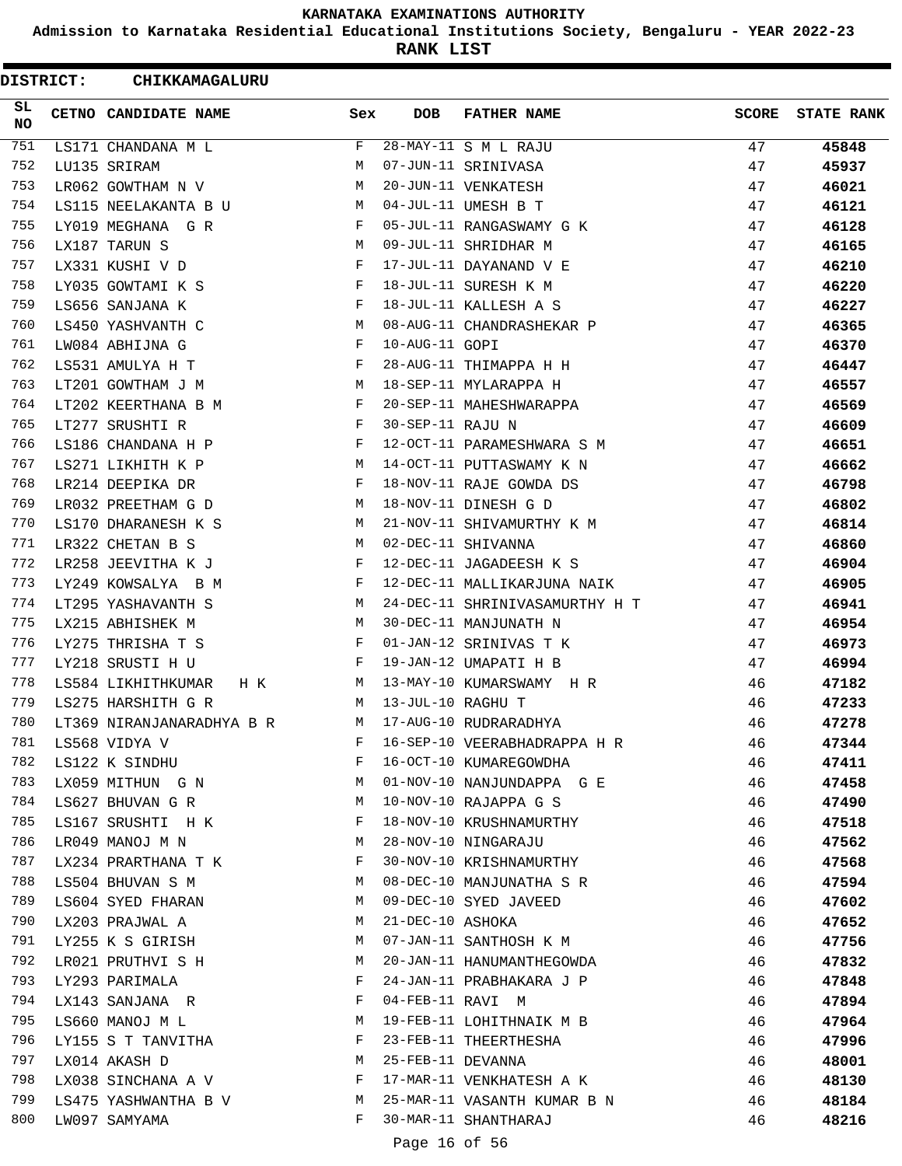**Admission to Karnataka Residential Educational Institutions Society, Bengaluru - YEAR 2022-23**

**RANK LIST**

 $\blacksquare$ 

| <b>DISTRICT:</b> | CHIKKAMAGALURU            |     |                   |                                |              |                   |
|------------------|---------------------------|-----|-------------------|--------------------------------|--------------|-------------------|
| SL<br>NO.        | CETNO CANDIDATE NAME      | Sex | <b>DOB</b>        | <b>FATHER NAME</b>             | <b>SCORE</b> | <b>STATE RANK</b> |
| 751              | LS171 CHANDANA M L        | F   |                   | 28-MAY-11 S M L RAJU           | 47           | 45848             |
| 752              | LU135 SRIRAM              | M   |                   | 07-JUN-11 SRINIVASA            | 47           | 45937             |
| 753              | LR062 GOWTHAM N V         | M   |                   | 20-JUN-11 VENKATESH            | 47           | 46021             |
| 754              | LS115 NEELAKANTA B U      | M   |                   | 04-JUL-11 UMESH B T            | 47           | 46121             |
| 755              | LY019 MEGHANA G R         | F   |                   | 05-JUL-11 RANGASWAMY G K       | 47           | 46128             |
| 756              | LX187 TARUN S             | M   |                   | 09-JUL-11 SHRIDHAR M           | 47           | 46165             |
| 757              | LX331 KUSHI V D           | F   |                   | 17-JUL-11 DAYANAND V E         | 47           | 46210             |
| 758              | LY035 GOWTAMI K S         | F   |                   | 18-JUL-11 SURESH K M           | 47           | 46220             |
| 759              | LS656 SANJANA K           | F   |                   | 18-JUL-11 KALLESH A S          | 47           | 46227             |
| 760              | LS450 YASHVANTH C         | М   |                   | 08-AUG-11 CHANDRASHEKAR P      | 47           | 46365             |
| 761              | LW084 ABHIJNA G           | F   | 10-AUG-11 GOPI    |                                | 47           | 46370             |
| 762              | LS531 AMULYA H T          | F   |                   | 28-AUG-11 THIMAPPA H H         | 47           | 46447             |
| 763              | LT201 GOWTHAM J M         | М   |                   | 18-SEP-11 MYLARAPPA H          | 47           | 46557             |
| 764              | LT202 KEERTHANA B M       | F   |                   | 20-SEP-11 MAHESHWARAPPA        | 47           | 46569             |
| 765              | LT277 SRUSHTI R           | F   | 30-SEP-11 RAJU N  |                                | 47           | 46609             |
| 766              | LS186 CHANDANA H P        | F   |                   | 12-OCT-11 PARAMESHWARA S M     | 47           | 46651             |
| 767              | LS271 LIKHITH K P         | М   |                   | 14-OCT-11 PUTTASWAMY K N       | 47           | 46662             |
| 768              | LR214 DEEPIKA DR          | F   |                   | 18-NOV-11 RAJE GOWDA DS        | 47           | 46798             |
| 769              | LR032 PREETHAM G D        | М   |                   | 18-NOV-11 DINESH G D           | 47           | 46802             |
| 770              | LS170 DHARANESH K S       | M   |                   | 21-NOV-11 SHIVAMURTHY K M      | 47           | 46814             |
| 771              | LR322 CHETAN B S          | M   |                   | 02-DEC-11 SHIVANNA             | 47           | 46860             |
| 772              | LR258 JEEVITHA K J        | F   |                   | 12-DEC-11 JAGADEESH K S        | 47           | 46904             |
| 773              | LY249 KOWSALYA B M        | F   |                   | 12-DEC-11 MALLIKARJUNA NAIK    | 47           | 46905             |
| 774              | LT295 YASHAVANTH S        | М   |                   | 24-DEC-11 SHRINIVASAMURTHY H T | 47           | 46941             |
| 775              | LX215 ABHISHEK M          | М   |                   | 30-DEC-11 MANJUNATH N          | 47           | 46954             |
| 776              | LY275 THRISHA T S         | F   |                   | 01-JAN-12 SRINIVAS T K         | 47           | 46973             |
| 777              | LY218 SRUSTI H U          | F   |                   | 19-JAN-12 UMAPATI H B          | 47           | 46994             |
| 778              | LS584 LIKHITHKUMAR<br>H K | M   |                   | 13-MAY-10 KUMARSWAMY H R       | 46           | 47182             |
| 779              | LS275 HARSHITH G R        | M   | 13-JUL-10 RAGHU T |                                | 46           | 47233             |
| 780              | LT369 NIRANJANARADHYA B R | M   |                   | 17-AUG-10 RUDRARADHYA          | 46           | 47278             |
| 781              | LS568 VIDYA V             | F   |                   | 16-SEP-10 VEERABHADRAPPA H R   | 46           | 47344             |
| 782              | LS122 K SINDHU            | F   |                   | 16-OCT-10 KUMAREGOWDHA         | 46           | 47411             |
| 783              | LX059 MITHUN G N          | M   |                   | 01-NOV-10 NANJUNDAPPA G E      | 46           | 47458             |
| 784              | LS627 BHUVAN G R          | M   |                   | 10-NOV-10 RAJAPPA G S          | 46           | 47490             |
| 785              | LS167 SRUSHTI H K         | F   |                   | 18-NOV-10 KRUSHNAMURTHY        | 46           | 47518             |
| 786              | LR049 MANOJ M N           | M   |                   | 28-NOV-10 NINGARAJU            | 46           | 47562             |
| 787              | LX234 PRARTHANA T K       | F   |                   | 30-NOV-10 KRISHNAMURTHY        | 46           | 47568             |
| 788              | LS504 BHUVAN S M          | M   |                   | 08-DEC-10 MANJUNATHA S R       | 46           | 47594             |
| 789              | LS604 SYED FHARAN         | М   |                   | 09-DEC-10 SYED JAVEED          | 46           | 47602             |
| 790              | LX203 PRAJWAL A           | М   | 21-DEC-10 ASHOKA  |                                | 46           | 47652             |
| 791              | LY255 K S GIRISH          | M   |                   | 07-JAN-11 SANTHOSH K M         | 46           | 47756             |
| 792              | LR021 PRUTHVI S H         | М   |                   | 20-JAN-11 HANUMANTHEGOWDA      | 46           | 47832             |
| 793              | LY293 PARIMALA            | F   |                   | 24-JAN-11 PRABHAKARA J P       | 46           | 47848             |
| 794              | LX143 SANJANA R           | F   | 04-FEB-11 RAVI M  |                                | 46           | 47894             |
| 795              | LS660 MANOJ M L           | M   |                   | 19-FEB-11 LOHITHNAIK M B       | 46           | 47964             |
| 796              | LY155 S T TANVITHA        | F   |                   | 23-FEB-11 THEERTHESHA          | 46           | 47996             |
| 797              | LX014 AKASH D             | M   | 25-FEB-11 DEVANNA |                                | 46           | 48001             |
| 798              | LX038 SINCHANA A V        | F   |                   | 17-MAR-11 VENKHATESH A K       | 46           | 48130             |
| 799              | LS475 YASHWANTHA B V      | M   |                   | 25-MAR-11 VASANTH KUMAR B N    | 46           | 48184             |
| 800              | LW097 SAMYAMA             | F   |                   | 30-MAR-11 SHANTHARAJ           | 46           | 48216             |
|                  |                           |     |                   |                                |              |                   |

Page 16 of 56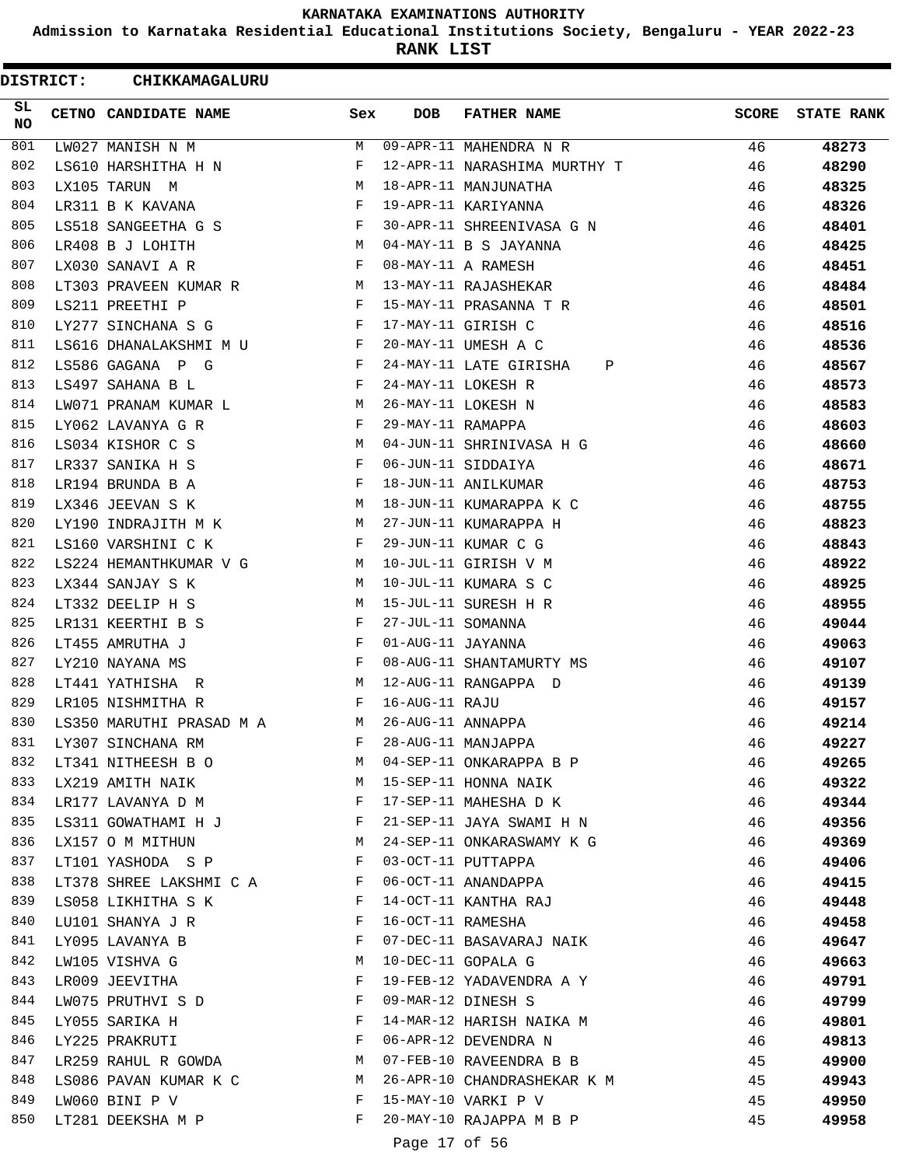**Admission to Karnataka Residential Educational Institutions Society, Bengaluru - YEAR 2022-23**

**RANK LIST**

| <b>DISTRICT:</b> | CHIKKAMAGALURU                           |              |                   |                                                 |              |                   |
|------------------|------------------------------------------|--------------|-------------------|-------------------------------------------------|--------------|-------------------|
| SL.<br>NO.       | CETNO CANDIDATE NAME                     | Sex          | <b>DOB</b>        | <b>FATHER NAME</b>                              | <b>SCORE</b> | <b>STATE RANK</b> |
| 801              | LW027 MANISH N M                         | M            |                   | 09-APR-11 MAHENDRA N R                          | 46           | 48273             |
| 802              | LS610 HARSHITHA H N                      | F            |                   | 12-APR-11 NARASHIMA MURTHY T                    | 46           | 48290             |
| 803              | LX105 TARUN M                            | М            |                   | 18-APR-11 MANJUNATHA                            | 46           | 48325             |
| 804              | LR311 B K KAVANA                         | F            |                   | 19-APR-11 KARIYANNA                             | 46           | 48326             |
| 805              | LS518 SANGEETHA G S                      | F            |                   | 30-APR-11 SHREENIVASA G N                       | 46           | 48401             |
| 806              | LR408 B J LOHITH                         | M            |                   | 04-MAY-11 B S JAYANNA                           | 46           | 48425             |
| 807              | LX030 SANAVI A R                         | F            |                   | 08-MAY-11 A RAMESH                              | 46           | 48451             |
| 808              | LT303 PRAVEEN KUMAR R                    | M            |                   | 13-MAY-11 RAJASHEKAR                            | 46           | 48484             |
| 809              | LS211 PREETHI P                          | F            |                   | 15-MAY-11 PRASANNA T R                          | 46           | 48501             |
| 810              | LY277 SINCHANA S G                       | F            |                   | 17-MAY-11 GIRISH C                              | 46           | 48516             |
| 811              | LS616 DHANALAKSHMI M U                   | F            |                   | 20-MAY-11 UMESH A C                             | 46           | 48536             |
| 812              | LS586 GAGANA P G                         | F            |                   | 24-MAY-11 LATE GIRISHA<br>Ρ                     | 46           | 48567             |
| 813              | LS497 SAHANA B L                         | F            |                   | 24-MAY-11 LOKESH R                              | 46           | 48573             |
| 814              | LW071 PRANAM KUMAR L                     | M            |                   | 26-MAY-11 LOKESH N                              | 46           | 48583             |
| 815              | LY062 LAVANYA G R                        | F            | 29-MAY-11 RAMAPPA |                                                 | 46           | 48603             |
| 816              | LS034 KISHOR C S                         | M            |                   | 04-JUN-11 SHRINIVASA H G                        | 46           | 48660             |
| 817              | LR337 SANIKA H S                         | F            |                   | 06-JUN-11 SIDDAIYA                              | 46           | 48671             |
| 818              | LR194 BRUNDA B A                         | F            |                   | 18-JUN-11 ANILKUMAR                             | 46           | 48753             |
| 819              | LX346 JEEVAN S K                         | М            |                   | 18-JUN-11 KUMARAPPA K C                         | 46           | 48755             |
| 820              | LY190 INDRAJITH M K                      | M            |                   | 27-JUN-11 KUMARAPPA H                           | 46           | 48823             |
| 821              | LS160 VARSHINI C K                       | F            |                   | 29-JUN-11 KUMAR C G                             | 46           | 48843             |
| 822              | LS224 HEMANTHKUMAR V G                   | М            |                   | 10-JUL-11 GIRISH V M                            | 46           | 48922             |
| 823              | LX344 SANJAY S K                         | M            |                   | 10-JUL-11 KUMARA S C                            | 46           | 48925             |
| 824              | LT332 DEELIP H S                         | M            |                   | 15-JUL-11 SURESH H R                            | 46           | 48955             |
| 825              | LR131 KEERTHI B S                        | F            | 27-JUL-11 SOMANNA |                                                 | 46           | 49044             |
| 826              | LT455 AMRUTHA J                          | F            | 01-AUG-11 JAYANNA |                                                 | 46           | 49063             |
| 827              | LY210 NAYANA MS                          | F            |                   | 08-AUG-11 SHANTAMURTY MS                        | 46           | 49107             |
| 828              | LT441 YATHISHA R                         | M            |                   | 12-AUG-11 RANGAPPA D                            | 46           | 49139             |
| 829              | LR105 NISHMITHA R                        | F            | 16-AUG-11 RAJU    |                                                 | 46           | 49157             |
| 830              | LS350 MARUTHI PRASAD M A                 | M            | 26-AUG-11 ANNAPPA |                                                 | 46           | 49214             |
| 831              | LY307 SINCHANA RM                        | F            |                   | 28-AUG-11 MANJAPPA                              | 46           | 49227             |
| 832              | LT341 NITHEESH B O                       | M            |                   | 04-SEP-11 ONKARAPPA B P                         | 46           | 49265             |
| 833              | $M_{\odot}$<br>LX219 AMITH NAIK          |              |                   | 15-SEP-11 HONNA NAIK                            | 46           | 49322             |
| 834              |                                          | F            |                   | 17-SEP-11 MAHESHA D K                           |              |                   |
| 835              | LR177 LAVANYA D M<br>LS311 GOWATHAMI H J |              |                   |                                                 | 46           | 49344             |
| 836              |                                          | $\mathbf{F}$ |                   | 21-SEP-11 JAYA SWAMI H N                        | 46           | 49356             |
| 837              | M <sub>1</sub><br>LX157 O M MITHUN       | F            |                   | 24-SEP-11 ONKARASWAMY K G<br>03-OCT-11 PUTTAPPA | 46           | 49369             |
| 838              | LT101 YASHODA S P                        |              |                   | 06-OCT-11 ANANDAPPA                             | 46           | 49406             |
|                  | LT378 SHREE LAKSHMI C A F                |              |                   |                                                 | 46           | 49415             |
| 839              | LS058 LIKHITHA S K                       | F            |                   | 14-OCT-11 KANTHA RAJ                            | 46           | 49448             |
| 840              | LU101 SHANYA J R                         | F            | 16-OCT-11 RAMESHA |                                                 | 46           | 49458             |
| 841              | LY095 LAVANYA B                          | $\mathbf{F}$ |                   | 07-DEC-11 BASAVARAJ NAIK                        | 46           | 49647             |
| 842              | LW105 VISHVA G                           | M            |                   | 10-DEC-11 GOPALA G                              | 46           | 49663             |
| 843              | LR009 JEEVITHA                           | F            |                   | 19-FEB-12 YADAVENDRA A Y                        | 46           | 49791             |
| 844              | LW075 PRUTHVI S D                        | F            |                   | 09-MAR-12 DINESH S                              | 46           | 49799             |
| 845              | LY055 SARIKA H                           | F            |                   | 14-MAR-12 HARISH NAIKA M                        | 46           | 49801             |
| 846              | LY225 PRAKRUTI                           | F            |                   | 06-APR-12 DEVENDRA N                            | 46           | 49813             |
| 847              | LR259 RAHUL R GOWDA                      | M            |                   | 07-FEB-10 RAVEENDRA B B                         | 45           | 49900             |
| 848              | LS086 PAVAN KUMAR K C                    | M            |                   | 26-APR-10 CHANDRASHEKAR K M                     | 45           | 49943             |
| 849              | LW060 BINI P V                           | F            |                   | 15-MAY-10 VARKI P V                             | 45           | 49950             |
| 850              | LT281 DEEKSHA M P                        | F            |                   | 20-MAY-10 RAJAPPA M B P                         | 45           | 49958             |

Page 17 of 56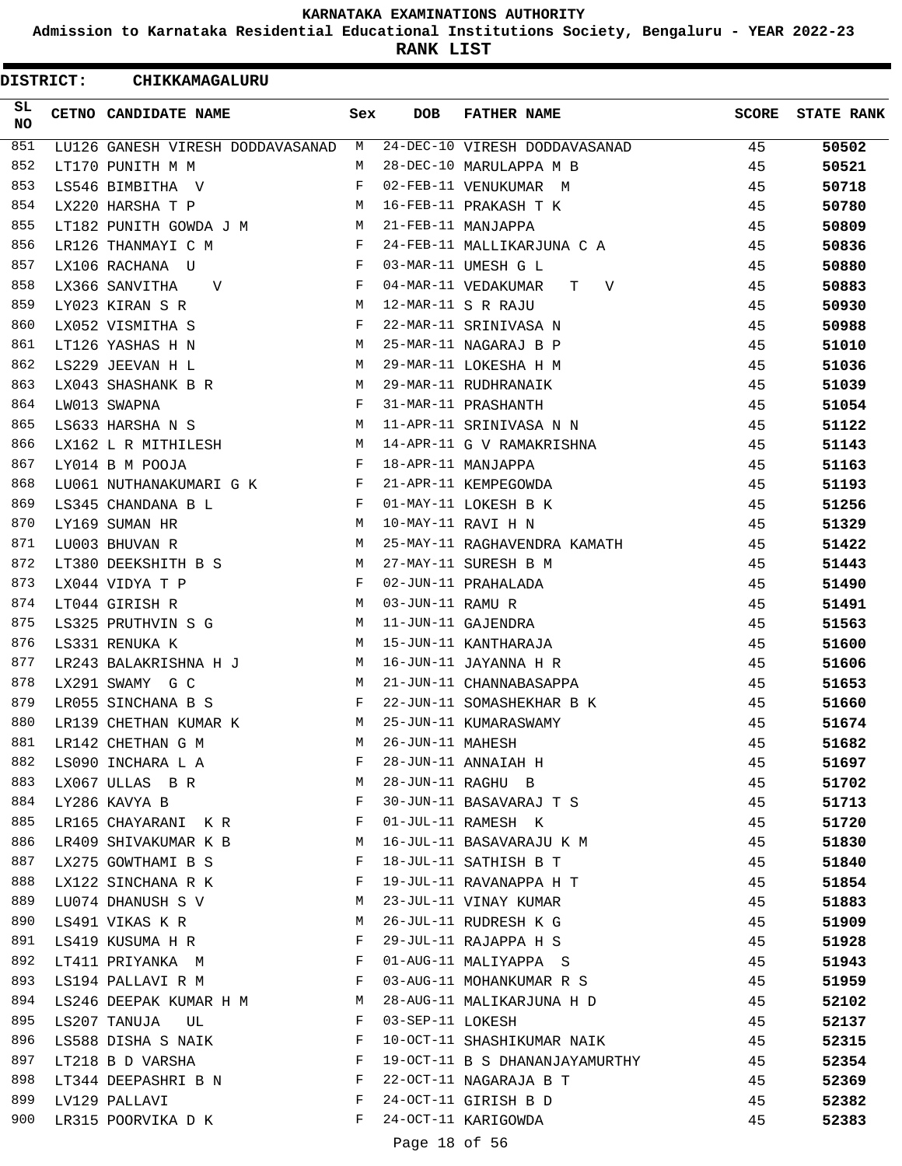**Admission to Karnataka Residential Educational Institutions Society, Bengaluru - YEAR 2022-23**

**RANK LIST**

| <b>DISTRICT:</b> |  | CHIKKAMAGALURU                   |     |                  |                                 |              |                   |
|------------------|--|----------------------------------|-----|------------------|---------------------------------|--------------|-------------------|
| SL<br><b>NO</b>  |  | CETNO CANDIDATE NAME             | Sex | <b>DOB</b>       | <b>FATHER NAME</b>              | <b>SCORE</b> | <b>STATE RANK</b> |
| 851              |  | LU126 GANESH VIRESH DODDAVASANAD | М   |                  | 24-DEC-10 VIRESH DODDAVASANAD   | 45           | 50502             |
| 852              |  | LT170 PUNITH M M                 | M   |                  | 28-DEC-10 MARULAPPA M B         | 45           | 50521             |
| 853              |  | LS546 BIMBITHA V                 | F   |                  | 02-FEB-11 VENUKUMAR M           | 45           | 50718             |
| 854              |  | LX220 HARSHA T P                 | М   |                  | 16-FEB-11 PRAKASH T K           | 45           | 50780             |
| 855              |  | LT182 PUNITH GOWDA J M           | М   |                  | 21-FEB-11 MANJAPPA              | 45           | 50809             |
| 856              |  | LR126 THANMAYI C M               | F   |                  | 24-FEB-11 MALLIKARJUNA C A      | 45           | 50836             |
| 857              |  | LX106 RACHANA U                  | F   |                  | 03-MAR-11 UMESH G L             | 45           | 50880             |
| 858              |  | LX366 SANVITHA<br>V              | F   |                  | 04-MAR-11 VEDAKUMAR<br>T –<br>V | 45           | 50883             |
| 859              |  | LY023 KIRAN S R                  | М   |                  | 12-MAR-11 S R RAJU              | 45           | 50930             |
| 860              |  | LX052 VISMITHA S                 | F   |                  | 22-MAR-11 SRINIVASA N           | 45           | 50988             |
| 861              |  | LT126 YASHAS H N                 | М   |                  | 25-MAR-11 NAGARAJ B P           | 45           | 51010             |
| 862              |  | LS229 JEEVAN H L                 | М   |                  | 29-MAR-11 LOKESHA H M           | 45           | 51036             |
| 863              |  | LX043 SHASHANK B R               | М   |                  | 29-MAR-11 RUDHRANAIK            | 45           | 51039             |
| 864              |  | LW013 SWAPNA                     | F   |                  | 31-MAR-11 PRASHANTH             | 45           | 51054             |
| 865              |  | LS633 HARSHA N S                 | М   |                  | 11-APR-11 SRINIVASA N N         | 45           | 51122             |
| 866              |  | LX162 L R MITHILESH              | М   |                  | 14-APR-11 G V RAMAKRISHNA       | 45           | 51143             |
| 867              |  | LY014 B M POOJA                  | F   |                  | 18-APR-11 MANJAPPA              | 45           | 51163             |
| 868              |  | LU061 NUTHANAKUMARI G K          | F   |                  | 21-APR-11 KEMPEGOWDA            | 45           | 51193             |
| 869              |  | LS345 CHANDANA B L               | F   |                  | 01-MAY-11 LOKESH B K            | 45           | 51256             |
| 870              |  | LY169 SUMAN HR                   | М   |                  | 10-MAY-11 RAVI H N              | 45           | 51329             |
| 871              |  | LU003 BHUVAN R                   | М   |                  | 25-MAY-11 RAGHAVENDRA KAMATH    | 45           | 51422             |
| 872              |  | LT380 DEEKSHITH B S              | М   |                  | 27-MAY-11 SURESH B M            | 45           | 51443             |
| 873              |  | LX044 VIDYA T P                  | F   |                  | 02-JUN-11 PRAHALADA             | 45           | 51490             |
| 874              |  | LT044 GIRISH R                   | М   | 03-JUN-11 RAMU R |                                 | 45           | 51491             |
| 875              |  | LS325 PRUTHVIN S G               | М   |                  | 11-JUN-11 GAJENDRA              | 45           | 51563             |
| 876              |  | LS331 RENUKA K                   | М   |                  | 15-JUN-11 KANTHARAJA            | 45           | 51600             |
| 877              |  | LR243 BALAKRISHNA H J            | M   |                  | 16-JUN-11 JAYANNA H R           | 45           | 51606             |
| 878              |  | LX291 SWAMY G C                  | М   |                  | 21-JUN-11 CHANNABASAPPA         | 45           | 51653             |
| 879              |  | LR055 SINCHANA B S               | F   |                  | 22-JUN-11 SOMASHEKHAR B K       | 45           | 51660             |
| 880              |  | LR139 CHETHAN KUMAR K            | M   |                  | 25-JUN-11 KUMARASWAMY           | 45           | 51674             |
| 881              |  | LR142 CHETHAN G M                | М   | 26-JUN-11 MAHESH |                                 | 45           | 51682             |
| 882              |  | LS090 INCHARA L A                | F   |                  | 28-JUN-11 ANNAIAH H             | 45           | 51697             |
| 883              |  | LX067 ULLAS B R                  | M   |                  | 28-JUN-11 RAGHU B               | 45           | 51702             |
| 884              |  | LY286 KAVYA B                    | F   |                  | 30-JUN-11 BASAVARAJ T S         | 45           | 51713             |
| 885              |  | LR165 CHAYARANI KR               | F   |                  | 01-JUL-11 RAMESH K              | 45           | 51720             |
| 886              |  | LR409 SHIVAKUMAR K B             | М   |                  | 16-JUL-11 BASAVARAJU K M        | 45           | 51830             |
| 887              |  | LX275 GOWTHAMI B S               | F   |                  | 18-JUL-11 SATHISH B T           | 45           | 51840             |
| 888              |  | LX122 SINCHANA R K               | F   |                  | 19-JUL-11 RAVANAPPA H T         | 45           | 51854             |
| 889              |  | LU074 DHANUSH S V                | М   |                  | 23-JUL-11 VINAY KUMAR           | 45           | 51883             |
| 890              |  | LS491 VIKAS K R                  | М   |                  | 26-JUL-11 RUDRESH K G           | 45           | 51909             |
| 891              |  | LS419 KUSUMA H R                 | F   |                  | 29-JUL-11 RAJAPPA H S           | 45           | 51928             |
| 892              |  | LT411 PRIYANKA M                 | F   |                  | 01-AUG-11 MALIYAPPA S           | 45           | 51943             |
| 893              |  | LS194 PALLAVI R M                | F   |                  | 03-AUG-11 MOHANKUMAR R S        | 45           | 51959             |
| 894              |  | LS246 DEEPAK KUMAR H M           | M   |                  | 28-AUG-11 MALIKARJUNA H D       | 45           | 52102             |
| 895              |  | LS207 TANUJA<br>UL               | F   | 03-SEP-11 LOKESH |                                 | 45           | 52137             |
| 896              |  | LS588 DISHA S NAIK               | F   |                  | 10-OCT-11 SHASHIKUMAR NAIK      | 45           | 52315             |
| 897              |  | LT218 B D VARSHA                 | F   |                  | 19-OCT-11 B S DHANANJAYAMURTHY  | 45           | 52354             |
| 898              |  | LT344 DEEPASHRI B N              | F   |                  | 22-OCT-11 NAGARAJA B T          | 45           | 52369             |
| 899              |  | LV129 PALLAVI                    | F   |                  | 24-OCT-11 GIRISH B D            | 45           | 52382             |
| 900              |  | LR315 POORVIKA D K               | F   |                  | 24-OCT-11 KARIGOWDA             | 45           | 52383             |
|                  |  |                                  |     | Page 18 of 56    |                                 |              |                   |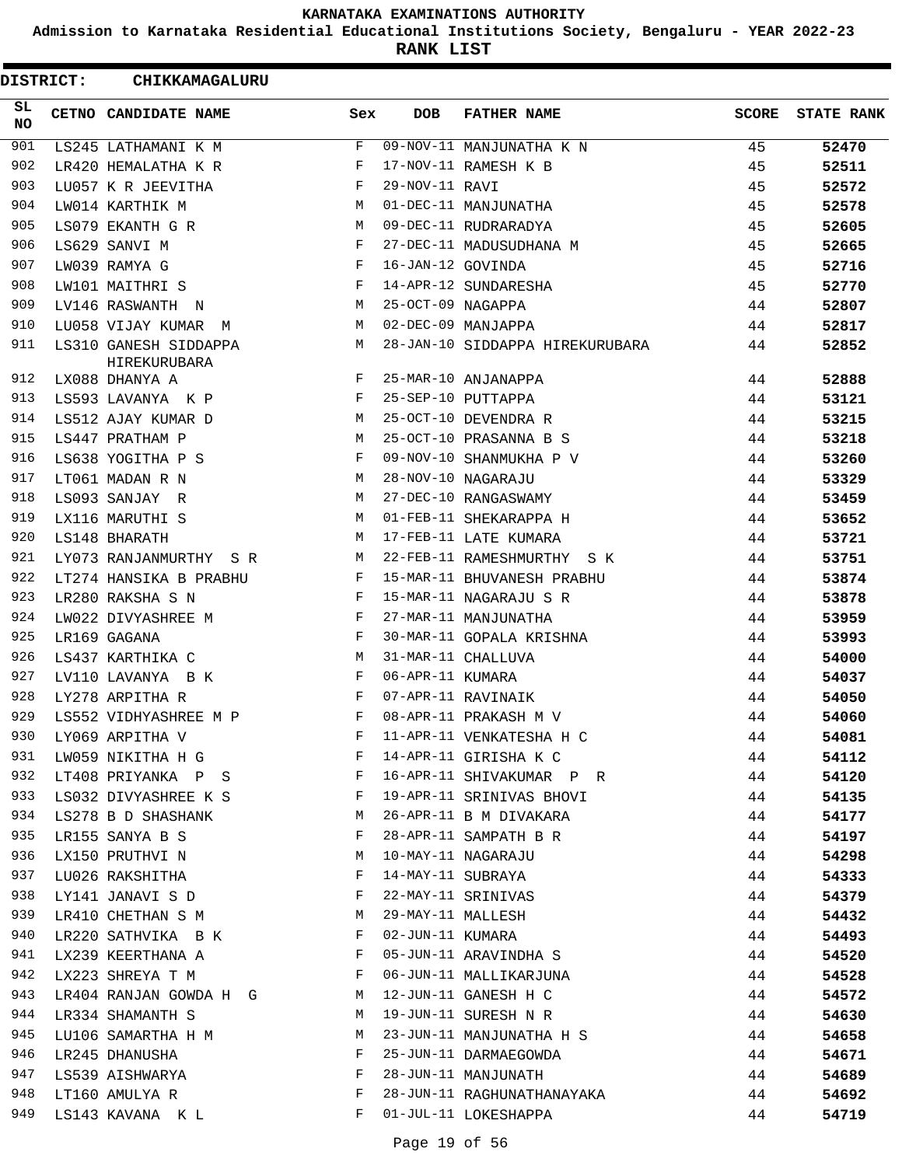**Admission to Karnataka Residential Educational Institutions Society, Bengaluru - YEAR 2022-23**

**RANK LIST**

| <b>DISTRICT:</b> | CHIKKAMAGALURU                        |          |                   |                                 |              |                   |
|------------------|---------------------------------------|----------|-------------------|---------------------------------|--------------|-------------------|
| SL.<br>NO.       | CETNO CANDIDATE NAME                  | Sex      | <b>DOB</b>        | <b>FATHER NAME</b>              | <b>SCORE</b> | <b>STATE RANK</b> |
| 901              | LS245 LATHAMANI K M                   | F        |                   | 09-NOV-11 MANJUNATHA K N        | 45           | 52470             |
| 902              | LR420 HEMALATHA K R                   | F        |                   | 17-NOV-11 RAMESH K B            | 45           | 52511             |
| 903              | LU057 K R JEEVITHA                    | F        | 29-NOV-11 RAVI    |                                 | 45           | 52572             |
| 904              | LW014 KARTHIK M                       | М        |                   | 01-DEC-11 MANJUNATHA            | 45           | 52578             |
| 905              | LS079 EKANTH G R                      | M        |                   | 09-DEC-11 RUDRARADYA            | 45           | 52605             |
| 906              | LS629 SANVI M                         | F        |                   | 27-DEC-11 MADUSUDHANA M         | 45           | 52665             |
| 907              | LW039 RAMYA G                         | F        | 16-JAN-12 GOVINDA |                                 | 45           | 52716             |
| 908              | LW101 MAITHRI S                       | F        |                   | 14-APR-12 SUNDARESHA            | 45           | 52770             |
| 909              | LV146 RASWANTH N                      | M        | 25-OCT-09 NAGAPPA |                                 | 44           | 52807             |
| 910              | LU058 VIJAY KUMAR M                   | M        |                   | 02-DEC-09 MANJAPPA              | 44           | 52817             |
| 911              | LS310 GANESH SIDDAPPA<br>HIREKURUBARA | М        |                   | 28-JAN-10 SIDDAPPA HIREKURUBARA | 44           | 52852             |
| 912              | LX088 DHANYA A                        | F        |                   | 25-MAR-10 ANJANAPPA             | 44           | 52888             |
| 913              | LS593 LAVANYA K P                     | F        |                   | 25-SEP-10 PUTTAPPA              | 44           | 53121             |
| 914              | LS512 AJAY KUMAR D                    | М        |                   | 25-OCT-10 DEVENDRA R            | 44           | 53215             |
| 915              | LS447 PRATHAM P                       | M        |                   | 25-OCT-10 PRASANNA B S          | 44           | 53218             |
| 916              | LS638 YOGITHA P S                     | F        |                   | 09-NOV-10 SHANMUKHA P V         | 44           | 53260             |
| 917              | LT061 MADAN R N                       | M        |                   | 28-NOV-10 NAGARAJU              | 44           | 53329             |
| 918              | LS093 SANJAY R                        | М        |                   | 27-DEC-10 RANGASWAMY            | 44           | 53459             |
| 919              | LX116 MARUTHI S                       | М        |                   | 01-FEB-11 SHEKARAPPA H          | 44           | 53652             |
| 920              | LS148 BHARATH                         | M        |                   | 17-FEB-11 LATE KUMARA           | 44           | 53721             |
| 921              | LY073 RANJANMURTHY SR                 | М        |                   | 22-FEB-11 RAMESHMURTHY S K      | 44           | 53751             |
| 922              | LT274 HANSIKA B PRABHU                | F        |                   | 15-MAR-11 BHUVANESH PRABHU      | 44           | 53874             |
| 923              | LR280 RAKSHA S N                      | F        |                   | 15-MAR-11 NAGARAJU S R          | 44           | 53878             |
| 924              | LW022 DIVYASHREE M                    | F        |                   | 27-MAR-11 MANJUNATHA            | 44           | 53959             |
| 925              | LR169 GAGANA                          | F        |                   | 30-MAR-11 GOPALA KRISHNA        | 44           | 53993             |
| 926              | LS437 KARTHIKA C                      | М        |                   | 31-MAR-11 CHALLUVA              | 44           | 54000             |
| 927              | LV110 LAVANYA B K                     | F        | 06-APR-11 KUMARA  |                                 | 44           | 54037             |
| 928              | LY278 ARPITHA R                       | F        |                   | 07-APR-11 RAVINAIK              | 44           | 54050             |
| 929              | LS552 VIDHYASHREE M P                 | F        |                   | 08-APR-11 PRAKASH M V           | 44           | 54060             |
| 930              | LY069 ARPITHA V                       | F        |                   | 11-APR-11 VENKATESHA H C        | 44           | 54081             |
| 931              | LW059 NIKITHA H G                     | F        |                   | 14-APR-11 GIRISHA K C           | 44           | 54112             |
| 932              | LT408 PRIYANKA P S                    | F        |                   | 16-APR-11 SHIVAKUMAR P R        | 44           | 54120             |
| 933              | LS032 DIVYASHREE K S                  | F        |                   | 19-APR-11 SRINIVAS BHOVI        | 44           | 54135             |
| 934              | LS278 B D SHASHANK                    | M        |                   | 26-APR-11 B M DIVAKARA          | 44           | 54177             |
| 935              | LR155 SANYA B S                       | F        |                   | 28-APR-11 SAMPATH B R           | 44           | 54197             |
| 936              | LX150 PRUTHVI N                       | M        |                   | 10-MAY-11 NAGARAJU              | 44           | 54298             |
| 937              | LU026 RAKSHITHA                       | F        | 14-MAY-11 SUBRAYA |                                 | 44           | 54333             |
| 938              | LY141 JANAVI S D                      | F        |                   | 22-MAY-11 SRINIVAS              | 44           | 54379             |
| 939              | LR410 CHETHAN S M                     | M        | 29-MAY-11 MALLESH |                                 | 44           | 54432             |
| 940              | LR220 SATHVIKA B K                    | F        | 02-JUN-11 KUMARA  |                                 | 44           | 54493             |
| 941              | LX239 KEERTHANA A                     | F        |                   | 05-JUN-11 ARAVINDHA S           | 44           | 54520             |
| 942              | LX223 SHREYA T M                      | F        |                   | 06-JUN-11 MALLIKARJUNA          | 44           | 54528             |
| 943              | LR404 RANJAN GOWDA H G                | <b>M</b> |                   | 12-JUN-11 GANESH H C            | 44           | 54572             |
| 944              | LR334 SHAMANTH S                      | M        |                   | 19-JUN-11 SURESH N R            | 44           | 54630             |
| 945              | LU106 SAMARTHA H M                    | М        |                   | 23-JUN-11 MANJUNATHA H S        | 44           | 54658             |
| 946              | LR245 DHANUSHA                        | F        |                   | 25-JUN-11 DARMAEGOWDA           | 44           | 54671             |
| 947              | LS539 AISHWARYA                       | F        |                   | 28-JUN-11 MANJUNATH             | 44           | 54689             |
| 948              | LT160 AMULYA R                        | F        |                   | 28-JUN-11 RAGHUNATHANAYAKA      | 44           | 54692             |
| 949              | LS143 KAVANA K L                      | F        |                   | 01-JUL-11 LOKESHAPPA            | 44           | 54719             |
|                  |                                       |          |                   |                                 |              |                   |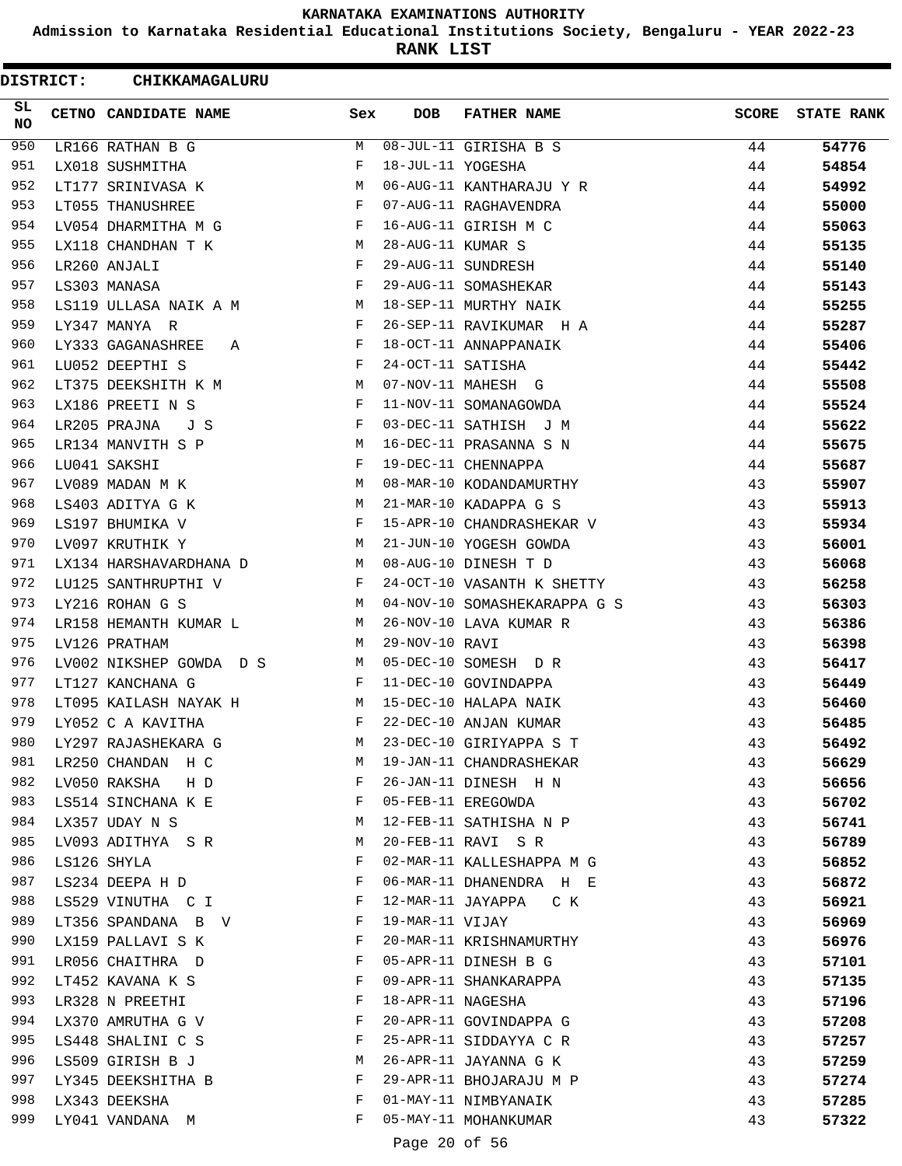**Admission to Karnataka Residential Educational Institutions Society, Bengaluru - YEAR 2022-23**

**RANK LIST**

| <b>DISTRICT:</b> | CHIKKAMAGALURU                                 |              |                   |                              |              |                   |
|------------------|------------------------------------------------|--------------|-------------------|------------------------------|--------------|-------------------|
| SL<br>NO         | CETNO CANDIDATE NAME                           | Sex          | <b>DOB</b>        | <b>FATHER NAME</b>           | <b>SCORE</b> | <b>STATE RANK</b> |
| 950              | LR166 RATHAN B G                               | M            |                   | 08-JUL-11 GIRISHA B S        | 44           | 54776             |
| 951              | LX018 SUSHMITHA                                | F            | 18-JUL-11 YOGESHA |                              | 44           | 54854             |
| 952              | LT177 SRINIVASA K                              | M            |                   | 06-AUG-11 KANTHARAJU Y R     | 44           | 54992             |
| 953              | LT055 THANUSHREE                               | $\mathbf{F}$ |                   | 07-AUG-11 RAGHAVENDRA        | 44           | 55000             |
| 954              | LV054 DHARMITHA M G                            | F            |                   | 16-AUG-11 GIRISH M C         | 44           | 55063             |
| 955              | LX118 CHANDHAN T K M                           |              | 28-AUG-11 KUMAR S |                              | 44           | 55135             |
| 956              | LR260 ANJALI                                   | F            |                   | 29-AUG-11 SUNDRESH           | 44           | 55140             |
| 957              | LS303 MANASA                                   | F            |                   | 29-AUG-11 SOMASHEKAR         | 44           | 55143             |
| 958              | LS119 ULLASA NAIK A M                          | M            |                   | 18-SEP-11 MURTHY NAIK        | 44           | 55255             |
| 959              | LY347 MANYA R                                  | F            |                   | 26-SEP-11 RAVIKUMAR H A      | 44           | 55287             |
| 960              | LY333 GAGANASHREE<br>A                         | F            |                   | 18-OCT-11 ANNAPPANAIK        | 44           | 55406             |
| 961              | LU052 DEEPTHI S                                | F            | 24-OCT-11 SATISHA |                              | 44           | 55442             |
| 962              | LT375 DEEKSHITH K M                            | M            |                   | 07-NOV-11 MAHESH G           | 44           | 55508             |
| 963              | LX186 PREETI N S                               | F            |                   | 11-NOV-11 SOMANAGOWDA        | 44           | 55524             |
| 964              | LR205 PRAJNA<br>JS                             | F            |                   | 03-DEC-11 SATHISH J M        | 44           | 55622             |
| 965              | LR134 MANVITH S P                              | М            |                   | 16-DEC-11 PRASANNA S N       | 44           | 55675             |
| 966              | LU041 SAKSHI                                   | F            |                   | 19-DEC-11 CHENNAPPA          | 44           | 55687             |
| 967              | LV089 MADAN M K                                | M            |                   | 08-MAR-10 KODANDAMURTHY      | 43           | 55907             |
| 968              | LS403 ADITYA G K                               | M            |                   | 21-MAR-10 KADAPPA G S        | 43           | 55913             |
| 969              | LS197 BHUMIKA V                                | $\mathbf{F}$ |                   | 15-APR-10 CHANDRASHEKAR V    | 43           | 55934             |
| 970              | LV097 KRUTHIK Y                                | M            |                   | 21-JUN-10 YOGESH GOWDA       | 43           | 56001             |
| 971              | LX134 HARSHAVARDHANA D                         | M            |                   | 08-AUG-10 DINESH T D         | 43           | 56068             |
| 972              | LU125 SANTHRUPTHI V                            | F            |                   | 24-OCT-10 VASANTH K SHETTY   | 43           | 56258             |
| 973              | LY216 ROHAN G S                                | M            |                   | 04-NOV-10 SOMASHEKARAPPA G S | 43           | 56303             |
| 974              | LR158 HEMANTH KUMAR L                          | M            |                   | 26-NOV-10 LAVA KUMAR R       | 43           | 56386             |
| 975              | LV126 PRATHAM                                  | M            | 29-NOV-10 RAVI    |                              | 43           | 56398             |
| 976              | LV002 NIKSHEP GOWDA D S                        | M            |                   | 05-DEC-10 SOMESH D R         | 43           | 56417             |
| 977              | LT127 KANCHANA G                               | $\mathbf{F}$ |                   | 11-DEC-10 GOVINDAPPA         | 43           | 56449             |
| 978              | LT095 KAILASH NAYAK H                          | М            |                   | 15-DEC-10 HALAPA NAIK        | 43           | 56460             |
| 979              | LY052 C A KAVITHA                              | F            |                   | 22-DEC-10 ANJAN KUMAR        | 43           | 56485             |
| 980              | LY297 RAJASHEKARA G                            | M            |                   | 23-DEC-10 GIRIYAPPA S T      | 43           | 56492             |
| 981              | LR250 CHANDAN H C                              | M            |                   | 19-JAN-11 CHANDRASHEKAR      | 43           | 56629             |
| 982              | LV050 RAKSHA H D                               | F            |                   | 26-JAN-11 DINESH H N         | 43           | 56656             |
| 983              | LS514 SINCHANA K E                             | F            |                   | 05-FEB-11 EREGOWDA           | 43           | 56702             |
| 984              | LX357 UDAY N S                                 | M            |                   | 12-FEB-11 SATHISHA N P       | 43           | 56741             |
| 985              | LV093 ADITHYA SR                               | M            |                   | 20-FEB-11 RAVI S R           | 43           | 56789             |
| 986              | LS126 SHYLA                                    | F            |                   | 02-MAR-11 KALLESHAPPA M G    | 43           | 56852             |
| 987              | LS234 DEEPA H D                                | F            |                   | 06-MAR-11 DHANENDRA H E      | 43           | 56872             |
| 988              | LS529 VINUTHA C I<br>and the state of the Fig. |              |                   | 12-MAR-11 JAYAPPA CK         | 43           | 56921             |
| 989              | LT356 SPANDANA B V                             | $\mathbf{F}$ | 19-MAR-11 VIJAY   |                              | 43           | 56969             |
| 990              | LX159 PALLAVI S K                              | F            |                   | 20-MAR-11 KRISHNAMURTHY      | 43           | 56976             |
| 991              | LR056 CHAITHRA D                               | F            |                   | 05-APR-11 DINESH B G         | 43           | 57101             |
| 992              | LT452 KAVANA K S                               | F            |                   | 09-APR-11 SHANKARAPPA        | 43           | 57135             |
| 993              | LR328 N PREETHI                                | F            | 18-APR-11 NAGESHA |                              | 43           | 57196             |
| 994              | LX370 AMRUTHA G V                              | F            |                   | 20-APR-11 GOVINDAPPA G       | 43           | 57208             |
| 995              | LS448 SHALINI C S                              | F            |                   | 25-APR-11 SIDDAYYA C R       | 43           | 57257             |
| 996              | LS509 GIRISH B J                               | M            |                   | 26-APR-11 JAYANNA G K        | 43           | 57259             |
| 997              | LY345 DEEKSHITHA B                             | F            |                   | 29-APR-11 BHOJARAJU M P      | 43           | 57274             |
| 998              | LX343 DEEKSHA                                  | F            |                   | 01-MAY-11 NIMBYANAIK         | 43           | 57285             |
| 999              | LY041 VANDANA M                                | F            |                   | 05-MAY-11 MOHANKUMAR         | 43           | 57322             |
|                  |                                                |              | Page 20 of 56     |                              |              |                   |
|                  |                                                |              |                   |                              |              |                   |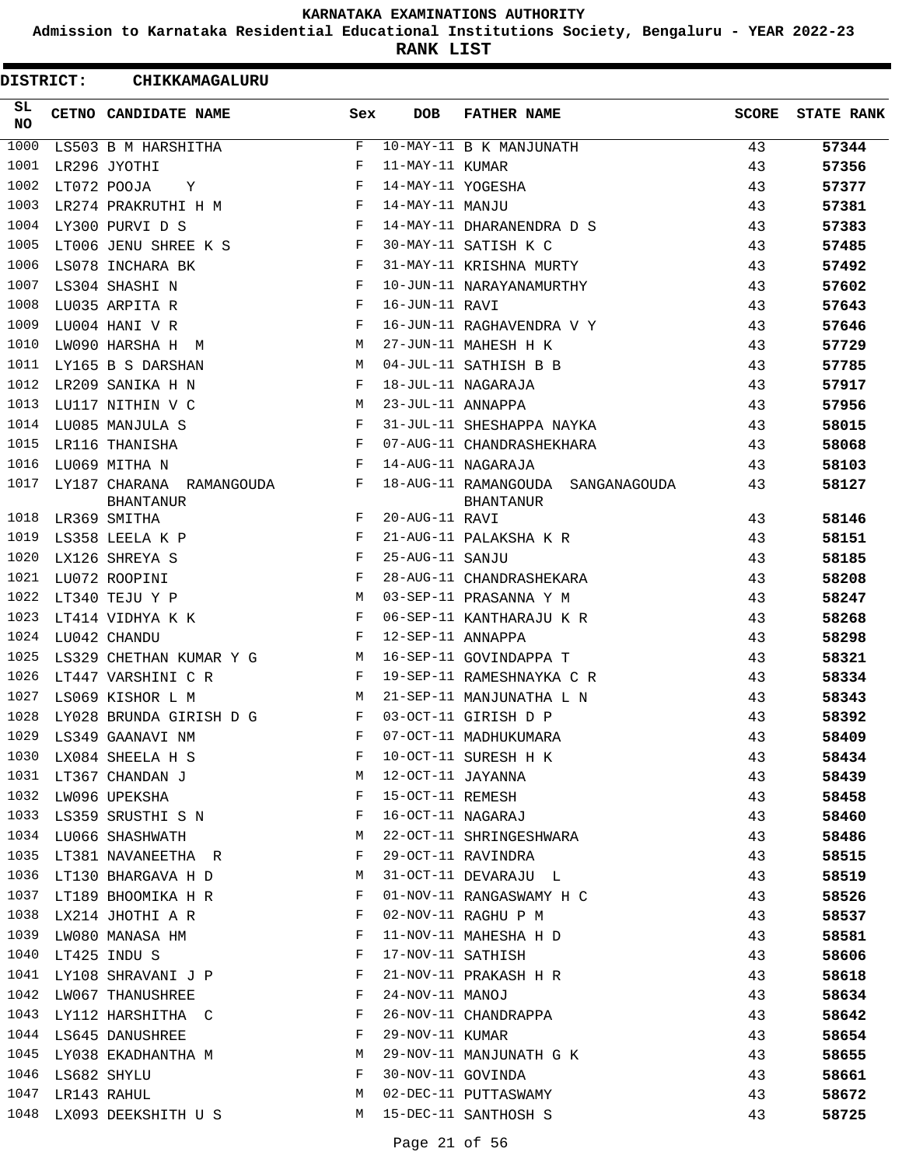**Admission to Karnataka Residential Educational Institutions Society, Bengaluru - YEAR 2022-23**

**RANK LIST**

| <b>DISTRICT:</b> | CHIKKAMAGALURU                               |            |                   |                                                |              |                   |
|------------------|----------------------------------------------|------------|-------------------|------------------------------------------------|--------------|-------------------|
| SL.<br><b>NO</b> | CETNO CANDIDATE NAME                         | Sex        | <b>DOB</b>        | <b>FATHER NAME</b>                             | <b>SCORE</b> | <b>STATE RANK</b> |
| 1000             | LS503 B M HARSHITHA                          | F          |                   | 10-MAY-11 B K MANJUNATH                        | 43           | 57344             |
| 1001             | LR296 JYOTHI                                 | F          | 11-MAY-11 KUMAR   |                                                | 43           | 57356             |
| 1002             | LT072 POOJA<br>Υ                             | F          | 14-MAY-11 YOGESHA |                                                | 43           | 57377             |
| 1003             | LR274 PRAKRUTHI H M                          | F          | 14-MAY-11 MANJU   |                                                | 43           | 57381             |
| 1004             | LY300 PURVI D S                              | F          |                   | 14-MAY-11 DHARANENDRA D S                      | 43           | 57383             |
| 1005             | LT006 JENU SHREE K S                         | F          |                   | 30-MAY-11 SATISH K C                           | 43           | 57485             |
| 1006             | LS078 INCHARA BK                             | F          |                   | 31-MAY-11 KRISHNA MURTY                        | 43           | 57492             |
| 1007             | LS304 SHASHI N                               | F          |                   | 10-JUN-11 NARAYANAMURTHY                       | 43           | 57602             |
| 1008             | LU035 ARPITA R                               | F          | 16-JUN-11 RAVI    |                                                | 43           | 57643             |
| 1009             | LU004 HANI V R                               | F          |                   | 16-JUN-11 RAGHAVENDRA V Y                      | 43           | 57646             |
| 1010             | LW090 HARSHA H M                             | M          |                   | 27-JUN-11 MAHESH H K                           | 43           | 57729             |
| 1011             | LY165 B S DARSHAN                            | M          |                   | 04-JUL-11 SATHISH B B                          | 43           | 57785             |
| 1012             | LR209 SANIKA H N                             | F          |                   | 18-JUL-11 NAGARAJA                             | 43           | 57917             |
| 1013             | LU117 NITHIN V C                             | М          | 23-JUL-11 ANNAPPA |                                                | 43           | 57956             |
| 1014             | LU085 MANJULA S                              | F          |                   | 31-JUL-11 SHESHAPPA NAYKA                      | 43           | 58015             |
| 1015             | LR116 THANISHA                               | F          |                   | 07-AUG-11 CHANDRASHEKHARA                      | 43           | 58068             |
| 1016             | LU069 MITHA N                                | F          |                   | 14-AUG-11 NAGARAJA                             | 43           | 58103             |
| 1017             | LY187 CHARANA RAMANGOUDA<br><b>BHANTANUR</b> | F          |                   | 18-AUG-11 RAMANGOUDA SANGANAGOUDA<br>BHANTANUR | 43           | 58127             |
| 1018             | LR369 SMITHA                                 | F          | 20-AUG-11 RAVI    |                                                | 43           | 58146             |
| 1019             | LS358 LEELA K P                              | $_{\rm F}$ |                   | 21-AUG-11 PALAKSHA K R                         | 43           | 58151             |
| 1020             | LX126 SHREYA S                               | F          | 25-AUG-11 SANJU   |                                                | 43           | 58185             |
| 1021             | LU072 ROOPINI                                | F          |                   | 28-AUG-11 CHANDRASHEKARA                       | 43           | 58208             |
| 1022             | LT340 TEJU Y P                               | M          |                   | 03-SEP-11 PRASANNA Y M                         | 43           | 58247             |
| 1023             | LT414 VIDHYA K K                             | F          |                   | 06-SEP-11 KANTHARAJU K R                       | 43           | 58268             |
| 1024             | LU042 CHANDU                                 | F          | 12-SEP-11 ANNAPPA |                                                | 43           | 58298             |
| 1025             | LS329 CHETHAN KUMAR Y G                      | M          |                   | 16-SEP-11 GOVINDAPPA T                         | 43           | 58321             |
| 1026             | LT447 VARSHINI C R                           | F          |                   | 19-SEP-11 RAMESHNAYKA C R                      | 43           | 58334             |
| 1027             | LS069 KISHOR L M                             | М          |                   | 21-SEP-11 MANJUNATHA L N                       | 43           | 58343             |
| 1028             | LY028 BRUNDA GIRISH D G                      | F          |                   | 03-OCT-11 GIRISH D P                           | 43           | 58392             |
| 1029             | LS349 GAANAVI NM                             |            |                   | 07-OCT-11 MADHUKUMARA                          | 43           | 58409             |
| 1030             | LX084 SHEELA H S                             | F          |                   | 10-OCT-11 SURESH H K                           | 43           | 58434             |
| 1031             | LT367 CHANDAN J                              | М          | 12-OCT-11 JAYANNA |                                                | 43           | 58439             |
| 1032             | LW096 UPEKSHA                                | F          | 15-OCT-11 REMESH  |                                                | 43           | 58458             |
| 1033             | LS359 SRUSTHI S N                            | F          | 16-OCT-11 NAGARAJ |                                                | 43           | 58460             |
| 1034             | LU066 SHASHWATH                              | М          |                   | 22-OCT-11 SHRINGESHWARA                        | 43           | 58486             |
| 1035             | LT381 NAVANEETHA R                           | F          |                   | 29-OCT-11 RAVINDRA                             | 43           | 58515             |
| 1036             | LT130 BHARGAVA H D                           | М          |                   | 31-OCT-11 DEVARAJU L                           | 43           | 58519             |
| 1037             | LT189 BHOOMIKA H R                           | F          |                   | 01-NOV-11 RANGASWAMY H C                       | 43           | 58526             |
| 1038             | LX214 JHOTHI A R                             | F          |                   | 02-NOV-11 RAGHU P M                            | 43           | 58537             |
|                  | 1039 LW080 MANASA HM                         | F          |                   | 11-NOV-11 MAHESHA H D                          | 43           | 58581             |
| 1040             | LT425 INDU S                                 | F          | 17-NOV-11 SATHISH |                                                | 43           | 58606             |
| 1041             | LY108 SHRAVANI J P                           | F          |                   | 21-NOV-11 PRAKASH H R                          | 43           | 58618             |
| 1042             | LW067 THANUSHREE                             | F          | 24-NOV-11 MANOJ   |                                                | 43           | 58634             |
| 1043             | LY112 HARSHITHA C                            | F          |                   | 26-NOV-11 CHANDRAPPA                           | 43           | 58642             |
|                  | 1044 LS645 DANUSHREE                         | F          | 29-NOV-11 KUMAR   |                                                | 43           | 58654             |
| 1045             | LY038 EKADHANTHA M                           | М          |                   | 29-NOV-11 MANJUNATH G K                        | 43           | 58655             |
| 1046             | LS682 SHYLU                                  | F          | 30-NOV-11 GOVINDA |                                                | 43           | 58661             |
| 1047             | LR143 RAHUL                                  | М          |                   | 02-DEC-11 PUTTASWAMY                           | 43           | 58672             |
|                  | 1048 LX093 DEEKSHITH U S                     | М          |                   | 15-DEC-11 SANTHOSH S                           | 43           | 58725             |
|                  |                                              |            |                   |                                                |              |                   |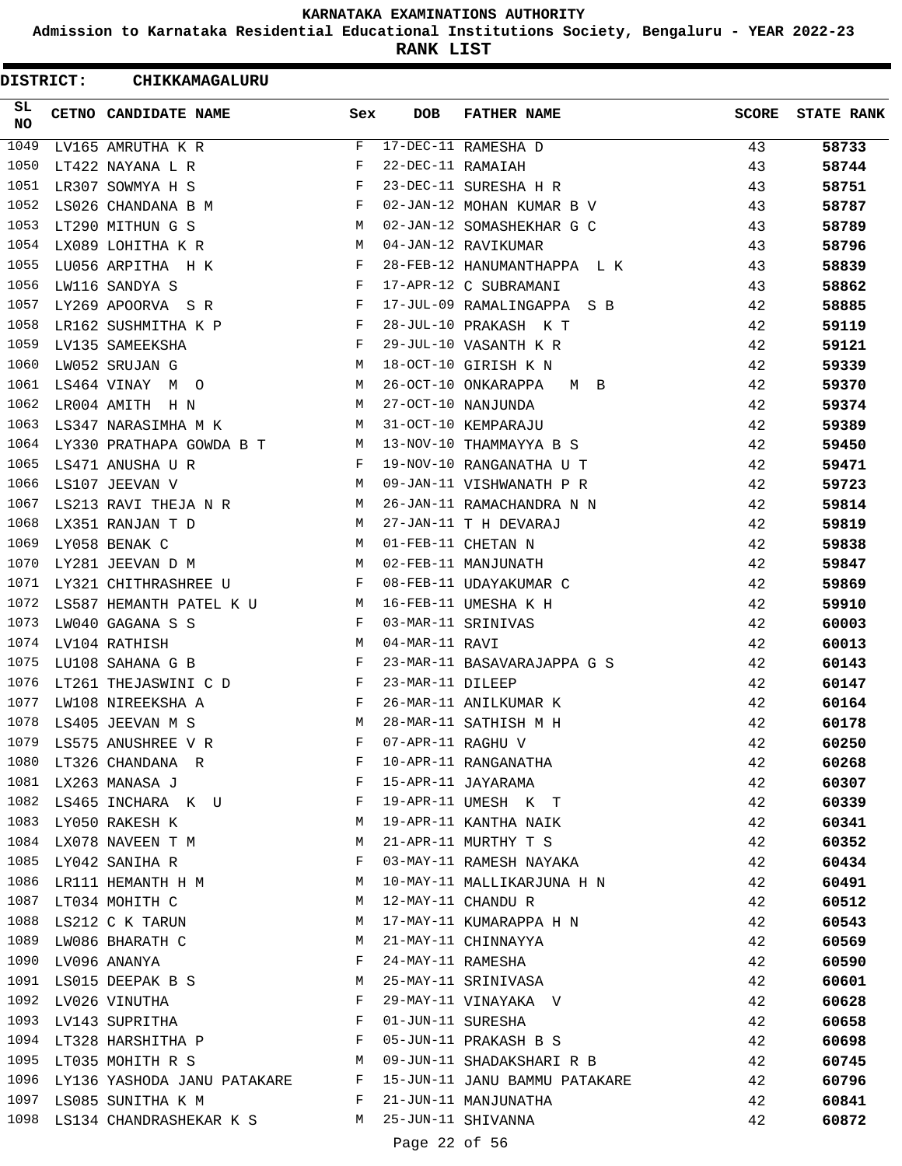**Admission to Karnataka Residential Educational Institutions Society, Bengaluru - YEAR 2022-23**

**RANK LIST**

ı

| <b>DISTRICT:</b> | CHIKKAMAGALURU                     |              |                   |                               |              |                   |
|------------------|------------------------------------|--------------|-------------------|-------------------------------|--------------|-------------------|
| SL.<br>NO        | CETNO CANDIDATE NAME               | Sex          | <b>DOB</b>        | <b>FATHER NAME</b>            | <b>SCORE</b> | <b>STATE RANK</b> |
| 1049             | LV165 AMRUTHA K R                  | F            |                   | 17-DEC-11 RAMESHA D           | 43           | 58733             |
| 1050             | LT422 NAYANA L R                   | F            | 22-DEC-11 RAMAIAH |                               | 43           | 58744             |
| 1051             | LR307 SOWMYA H S                   | F            |                   | 23-DEC-11 SURESHA H R         | 43           | 58751             |
| 1052             | LS026 CHANDANA B M                 | F            |                   | 02-JAN-12 MOHAN KUMAR B V     | 43           | 58787             |
| 1053             | LT290 MITHUN G S                   | М            |                   | 02-JAN-12 SOMASHEKHAR G C     | 43           | 58789             |
| 1054             | LX089 LOHITHA K R                  | M            |                   | 04-JAN-12 RAVIKUMAR           | 43           | 58796             |
| 1055             | LU056 ARPITHA H K                  | F            |                   | 28-FEB-12 HANUMANTHAPPA L K   | 43           | 58839             |
| 1056             | LW116 SANDYA S                     | F            |                   | 17-APR-12 C SUBRAMANI         | 43           | 58862             |
| 1057             | LY269 APOORVA SR                   | F            |                   | 17-JUL-09 RAMALINGAPPA S B    | 42           | 58885             |
| 1058             | LR162 SUSHMITHA K P                | $\mathbf{F}$ |                   | 28-JUL-10 PRAKASH K T         | 42           | 59119             |
| 1059             | LV135 SAMEEKSHA                    | F            |                   | 29-JUL-10 VASANTH K R         | 42           | 59121             |
| 1060             | LW052 SRUJAN G                     | M            |                   | 18-OCT-10 GIRISH K N          | 42           | 59339             |
| 1061             | LS464 VINAY M O                    | M            |                   | 26-OCT-10 ONKARAPPA<br>M B    | 42           | 59370             |
| 1062             | LR004 AMITH H N                    | M            |                   | 27-OCT-10 NANJUNDA            | 42           | 59374             |
| 1063             | LS347 NARASIMHA M K                | M            |                   | 31-OCT-10 KEMPARAJU           | 42           | 59389             |
| 1064             | LY330 PRATHAPA GOWDA B T           | M            |                   | 13-NOV-10 THAMMAYYA B S       | 42           | 59450             |
| 1065             | LS471 ANUSHA U R                   | F            |                   | 19-NOV-10 RANGANATHA U T      | 42           | 59471             |
| 1066             | LS107 JEEVAN V                     | M            |                   | 09-JAN-11 VISHWANATH P R      | 42           | 59723             |
| 1067             | LS213 RAVI THEJA N R M             |              |                   | 26-JAN-11 RAMACHANDRA N N     | 42           | 59814             |
| 1068             | LX351 RANJAN T D                   | M            |                   | 27-JAN-11 T H DEVARAJ         | 42           | 59819             |
| 1069             | LY058 BENAK C                      | M            |                   | 01-FEB-11 CHETAN N            | 42           | 59838             |
| 1070             | LY281 JEEVAN D M                   | M            |                   | 02-FEB-11 MANJUNATH           | 42           | 59847             |
| 1071             | LY321 CHITHRASHREE U               | F            |                   | 08-FEB-11 UDAYAKUMAR C        | 42           | 59869             |
| 1072             | LS587 HEMANTH PATEL K U            | M            |                   | 16-FEB-11 UMESHA K H          | 42           | 59910             |
| 1073             | LW040 GAGANA S S                   | F            |                   | 03-MAR-11 SRINIVAS            | 42           | 60003             |
| 1074             | LV104 RATHISH                      | М            | 04-MAR-11 RAVI    |                               | 42           | 60013             |
| 1075             | LU108 SAHANA G B                   | F            |                   | 23-MAR-11 BASAVARAJAPPA G S   | 42           | 60143             |
| 1076             | LT261 THEJASWINI C D               | F            | 23-MAR-11 DILEEP  |                               | 42           | 60147             |
| 1077             | LW108 NIREEKSHA A                  | F            |                   | 26-MAR-11 ANILKUMAR K         | 42           | 60164             |
| 1078             | LS405 JEEVAN M S                   | M            |                   | 28-MAR-11 SATHISH M H         | 42           | 60178             |
| 1079             | LS575 ANUSHREE V R                 | F            | 07-APR-11 RAGHU V |                               | 42           | 60250             |
| 1080             | LT326 CHANDANA R                   | F            |                   | 10-APR-11 RANGANATHA          | 42           | 60268             |
|                  | 1081 LX263 MANASA J                | $\mathbf{F}$ |                   | 15-APR-11 JAYARAMA            | 42           | 60307             |
|                  | 1082 LS465 INCHARA K U             | $\mathbf{F}$ |                   | 19-APR-11 UMESH K T           | 42           | 60339             |
| 1083             | LY050 RAKESH K                     | М            |                   | 19-APR-11 KANTHA NAIK         | 42           | 60341             |
| 1084             | LX078 NAVEEN T M                   | M            |                   | 21-APR-11 MURTHY T S          | 42           | 60352             |
| 1085             | LY042 SANIHA R                     | F            |                   | 03-MAY-11 RAMESH NAYAKA       | 42           | 60434             |
| 1086             | LR111 HEMANTH H M                  | М            |                   | 10-MAY-11 MALLIKARJUNA H N    | 42           | 60491             |
| 1087             | LT034 MOHITH C                     | M            |                   | 12-MAY-11 CHANDU R            | 42           | 60512             |
|                  | 1088 LS212 C K TARUN               | M            |                   | 17-MAY-11 KUMARAPPA H N       | 42           | 60543             |
| 1089             | LW086 BHARATH C                    | M            |                   | 21-MAY-11 CHINNAYYA           | 42           | 60569             |
|                  | 1090 LV096 ANANYA                  | F            | 24-MAY-11 RAMESHA |                               | 42           | 60590             |
| 1091             | LS015 DEEPAK B S                   | М            |                   | 25-MAY-11 SRINIVASA           | 42           | 60601             |
| 1092             | LV026 VINUTHA                      | F            |                   | 29-MAY-11 VINAYAKA V          | 42           | 60628             |
| 1093             | LV143 SUPRITHA                     | F            |                   | 01-JUN-11 SURESHA             | 42           | 60658             |
|                  | 1094 LT328 HARSHITHA P             | F            |                   | 05-JUN-11 PRAKASH B S         | 42           | 60698             |
| 1095             | LT035 MOHITH R S                   | M            |                   | 09-JUN-11 SHADAKSHARI R B     | 42           | 60745             |
|                  | 1096 LY136 YASHODA JANU PATAKARE F |              |                   | 15-JUN-11 JANU BAMMU PATAKARE | 42           | 60796             |
|                  | 1097 LS085 SUNITHA K M             | $\mathbf{F}$ |                   | 21-JUN-11 MANJUNATHA          | 42           | 60841             |
|                  | 1098 LS134 CHANDRASHEKAR K S M     |              |                   | 25-JUN-11 SHIVANNA            | 42           | 60872             |
|                  |                                    |              | Page 22 of 56     |                               |              |                   |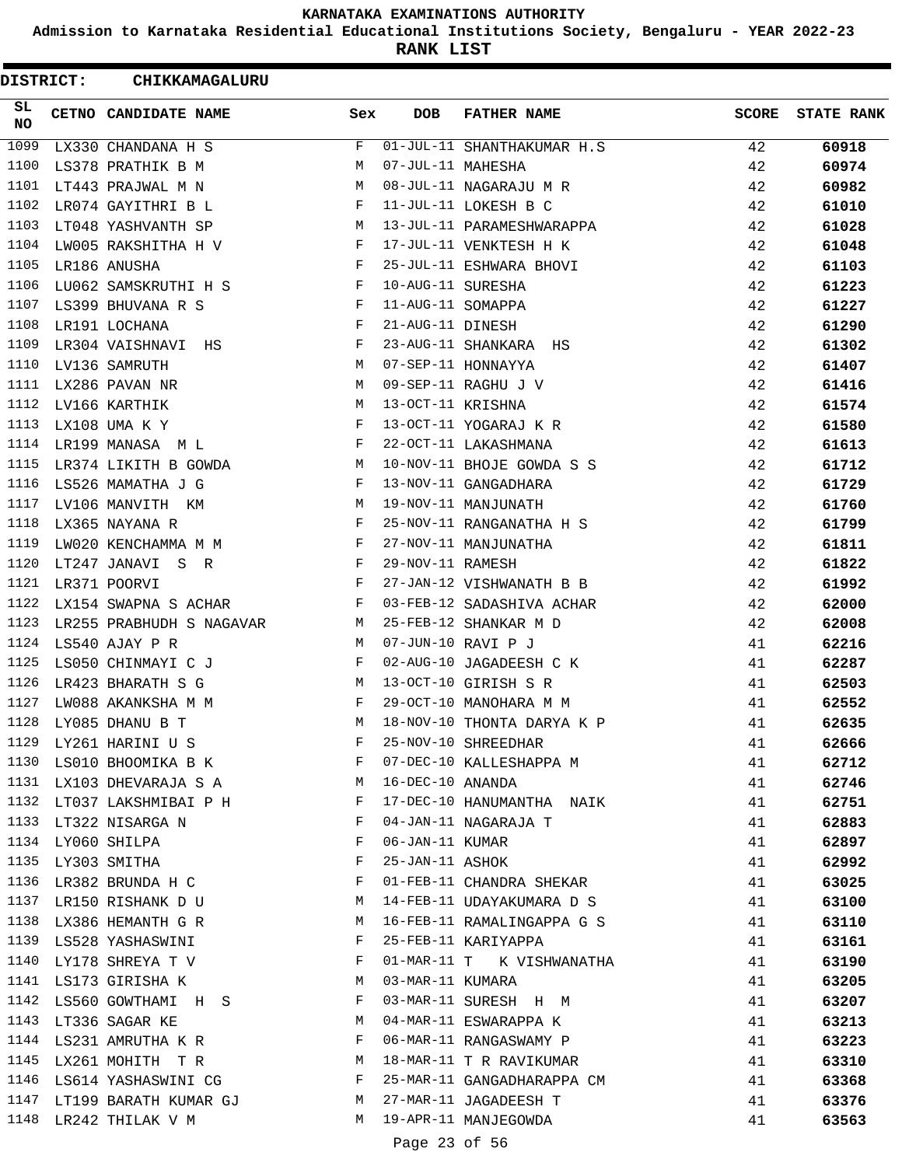**Admission to Karnataka Residential Educational Institutions Society, Bengaluru - YEAR 2022-23**

**RANK LIST**

| DISTRICT: | CHIKKAMAGALURU                                                             |              |                   |                            |              |                   |
|-----------|----------------------------------------------------------------------------|--------------|-------------------|----------------------------|--------------|-------------------|
| SL.<br>NO | CETNO CANDIDATE NAME                                                       | Sex          | <b>DOB</b>        | <b>FATHER NAME</b>         | <b>SCORE</b> | <b>STATE RANK</b> |
| 1099      | LX330 CHANDANA H S                                                         | F            |                   | 01-JUL-11 SHANTHAKUMAR H.S | 42           | 60918             |
| 1100      | LS378 PRATHIK B M                                                          | М            | 07-JUL-11 MAHESHA |                            | 42           | 60974             |
| 1101      | LT443 PRAJWAL M N                                                          | M            |                   | 08-JUL-11 NAGARAJU M R     | 42           | 60982             |
| 1102      | LR074 GAYITHRI B L                                                         | F            |                   | 11-JUL-11 LOKESH B C       | 42           | 61010             |
| 1103      | LT048 YASHVANTH SP                                                         | M            |                   | 13-JUL-11 PARAMESHWARAPPA  | 42           | 61028             |
| 1104      | LW005 RAKSHITHA H V                                                        | F            |                   | 17-JUL-11 VENKTESH H K     | 42           | 61048             |
| 1105      | LR186 ANUSHA                                                               | F            |                   | 25-JUL-11 ESHWARA BHOVI    | 42           | 61103             |
| 1106      | LU062 SAMSKRUTHI H S F                                                     |              | 10-AUG-11 SURESHA |                            | 42           | 61223             |
| 1107      | LS399 BHUVANA R S                                                          | $\mathbf{F}$ | 11-AUG-11 SOMAPPA |                            | 42           | 61227             |
| 1108      | LR191 LOCHANA                                                              | F            | 21-AUG-11 DINESH  |                            | 42           | 61290             |
| 1109      | LR304 VAISHNAVI HS                                                         | F            |                   | 23-AUG-11 SHANKARA HS      | 42           | 61302             |
| 1110      | LV136 SAMRUTH                                                              | M            |                   | 07-SEP-11 HONNAYYA         | 42           | 61407             |
| 1111      | LX286 PAVAN NR                                                             | M            |                   | 09-SEP-11 RAGHU J V        | 42           | 61416             |
| 1112      | LV166 KARTHIK                                                              | M            | 13-OCT-11 KRISHNA |                            | 42           | 61574             |
| 1113      | LX108 UMA K Y                                                              | F            |                   | 13-OCT-11 YOGARAJ K R      | 42           | 61580             |
| 1114      | LR199 MANASA ML                                                            | $\mathbf{F}$ |                   | 22-OCT-11 LAKASHMANA       | 42           | 61613             |
| 1115      | LR374 LIKITH B GOWDA                                                       | M            |                   | 10-NOV-11 BHOJE GOWDA S S  | 42           | 61712             |
| 1116      | LS526 MAMATHA J G                                                          | F            |                   | 13-NOV-11 GANGADHARA       | 42           | 61729             |
| 1117      | LV106 MANVITH KM                                                           | M            |                   | 19-NOV-11 MANJUNATH        | 42           | 61760             |
| 1118      | LX365 NAYANA R                                                             | $\mathbf{F}$ |                   | 25-NOV-11 RANGANATHA H S   | 42           | 61799             |
| 1119      | LW020 KENCHAMMA M M                                                        | F            |                   | 27-NOV-11 MANJUNATHA       | 42           | 61811             |
| 1120      | LT247 JANAVI S R                                                           | F            | 29-NOV-11 RAMESH  |                            | 42           | 61822             |
| 1121      | LR371 POORVI                                                               | F            |                   | 27-JAN-12 VISHWANATH B B   | 42           | 61992             |
| 1122      | LX154 SWAPNA S ACHAR                                                       | $-F$         |                   | 03-FEB-12 SADASHIVA ACHAR  | 42           | 62000             |
| 1123      | LR255 PRABHUDH S NAGAVAR M                                                 |              |                   | 25-FEB-12 SHANKAR M D      | 42           | 62008             |
| 1124      | LS540 AJAY P R                                                             | M            |                   | 07-JUN-10 RAVI P J         | 41           | 62216             |
| 1125      | LS050 CHINMAYI C J                                                         | F            |                   | 02-AUG-10 JAGADEESH C K    | 41           | 62287             |
| 1126      | LR423 BHARATH S G                                                          | M            |                   | 13-OCT-10 GIRISH S R       | 41           | 62503             |
| 1127      | LW088 AKANKSHA M M                                                         | $_{\rm F}$   |                   | 29-OCT-10 MANOHARA M M     | 41           | 62552             |
| 1128      | LY085 DHANU B T                                                            | M            |                   | 18-NOV-10 THONTA DARYA K P | 41           | 62635             |
| 1129      | LY261 HARINI U S                                                           | F            |                   | 25-NOV-10 SHREEDHAR        | 41           | 62666             |
|           | 1130 LS010 BHOOMIKA B K F                                                  |              |                   | 07-DEC-10 KALLESHAPPA M    | 41           | 62712             |
|           | M <sub>N</sub><br>1131 LX103 DHEVARAJA S A                                 |              | 16-DEC-10 ANANDA  |                            | 41           | 62746             |
|           | 1132 LT037 LAKSHMIBAI P H                                                  | F            |                   | 17-DEC-10 HANUMANTHA NAIK  | 41           | 62751             |
| 1133      | LT322 NISARGA N                                                            | F            |                   | 04-JAN-11 NAGARAJA T       | 41           | 62883             |
|           | 1134 LY060 SHILPA                                                          | F            | 06-JAN-11 KUMAR   |                            | 41           | 62897             |
| 1135      | LY303 SMITHA                                                               | F            | 25-JAN-11 ASHOK   |                            | 41           | 62992             |
| 1136      | LR382 BRUNDA H C                                                           | F            |                   | 01-FEB-11 CHANDRA SHEKAR   | 41           | 63025             |
|           | 1137 LR150 RISHANK D U                                                     | M            |                   | 14-FEB-11 UDAYAKUMARA D S  | 41           | 63100             |
|           | 1138 LX386 HEMANTH G R                                                     | M            |                   | 16-FEB-11 RAMALINGAPPA G S | 41           | 63110             |
|           | 1139 LS528 YASHASWINI                                                      | F            |                   | 25-FEB-11 KARIYAPPA        | 41           | 63161             |
| 1140      | LY178 SHREYA T V                                                           | F            |                   | 01-MAR-11 T K VISHWANATHA  | 41           | 63190             |
| 1141      | LS173 GIRISHA K                                                            | M            | 03-MAR-11 KUMARA  |                            | 41           | 63205             |
| 1142      | LS560 GOWTHAMI H S                                                         | F            |                   | 03-MAR-11 SURESH H M       | 41           | 63207             |
|           | 1143 LT336 SAGAR KE                                                        | M            |                   | 04-MAR-11 ESWARAPPA K      | 41           | 63213             |
|           | 1144 LS231 AMRUTHA K R                                                     | F            |                   | 06-MAR-11 RANGASWAMY P     | 41           | 63223             |
| 1145      | LX261 MOHITH T R M                                                         |              |                   | 18-MAR-11 T R RAVIKUMAR    | 41           | 63310             |
|           | $\mathbf{F}$ and $\mathbf{F}$ and $\mathbf{F}$<br>1146 LS614 YASHASWINI CG |              |                   | 25-MAR-11 GANGADHARAPPA CM | 41           | 63368             |
| 1147      | LT199 BARATH KUMAR GJ                                                      | M            |                   | 27-MAR-11 JAGADEESH T      | 41           | 63376             |
| 1148      | LR242 THILAK V M                                                           | M            |                   | 19-APR-11 MANJEGOWDA       | 41           | 63563             |
|           |                                                                            |              |                   |                            |              |                   |
|           |                                                                            |              | Page 23 of 56     |                            |              |                   |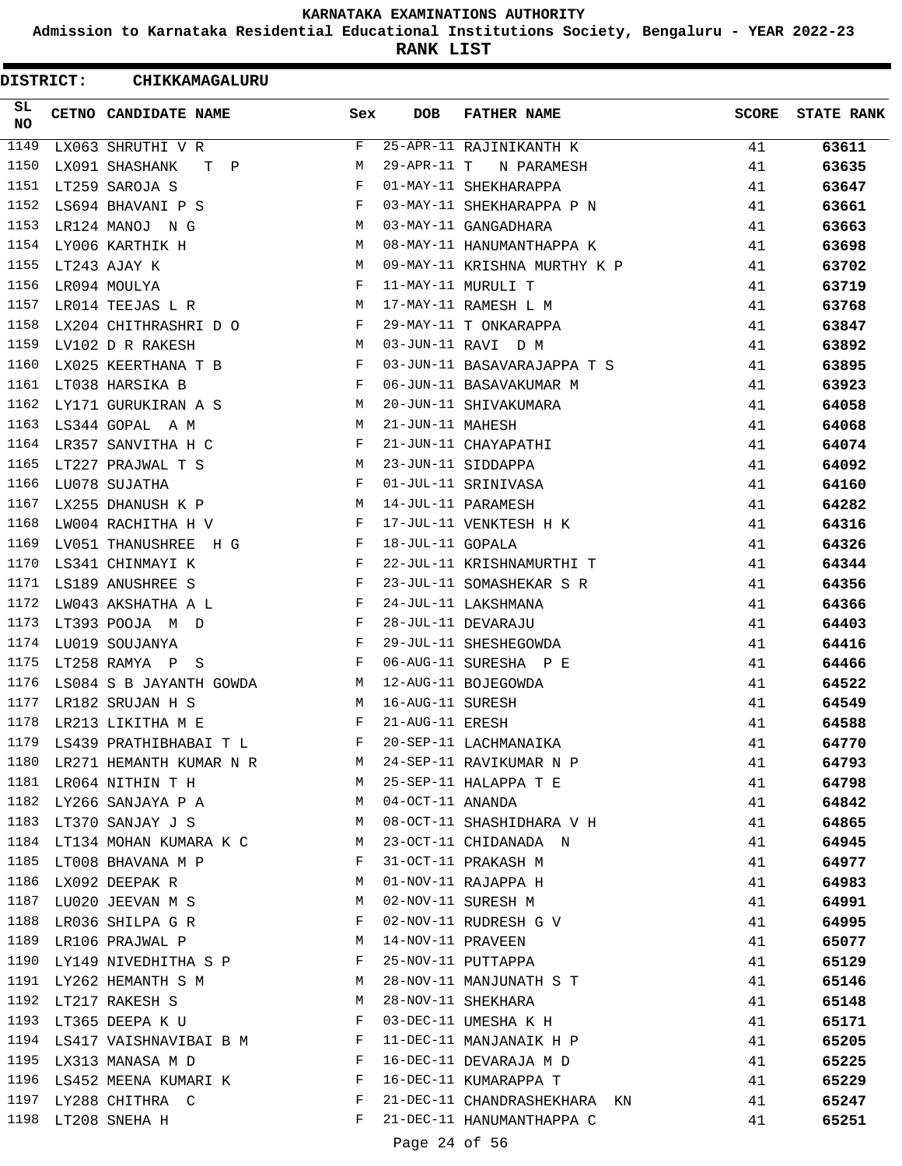**Admission to Karnataka Residential Educational Institutions Society, Bengaluru - YEAR 2022-23**

**RANK LIST**

| DISTRICT: | <b>CHIKKAMAGALURU</b>                                                                                                               |              |                     |                              |              |                   |
|-----------|-------------------------------------------------------------------------------------------------------------------------------------|--------------|---------------------|------------------------------|--------------|-------------------|
| SL.<br>NO | CETNO CANDIDATE NAME                                                                                                                | Sex          | DOB                 | <b>FATHER NAME</b>           | <b>SCORE</b> | <b>STATE RANK</b> |
| 1149      | LX063 SHRUTHI V R                                                                                                                   | F            |                     | 25-APR-11 RAJINIKANTH K      | 41           | 63611             |
| 1150      | LX091 SHASHANK<br>T P                                                                                                               | M            | $29 - APR - 11$ T   | N PARAMESH                   | 41           | 63635             |
| 1151      | LT259 SAROJA S                                                                                                                      | F            |                     | 01-MAY-11 SHEKHARAPPA        | 41           | 63647             |
| 1152      | LS694 BHAVANI P S                                                                                                                   | $\mathbf{F}$ |                     | 03-MAY-11 SHEKHARAPPA P N    | 41           | 63661             |
| 1153      | LR124 MANOJ NG                                                                                                                      | M            |                     | 03-MAY-11 GANGADHARA         | 41           | 63663             |
| 1154      | LY006 KARTHIK H<br>$\mathbf M$                                                                                                      |              |                     | 08-MAY-11 HANUMANTHAPPA K    | 41           | 63698             |
| 1155      | LT243 AJAY K<br><b>M</b>                                                                                                            |              |                     | 09-MAY-11 KRISHNA MURTHY K P | 41           | 63702             |
| 1156      | $\mathbf{F}$<br>LR094 MOULYA                                                                                                        |              |                     | 11-MAY-11 MURULI T           | 41           | 63719             |
| 1157      | M<br>LR014 TEEJAS L R                                                                                                               |              |                     | 17-MAY-11 RAMESH L M         | 41           | 63768             |
| 1158      | LX204 CHITHRASHRI D O F                                                                                                             |              |                     | 29-MAY-11 T ONKARAPPA        | 41           | 63847             |
| 1159      | LV102 D R RAKESH<br>$M_{\odot}$                                                                                                     |              |                     | 03-JUN-11 RAVI D M           | 41           | 63892             |
| 1160      | LX025 KEERTHANA T B                                                                                                                 | $\mathbf{F}$ |                     | 03-JUN-11 BASAVARAJAPPA T S  | 41           | 63895             |
| 1161      | LT038 HARSIKA B                                                                                                                     | F            |                     | 06-JUN-11 BASAVAKUMAR M      | 41           | 63923             |
| 1162      | LY171 GURUKIRAN A S M                                                                                                               |              |                     | 20-JUN-11 SHIVAKUMARA        | 41           | 64058             |
| 1163      | LS344 GOPAL A M                                                                                                                     | M            | 21-JUN-11 MAHESH    |                              | 41           | 64068             |
| 1164      | LR357 SANVITHA H C                                                                                                                  | F            |                     | 21-JUN-11 CHAYAPATHI         | 41           | 64074             |
| 1165      |                                                                                                                                     | M            |                     | 23-JUN-11 SIDDAPPA           | 41           | 64092             |
| 1166      | LT227 PRAJWAL T S<br>LU078 SUJATHA                                                                                                  | F            |                     | 01-JUL-11 SRINIVASA          | 41           | 64160             |
| 1167      | LX255 DHANUSH K P M                                                                                                                 |              | 14-JUL-11 PARAMESH  |                              | 41           | 64282             |
| 1168      | $\mathbf{F}$ and $\mathbf{F}$ and $\mathbf{F}$<br>LW004 RACHITHA H V                                                                |              |                     | 17-JUL-11 VENKTESH H K       | 41           | 64316             |
| 1169      | LV051 THANUSHREE H G                                                                                                                | F            | 18-JUL-11 GOPALA    |                              | 41           | 64326             |
| 1170      | $\mathbf{F}$ and $\mathbf{F}$ and $\mathbf{F}$<br>LS341 CHINMAYI K                                                                  |              |                     | 22-JUL-11 KRISHNAMURTHI T    | 41           | 64344             |
| 1171      | LS189 ANUSHREE S<br>the contract of the contract of the Property of the Property of the Property of the Property of the Property of |              |                     | 23-JUL-11 SOMASHEKAR S R     | 41           | 64356             |
| 1172      | ${\tt LWO43\ AKSHATHA\ A\ L} \hspace{20pt} {\tt F}$                                                                                 |              |                     | 24-JUL-11 LAKSHMANA          | 41           | 64366             |
| 1173      | LT393 POOJA M D                                                                                                                     | F            |                     | 28-JUL-11 DEVARAJU           | 41           | 64403             |
| 1174      | LU019 SOUJANYA                                                                                                                      | F            |                     | 29-JUL-11 SHESHEGOWDA        | 41           | 64416             |
| 1175      | LT258 RAMYA P S<br>and the state of the state of the state of the state of the state of the state of the state of the state of the  |              |                     | 06-AUG-11 SURESHA P E        | 41           | 64466             |
| 1176      | LS084 S B JAYANTH GOWDA M                                                                                                           |              |                     | 12-AUG-11 BOJEGOWDA          | 41           | 64522             |
| 1177      | LR182 SRUJAN H S                                                                                                                    | M            | 16-AUG-11 SURESH    |                              | 41           | 64549             |
| 1178      | LR213 LIKITHA M E                                                                                                                   | F            | 21-AUG-11 ERESH     |                              | 41           | 64588             |
|           | 1179 LS439 PRATHIBHABAI T L                                                                                                         |              |                     | 20-SEP-11 LACHMANAIKA        | 41           | 64770             |
|           | 1180 LR271 HEMANTH KUMAR N R M 24-SEP-11 RAVIKUMAR N P                                                                              |              |                     |                              | 41           | 64793             |
|           | 1181 LR064 NITHIN T H                                                                                                               |              |                     | $M$ 25-SEP-11 HALAPPA T E    | 41           | 64798             |
| 1182      | LY266 SANJAYA P A M 04-OCT-11 ANANDA                                                                                                |              |                     |                              | 41           | 64842             |
| 1183      | LT370 SANJAY J S M                                                                                                                  |              |                     | 08-OCT-11 SHASHIDHARA V H    | 41           | 64865             |
|           | 1184 LT134 MOHAN KUMARA K C M                                                                                                       |              |                     | 23-OCT-11 CHIDANADA N        | 41           | 64945             |
|           | 1185 LT008 BHAVANA M P                                                                                                              | F            |                     | 31-OCT-11 PRAKASH M          | 41           | 64977             |
| 1186      | LX092 DEEPAK R<br><b>M</b>                                                                                                          |              |                     | 01-NOV-11 RAJAPPA H          | 41           | 64983             |
|           | 1187 LU020 JEEVAN M S M 02-NOV-11 SURESH M                                                                                          |              |                     |                              | 41           | 64991             |
|           | 1188 LR036 SHILPA G R $\qquad$ F                                                                                                    |              |                     | 02-NOV-11 RUDRESH G V        | 41           | 64995             |
|           | 1189 LR106 PRAJWAL P                                                                                                                |              | M 14-NOV-11 PRAVEEN |                              | 41           | 65077             |
| 1190      | LY149 NIVEDHITHA S P F 25-NOV-11 PUTTAPPA                                                                                           |              |                     |                              | 41           | 65129             |
|           | 1191 LY262 HEMANTH S M                                                                                                              |              |                     | 28-NOV-11 MANJUNATH S T      | 41           | 65146             |
|           | 1192 LT217 RAKESH S                                                                                                                 | M            |                     | 28-NOV-11 SHEKHARA           | 41           | 65148             |
|           | 1193 LT365 DEEPA K U                                                                                                                | $\mathbf{F}$ |                     | 03-DEC-11 UMESHA K H         | 41           | 65171             |
|           | 1194 LS417 VAISHNAVIBAI B M F                                                                                                       |              |                     | 11-DEC-11 MANJANAIK H P      | 41           | 65205             |
|           | 1195 LX313 MANASA M D<br>$\mathbf{F}$ and the contract of the contract $\mathbf{F}$                                                 |              |                     | 16-DEC-11 DEVARAJA M D       | 41           | 65225             |
|           | 1196 LS452 MEENA KUMARI K<br>F                                                                                                      |              |                     | 16-DEC-11 KUMARAPPA T        | 41           | 65229             |
| 1197      | LY288 CHITHRA C                                                                                                                     | F            |                     | 21-DEC-11 CHANDRASHEKHARA KN | 41           | 65247             |
| 1198      | LT208 SNEHA H                                                                                                                       | $\mathbf{F}$ |                     | 21-DEC-11 HANUMANTHAPPA C    | 41           | 65251             |
|           |                                                                                                                                     |              | Page 24 of 56       |                              |              |                   |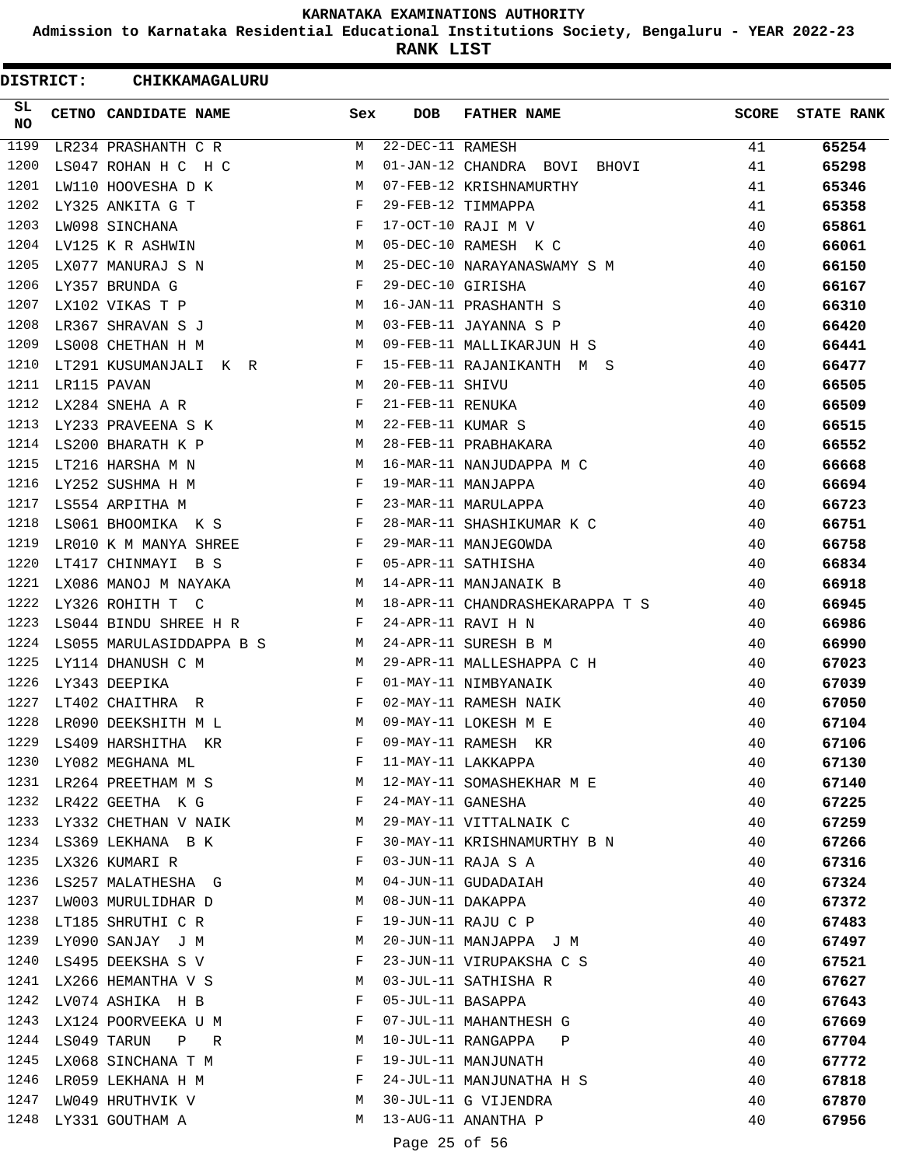**Admission to Karnataka Residential Educational Institutions Society, Bengaluru - YEAR 2022-23**

**RANK LIST**

| DISTRICT:        |             | <b>CHIKKAMAGALURU</b>                                                        |              |                   |                                 |              |                   |
|------------------|-------------|------------------------------------------------------------------------------|--------------|-------------------|---------------------------------|--------------|-------------------|
| SL.<br><b>NO</b> |             | <b>CETNO CANDIDATE NAME</b>                                                  | Sex          | <b>DOB</b>        | <b>FATHER NAME</b>              | <b>SCORE</b> | <b>STATE RANK</b> |
| 1199             |             | LR234 PRASHANTH C R                                                          | М            | 22-DEC-11 RAMESH  |                                 | 41           | 65254             |
| 1200             |             | LS047 ROHAN H C H C                                                          | M            |                   | 01-JAN-12 CHANDRA BOVI BHOVI    | 41           | 65298             |
| 1201             |             | LW110 HOOVESHA D K                                                           | M            |                   | 07-FEB-12 KRISHNAMURTHY         | 41           | 65346             |
| 1202             |             | LY325 ANKITA G T                                                             | $\mathbf{F}$ |                   | 29-FEB-12 TIMMAPPA              | 41           | 65358             |
| 1203             |             | LW098 SINCHANA                                                               | F            |                   | 17-OCT-10 RAJI M V              | 40           | 65861             |
| 1204             |             | LV125 K R ASHWIN                                                             | М            |                   | 05-DEC-10 RAMESH K C            | 40           | 66061             |
| 1205             |             | LX077 MANURAJ S N                                                            | M            |                   | 25-DEC-10 NARAYANASWAMY S M     | 40           | 66150             |
| 1206             |             | LY357 BRUNDA G                                                               | F            | 29-DEC-10 GIRISHA |                                 | 40           | 66167             |
| 1207             |             | LX102 VIKAS T P                                                              | М            |                   | 16-JAN-11 PRASHANTH S           | 40           | 66310             |
| 1208             |             | LR367 SHRAVAN S J                                                            | M            |                   | 03-FEB-11 JAYANNA S P           | 40           | 66420             |
| 1209             |             | LS008 CHETHAN H M                                                            | M            |                   | 09-FEB-11 MALLIKARJUN H S       | 40           | 66441             |
| 1210             |             | LT291 KUSUMANJALI K R<br>$\mathbf{F}$ and $\mathbf{F}$ and $\mathbf{F}$      |              |                   | 15-FEB-11 RAJANIKANTH M S       | 40           | 66477             |
| 1211             | LR115 PAVAN |                                                                              | M            | 20-FEB-11 SHIVU   |                                 | 40           | 66505             |
| 1212             |             | LX284 SNEHA A R                                                              | F            | 21-FEB-11 RENUKA  |                                 | 40           | 66509             |
| 1213             |             | LY233 PRAVEENA S K                                                           | M            | 22-FEB-11 KUMAR S |                                 | 40           | 66515             |
| 1214             |             | LS200 BHARATH K P                                                            | M            |                   | 28-FEB-11 PRABHAKARA            | 40           | 66552             |
| 1215             |             | LT216 HARSHA M N                                                             | M            |                   | 16-MAR-11 NANJUDAPPA M C        | 40           | 66668             |
| 1216             |             | LY252 SUSHMA H M                                                             | F            |                   | 19-MAR-11 MANJAPPA              | 40           | 66694             |
| 1217             |             | $\mathbf{F}$ and $\mathbf{F}$ are the set of $\mathbf{F}$<br>LS554 ARPITHA M |              |                   | 23-MAR-11 MARULAPPA             | 40           | 66723             |
| 1218             |             | LS061 BHOOMIKA K S F                                                         |              |                   | 28-MAR-11 SHASHIKUMAR K C       | 40           | 66751             |
| 1219             |             | LR010 K M MANYA SHREE                                                        | F            |                   | 29-MAR-11 MANJEGOWDA            | 40           | 66758             |
| 1220             |             | LT417 CHINMAYI B S                                                           | F            |                   | 05-APR-11 SATHISHA              | 40           | 66834             |
| 1221             |             | LX086 MANOJ M NAYAKA                                                         | M            |                   | 14-APR-11 MANJANAIK B           | 40           | 66918             |
| 1222             |             | LY326 ROHITH T C                                                             | M            |                   | 18-APR-11 CHANDRASHEKARAPPA T S | 40           | 66945             |
| 1223             |             | LS044 BINDU SHREE H R                                                        | F            |                   | 24-APR-11 RAVI H N              | 40           | 66986             |
| 1224             |             | LS055 MARULASIDDAPPA B S                                                     | M            |                   | 24-APR-11 SURESH B M            | 40           | 66990             |
| 1225             |             | LY114 DHANUSH C M                                                            | M            |                   | 29-APR-11 MALLESHAPPA C H       | 40           | 67023             |
| 1226             |             | LY343 DEEPIKA                                                                | $\mathbf{F}$ |                   | 01-MAY-11 NIMBYANAIK            | 40           | 67039             |
| 1227             |             | LT402 CHAITHRA R                                                             | F            |                   | 02-MAY-11 RAMESH NAIK           | 40           | 67050             |
| 1228             |             | LR090 DEEKSHITH M L                                                          | M            |                   | 09-MAY-11 LOKESH M E            | 40           | 67104             |
| 1229             |             | LS409 HARSHITHA KR                                                           | F            |                   | 09-MAY-11 RAMESH KR             | 40           | 67106             |
| 1230             |             | LY082 MEGHANA ML                                                             | F            |                   | 11-MAY-11 LAKKAPPA              | 40           | 67130             |
|                  |             | 1231 LR264 PREETHAM M S                                                      | М            |                   | 12-MAY-11 SOMASHEKHAR M E       | 40           | 67140             |
| 1232             |             | LR422 GEETHA K G                                                             | F            | 24-MAY-11 GANESHA |                                 | 40           | 67225             |
| 1233             |             | LY332 CHETHAN V NAIK                                                         | M            |                   | 29-MAY-11 VITTALNAIK C          | 40           | 67259             |
| 1234             |             | LS369 LEKHANA B K                                                            | F            |                   | 30-MAY-11 KRISHNAMURTHY B N     | 40           | 67266             |
| 1235             |             | LX326 KUMARI R                                                               | F            |                   | 03-JUN-11 RAJA S A              | 40           | 67316             |
| 1236             |             | LS257 MALATHESHA G                                                           | M            |                   | 04-JUN-11 GUDADAIAH             | 40           | 67324             |
| 1237             |             | LW003 MURULIDHAR D                                                           | M            | 08-JUN-11 DAKAPPA |                                 | 40           | 67372             |
| 1238             |             | LT185 SHRUTHI C R                                                            | F            |                   | 19-JUN-11 RAJU C P              | 40           | 67483             |
|                  |             | 1239 LY090 SANJAY J M                                                        | М            |                   | 20-JUN-11 MANJAPPA J M          | 40           | 67497             |
| 1240             |             | LS495 DEEKSHA S V                                                            | F            |                   | 23-JUN-11 VIRUPAKSHA C S        | 40           | 67521             |
| 1241             |             | LX266 HEMANTHA V S                                                           | M            |                   | 03-JUL-11 SATHISHA R            | 40           | 67627             |
| 1242             |             | LV074 ASHIKA H B                                                             | F            | 05-JUL-11 BASAPPA |                                 | 40           | 67643             |
| 1243             |             | LX124 POORVEEKA U M                                                          | F            |                   | 07-JUL-11 MAHANTHESH G          | 40           | 67669             |
| 1244             |             | LS049 TARUN<br>P R                                                           | M            |                   | 10-JUL-11 RANGAPPA P            | 40           | 67704             |
| 1245             |             | LX068 SINCHANA T M                                                           | F            |                   | 19-JUL-11 MANJUNATH             | 40           | 67772             |
| 1246             |             | LR059 LEKHANA H M                                                            | F            |                   | 24-JUL-11 MANJUNATHA H S        | 40           | 67818             |
| 1247             |             | LW049 HRUTHVIK V                                                             | М            |                   | 30-JUL-11 G VIJENDRA            | 40           | 67870             |
| 1248             |             | LY331 GOUTHAM A                                                              | М            |                   | 13-AUG-11 ANANTHA P             | 40           | 67956             |
|                  |             |                                                                              |              | Page 25 of 56     |                                 |              |                   |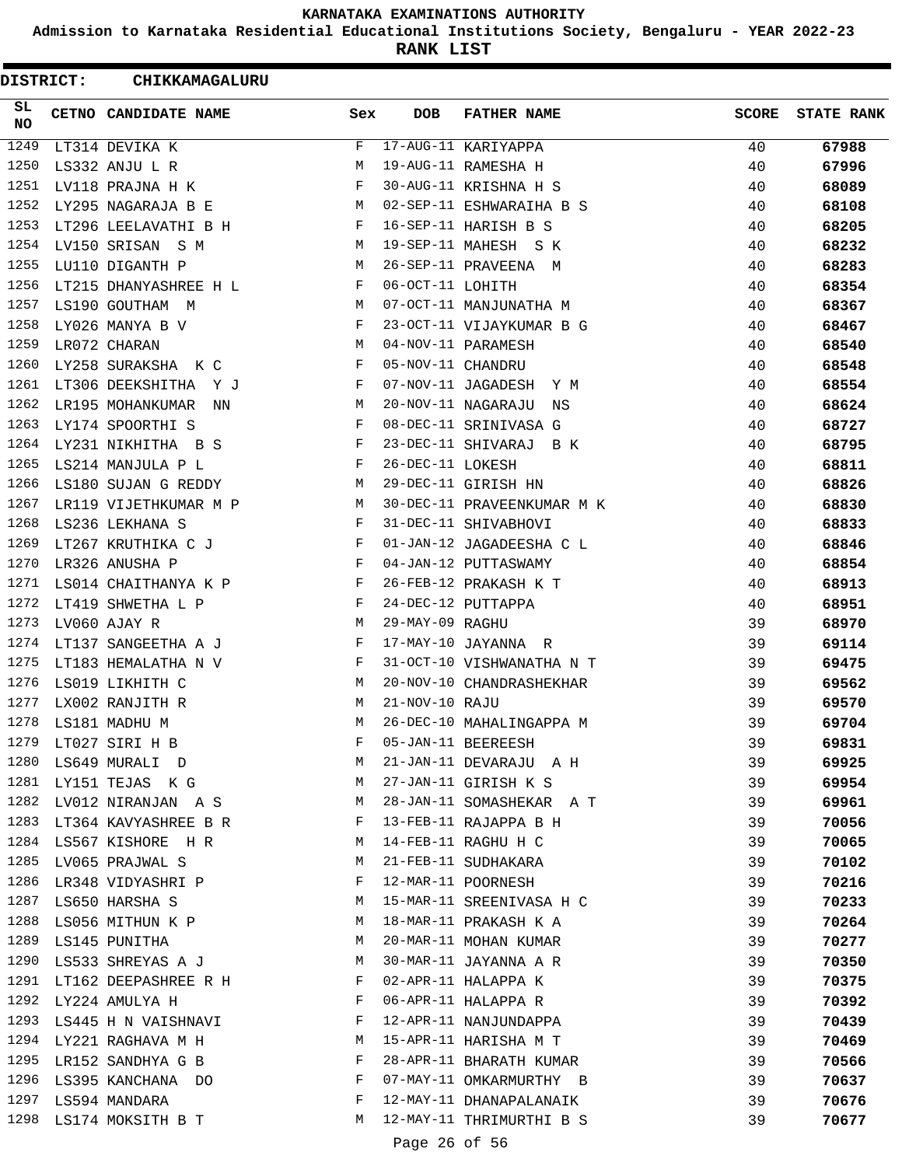**Admission to Karnataka Residential Educational Institutions Society, Bengaluru - YEAR 2022-23**

**RANK LIST**

| DISTRICT: | CHIKKAMAGALURU            |              |                   |                            |              |                   |
|-----------|---------------------------|--------------|-------------------|----------------------------|--------------|-------------------|
| SL<br>NO. | CETNO CANDIDATE NAME      | Sex          | <b>DOB</b>        | <b>FATHER NAME</b>         | <b>SCORE</b> | <b>STATE RANK</b> |
| 1249      | LT314 DEVIKA K            | F            |                   | 17-AUG-11 KARIYAPPA        | 40           | 67988             |
| 1250      | LS332 ANJU L R            | М            |                   | 19-AUG-11 RAMESHA H        | 40           | 67996             |
| 1251      | LV118 PRAJNA H K          | F            |                   | 30-AUG-11 KRISHNA H S      | 40           | 68089             |
| 1252      | LY295 NAGARAJA B E        | M            |                   | 02-SEP-11 ESHWARAIHA B S   | 40           | 68108             |
| 1253      | LT296 LEELAVATHI B H      | F            |                   | 16-SEP-11 HARISH B S       | 40           | 68205             |
| 1254      | LV150 SRISAN S M          | M            |                   | 19-SEP-11 MAHESH S K       | 40           | 68232             |
| 1255      | LU110 DIGANTH P           | M            |                   | 26-SEP-11 PRAVEENA M       | 40           | 68283             |
| 1256      | LT215 DHANYASHREE H L     | F            | 06-OCT-11 LOHITH  |                            | 40           | 68354             |
| 1257      | LS190 GOUTHAM M           | M            |                   | 07-OCT-11 MANJUNATHA M     | 40           | 68367             |
| 1258      | LY026 MANYA B V           | F            |                   | 23-OCT-11 VIJAYKUMAR B G   | 40           | 68467             |
| 1259      | LR072 CHARAN              | M            |                   | 04-NOV-11 PARAMESH         | 40           | 68540             |
| 1260      | LY258 SURAKSHA K C        | F            | 05-NOV-11 CHANDRU |                            | 40           | 68548             |
| 1261      | LT306 DEEKSHITHA Y J      | F            |                   | 07-NOV-11 JAGADESH Y M     | 40           | 68554             |
| 1262      | LR195 MOHANKUMAR<br>NN    | M            |                   | 20-NOV-11 NAGARAJU<br>NS   | 40           | 68624             |
| 1263      | LY174 SPOORTHI S          | F            |                   | 08-DEC-11 SRINIVASA G      | 40           | 68727             |
| 1264      | LY231 NIKHITHA B S        | F            |                   | 23-DEC-11 SHIVARAJ B K     | 40           | 68795             |
| 1265      | LS214 MANJULA P L         | F            | 26-DEC-11 LOKESH  |                            | 40           | 68811             |
| 1266      | LS180 SUJAN G REDDY       | M            |                   | 29-DEC-11 GIRISH HN        | 40           | 68826             |
| 1267      | LR119 VIJETHKUMAR M P     | M            |                   | 30-DEC-11 PRAVEENKUMAR M K | 40           | 68830             |
| 1268      | LS236 LEKHANA S           | F            |                   | 31-DEC-11 SHIVABHOVI       | 40           | 68833             |
| 1269      | LT267 KRUTHIKA C J        | F            |                   | 01-JAN-12 JAGADEESHA C L   | 40           | 68846             |
| 1270      | LR326 ANUSHA P            | $\mathbf{F}$ |                   | 04-JAN-12 PUTTASWAMY       | 40           | 68854             |
| 1271      | LS014 CHAITHANYA K P      | F            |                   | 26-FEB-12 PRAKASH K T      | 40           | 68913             |
| 1272      | LT419 SHWETHA L P         | F            |                   | 24-DEC-12 PUTTAPPA         | 40           | 68951             |
| 1273      | LV060 AJAY R              | М            | 29-MAY-09 RAGHU   |                            | 39           | 68970             |
| 1274      | LT137 SANGEETHA A J       | F            |                   | 17-MAY-10 JAYANNA R        | 39           | 69114             |
| 1275      | LT183 HEMALATHA N V       | F            |                   | 31-OCT-10 VISHWANATHA N T  | 39           | 69475             |
| 1276      | LS019 LIKHITH C           | M            |                   | 20-NOV-10 CHANDRASHEKHAR   | 39           | 69562             |
| 1277      | LX002 RANJITH R           | М            | 21-NOV-10 RAJU    |                            | 39           | 69570             |
| 1278      | LS181 MADHU M             | M            |                   | 26-DEC-10 MAHALINGAPPA M   | 39           | 69704             |
| 1279      | LT027 SIRI H B            | F            |                   | 05-JAN-11 BEEREESH         | 39           | 69831             |
| 1280      | LS649 MURALI D            | М            |                   | 21-JAN-11 DEVARAJU A H     | 39           | 69925             |
| 1281      | LY151 TEJAS K G           | M            |                   | 27-JAN-11 GIRISH K S       | 39           | 69954             |
|           | 1282 LV012 NIRANJAN A S   | M            |                   | 28-JAN-11 SOMASHEKAR A T   | 39           | 69961             |
|           | 1283 LT364 KAVYASHREE B R | F            |                   | 13-FEB-11 RAJAPPA B H      | 39           | 70056             |
| 1284      | LS567 KISHORE H R         | M            |                   | 14-FEB-11 RAGHU H C        | 39           | 70065             |
| 1285      | LV065 PRAJWAL S           | M            |                   | 21-FEB-11 SUDHAKARA        | 39           | 70102             |
|           | 1286 LR348 VIDYASHRI P    | F            |                   | 12-MAR-11 POORNESH         | 39           | 70216             |
|           | 1287 LS650 HARSHA S       | М            |                   | 15-MAR-11 SREENIVASA H C   | 39           | 70233             |
| 1288      | LS056 MITHUN K P          | M            |                   | 18-MAR-11 PRAKASH K A      | 39           | 70264             |
|           | 1289 LS145 PUNITHA        | M            |                   | 20-MAR-11 MOHAN KUMAR      | 39           | 70277             |
|           | 1290 LS533 SHREYAS A J    | M            |                   | 30-MAR-11 JAYANNA A R      | 39           | 70350             |
| 1291      | LT162 DEEPASHREE R H      | F            |                   | 02-APR-11 HALAPPA K        | 39           | 70375             |
| 1292      | LY224 AMULYA H            | F            |                   | 06-APR-11 HALAPPA R        | 39           | 70392             |
| 1293      | LS445 H N VAISHNAVI       | F            |                   | 12-APR-11 NANJUNDAPPA      | 39           | 70439             |
|           | 1294 LY221 RAGHAVA M H    | М            |                   | 15-APR-11 HARISHA M T      | 39           | 70469             |
|           | 1295 LR152 SANDHYA G B    | F            |                   | 28-APR-11 BHARATH KUMAR    | 39           | 70566             |
|           | 1296 LS395 KANCHANA DO    | F            |                   | 07-MAY-11 OMKARMURTHY B    | 39           | 70637             |
|           | 1297 LS594 MANDARA        | F            |                   | 12-MAY-11 DHANAPALANAIK    | 39           | 70676             |
| 1298      | LS174 MOKSITH B T         | M            |                   | 12-MAY-11 THRIMURTHI B S   | 39           | 70677             |
|           |                           |              | Page 26 of 56     |                            |              |                   |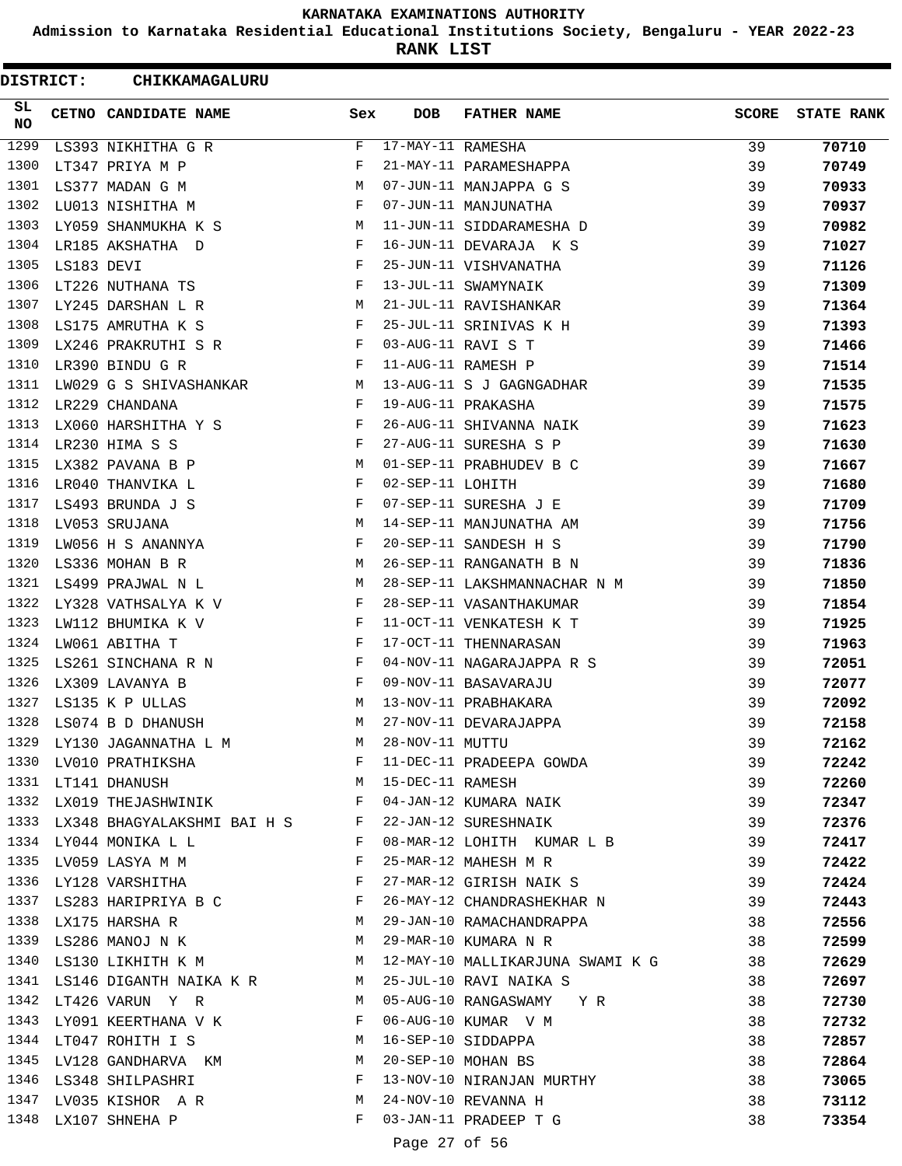**Admission to Karnataka Residential Educational Institutions Society, Bengaluru - YEAR 2022-23**

**RANK LIST**

| <b>DISTRICT:</b> |            | <b>CHIKKAMAGALURU</b>                                             |              |                   |                                                              |              |                   |
|------------------|------------|-------------------------------------------------------------------|--------------|-------------------|--------------------------------------------------------------|--------------|-------------------|
| SL.<br><b>NO</b> |            | <b>CETNO CANDIDATE NAME</b>                                       | Sex          | <b>DOB</b>        | <b>FATHER NAME</b>                                           | <b>SCORE</b> | <b>STATE RANK</b> |
| 1299             |            | LS393 NIKHITHA G R                                                | F            | 17-MAY-11 RAMESHA |                                                              | 39           | 70710             |
| 1300             |            | LT347 PRIYA M P                                                   | F            |                   | 21-MAY-11 PARAMESHAPPA                                       | 39           | 70749             |
| 1301             |            | LS377 MADAN G M                                                   | M            |                   | 07-JUN-11 MANJAPPA G S                                       | 39           | 70933             |
| 1302             |            | LU013 NISHITHA M                                                  | $\mathbf{F}$ |                   | 07-JUN-11 MANJUNATHA                                         | 39           | 70937             |
| 1303             |            | LY059 SHANMUKHA K S                                               | M            |                   | 11-JUN-11 SIDDARAMESHA D                                     | 39           | 70982             |
| 1304             |            | LR185 AKSHATHA D                                                  | F            |                   | 16-JUN-11 DEVARAJA K S                                       | 39           | 71027             |
| 1305             | LS183 DEVI |                                                                   | F            |                   | 25-JUN-11 VISHVANATHA                                        | 39           | 71126             |
| 1306             |            | LT226 NUTHANA TS                                                  | F            |                   | 13-JUL-11 SWAMYNAIK                                          | 39           | 71309             |
| 1307             |            | LY245 DARSHAN L R                                                 | M            |                   | 21-JUL-11 RAVISHANKAR                                        | 39           | 71364             |
| 1308             |            | LS175 AMRUTHA K S                                                 | F            |                   | 25-JUL-11 SRINIVAS K H                                       | 39           | 71393             |
| 1309             |            | LX246 PRAKRUTHI S R                                               | F            |                   | 03-AUG-11 RAVI S T                                           | 39           | 71466             |
| 1310             |            | $\mathbf{F}$ and $\mathbf{F}$ and $\mathbf{F}$<br>LR390 BINDU G R |              |                   | 11-AUG-11 RAMESH P                                           | 39           | 71514             |
|                  |            | 1311 LW029 G S SHIVASHANKAR M                                     |              |                   | 13-AUG-11 S J GAGNGADHAR                                     | 39           | 71535             |
| 1312             |            | LR229 CHANDANA                                                    | F            |                   | 19-AUG-11 PRAKASHA                                           | 39           | 71575             |
| 1313             |            | LX060 HARSHITHA Y S                                               | F            |                   | 26-AUG-11 SHIVANNA NAIK                                      | 39           | 71623             |
| 1314             |            | LR230 HIMA S S                                                    | F            |                   | 27-AUG-11 SURESHA S P                                        | 39           | 71630             |
| 1315             |            | LX382 PAVANA B P                                                  | M            |                   | 01-SEP-11 PRABHUDEV B C                                      | 39           | 71667             |
| 1316             |            | LR040 THANVIKA L                                                  | F            | 02-SEP-11 LOHITH  |                                                              | 39           | 71680             |
| 1317             |            | LS493 BRUNDA J S                                                  | F            |                   | 07-SEP-11 SURESHA J E                                        | 39           | 71709             |
| 1318             |            | LV053 SRUJANA                                                     | M            |                   | 14-SEP-11 MANJUNATHA AM                                      | 39           | 71756             |
| 1319             |            | LW056 H S ANANNYA                                                 | F            |                   | 20-SEP-11 SANDESH H S                                        | 39           | 71790             |
| 1320             |            | LS336 MOHAN B R                                                   | M            |                   | 26-SEP-11 RANGANATH B N                                      | 39           | 71836             |
| 1321             |            | LS499 PRAJWAL N L                                                 | M            |                   | 28-SEP-11 LAKSHMANNACHAR N M                                 | 39           | 71850             |
| 1322             |            | LY328 VATHSALYA K V                                               | F            |                   | 28-SEP-11 VASANTHAKUMAR                                      | 39           | 71854             |
| 1323             |            | LW112 BHUMIKA K V                                                 | F            |                   | 11-OCT-11 VENKATESH K T                                      | 39           | 71925             |
| 1324             |            | LW061 ABITHA T                                                    | F            |                   | 17-OCT-11 THENNARASAN                                        | 39           | 71963             |
| 1325             |            | LS261 SINCHANA R N                                                | F            |                   | 04-NOV-11 NAGARAJAPPA R S                                    | 39           | 72051             |
| 1326             |            | LX309 LAVANYA B                                                   | F            |                   | 09-NOV-11 BASAVARAJU                                         | 39           | 72077             |
| 1327             |            | LS135 K P ULLAS                                                   | M            |                   | 13-NOV-11 PRABHAKARA                                         | 39           | 72092             |
| 1328             |            | LS074 B D DHANUSH                                                 | M            |                   | 27-NOV-11 DEVARAJAPPA                                        | 39           | 72158             |
|                  |            | 1329 LY130 JAGANNATHA L M M                                       |              | 28-NOV-11 MUTTU   |                                                              | 39           | 72162             |
|                  |            |                                                                   |              |                   |                                                              | 39           | 72242             |
|                  |            |                                                                   |              |                   |                                                              | 39           | 72260             |
|                  |            |                                                                   |              |                   |                                                              | 39           | 72347             |
|                  |            | 1333 LX348 BHAGYALAKSHMI BAI H S F                                |              |                   | 22-JAN-12 SURESHNAIK                                         | 39           | 72376             |
|                  |            | $\mathbf{F}$ and $\mathbf{F}$<br>1334 LY044 MONIKA L L            |              |                   | 08-MAR-12 LOHITH KUMAR L B                                   | 39           | 72417             |
|                  |            | 1335 LV059 LASYA M M                                              | F            |                   | 25-MAR-12 MAHESH M R                                         | 39           | 72422             |
|                  |            | 1336 LY128 VARSHITHA F                                            |              |                   | 27-MAR-12 GIRISH NAIK S                                      | 39           | 72424             |
|                  |            | 1337 LS283 HARIPRIYA B C F                                        |              |                   | 26-MAY-12 CHANDRASHEKHAR N 39                                |              | 72443             |
|                  |            | M<br>1338 LX175 HARSHA R                                          |              |                   | 29-JAN-10 RAMACHANDRAPPA                                     | 38           | 72556             |
|                  |            | 1339 LS286 MANOJ N K M 29-MAR-10 KUMARA N R                       |              |                   |                                                              | 38           | 72599             |
|                  |            |                                                                   |              |                   |                                                              |              | 72629             |
|                  |            |                                                                   |              |                   | 1340 LS130 LIKHITH K M M 12-MAY-10 MALLIKARJUNA SWAMI K G 38 |              |                   |
|                  |            | 1341 LS146 DIGANTH NAIKA K R M<br>1342 LT426 VARUN Y R M          |              |                   | 25-JUL-10 RAVI NAIKA S                                       | 38           | 72697             |
|                  |            |                                                                   |              |                   | 05-AUG-10 RANGASWAMY Y R                                     | 38           | 72730             |
|                  |            | 1343 LY091 KEERTHANA V K F                                        |              |                   | 06-AUG-10 KUMAR V M                                          | 38           | 72732             |
|                  |            | 1344 LT047 ROHITH I S                                             |              |                   | M 16-SEP-10 SIDDAPPA                                         | 38           | 72857             |
|                  |            | 1345 LV128 GANDHARVA KM                                           |              |                   | 20-SEP-10 MOHAN BS                                           | 38           | 72864             |
|                  |            | 1346 LS348 SHILPASHRI F                                           |              |                   | 13-NOV-10 NIRANJAN MURTHY                                    | 38           | 73065             |
|                  |            | 1347 LV035 KISHOR AR M                                            |              |                   | 24-NOV-10 REVANNA H                                          | 38           | 73112             |
|                  |            | 1348 LX107 SHNEHA P                                               | F            |                   | 03-JAN-11 PRADEEP T G                                        | 38           | 73354             |
|                  |            |                                                                   |              | Page 27 of 56     |                                                              |              |                   |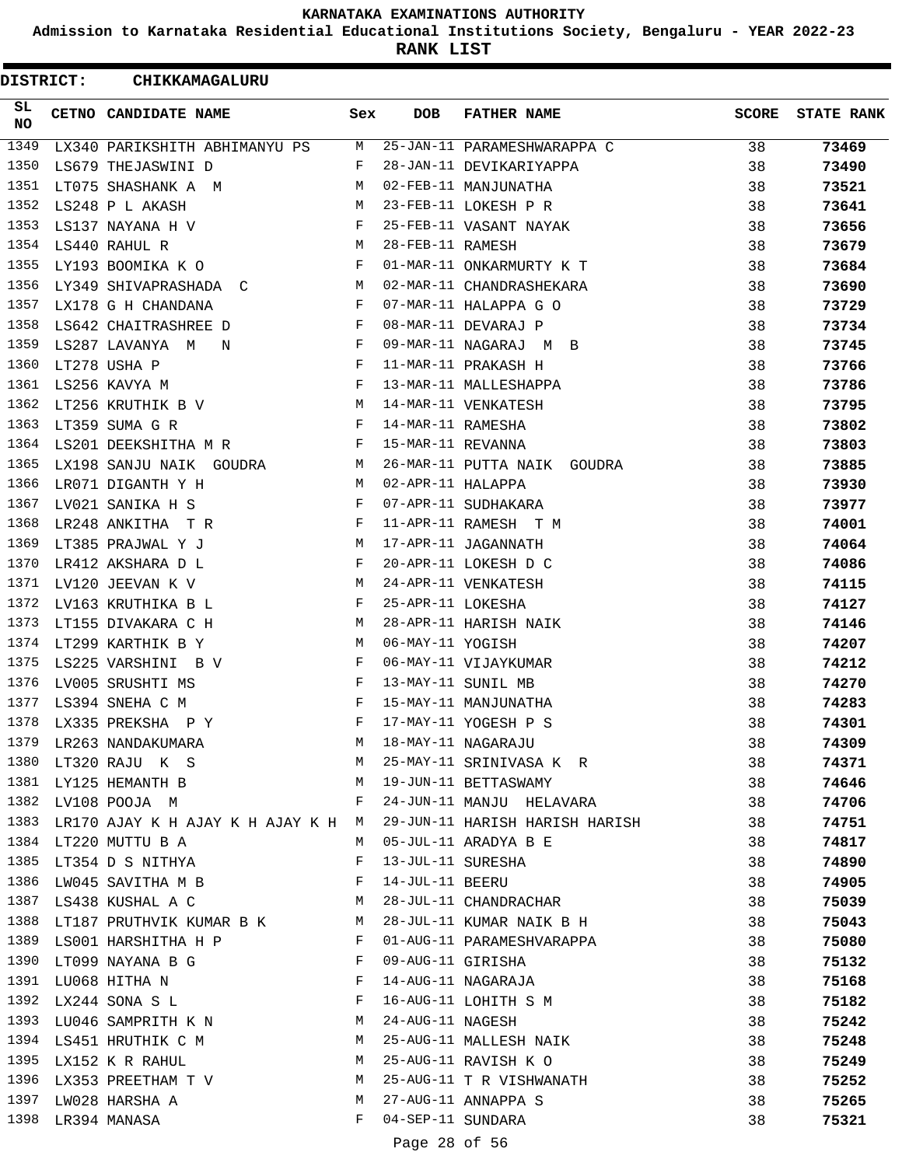**Admission to Karnataka Residential Educational Institutions Society, Bengaluru - YEAR 2022-23**

**RANK LIST**

 $\blacksquare$ 

| <b>DISTRICT:</b> |  | <b>CHIKKAMAGALURU</b>                                                                                                                                                                                                                                  |              |                   |                                          |              |                   |
|------------------|--|--------------------------------------------------------------------------------------------------------------------------------------------------------------------------------------------------------------------------------------------------------|--------------|-------------------|------------------------------------------|--------------|-------------------|
| SL<br>NO         |  | CETNO CANDIDATE NAME                                                                                                                                                                                                                                   | Sex          | <b>DOB</b>        | <b>FATHER NAME</b>                       | <b>SCORE</b> | <b>STATE RANK</b> |
| 1349             |  | LX340 PARIKSHITH ABHIMANYU PS M                                                                                                                                                                                                                        |              |                   | 25-JAN-11 PARAMESHWARAPPA C              | 38           | 73469             |
| 1350             |  | LS679 THEJASWINI D                                                                                                                                                                                                                                     | F            |                   | 28-JAN-11 DEVIKARIYAPPA                  | 38           | 73490             |
| 1351             |  | LT075 SHASHANK A M                                                                                                                                                                                                                                     | M            |                   | 02-FEB-11 MANJUNATHA                     | 38           | 73521             |
| 1352             |  | LS248 P L AKASH                                                                                                                                                                                                                                        | M            |                   | 23-FEB-11 LOKESH P R                     | 38           | 73641             |
| 1353             |  | LS137 NAYANA H V                                                                                                                                                                                                                                       | F            |                   | 25-FEB-11 VASANT NAYAK                   | 38           | 73656             |
| 1354             |  | LS440 RAHUL R                                                                                                                                                                                                                                          | $M_{\odot}$  | 28-FEB-11 RAMESH  |                                          | 38           | 73679             |
| 1355             |  | LY193 BOOMIKA K O                                                                                                                                                                                                                                      | F            |                   | 01-MAR-11 ONKARMURTY K T                 | 38           | 73684             |
| 1356             |  | LY349 SHIVAPRASHADA C M                                                                                                                                                                                                                                |              |                   | 02-MAR-11 CHANDRASHEKARA                 | 38           | 73690             |
| 1357             |  | LX178 G H CHANDANA                                                                                                                                                                                                                                     | $\mathbf{F}$ |                   | 07-MAR-11 HALAPPA G O                    | 38           | 73729             |
| 1358             |  | $\mathbf{F}$ and the set of the set of $\mathbf{F}$ .<br>LS642 CHAITRASHREE D                                                                                                                                                                          |              |                   | 08-MAR-11 DEVARAJ P                      | 38           | 73734             |
| 1359             |  | LS287 LAVANYA M N<br>$\mathbf{F}$ and the set of the set of the set of the set of the set of the set of the set of the set of the set of the set of the set of the set of the set of the set of the set of the set of the set of the set of the set of |              |                   | 09-MAR-11 NAGARAJ M B                    | 38           | 73745             |
| 1360             |  | $\mathbf{F}$ and $\mathbf{F}$<br>LT278 USHA P                                                                                                                                                                                                          |              |                   | 11-MAR-11 PRAKASH H                      | 38           | 73766             |
| 1361             |  | LS256 KAVYA M                                                                                                                                                                                                                                          | $\mathbf{F}$ |                   | 13-MAR-11 MALLESHAPPA                    | 38           | 73786             |
| 1362             |  | LT256 KRUTHIK B V M                                                                                                                                                                                                                                    |              |                   | 14-MAR-11 VENKATESH                      | 38           | 73795             |
| 1363             |  | LT359 SUMA G R<br>$\mathbf{F}$ . The contract of the contract of $\mathbf{F}$ .                                                                                                                                                                        |              | 14-MAR-11 RAMESHA |                                          | 38           | 73802             |
| 1364             |  | LS201 DEEKSHITHA M R F                                                                                                                                                                                                                                 |              | 15-MAR-11 REVANNA |                                          | 38           | 73803             |
| 1365             |  | LX198 SANJU NAIK GOUDRA M                                                                                                                                                                                                                              |              |                   | 26-MAR-11 PUTTA NAIK GOUDRA              | 38           | 73885             |
| 1366             |  | LR071 DIGANTH Y H<br>M <sub>1</sub>                                                                                                                                                                                                                    |              | 02-APR-11 HALAPPA |                                          | 38           | 73930             |
| 1367             |  | LV021 SANIKA H S<br>$\mathbf{F}$ . The contract of the contract of $\mathbf{F}$ , and $\mathbf{F}$                                                                                                                                                     |              |                   | 07-APR-11 SUDHAKARA                      | 38           | 73977             |
| 1368             |  | LR248 ANKITHA T R $F$                                                                                                                                                                                                                                  |              |                   | 11-APR-11 RAMESH T M                     | 38           | 74001             |
| 1369             |  |                                                                                                                                                                                                                                                        | M            |                   | 17-APR-11 JAGANNATH                      | 38           | 74064             |
| 1370             |  | LR412 AKSHARA D L                                                                                                                                                                                                                                      | F            |                   | 20-APR-11 LOKESH D C                     | 38           | 74086             |
| 1371             |  | LV120 JEEVAN K V                                                                                                                                                                                                                                       | M            |                   | 24-APR-11 VENKATESH                      | 38           | 74115             |
| 1372             |  | LV163 KRUTHIKA B L                                                                                                                                                                                                                                     | F            | 25-APR-11 LOKESHA |                                          | 38           | 74127             |
| 1373             |  | LT155 DIVAKARA C H                                                                                                                                                                                                                                     | M            |                   | 28-APR-11 HARISH NAIK                    | 38           | 74146             |
| 1374             |  | LT299 KARTHIK B Y                                                                                                                                                                                                                                      | M            | 06-MAY-11 YOGISH  |                                          | 38           | 74207             |
| 1375             |  | LS225 VARSHINI B V                                                                                                                                                                                                                                     | F            |                   | 06-MAY-11 VIJAYKUMAR                     | 38           | 74212             |
| 1376             |  | LV005 SRUSHTI MS                                                                                                                                                                                                                                       | $\mathbf{F}$ |                   | 13-MAY-11 SUNIL MB                       | 38           | 74270             |
| 1377             |  | LS394 SNEHA C M                                                                                                                                                                                                                                        | $\mathbf{F}$ |                   | 15-MAY-11 MANJUNATHA                     | 38           | 74283             |
| 1378             |  | LX335 PREKSHA P Y                                                                                                                                                                                                                                      | F            |                   | 17-MAY-11 YOGESH P S                     | 38           | 74301             |
|                  |  | 1379 LR263 NANDAKUMARA                                                                                                                                                                                                                                 | M            |                   | 18-MAY-11 NAGARAJU                       | 38           | 74309             |
| 1380             |  | LT320 RAJU K S M                                                                                                                                                                                                                                       |              |                   | 25-MAY-11 SRINIVASA K R                  | 38           | 74371             |
|                  |  | 1381 LY125 HEMANTH B                                                                                                                                                                                                                                   | M            |                   | 19-JUN-11 BETTASWAMY                     | 38           | 74646             |
| 1382             |  | LV108 POOJA M                                                                                                                                                                                                                                          | F            |                   | 24-JUN-11 MANJU HELAVARA                 | 38           | 74706             |
| 1383             |  | LR170 AJAY K H AJAY K H AJAY K H M                                                                                                                                                                                                                     |              |                   | 29-JUN-11 HARISH HARISH HARISH           | 38           | 74751             |
| 1384             |  | LT220 MUTTU B A                                                                                                                                                                                                                                        | M            |                   | 05-JUL-11 ARADYA B E                     | 38           | 74817             |
| 1385             |  | LT354 D S NITHYA                                                                                                                                                                                                                                       | F            | 13-JUL-11 SURESHA |                                          | 38           | 74890             |
| 1386             |  | LW045 SAVITHA M B                                                                                                                                                                                                                                      | F            | 14-JUL-11 BEERU   |                                          | 38           | 74905             |
|                  |  | 1387 LS438 KUSHAL A C<br><b>M</b>                                                                                                                                                                                                                      |              |                   | 28-JUL-11 CHANDRACHAR                    | 38           | 75039             |
| 1388             |  | LT187 PRUTHVIK KUMAR B K M                                                                                                                                                                                                                             |              |                   | 28-JUL-11 KUMAR NAIK B H                 | 38           | 75043             |
|                  |  | 1389 LS001 HARSHITHA H P                                                                                                                                                                                                                               | F            |                   | 01-AUG-11 PARAMESHVARAPPA                | 38           | 75080             |
| 1390             |  | LT099 NAYANA B G                                                                                                                                                                                                                                       | F            |                   | 09-AUG-11 GIRISHA                        | 38           | 75132             |
| 1391             |  | LU068 HITHA N                                                                                                                                                                                                                                          | F            |                   | 14-AUG-11 NAGARAJA                       | 38           | 75168             |
| 1392             |  | LX244 SONA S L                                                                                                                                                                                                                                         | F            |                   | 16-AUG-11 LOHITH S M<br>24-AUG-11 NACFSH | 38           | 75182             |
| 1393             |  | LU046 SAMPRITH K N                                                                                                                                                                                                                                     | M            | 24-AUG-11 NAGESH  |                                          | 38           | 75242             |
| 1394             |  | LS451 HRUTHIK C M                                                                                                                                                                                                                                      | M            |                   | 25-AUG-11 MALLESH NAIK                   | 38           | 75248             |
| 1395             |  | LX152 K R RAHUL                                                                                                                                                                                                                                        | M            |                   | 25-AUG-11 RAVISH K O                     | 38           | 75249             |
| 1396             |  | LX353 PREETHAM T V                                                                                                                                                                                                                                     | M            |                   | 25-AUG-11 T R VISHWANATH                 | 38           | 75252             |
| 1397             |  | LW028 HARSHA A                                                                                                                                                                                                                                         | M            |                   | 27-AUG-11 ANNAPPA S                      | 38           | 75265             |
| 1398             |  | LR394 MANASA                                                                                                                                                                                                                                           | F            | 04-SEP-11 SUNDARA |                                          | 38           | 75321             |
|                  |  |                                                                                                                                                                                                                                                        |              |                   |                                          |              |                   |

Page 28 of 56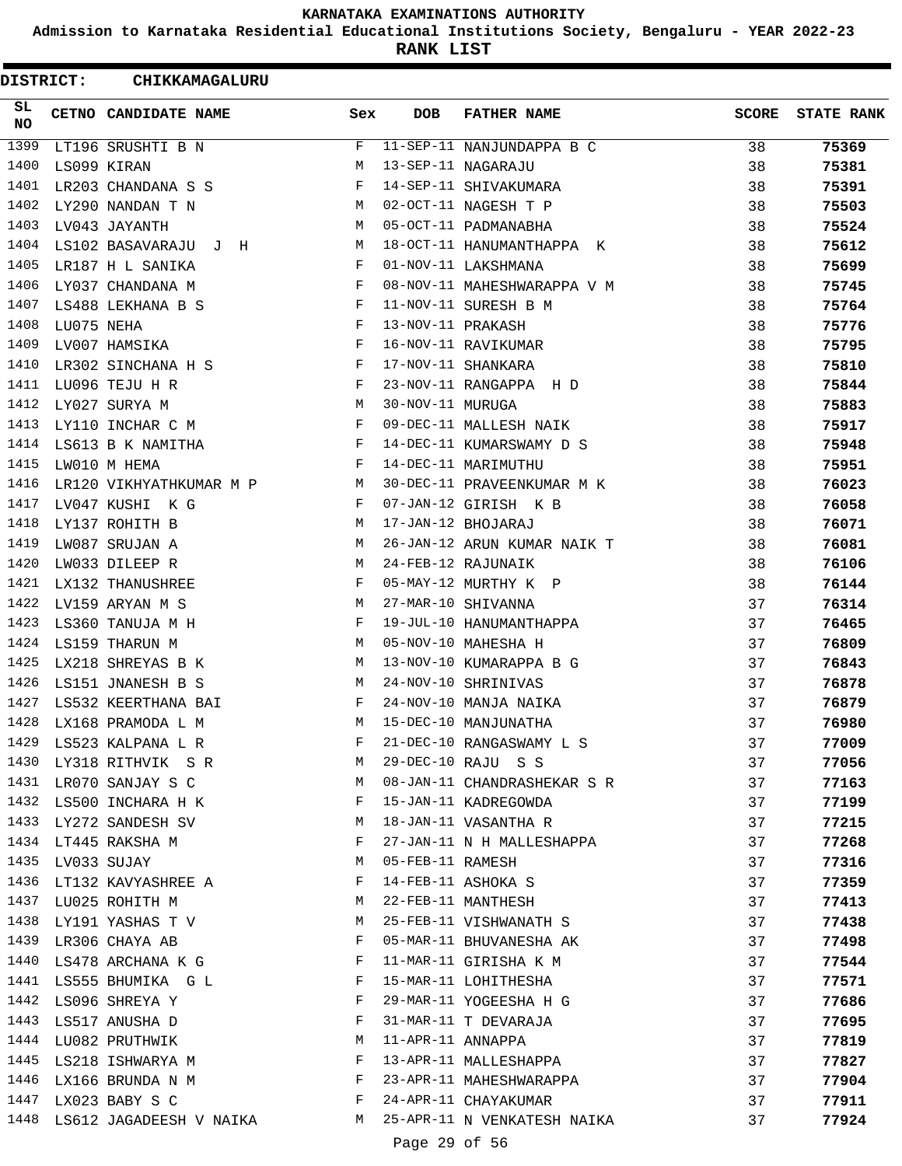**Admission to Karnataka Residential Educational Institutions Society, Bengaluru - YEAR 2022-23**

**RANK LIST**

ı

| <b>DISTRICT:</b> |             | CHIKKAMAGALURU                 |              |                   |                             |              |                   |
|------------------|-------------|--------------------------------|--------------|-------------------|-----------------------------|--------------|-------------------|
| SL.<br><b>NO</b> |             | CETNO CANDIDATE NAME           | Sex          | <b>DOB</b>        | <b>FATHER NAME</b>          | <b>SCORE</b> | <b>STATE RANK</b> |
| 1399             |             | LT196 SRUSHTI B N              | F            |                   | 11-SEP-11 NANJUNDAPPA B C   | 38           | 75369             |
| 1400             |             | LS099 KIRAN                    | М            |                   | 13-SEP-11 NAGARAJU          | 38           | 75381             |
| 1401             |             | LR203 CHANDANA S S             | F            |                   | 14-SEP-11 SHIVAKUMARA       | 38           | 75391             |
| 1402             |             | LY290 NANDAN T N               | M            |                   | 02-OCT-11 NAGESH T P        | 38           | 75503             |
| 1403             |             | LV043 JAYANTH                  | M            |                   | 05-OCT-11 PADMANABHA        | 38           | 75524             |
| 1404             |             | LS102 BASAVARAJU J H           | M            |                   | 18-OCT-11 HANUMANTHAPPA K   | 38           | 75612             |
| 1405             |             | LR187 H L SANIKA               | F            |                   | 01-NOV-11 LAKSHMANA         | 38           | 75699             |
| 1406             |             | LY037 CHANDANA M               | F            |                   | 08-NOV-11 MAHESHWARAPPA V M | 38           | 75745             |
| 1407             |             | LS488 LEKHANA B S              | F            |                   | 11-NOV-11 SURESH B M        | 38           | 75764             |
| 1408             | LU075 NEHA  |                                | F            | 13-NOV-11 PRAKASH |                             | 38           | 75776             |
| 1409             |             | LV007 HAMSIKA                  | F            |                   | 16-NOV-11 RAVIKUMAR         | 38           | 75795             |
| 1410             |             | LR302 SINCHANA H S             | F            |                   | 17-NOV-11 SHANKARA          | 38           | 75810             |
| 1411             |             | LU096 TEJU H R                 | F            |                   | 23-NOV-11 RANGAPPA H D      | 38           | 75844             |
| 1412             |             | LY027 SURYA M                  | М            | 30-NOV-11 MURUGA  |                             | 38           | 75883             |
| 1413             |             | LY110 INCHAR C M               | F            |                   | 09-DEC-11 MALLESH NAIK      | 38           | 75917             |
| 1414             |             | LS613 B K NAMITHA              | F            |                   | 14-DEC-11 KUMARSWAMY D S    | 38           | 75948             |
| 1415             |             | LW010 M HEMA                   | F            |                   | 14-DEC-11 MARIMUTHU         | 38           | 75951             |
| 1416             |             | LR120 VIKHYATHKUMAR M P M      |              |                   | 30-DEC-11 PRAVEENKUMAR M K  | 38           | 76023             |
| 1417             |             | LV047 KUSHI K G                | $\mathbf{F}$ |                   | 07-JAN-12 GIRISH K B        | 38           | 76058             |
| 1418             |             | LY137 ROHITH B                 | M            |                   | 17-JAN-12 BHOJARAJ          | 38           | 76071             |
| 1419             |             | LW087 SRUJAN A                 | M            |                   | 26-JAN-12 ARUN KUMAR NAIK T | 38           | 76081             |
| 1420             |             | LW033 DILEEP R                 | M            |                   | 24-FEB-12 RAJUNAIK          | 38           | 76106             |
| 1421             |             | LX132 THANUSHREE               | F            |                   | 05-MAY-12 MURTHY K P        | 38           | 76144             |
| 1422             |             | LV159 ARYAN M S                | М            |                   | 27-MAR-10 SHIVANNA          | 37           | 76314             |
| 1423             |             | LS360 TANUJA M H               | F            |                   | 19-JUL-10 HANUMANTHAPPA     | 37           | 76465             |
| 1424             |             | LS159 THARUN M                 | M            |                   | 05-NOV-10 MAHESHA H         | 37           | 76809             |
| 1425             |             | LX218 SHREYAS B K              | M            |                   | 13-NOV-10 KUMARAPPA B G     | 37           | 76843             |
| 1426             |             | LS151 JNANESH B S              | M            |                   | 24-NOV-10 SHRINIVAS         | 37           | 76878             |
| 1427             |             | LS532 KEERTHANA BAI            | F            |                   | 24-NOV-10 MANJA NAIKA       | 37           | 76879             |
| 1428             |             | LX168 PRAMODA L M              | M            |                   | 15-DEC-10 MANJUNATHA        | 37           | 76980             |
| 1429             |             | LS523 KALPANA L R              | F            |                   | 21-DEC-10 RANGASWAMY L S    | 37           | 77009             |
|                  |             | 1430 LY318 RITHVIK S R         | M            |                   | 29-DEC-10 RAJU S S          | 37           | 77056             |
|                  |             | 1431 LR070 SANJAY S C          | M            |                   | 08-JAN-11 CHANDRASHEKAR S R | 37           | 77163             |
|                  |             | 1432 LS500 INCHARA H K         | F            |                   | 15-JAN-11 KADREGOWDA        | 37           | 77199             |
| 1433             |             | LY272 SANDESH SV               | M            |                   | 18-JAN-11 VASANTHA R        | 37           | 77215             |
|                  |             | 1434 LT445 RAKSHA M            | F            |                   | 27-JAN-11 N H MALLESHAPPA   | 37           | 77268             |
| 1435             | LV033 SUJAY |                                | М            | 05-FEB-11 RAMESH  |                             | 37           | 77316             |
|                  |             | 1436 LT132 KAVYASHREE A        | F            |                   | 14-FEB-11 ASHOKA S          | 37           | 77359             |
|                  |             | 1437 LU025 ROHITH M            | M            |                   | 22-FEB-11 MANTHESH          | 37           | 77413             |
|                  |             | 1438 LY191 YASHAS T V          | M            |                   | 25-FEB-11 VISHWANATH S      | 37           | 77438             |
|                  |             | 1439 LR306 CHAYA AB            | $\mathbf{F}$ |                   | 05-MAR-11 BHUVANESHA AK     | 37           | 77498             |
|                  |             | 1440 LS478 ARCHANA K G         | F            |                   | 11-MAR-11 GIRISHA K M       | 37           | 77544             |
| 1441             |             | LS555 BHUMIKA G L              | F            |                   | 15-MAR-11 LOHITHESHA        | 37           | 77571             |
| 1442             |             | LS096 SHREYA Y                 | F            |                   | 29-MAR-11 YOGEESHA H G      | 37           | 77686             |
|                  |             | 1443 LS517 ANUSHA D            | F            |                   | 31-MAR-11 T DEVARAJA        | 37           | 77695             |
|                  |             | 1444 LU082 PRUTHWIK            | М            | 11-APR-11 ANNAPPA |                             | 37           | 77819             |
| 1445             |             | LS218 ISHWARYA M               | F            |                   | 13-APR-11 MALLESHAPPA       | 37           | 77827             |
|                  |             | 1446 LX166 BRUNDA N M          | F            |                   | 23-APR-11 MAHESHWARAPPA     | 37           | 77904             |
|                  |             | 1447 LX023 BABY S C            | $\mathbf{F}$ |                   | 24-APR-11 CHAYAKUMAR        | 37           | 77911             |
|                  |             | 1448 LS612 JAGADEESH V NAIKA M |              |                   | 25-APR-11 N VENKATESH NAIKA | 37           | 77924             |
|                  |             |                                |              | Page 29 of 56     |                             |              |                   |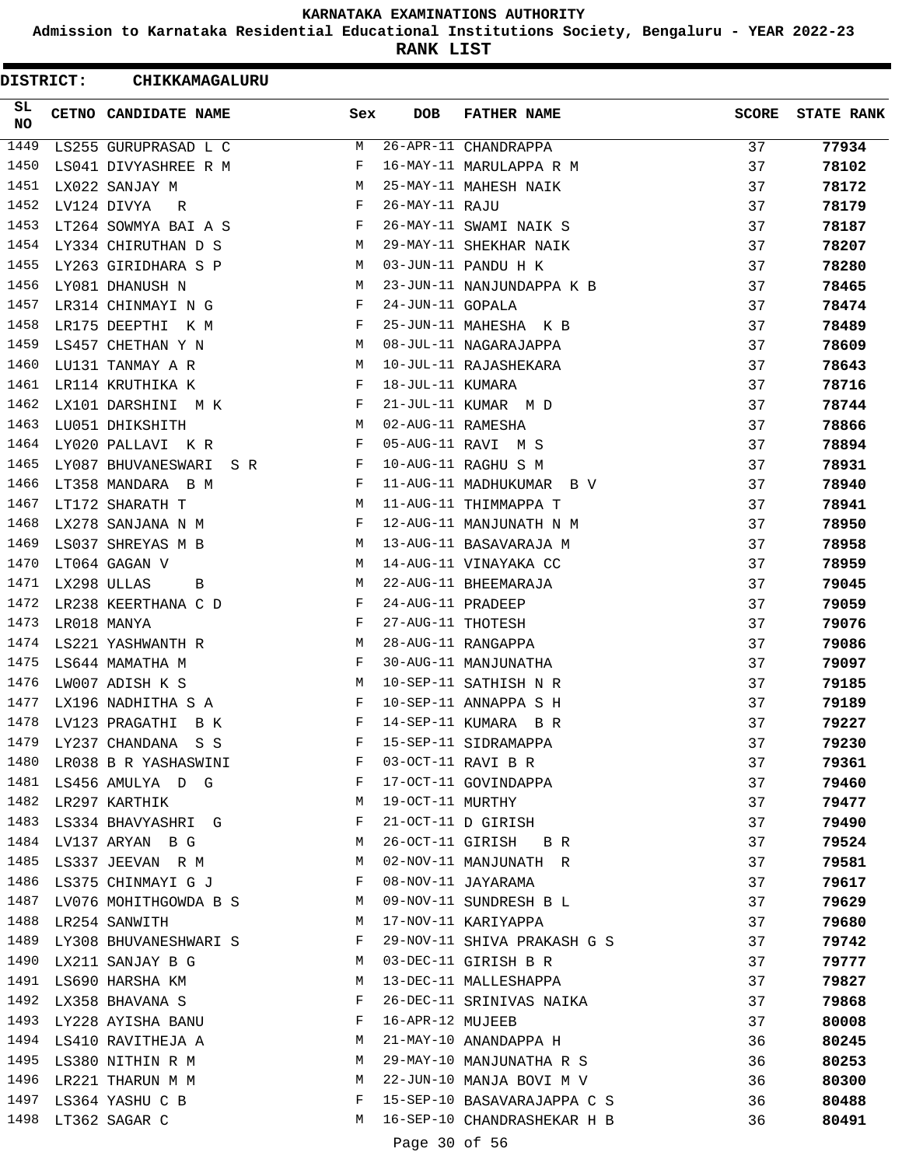**Admission to Karnataka Residential Educational Institutions Society, Bengaluru - YEAR 2022-23**

**RANK LIST**

| <b>DISTRICT:</b> |             | CHIKKAMAGALURU             |                           |                   |                             |              |                   |
|------------------|-------------|----------------------------|---------------------------|-------------------|-----------------------------|--------------|-------------------|
| SL<br>NO.        |             | CETNO CANDIDATE NAME       | Sex                       | <b>DOB</b>        | <b>FATHER NAME</b>          | <b>SCORE</b> | <b>STATE RANK</b> |
| 1449             |             | LS255 GURUPRASAD L C       | М                         |                   | 26-APR-11 CHANDRAPPA        | 37           | 77934             |
| 1450             |             | LS041 DIVYASHREE R M       | F                         |                   | 16-MAY-11 MARULAPPA R M     | 37           | 78102             |
| 1451             |             | LX022 SANJAY M             | М                         |                   | 25-MAY-11 MAHESH NAIK       | 37           | 78172             |
| 1452             |             | LV124 DIVYA<br>R           | F                         | 26-MAY-11 RAJU    |                             | 37           | 78179             |
| 1453             |             | LT264 SOWMYA BAI A S       | F                         |                   | 26-MAY-11 SWAMI NAIK S      | 37           | 78187             |
| 1454             |             | LY334 CHIRUTHAN D S        | M                         |                   | 29-MAY-11 SHEKHAR NAIK      | 37           | 78207             |
| 1455             |             | LY263 GIRIDHARA S P        | M                         |                   | 03-JUN-11 PANDU H K         | 37           | 78280             |
| 1456             |             | LY081 DHANUSH N            | М                         |                   | 23-JUN-11 NANJUNDAPPA K B   | 37           | 78465             |
| 1457             |             | LR314 CHINMAYI N G         | F                         | 24-JUN-11 GOPALA  |                             | 37           | 78474             |
| 1458             |             | LR175 DEEPTHI K M          | F                         |                   | 25-JUN-11 MAHESHA K B       | 37           | 78489             |
| 1459             |             | LS457 CHETHAN Y N          | M                         |                   | 08-JUL-11 NAGARAJAPPA       | 37           | 78609             |
| 1460             |             | LU131 TANMAY A R           | М                         |                   | 10-JUL-11 RAJASHEKARA       | 37           | 78643             |
| 1461             |             | LR114 KRUTHIKA K           | F                         | 18-JUL-11 KUMARA  |                             | 37           | 78716             |
| 1462             |             | LX101 DARSHINI M K         | F                         |                   | 21-JUL-11 KUMAR M D         | 37           | 78744             |
| 1463             |             | LU051 DHIKSHITH            | M                         | 02-AUG-11 RAMESHA |                             | 37           | 78866             |
| 1464             |             | LY020 PALLAVI K R          | F                         |                   | 05-AUG-11 RAVI M S          | 37           | 78894             |
| 1465             |             | LY087 BHUVANESWARI SR      | F                         |                   | 10-AUG-11 RAGHU S M         | 37           | 78931             |
| 1466             |             | LT358 MANDARA B M          | F                         |                   | 11-AUG-11 MADHUKUMAR B V    | 37           | 78940             |
| 1467             |             | LT172 SHARATH T            | М                         |                   | 11-AUG-11 THIMMAPPA T       | 37           | 78941             |
| 1468             |             | LX278 SANJANA N M          | F                         |                   | 12-AUG-11 MANJUNATH N M     | 37           | 78950             |
| 1469             |             | LS037 SHREYAS M B          | M                         |                   | 13-AUG-11 BASAVARAJA M      | 37           | 78958             |
| 1470             |             | LT064 GAGAN V              | М                         |                   | 14-AUG-11 VINAYAKA CC       | 37           | 78959             |
| 1471             | LX298 ULLAS | В                          | М                         |                   | 22-AUG-11 BHEEMARAJA        | 37           | 79045             |
| 1472             |             | LR238 KEERTHANA C D        | F                         | 24-AUG-11 PRADEEP |                             | 37           | 79059             |
| 1473             |             | LR018 MANYA                | F                         | 27-AUG-11 THOTESH |                             | 37           | 79076             |
| 1474             |             | LS221 YASHWANTH R          | M                         |                   | 28-AUG-11 RANGAPPA          | 37           | 79086             |
| 1475             |             | LS644 MAMATHA M            | F                         |                   | 30-AUG-11 MANJUNATHA        | 37           | 79097             |
| 1476             |             | LW007 ADISH K S            | M                         |                   | 10-SEP-11 SATHISH N R       | 37           | 79185             |
| 1477             |             | LX196 NADHITHA S A         | F                         |                   | 10-SEP-11 ANNAPPA S H       | 37           | 79189             |
| 1478             |             | LV123 PRAGATHI<br>B K      | F                         |                   | 14-SEP-11 KUMARA B R        | 37           | 79227             |
| 1479             |             | LY237 CHANDANA S S         | F                         |                   | 15-SEP-11 SIDRAMAPPA        | 37           | 79230             |
| 1480             |             | LR038 B R YASHASWINI       | F                         |                   | 03-OCT-11 RAVI B R          | 37           | 79361             |
|                  |             | 1481 LS456 AMULYA D G      | and the state of the Fig. |                   | 17-OCT-11 GOVINDAPPA        | 37           | 79460             |
|                  |             | 1482 LR297 KARTHIK         | M                         | 19-OCT-11 MURTHY  |                             | 37           | 79477             |
| 1483             |             | LS334 BHAVYASHRI G         | F                         |                   | 21-OCT-11 D GIRISH          | 37           | 79490             |
| 1484             |             | LV137 ARYAN B G            | M                         |                   | 26-OCT-11 GIRISH B R        | 37           | 79524             |
| 1485             |             | LS337 JEEVAN R M           | M                         |                   | 02-NOV-11 MANJUNATH R       | 37           | 79581             |
| 1486             |             | LS375 CHINMAYI G J         | F                         |                   | 08-NOV-11 JAYARAMA          | 37           | 79617             |
|                  |             | 1487 LV076 MOHITHGOWDA B S | M                         |                   | 09-NOV-11 SUNDRESH B L      | 37           | 79629             |
| 1488             |             | LR254 SANWITH              | M                         |                   | 17-NOV-11 KARIYAPPA         | 37           | 79680             |
|                  |             | 1489 LY308 BHUVANESHWARI S | F                         |                   | 29-NOV-11 SHIVA PRAKASH G S | 37           | 79742             |
|                  |             | 1490 LX211 SANJAY B G      | M                         |                   | 03-DEC-11 GIRISH B R        | 37           | 79777             |
|                  |             | 1491 LS690 HARSHA KM       | M                         |                   | 13-DEC-11 MALLESHAPPA       | 37           | 79827             |
| 1492             |             | LX358 BHAVANA S            | F                         |                   | 26-DEC-11 SRINIVAS NAIKA    | 37           | 79868             |
| 1493             |             | LY228 AYISHA BANU          | F                         | 16-APR-12 MUJEEB  |                             | 37           | 80008             |
|                  |             | 1494 LS410 RAVITHEJA A     | M                         |                   | 21-MAY-10 ANANDAPPA H       | 36           | 80245             |
|                  |             | 1495 LS380 NITHIN R M      | M                         |                   | 29-MAY-10 MANJUNATHA R S    | 36           | 80253             |
| 1496             |             | LR221 THARUN M M           | M                         |                   | 22-JUN-10 MANJA BOVI M V    | 36           | 80300             |
|                  |             | 1497 LS364 YASHU C B       | F                         |                   | 15-SEP-10 BASAVARAJAPPA C S | 36           | 80488             |
|                  |             | 1498 LT362 SAGAR C         | M                         |                   | 16-SEP-10 CHANDRASHEKAR H B | 36           | 80491             |
|                  |             |                            |                           | Page 30 of 56     |                             |              |                   |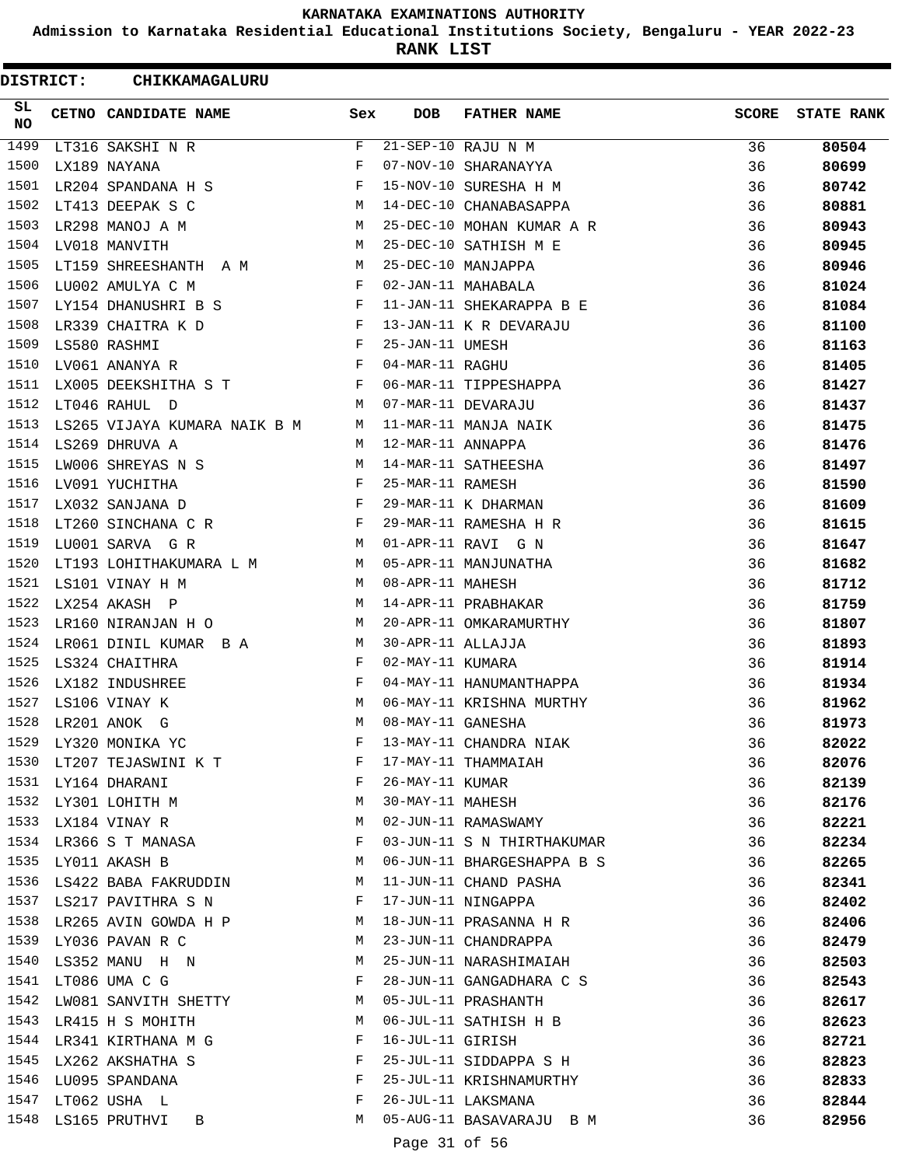**Admission to Karnataka Residential Educational Institutions Society, Bengaluru - YEAR 2022-23**

**RANK LIST**

ı

| <b>DISTRICT:</b> |  | CHIKKAMAGALURU                                      |     |                      |                            |              |                   |
|------------------|--|-----------------------------------------------------|-----|----------------------|----------------------------|--------------|-------------------|
| SL.<br>NO        |  | CETNO CANDIDATE NAME                                | Sex | <b>DOB</b>           | <b>FATHER NAME</b>         | <b>SCORE</b> | <b>STATE RANK</b> |
| 1499             |  | LT316 SAKSHI N R                                    | F   |                      | 21-SEP-10 RAJU N M         | 36           | 80504             |
| 1500             |  | LX189 NAYANA                                        | F   |                      | 07-NOV-10 SHARANAYYA       | 36           | 80699             |
| 1501             |  | LR204 SPANDANA H S                                  | F   |                      | 15-NOV-10 SURESHA H M      | 36           | 80742             |
| 1502             |  | <b>M</b><br>LT413 DEEPAK S C                        |     |                      | 14-DEC-10 CHANABASAPPA     | 36           | 80881             |
| 1503             |  | LR298 MANOJ A M                                     | M   |                      | 25-DEC-10 MOHAN KUMAR A R  | 36           | 80943             |
| 1504             |  | LV018 MANVITH                                       | M   |                      | 25-DEC-10 SATHISH M E      | 36           | 80945             |
| 1505             |  | LT159 SHREESHANTH A M M                             |     |                      | 25-DEC-10 MANJAPPA         | 36           | 80946             |
| 1506             |  | LU002 AMULYA C M                                    | F   |                      | 02-JAN-11 MAHABALA         | 36           | 81024             |
| 1507             |  | LY154 DHANUSHRI B S                                 | F   |                      | 11-JAN-11 SHEKARAPPA B E   | 36           | 81084             |
| 1508             |  |                                                     |     |                      | 13-JAN-11 K R DEVARAJU     | 36           | 81100             |
| 1509             |  | LR339 CHAITRA K D F<br>LS580 RASHMI F               |     | 25-JAN-11 UMESH      |                            | 36           | 81163             |
| 1510             |  | $\mathbf{F}$<br>LV061 ANANYA R                      |     | 04-MAR-11 RAGHU      |                            | 36           | 81405             |
| 1511             |  | LX005 DEEKSHITHA S T F                              |     |                      | 06-MAR-11 TIPPESHAPPA      | 36           | 81427             |
| 1512             |  | LT046 RAHUL D                                       |     | M 07-MAR-11 DEVARAJU |                            | 36           | 81437             |
| 1513             |  | LS265 VIJAYA KUMARA NAIK B M M 11-MAR-11 MANJA NAIK |     |                      |                            | 36           | 81475             |
| 1514             |  | LS269 DHRUVA A                                      | M   | 12-MAR-11 ANNAPPA    |                            | 36           | 81476             |
| 1515             |  | LW006 SHREYAS N S                                   | M   |                      | 14-MAR-11 SATHEESHA        | 36           | 81497             |
| 1516             |  | LV091 YUCHITHA                                      | F   | 25-MAR-11 RAMESH     |                            | 36           | 81590             |
| 1517             |  | $\mathbf{F}$<br>LX032 SANJANA D                     |     |                      | 29-MAR-11 K DHARMAN        | 36           | 81609             |
| 1518             |  | LT260 SINCHANA C R F                                |     |                      | 29-MAR-11 RAMESHA H R      | 36           | 81615             |
| 1519             |  | LU001 SARVA G R                                     | M   |                      | 01-APR-11 RAVI G N         | 36           | 81647             |
| 1520             |  | LT193 LOHITHAKUMARA L M M 05-APR-11 MANJUNATHA      |     |                      |                            | 36           | 81682             |
| 1521             |  | LS101 VINAY H M                                     | M   | 08-APR-11 MAHESH     |                            | 36           | 81712             |
| 1522             |  | LX254 AKASH P                                       | M   |                      | 14-APR-11 PRABHAKAR        | 36           | 81759             |
| 1523             |  | LR160 NIRANJAN H O M                                |     |                      | 20-APR-11 OMKARAMURTHY     | 36           | 81807             |
| 1524             |  | LR061 DINIL KUMAR B A M                             |     | 30-APR-11 ALLAJJA    |                            | 36           | 81893             |
| 1525             |  | LS324 CHAITHRA                                      | F   | 02-MAY-11 KUMARA     |                            | 36           | 81914             |
| 1526             |  | LX182 INDUSHREE                                     | F   |                      | 04-MAY-11 HANUMANTHAPPA    | 36           | 81934             |
| 1527             |  | LS106 VINAY K                                       | M   |                      | 06-MAY-11 KRISHNA MURTHY   | 36           | 81962             |
| 1528             |  | LR201 ANOK G                                        | M   | 08-MAY-11 GANESHA    |                            | 36           | 81973             |
| 1529             |  | LY320 MONIKA YC                                     | F   |                      | 13-MAY-11 CHANDRA NIAK     | 36           | 82022             |
|                  |  | 1530 LT207 TEJASWINI K T                            | F   |                      | 17-MAY-11 THAMMAIAH        | 36           | 82076             |
|                  |  | 1531 LY164 DHARANI                                  | F   | 26-MAY-11 KUMAR      |                            | 36           | 82139             |
|                  |  | 1532 LY301 LOHITH M                                 | М   | 30-MAY-11 MAHESH     |                            | 36           | 82176             |
| 1533             |  | LX184 VINAY R                                       | M   |                      | 02-JUN-11 RAMASWAMY        | 36           | 82221             |
| 1534             |  | LR366 S T MANASA                                    | F   |                      | 03-JUN-11 S N THIRTHAKUMAR | 36           | 82234             |
| 1535             |  | LY011 AKASH B                                       | M   |                      | 06-JUN-11 BHARGESHAPPA B S | 36           | 82265             |
|                  |  | 1536 LS422 BABA FAKRUDDIN                           | M   |                      | 11-JUN-11 CHAND PASHA      | 36           | 82341             |
|                  |  | 1537 LS217 PAVITHRA S N                             | F   |                      | 17-JUN-11 NINGAPPA         | 36           | 82402             |
|                  |  | 1538 LR265 AVIN GOWDA H P                           | M   |                      | 18-JUN-11 PRASANNA H R     | 36           | 82406             |
| 1539             |  | LY036 PAVAN R C                                     | M   |                      | 23-JUN-11 CHANDRAPPA       | 36           | 82479             |
| 1540             |  | LS352 MANU H N                                      | M   |                      | 25-JUN-11 NARASHIMAIAH     | 36           | 82503             |
| 1541             |  | LT086 UMA C G                                       | F   |                      | 28-JUN-11 GANGADHARA C S   | 36           | 82543             |
| 1542             |  | LW081 SANVITH SHETTY                                | M   |                      | 05-JUL-11 PRASHANTH        | 36           | 82617             |
| 1543             |  | LR415 H S MOHITH                                    | M   |                      | 06-JUL-11 SATHISH H B      | 36           | 82623             |
|                  |  | 1544 LR341 KIRTHANA M G                             | F   | 16-JUL-11 GIRISH     |                            | 36           | 82721             |
| 1545             |  | LX262 AKSHATHA S                                    | F   |                      | 25-JUL-11 SIDDAPPA S H     | 36           | 82823             |
|                  |  | 1546 LU095 SPANDANA                                 | F   |                      | 25-JUL-11 KRISHNAMURTHY    | 36           | 82833             |
|                  |  | 1547 LT062 USHA L                                   | F   |                      | 26-JUL-11 LAKSMANA         | 36           | 82844             |
|                  |  | 1548 LS165 PRUTHVI B                                | M   |                      | 05-AUG-11 BASAVARAJU B M   | 36           | 82956             |
|                  |  |                                                     |     | Page 31 of 56        |                            |              |                   |
|                  |  |                                                     |     |                      |                            |              |                   |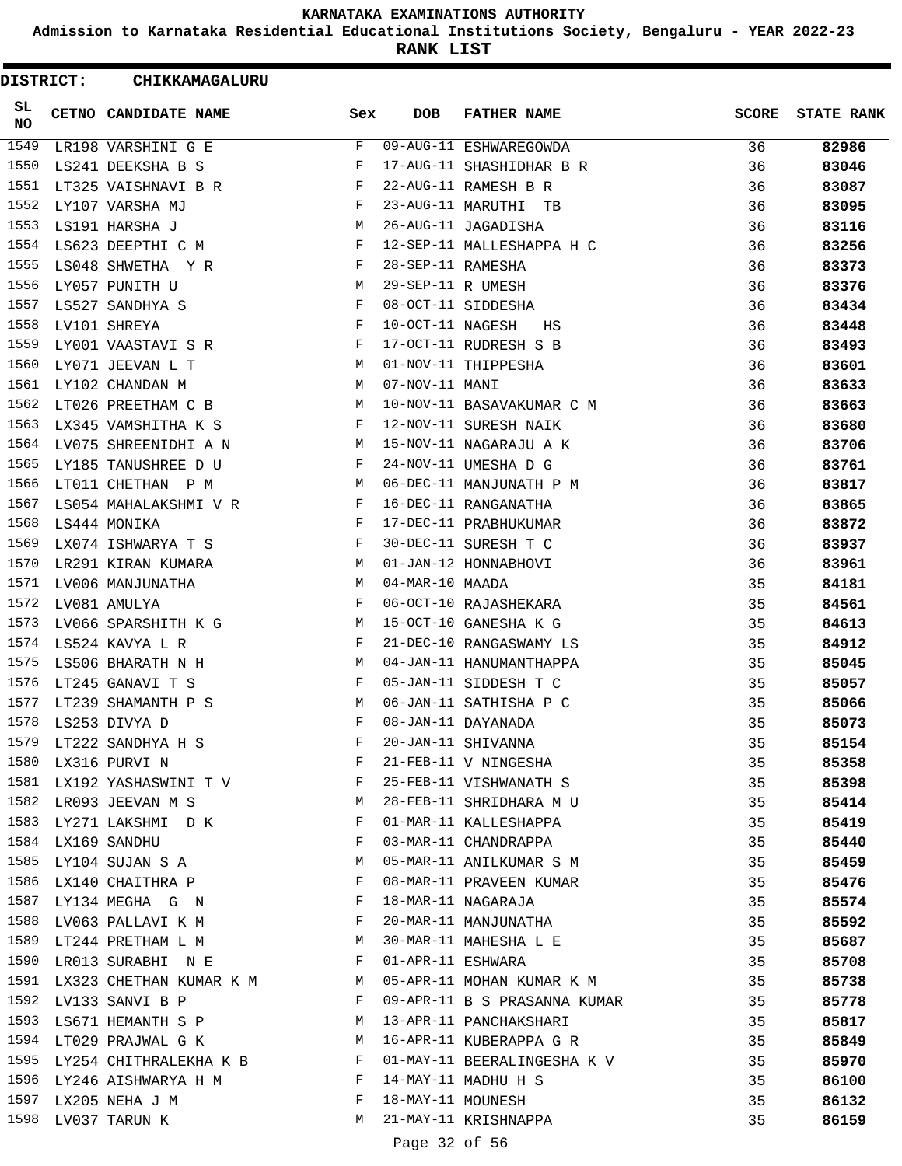**Admission to Karnataka Residential Educational Institutions Society, Bengaluru - YEAR 2022-23**

**RANK LIST**

ı

|              | <b>DISTRICT:</b> | CHIKKAMAGALURU               |            |                   |                              |              |                   |
|--------------|------------------|------------------------------|------------|-------------------|------------------------------|--------------|-------------------|
| SL<br>NO     |                  | CETNO CANDIDATE NAME         | Sex        | <b>DOB</b>        | <b>FATHER NAME</b>           | <b>SCORE</b> | <b>STATE RANK</b> |
| 1549         |                  | LR198 VARSHINI G E           | F          |                   | 09-AUG-11 ESHWAREGOWDA       | 36           | 82986             |
| 1550         |                  | LS241 DEEKSHA B S            | F          |                   | 17-AUG-11 SHASHIDHAR B R     | 36           | 83046             |
| 1551         |                  | LT325 VAISHNAVI B R          | F          |                   | 22-AUG-11 RAMESH B R         | 36           | 83087             |
| 1552         |                  | LY107 VARSHA MJ              | F          |                   | 23-AUG-11 MARUTHI TB         | 36           | 83095             |
| 1553         |                  | LS191 HARSHA J               | М          |                   | 26-AUG-11 JAGADISHA          | 36           | 83116             |
| 1554         |                  | LS623 DEEPTHI C M            | F          |                   | 12-SEP-11 MALLESHAPPA H C    | 36           | 83256             |
| 1555         |                  | LS048 SHWETHA Y R            | F          | 28-SEP-11 RAMESHA |                              | 36           | 83373             |
| 1556         |                  | LY057 PUNITH U               | M          | 29-SEP-11 R UMESH |                              | 36           | 83376             |
| 1557         |                  | LS527 SANDHYA S              | $_{\rm F}$ |                   | 08-OCT-11 SIDDESHA           | 36           | 83434             |
| 1558         |                  | LV101 SHREYA                 | F          | 10-OCT-11 NAGESH  | НS                           | 36           | 83448             |
| 1559         |                  | LY001 VAASTAVI S R           | F          |                   | 17-OCT-11 RUDRESH S B        | 36           | 83493             |
| 1560         |                  | LY071 JEEVAN L T             | M          |                   | 01-NOV-11 THIPPESHA          | 36           | 83601             |
| 1561         |                  | LY102 CHANDAN M              | М          | 07-NOV-11 MANI    |                              | 36           | 83633             |
| 1562         |                  | LT026 PREETHAM C B           | М          |                   | 10-NOV-11 BASAVAKUMAR C M    | 36           | 83663             |
| 1563         |                  | LX345 VAMSHITHA K S          | F          |                   | 12-NOV-11 SURESH NAIK        | 36           | 83680             |
| 1564         |                  | LV075 SHREENIDHI A N         | M          |                   | 15-NOV-11 NAGARAJU A K       | 36           | 83706             |
| 1565         |                  | LY185 TANUSHREE D U          | F          |                   | 24-NOV-11 UMESHA D G         | 36           | 83761             |
| 1566         |                  | LT011 CHETHAN P M            | М          |                   | 06-DEC-11 MANJUNATH P M      | 36           | 83817             |
| 1567         |                  | LS054 MAHALAKSHMI V R        | F          |                   | 16-DEC-11 RANGANATHA         | 36           | 83865             |
| 1568         |                  | LS444 MONIKA                 | F          |                   | 17-DEC-11 PRABHUKUMAR        | 36           | 83872             |
| 1569         |                  | LX074 ISHWARYA T S           | F          |                   | 30-DEC-11 SURESH T C         | 36           | 83937             |
| 1570         |                  | LR291 KIRAN KUMARA           | M          |                   | 01-JAN-12 HONNABHOVI         | 36           | 83961             |
| 1571         |                  | LV006 MANJUNATHA             | М          | 04-MAR-10 MAADA   |                              | 35           | 84181             |
| 1572         |                  | LV081 AMULYA                 | $_{\rm F}$ |                   | 06-OCT-10 RAJASHEKARA        | 35           |                   |
| 1573         |                  |                              | M          |                   | 15-OCT-10 GANESHA K G        |              | 84561             |
| 1574         |                  | LV066 SPARSHITH K G          | F          |                   | 21-DEC-10 RANGASWAMY LS      | 35           | 84613             |
|              |                  | LS524 KAVYA L R              |            |                   |                              | 35           | 84912             |
| 1575<br>1576 |                  | LS506 BHARATH N H            | М          |                   | 04-JAN-11 HANUMANTHAPPA      | 35           | 85045             |
|              |                  | LT245 GANAVI T S             | F          |                   | 05-JAN-11 SIDDESH T C        | 35           | 85057             |
| 1577         |                  | LT239 SHAMANTH P S           | М          |                   | 06-JAN-11 SATHISHA P C       | 35           | 85066             |
| 1578         |                  | LS253 DIVYA D                |            |                   | 08-JAN-11 DAYANADA           | 35           | 85073             |
| 1579         |                  | LT222 SANDHYA H S            | F          |                   | 20-JAN-11 SHIVANNA           | 35           | 85154             |
| 1580         |                  | LX316 PURVI N                | F          |                   | 21-FEB-11 V NINGESHA         | 35           | 85358             |
|              |                  | 1581 LX192 YASHASWINI T V    | F          |                   | 25-FEB-11 VISHWANATH S       | 35           | 85398             |
|              |                  | 1582 LR093 JEEVAN M S        | M          |                   | 28-FEB-11 SHRIDHARA M U      | 35           | 85414             |
|              |                  | 1583 LY271 LAKSHMI D K       | F          |                   | 01-MAR-11 KALLESHAPPA        | 35           | 85419             |
|              |                  | 1584 LX169 SANDHU            | F          |                   | 03-MAR-11 CHANDRAPPA         | 35           | 85440             |
| 1585         |                  | LY104 SUJAN S A              | M          |                   | 05-MAR-11 ANILKUMAR S M      | 35           | 85459             |
| 1586         |                  | LX140 CHAITHRA P             | F          |                   | 08-MAR-11 PRAVEEN KUMAR      | 35           | 85476             |
| 1587         |                  | LY134 MEGHA G N              | F          |                   | 18-MAR-11 NAGARAJA           | 35           | 85574             |
|              |                  | 1588 LV063 PALLAVI K M       | F          |                   | 20-MAR-11 MANJUNATHA         | 35           | 85592             |
|              |                  | 1589 LT244 PRETHAM L M       | M          |                   | 30-MAR-11 MAHESHA L E        | 35           | 85687             |
| 1590         |                  | LR013 SURABHI N E            | F          | 01-APR-11 ESHWARA |                              | 35           | 85708             |
|              |                  | 1591 LX323 CHETHAN KUMAR K M | M          |                   | 05-APR-11 MOHAN KUMAR K M    | 35           | 85738             |
|              |                  | 1592 LV133 SANVI B P         | F          |                   | 09-APR-11 B S PRASANNA KUMAR | 35           | 85778             |
|              |                  | 1593 LS671 HEMANTH S P       | М          |                   | 13-APR-11 PANCHAKSHARI       | 35           | 85817             |
| 1594         |                  | LT029 PRAJWAL G K            | M          |                   | 16-APR-11 KUBERAPPA G R      | 35           | 85849             |
| 1595         |                  | LY254 CHITHRALEKHA K B       | F          |                   | 01-MAY-11 BEERALINGESHA K V  | 35           | 85970             |
|              |                  | 1596 LY246 AISHWARYA H M     | F          |                   | 14-MAY-11 MADHU H S          | 35           | 86100             |
|              |                  | 1597 LX205 NEHA J M          | F          | 18-MAY-11 MOUNESH |                              | 35           | 86132             |
|              |                  | 1598 LV037 TARUN K           | М          |                   | 21-MAY-11 KRISHNAPPA         | 35           | 86159             |
|              |                  |                              |            | Page 32 of 56     |                              |              |                   |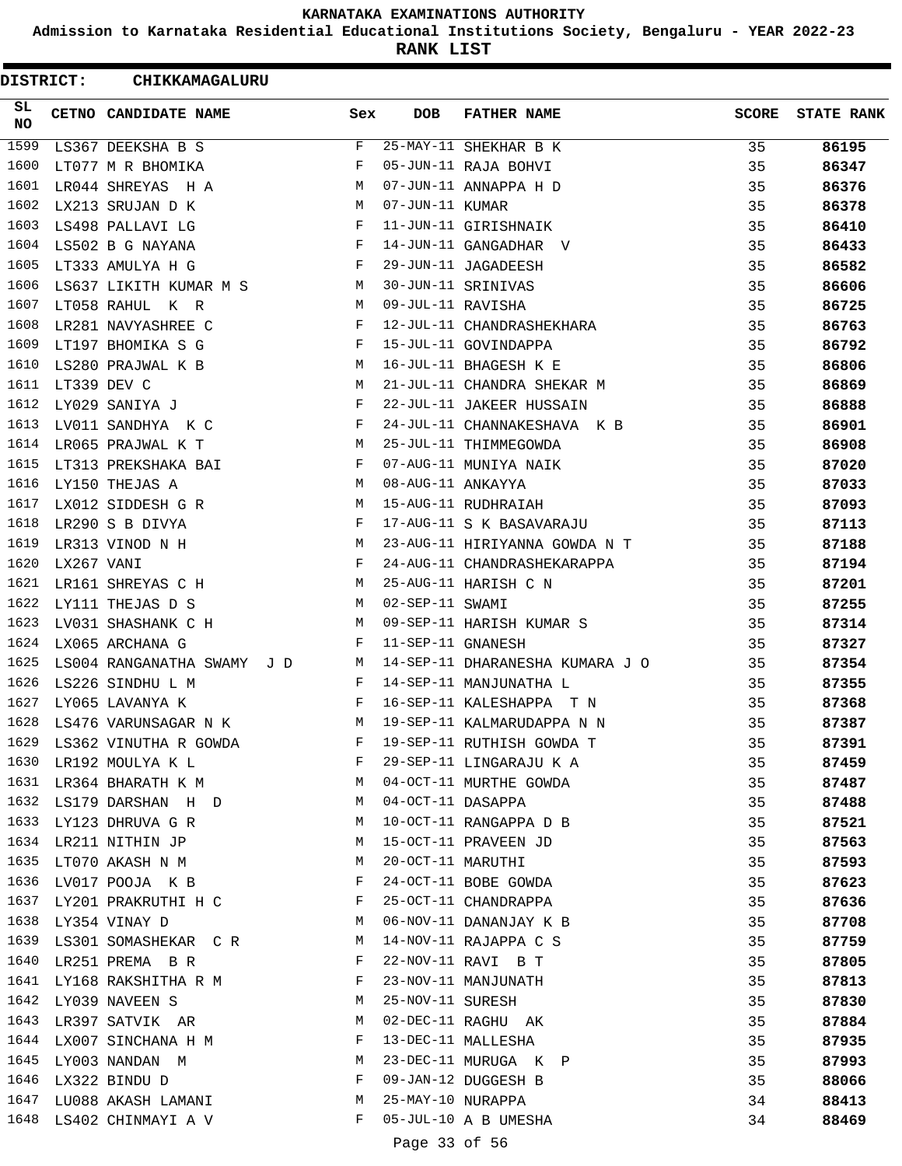**Admission to Karnataka Residential Educational Institutions Society, Bengaluru - YEAR 2022-23**

**RANK LIST**

| <b>DISTRICT:</b> |            | CHIKKAMAGALURU                                                                                                                                                                                                                                     |              |                   |                                 |              |                   |
|------------------|------------|----------------------------------------------------------------------------------------------------------------------------------------------------------------------------------------------------------------------------------------------------|--------------|-------------------|---------------------------------|--------------|-------------------|
| SL<br>NO.        |            | CETNO CANDIDATE NAME                                                                                                                                                                                                                               | Sex          | <b>DOB</b>        | <b>FATHER NAME</b>              | <b>SCORE</b> | <b>STATE RANK</b> |
| 1599             |            | LS367 DEEKSHA B S                                                                                                                                                                                                                                  | F            |                   | 25-MAY-11 SHEKHAR B K           | 35           | 86195             |
| 1600             |            | LT077 M R BHOMIKA                                                                                                                                                                                                                                  | F            |                   | 05-JUN-11 RAJA BOHVI            | 35           | 86347             |
| 1601             |            | LR044 SHREYAS H A                                                                                                                                                                                                                                  | M            |                   | 07-JUN-11 ANNAPPA H D           | 35           | 86376             |
| 1602             |            | LX213 SRUJAN D K                                                                                                                                                                                                                                   | M            | 07-JUN-11 KUMAR   |                                 | 35           | 86378             |
| 1603             |            | LS498 PALLAVI LG                                                                                                                                                                                                                                   | $_{\rm F}$   |                   | 11-JUN-11 GIRISHNAIK            | 35           | 86410             |
| 1604             |            | LS502 B G NAYANA                                                                                                                                                                                                                                   | $\mathbf{F}$ |                   | 14-JUN-11 GANGADHAR V           | 35           | 86433             |
| 1605             |            | LT333 AMULYA H G                                                                                                                                                                                                                                   | $\mathbf{F}$ |                   | 29-JUN-11 JAGADEESH             | 35           | 86582             |
| 1606             |            | LS637 LIKITH KUMAR M S M                                                                                                                                                                                                                           |              |                   | 30-JUN-11 SRINIVAS              | 35           | 86606             |
| 1607             |            | LT058 RAHUL K R<br><b>N</b>                                                                                                                                                                                                                        |              | 09-JUL-11 RAVISHA |                                 | 35           | 86725             |
| 1608             |            | LR281 NAVYASHREE C                                                                                                                                                                                                                                 | F            |                   | 12-JUL-11 CHANDRASHEKHARA       | 35           | 86763             |
| 1609             |            | LT197 BHOMIKA S G                                                                                                                                                                                                                                  | $\mathbf{F}$ |                   | 15-JUL-11 GOVINDAPPA            | 35           | 86792             |
| 1610             |            | LS280 PRAJWAL K B<br><b>M</b>                                                                                                                                                                                                                      |              |                   | 16-JUL-11 BHAGESH K E           | 35           | 86806             |
| 1611             |            | LT339 DEV C                                                                                                                                                                                                                                        | M            |                   | 21-JUL-11 CHANDRA SHEKAR M      | 35           | 86869             |
| 1612             |            | LY029 SANIYA J                                                                                                                                                                                                                                     | $\mathbf{F}$ |                   | 22-JUL-11 JAKEER HUSSAIN        | 35           | 86888             |
| 1613             |            | LV011 SANDHYA K C                                                                                                                                                                                                                                  | $_{\rm F}$   |                   | 24-JUL-11 CHANNAKESHAVA K B     | 35           | 86901             |
| 1614             |            | LR065 PRAJWAL K T                                                                                                                                                                                                                                  | М            |                   | 25-JUL-11 THIMMEGOWDA           | 35           | 86908             |
| 1615             |            | LT313 PREKSHAKA BAI                                                                                                                                                                                                                                | F            |                   | 07-AUG-11 MUNIYA NAIK           | 35           | 87020             |
| 1616             |            | LY150 THEJAS A                                                                                                                                                                                                                                     | M            | 08-AUG-11 ANKAYYA |                                 | 35           | 87033             |
| 1617             |            | LX012 SIDDESH G R                                                                                                                                                                                                                                  | M            |                   | 15-AUG-11 RUDHRAIAH             | 35           | 87093             |
| 1618             |            | LR290 S B DIVYA                                                                                                                                                                                                                                    | F            |                   | 17-AUG-11 S K BASAVARAJU        | 35           | 87113             |
| 1619             |            | <b>M</b><br>LR313 VINOD N H                                                                                                                                                                                                                        |              |                   | 23-AUG-11 HIRIYANNA GOWDA N T   | 35           | 87188             |
| 1620             | LX267 VANI |                                                                                                                                                                                                                                                    | $\mathbf{F}$ |                   | 24-AUG-11 CHANDRASHEKARAPPA     | 35           | 87194             |
| 1621             |            | LR161 SHREYAS C H                                                                                                                                                                                                                                  | M            |                   | 25-AUG-11 HARISH C N            | 35           | 87201             |
| 1622             |            | LY111 THEJAS D S                                                                                                                                                                                                                                   | M            | 02-SEP-11 SWAMI   |                                 | 35           | 87255             |
| 1623             |            | LV031 SHASHANK C H                                                                                                                                                                                                                                 | M            |                   | 09-SEP-11 HARISH KUMAR S        | 35           | 87314             |
| 1624             |            | LX065 ARCHANA G                                                                                                                                                                                                                                    | F            | 11-SEP-11 GNANESH |                                 | 35           | 87327             |
| 1625             |            | LS004 RANGANATHA SWAMY J D                                                                                                                                                                                                                         | <b>M</b>     |                   | 14-SEP-11 DHARANESHA KUMARA J O | 35           | 87354             |
| 1626             |            | LS226 SINDHU L M                                                                                                                                                                                                                                   | F            |                   | 14-SEP-11 MANJUNATHA L          | 35           | 87355             |
| 1627             |            | LY065 LAVANYA K<br><b>Example 2</b>                                                                                                                                                                                                                |              |                   | 16-SEP-11 KALESHAPPA T N        | 35           | 87368             |
| 1628             |            | <b>M</b><br>LS476 VARUNSAGAR N K                                                                                                                                                                                                                   |              |                   | 19-SEP-11 KALMARUDAPPA N N      | 35           | 87387             |
|                  |            | 1629 LS362 VINUTHA R GOWDA                                                                                                                                                                                                                         | F            |                   | 19-SEP-11 RUTHISH GOWDA T       | 35           | 87391             |
| 1630             |            | LR192 MOULYA K L<br>the contract of the contract of the Property of the Property of the Property of the Property of the Property of the Property of the Property of the Property of the Property of the Property of the Property of the Property o |              |                   | 29-SEP-11 LINGARAJU K A         | 35           | 87459             |
|                  |            | 1631 LR364 BHARATH K M                                                                                                                                                                                                                             |              |                   | 04-OCT-11 MURTHE GOWDA          | 35           | 87487             |
|                  |            | 1632 LS179 DARSHAN H D                                                                                                                                                                                                                             | M            | 04-OCT-11 DASAPPA |                                 | 35           | 87488             |
|                  |            | 1633 LY123 DHRUVA G R                                                                                                                                                                                                                              | M            |                   | 10-OCT-11 RANGAPPA D B          | 35           | 87521             |
| 1634             |            | LR211 NITHIN JP                                                                                                                                                                                                                                    | М            |                   | 15-OCT-11 PRAVEEN JD            | 35           | 87563             |
| 1635             |            | LT070 AKASH N M                                                                                                                                                                                                                                    | М            | 20-OCT-11 MARUTHI |                                 | 35           | 87593             |
|                  |            | 1636 LV017 POOJA K B                                                                                                                                                                                                                               | F            |                   | 24-OCT-11 BOBE GOWDA            | 35           | 87623             |
|                  |            | 1637 LY201 PRAKRUTHI H C                                                                                                                                                                                                                           | F            |                   | 25-OCT-11 CHANDRAPPA            | 35           | 87636             |
|                  |            | 1638 LY354 VINAY D                                                                                                                                                                                                                                 | M            |                   | 06-NOV-11 DANANJAY K B          | 35           | 87708             |
|                  |            | 1639 LS301 SOMASHEKAR CR M                                                                                                                                                                                                                         |              |                   | 14-NOV-11 RAJAPPA C S           | 35           | 87759             |
|                  |            | 1640 LR251 PREMA B R                                                                                                                                                                                                                               | $\mathbf{F}$ |                   | 22-NOV-11 RAVI B T              | 35           | 87805             |
|                  |            | 1641 LY168 RAKSHITHA R M                                                                                                                                                                                                                           | F            |                   | 23-NOV-11 MANJUNATH             | 35           | 87813             |
| 1642             |            | LY039 NAVEEN S                                                                                                                                                                                                                                     | М            | 25-NOV-11 SURESH  |                                 | 35           | 87830             |
| 1643             |            | LR397 SATVIK AR                                                                                                                                                                                                                                    | M            |                   | 02-DEC-11 RAGHU AK              | 35           | 87884             |
|                  |            | 1644 LX007 SINCHANA H M                                                                                                                                                                                                                            | F            |                   | 13-DEC-11 MALLESHA              | 35           | 87935             |
|                  |            | 1645 LY003 NANDAN M                                                                                                                                                                                                                                | M            |                   | 23-DEC-11 MURUGA K P            | 35           | 87993             |
| 1646             |            | LX322 BINDU D                                                                                                                                                                                                                                      | F            |                   | 09-JAN-12 DUGGESH B             | 35           | 88066             |
|                  |            | 1647 LU088 AKASH LAMANI                                                                                                                                                                                                                            | M            | 25-MAY-10 NURAPPA |                                 | 34           | 88413             |
|                  |            | 1648 LS402 CHINMAYI A V                                                                                                                                                                                                                            | F            |                   | 05-JUL-10 A B UMESHA            | 34           | 88469             |
|                  |            |                                                                                                                                                                                                                                                    |              | Page 33 of 56     |                                 |              |                   |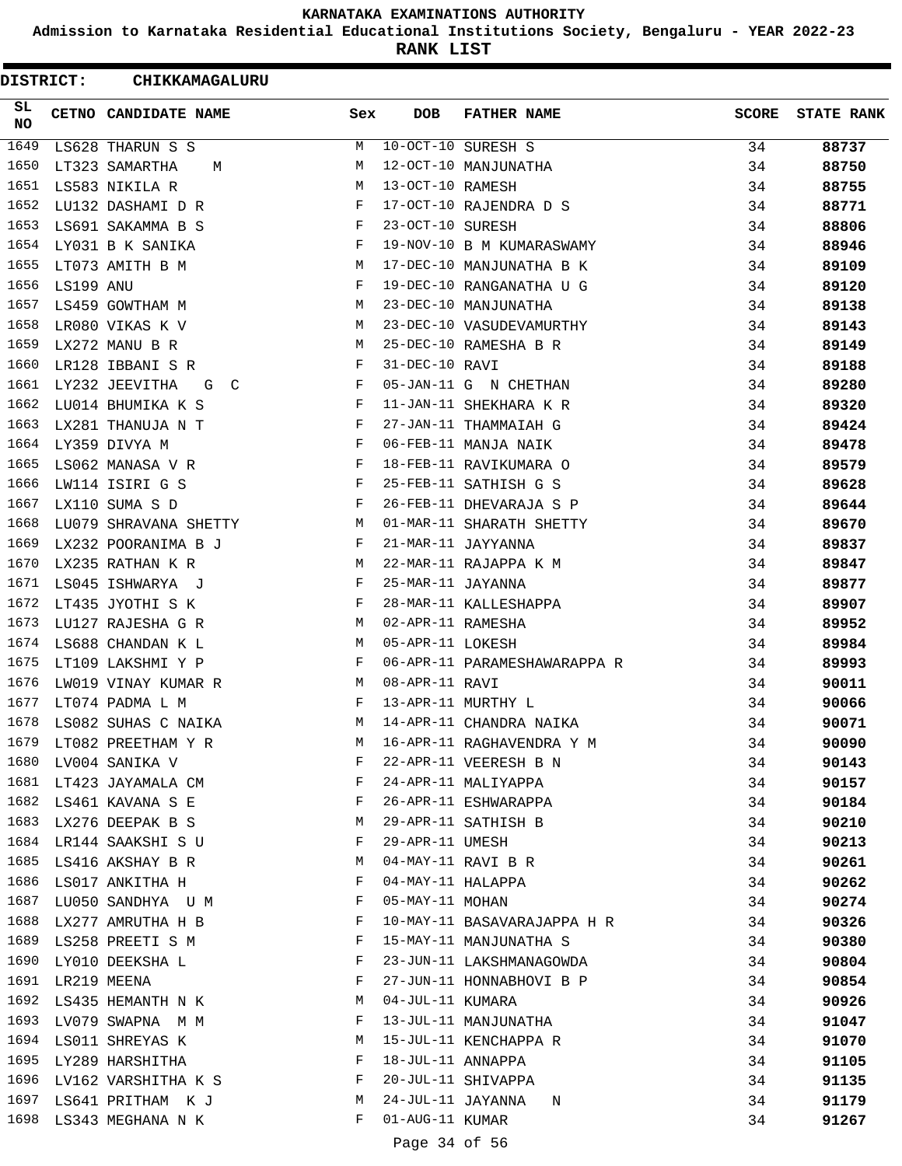**Admission to Karnataka Residential Educational Institutions Society, Bengaluru - YEAR 2022-23**

**RANK LIST**

 $\blacksquare$ 

| <b>DISTRICT:</b> |                  | CHIKKAMAGALURU           |              |                   |                              |              |                   |
|------------------|------------------|--------------------------|--------------|-------------------|------------------------------|--------------|-------------------|
| SL.<br>NO.       |                  | CETNO CANDIDATE NAME     | Sex          | <b>DOB</b>        | <b>FATHER NAME</b>           | <b>SCORE</b> | <b>STATE RANK</b> |
| 1649             |                  | LS628 THARUN S S         | М            |                   | 10-OCT-10 SURESH S           | 34           | 88737             |
| 1650             |                  | LT323 SAMARTHA<br>М      | М            |                   | 12-OCT-10 MANJUNATHA         | 34           | 88750             |
| 1651             |                  | LS583 NIKILA R           | М            | 13-OCT-10 RAMESH  |                              | 34           | 88755             |
| 1652             |                  | LU132 DASHAMI D R        | F            |                   | 17-OCT-10 RAJENDRA D S       | 34           | 88771             |
| 1653             |                  | LS691 SAKAMMA B S        | F            | 23-OCT-10 SURESH  |                              | 34           | 88806             |
| 1654             |                  | LY031 B K SANIKA         | F            |                   | 19-NOV-10 B M KUMARASWAMY    | 34           | 88946             |
| 1655             |                  | LT073 AMITH B M          | M            |                   | 17-DEC-10 MANJUNATHA B K     | 34           | 89109             |
| 1656             | LS199 ANU        |                          | F            |                   | 19-DEC-10 RANGANATHA U G     | 34           | 89120             |
| 1657             |                  | LS459 GOWTHAM M          | M            |                   | 23-DEC-10 MANJUNATHA         | 34           | 89138             |
| 1658             |                  | LR080 VIKAS K V          | М            |                   | 23-DEC-10 VASUDEVAMURTHY     | 34           | 89143             |
| 1659             |                  | LX272 MANU B R           | М            |                   | 25-DEC-10 RAMESHA B R        | 34           | 89149             |
| 1660             |                  | LR128 IBBANI S R         | F            | 31-DEC-10 RAVI    |                              | 34           | 89188             |
| 1661             |                  | LY232 JEEVITHA<br>G C    | F            |                   | 05-JAN-11 G N CHETHAN        | 34           | 89280             |
| 1662             |                  | LU014 BHUMIKA K S        | F            |                   | 11-JAN-11 SHEKHARA K R       | 34           | 89320             |
| 1663             |                  | LX281 THANUJA N T        | F            |                   | 27-JAN-11 THAMMAIAH G        | 34           | 89424             |
| 1664             |                  | LY359 DIVYA M            | F            |                   | 06-FEB-11 MANJA NAIK         | 34           | 89478             |
| 1665             |                  | LS062 MANASA V R         | F            |                   | 18-FEB-11 RAVIKUMARA O       | 34           | 89579             |
| 1666             |                  | LW114 ISIRI G S          | F            |                   | 25-FEB-11 SATHISH G S        | 34           | 89628             |
| 1667             |                  | LX110 SUMA S D           | F            |                   | 26-FEB-11 DHEVARAJA S P      | 34           | 89644             |
| 1668             |                  | LU079 SHRAVANA SHETTY    | М            |                   | 01-MAR-11 SHARATH SHETTY     | 34           | 89670             |
| 1669             |                  | LX232 POORANIMA B J      | F            |                   | 21-MAR-11 JAYYANNA           | 34           | 89837             |
| 1670             |                  | LX235 RATHAN K R         | М            |                   | 22-MAR-11 RAJAPPA K M        | 34           | 89847             |
| 1671             |                  | LS045 ISHWARYA J         | F            | 25-MAR-11 JAYANNA |                              | 34           | 89877             |
| 1672             |                  | LT435 JYOTHI S K         | F            |                   | 28-MAR-11 KALLESHAPPA        | 34           | 89907             |
| 1673             |                  | LU127 RAJESHA G R        | M            | 02-APR-11 RAMESHA |                              | 34           | 89952             |
| 1674             |                  | LS688 CHANDAN K L        | М            | 05-APR-11 LOKESH  |                              | 34           | 89984             |
| 1675             |                  | LT109 LAKSHMI Y P        | $\mathbf{F}$ |                   | 06-APR-11 PARAMESHAWARAPPA R | 34           | 89993             |
| 1676             |                  | LW019 VINAY KUMAR R      | M            | 08-APR-11 RAVI    |                              | 34           | 90011             |
| 1677             |                  | LT074 PADMA L M          | F            |                   | 13-APR-11 MURTHY L           | 34           | 90066             |
| 1678             |                  | LS082 SUHAS C NAIKA      | M            |                   | 14-APR-11 CHANDRA NAIKA      | 34           | 90071             |
|                  |                  | 1679 LT082 PREETHAM Y R  | М            |                   | 16-APR-11 RAGHAVENDRA Y M    | 34           | 90090             |
|                  |                  | 1680 LV004 SANIKA V      | F            |                   | 22-APR-11 VEERESH B N        | 34           | 90143             |
|                  |                  | 1681 LT423 JAYAMALA CM   | F            |                   | 24-APR-11 MALIYAPPA          | 34           | 90157             |
|                  |                  | 1682 LS461 KAVANA S E    | F            |                   | 26-APR-11 ESHWARAPPA         | 34           | 90184             |
|                  |                  | 1683 LX276 DEEPAK B S    | М            |                   | 29-APR-11 SATHISH B          | 34           | 90210             |
| 1684             |                  | LR144 SAAKSHI S U        | F            | 29-APR-11 UMESH   |                              | 34           | 90213             |
|                  |                  | 1685 LS416 AKSHAY B R    | М            |                   | 04-MAY-11 RAVI B R           | 34           | 90261             |
|                  |                  | 1686 LS017 ANKITHA H     | F            |                   | 04-MAY-11 HALAPPA            | 34           | 90262             |
|                  |                  | 1687 LU050 SANDHYA U M   | F            | 05-MAY-11 MOHAN   |                              | 34           | 90274             |
| 1688             |                  | LX277 AMRUTHA H B        | F            |                   | 10-MAY-11 BASAVARAJAPPA H R  | 34           | 90326             |
|                  |                  | 1689 LS258 PREETI S M    | F            |                   | 15-MAY-11 MANJUNATHA S       | 34           | 90380             |
|                  |                  | 1690 LY010 DEEKSHA L     | F            |                   | 23-JUN-11 LAKSHMANAGOWDA     | 34           | 90804             |
|                  | 1691 LR219 MEENA |                          | F            |                   | 27-JUN-11 HONNABHOVI B P     | 34           | 90854             |
| 1692             |                  | LS435 HEMANTH N K        | М            | 04-JUL-11 KUMARA  |                              | 34           | 90926             |
| 1693             |                  | LV079 SWAPNA M M         | F            |                   | 13-JUL-11 MANJUNATHA         | 34           | 91047             |
|                  |                  | 1694 LS011 SHREYAS K     | М            |                   | 15-JUL-11 KENCHAPPA R        | 34           | 91070             |
|                  |                  | 1695 LY289 HARSHITHA     | F            | 18-JUL-11 ANNAPPA |                              | 34           | 91105             |
|                  |                  | 1696 LV162 VARSHITHA K S | $\mathbf{F}$ |                   | 20-JUL-11 SHIVAPPA           | 34           | 91135             |
|                  |                  | 1697 LS641 PRITHAM K J   | M            |                   | 24-JUL-11 JAYANNA N          | 34           | 91179             |
|                  |                  | 1698 LS343 MEGHANA N K   | F            | 01-AUG-11 KUMAR   |                              | 34           | 91267             |
|                  |                  |                          |              |                   |                              |              |                   |

Page 34 of 56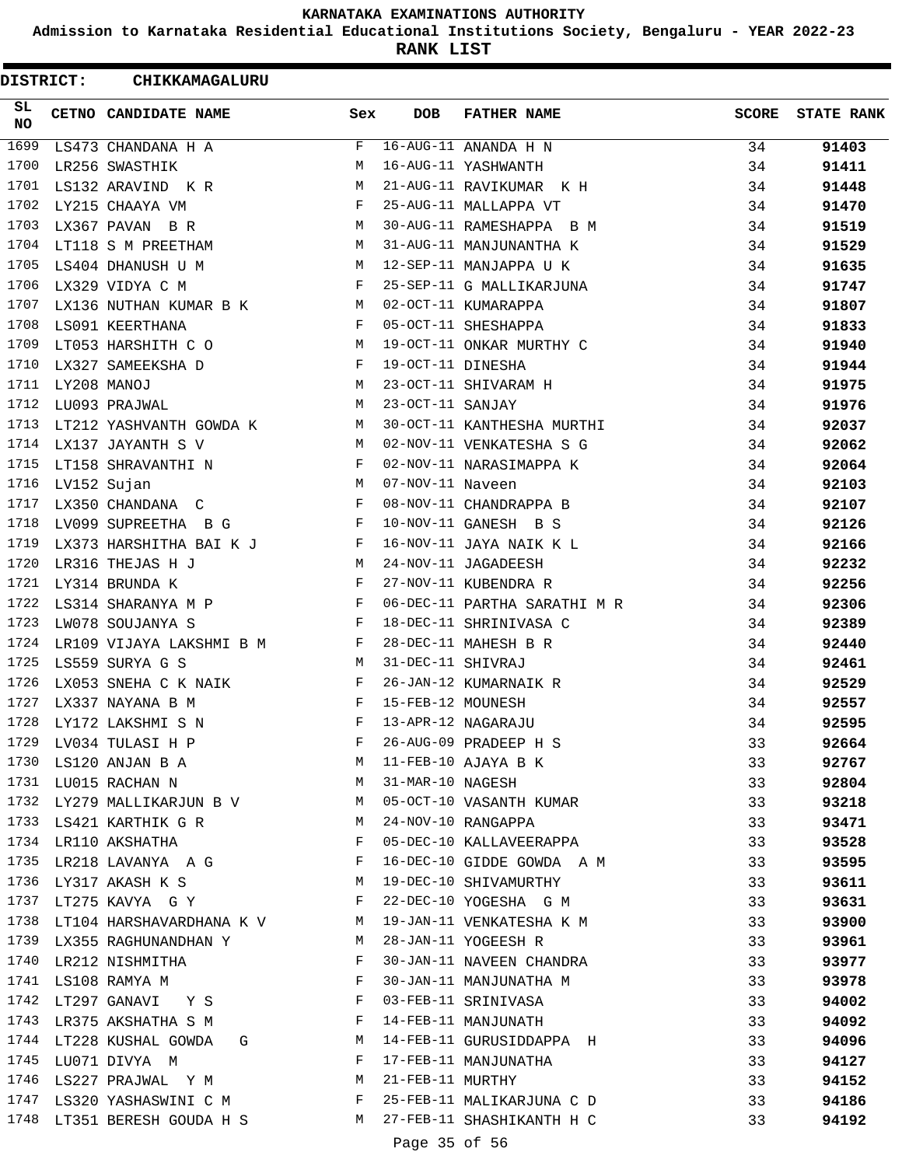**Admission to Karnataka Residential Educational Institutions Society, Bengaluru - YEAR 2022-23**

**RANK LIST**

| <b>DISTRICT:</b> |             | CHIKKAMAGALURU              |              |                   |                              |              |                   |
|------------------|-------------|-----------------------------|--------------|-------------------|------------------------------|--------------|-------------------|
| SL<br>NO         |             | CETNO CANDIDATE NAME        | Sex          | <b>DOB</b>        | <b>FATHER NAME</b>           | <b>SCORE</b> | <b>STATE RANK</b> |
| 1699             |             | LS473 CHANDANA H A          | F            |                   | 16-AUG-11 ANANDA H N         | 34           | 91403             |
| 1700             |             | LR256 SWASTHIK              | M            |                   | 16-AUG-11 YASHWANTH          | 34           | 91411             |
| 1701             |             | LS132 ARAVIND K R           | М            |                   | 21-AUG-11 RAVIKUMAR K H      | 34           | 91448             |
| 1702             |             | LY215 CHAAYA VM             | F            |                   | 25-AUG-11 MALLAPPA VT        | 34           | 91470             |
| 1703             |             | LX367 PAVAN B R             | М            |                   | 30-AUG-11 RAMESHAPPA B M     | 34           | 91519             |
| 1704             |             | LT118 S M PREETHAM          | М            |                   | 31-AUG-11 MANJUNANTHA K      | 34           | 91529             |
| 1705             |             | LS404 DHANUSH U M           | M            |                   | 12-SEP-11 MANJAPPA U K       | 34           | 91635             |
| 1706             |             | LX329 VIDYA C M             | F            |                   | 25-SEP-11 G MALLIKARJUNA     | 34           | 91747             |
| 1707             |             | LX136 NUTHAN KUMAR B K      | M            |                   | 02-OCT-11 KUMARAPPA          | 34           | 91807             |
| 1708             |             | LS091 KEERTHANA             | F            |                   | 05-OCT-11 SHESHAPPA          | 34           | 91833             |
| 1709             |             | LT053 HARSHITH C O          | М            |                   | 19-OCT-11 ONKAR MURTHY C     | 34           | 91940             |
| 1710             |             | LX327 SAMEEKSHA D           | F            | 19-OCT-11 DINESHA |                              | 34           | 91944             |
| 1711             | LY208 MANOJ |                             | М            |                   | 23-OCT-11 SHIVARAM H         | 34           | 91975             |
| 1712             |             | LU093 PRAJWAL               | М            | 23-OCT-11 SANJAY  |                              | 34           | 91976             |
| 1713             |             | LT212 YASHVANTH GOWDA K     | М            |                   | 30-OCT-11 KANTHESHA MURTHI   | 34           | 92037             |
| 1714             |             | LX137 JAYANTH S V           | М            |                   | 02-NOV-11 VENKATESHA S G     | 34           | 92062             |
| 1715             |             | LT158 SHRAVANTHI N          | F            |                   | 02-NOV-11 NARASIMAPPA K      | 34           | 92064             |
| 1716             |             | LV152 Sujan                 | М            | 07-NOV-11 Naveen  |                              | 34           | 92103             |
| 1717             |             |                             | F            |                   | 08-NOV-11 CHANDRAPPA B       |              |                   |
| 1718             |             | LX350 CHANDANA C            |              |                   |                              | 34           | 92107             |
|                  |             | LV099 SUPREETHA B G         | F            |                   | 10-NOV-11 GANESH B S         | 34           | 92126             |
| 1719             |             | LX373 HARSHITHA BAI K J     | F            |                   | 16-NOV-11 JAYA NAIK K L      | 34           | 92166             |
| 1720             |             | LR316 THEJAS H J            | М            |                   | 24-NOV-11 JAGADEESH          | 34           | 92232             |
| 1721             |             | LY314 BRUNDA K              | F            |                   | 27-NOV-11 KUBENDRA R         | 34           | 92256             |
| 1722             |             | LS314 SHARANYA M P          | $\mathbf{F}$ |                   | 06-DEC-11 PARTHA SARATHI M R | 34           | 92306             |
| 1723             |             | LW078 SOUJANYA S            | F            |                   | 18-DEC-11 SHRINIVASA C       | 34           | 92389             |
| 1724             |             | LR109 VIJAYA LAKSHMI B M    | F            |                   | 28-DEC-11 MAHESH B R         | 34           | 92440             |
| 1725             |             | LS559 SURYA G S             | M            | 31-DEC-11 SHIVRAJ |                              | 34           | 92461             |
| 1726             |             | LX053 SNEHA C K NAIK        | F            |                   | 26-JAN-12 KUMARNAIK R        | 34           | 92529             |
| 1727             |             | LX337 NAYANA B M            | F            | 15-FEB-12 MOUNESH |                              | 34           | 92557             |
| 1728             |             | LY172 LAKSHMI S N           |              |                   | 13-APR-12 NAGARAJU           | 34           | 92595             |
| 1729             |             | LV034 TULASI H P            | F            |                   | 26-AUG-09 PRADEEP H S        | 33           | 92664             |
| 1730             |             | LS120 ANJAN B A             | М            |                   | 11-FEB-10 AJAYA B K          | 33           | 92767             |
|                  |             | 1731 LU015 RACHAN N         | M            | 31-MAR-10 NAGESH  |                              | 33           | 92804             |
|                  |             | 1732 LY279 MALLIKARJUN B V  | M            |                   | 05-OCT-10 VASANTH KUMAR      | 33           | 93218             |
|                  |             | 1733 LS421 KARTHIK G R      | M            |                   | 24-NOV-10 RANGAPPA           | 33           | 93471             |
|                  |             | 1734 LR110 AKSHATHA         | F            |                   | 05-DEC-10 KALLAVEERAPPA      | 33           | 93528             |
| 1735             |             | LR218 LAVANYA A G           | $\mathbb{F}$ |                   | 16-DEC-10 GIDDE GOWDA A M    | 33           | 93595             |
| 1736             |             | LY317 AKASH K S<br><b>M</b> |              |                   | 19-DEC-10 SHIVAMURTHY        | 33           | 93611             |
| 1737             |             | LT275 KAVYA G Y             | F            |                   | 22-DEC-10 YOGESHA G M        | 33           | 93631             |
| 1738             |             | LT104 HARSHAVARDHANA K V M  |              |                   | 19-JAN-11 VENKATESHA K M     | 33           | 93900             |
| 1739             |             | LX355 RAGHUNANDHAN Y        | M            |                   | 28-JAN-11 YOGEESH R          | 33           | 93961             |
| 1740             |             | LR212 NISHMITHA             | F            |                   | 30-JAN-11 NAVEEN CHANDRA     | 33           | 93977             |
|                  |             | 1741 LS108 RAMYA M          | F            |                   | 30-JAN-11 MANJUNATHA M       | 33           | 93978             |
|                  |             | 1742 LT297 GANAVI Y S       | $\mathbf{F}$ |                   | 03-FEB-11 SRINIVASA          | 33           | 94002             |
| 1743             |             | LR375 AKSHATHA S M          | F            |                   | 14-FEB-11 MANJUNATH          | 33           | 94092             |
| 1744             |             | LT228 KUSHAL GOWDA<br>G     | M            |                   | 14-FEB-11 GURUSIDDAPPA H     | 33           | 94096             |
| 1745             |             | LU071 DIVYA M               | F            |                   | 17-FEB-11 MANJUNATHA         | 33           | 94127             |
| 1746             |             | LS227 PRAJWAL Y M           | M            | 21-FEB-11 MURTHY  |                              | 33           | 94152             |
|                  |             | 1747 LS320 YASHASWINI C M   | F            |                   | 25-FEB-11 MALIKARJUNA C D    | 33           | 94186             |
|                  |             | 1748 LT351 BERESH GOUDA H S | M            |                   | 27-FEB-11 SHASHIKANTH H C    | 33           | 94192             |
|                  |             |                             |              | Page 35 of 56     |                              |              |                   |
|                  |             |                             |              |                   |                              |              |                   |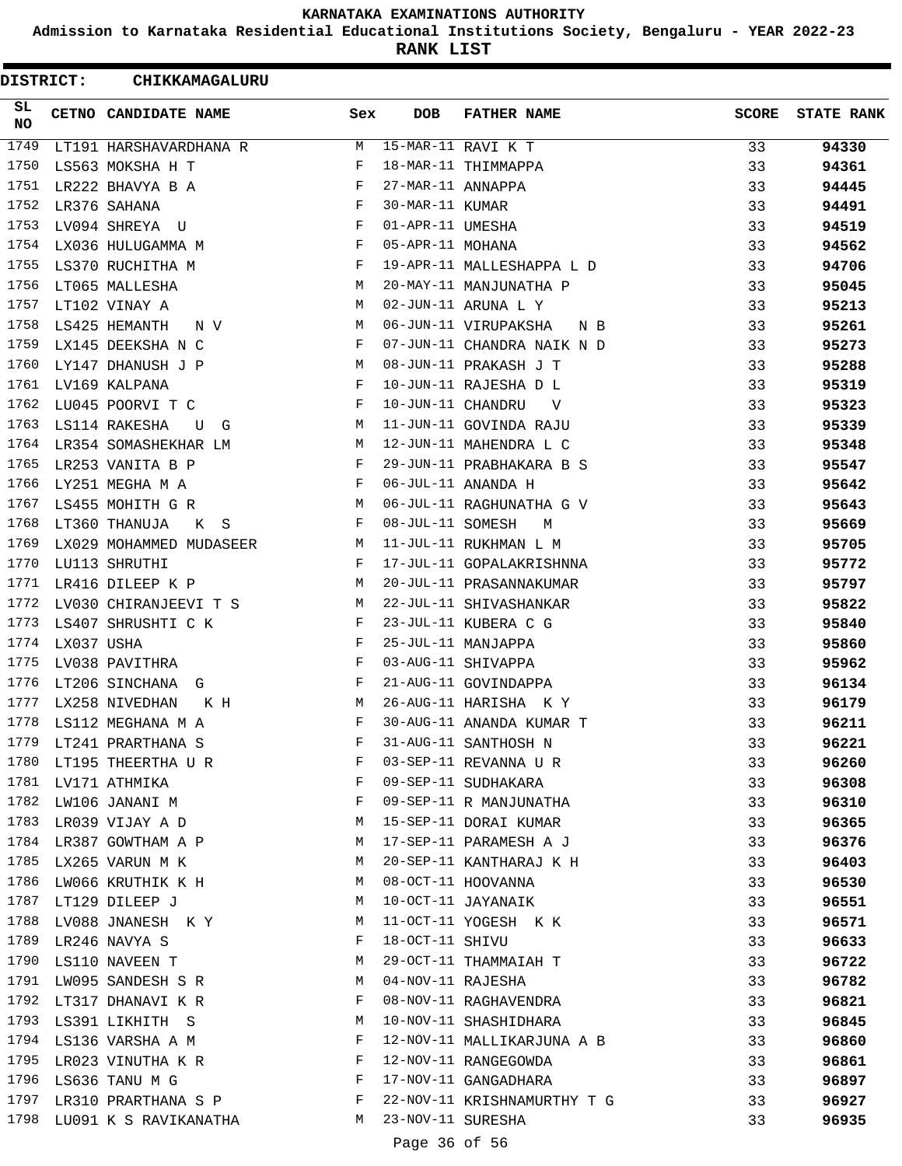**Admission to Karnataka Residential Educational Institutions Society, Bengaluru - YEAR 2022-23**

**RANK LIST**

| <b>DISTRICT:</b> |            | CHIKKAMAGALURU          |     |                   |                             |              |                   |
|------------------|------------|-------------------------|-----|-------------------|-----------------------------|--------------|-------------------|
| SL<br>NO         |            | CETNO CANDIDATE NAME    | Sex | <b>DOB</b>        | <b>FATHER NAME</b>          | <b>SCORE</b> | <b>STATE RANK</b> |
| 1749             |            | LT191 HARSHAVARDHANA R  | М   |                   | 15-MAR-11 RAVI K T          | 33           | 94330             |
| 1750             |            | LS563 MOKSHA H T        | F   |                   | 18-MAR-11 THIMMAPPA         | 33           | 94361             |
| 1751             |            | LR222 BHAVYA B A        | F   | 27-MAR-11 ANNAPPA |                             | 33           | 94445             |
| 1752             |            | LR376 SAHANA            | F   | 30-MAR-11 KUMAR   |                             | 33           | 94491             |
| 1753             |            | LV094 SHREYA U          | F   | 01-APR-11 UMESHA  |                             | 33           | 94519             |
| 1754             |            | LX036 HULUGAMMA M       | F   | 05-APR-11 MOHANA  |                             | 33           | 94562             |
| 1755             |            | LS370 RUCHITHA M        | F   |                   | 19-APR-11 MALLESHAPPA L D   | 33           | 94706             |
| 1756             |            | LT065 MALLESHA          | М   |                   | 20-MAY-11 MANJUNATHA P      | 33           | 95045             |
| 1757             |            | LT102 VINAY A           | M   |                   | 02-JUN-11 ARUNA L Y         | 33           | 95213             |
| 1758             |            | LS425 HEMANTH<br>N V    | М   |                   | 06-JUN-11 VIRUPAKSHA<br>N B | 33           | 95261             |
| 1759             |            | LX145 DEEKSHA N C       | F   |                   | 07-JUN-11 CHANDRA NAIK N D  | 33           | 95273             |
| 1760             |            | LY147 DHANUSH J P       | М   |                   | 08-JUN-11 PRAKASH J T       | 33           | 95288             |
| 1761             |            | LV169 KALPANA           | F   |                   | 10-JUN-11 RAJESHA D L       | 33           | 95319             |
| 1762             |            | LU045 POORVI T C        | F   | 10-JUN-11 CHANDRU | V                           | 33           | 95323             |
| 1763             |            | LS114 RAKESHA<br>U G    | M   |                   | 11-JUN-11 GOVINDA RAJU      | 33           | 95339             |
| 1764             |            | LR354 SOMASHEKHAR LM    | М   |                   | 12-JUN-11 MAHENDRA L C      | 33           | 95348             |
| 1765             |            | LR253 VANITA B P        | F   |                   | 29-JUN-11 PRABHAKARA B S    | 33           | 95547             |
| 1766             |            | LY251 MEGHA M A         | F   |                   | 06-JUL-11 ANANDA H          | 33           | 95642             |
| 1767             |            | LS455 MOHITH G R        | М   |                   | 06-JUL-11 RAGHUNATHA G V    | 33           | 95643             |
| 1768             |            | LT360 THANUJA<br>K S    | F   | 08-JUL-11 SOMESH  | M                           | 33           | 95669             |
| 1769             |            | LX029 MOHAMMED MUDASEER | М   |                   | 11-JUL-11 RUKHMAN L M       | 33           | 95705             |
| 1770             |            | LU113 SHRUTHI           | F   |                   | 17-JUL-11 GOPALAKRISHNNA    | 33           | 95772             |
| 1771             |            | LR416 DILEEP K P        | М   |                   | 20-JUL-11 PRASANNAKUMAR     | 33           | 95797             |
| 1772             |            | LV030 CHIRANJEEVI T S   | М   |                   | 22-JUL-11 SHIVASHANKAR      | 33           | 95822             |
| 1773             |            | LS407 SHRUSHTI C K      | F   |                   | 23-JUL-11 KUBERA C G        | 33           | 95840             |
| 1774             | LX037 USHA |                         | F   |                   | 25-JUL-11 MANJAPPA          | 33           | 95860             |
| 1775             |            | LV038 PAVITHRA          | F   |                   | 03-AUG-11 SHIVAPPA          | 33           | 95962             |
| 1776             |            | LT206 SINCHANA<br>G     | F   |                   | 21-AUG-11 GOVINDAPPA        | 33           | 96134             |
| 1777             |            | LX258 NIVEDHAN          | М   |                   | 26-AUG-11 HARISHA KY        | 33           |                   |
| 1778             |            | K H                     |     |                   | 30-AUG-11 ANANDA KUMAR T    |              | 96179             |
| 1779             |            | LS112 MEGHANA M A       | F   |                   |                             | 33           | 96211             |
| 1780             |            | LT241 PRARTHANA S       | F   |                   | 31-AUG-11 SANTHOSH N        | 33           | 96221             |
|                  |            | LT195 THEERTHA U R      |     |                   | 03-SEP-11 REVANNA U R       | 33           | 96260             |
| 1782             |            | 1781 LV171 ATHMIKA      | F   |                   | 09-SEP-11 SUDHAKARA         | 33           | 96308             |
|                  |            | LW106 JANANI M          | F   |                   | 09-SEP-11 R MANJUNATHA      | 33           | 96310             |
| 1783             |            | LR039 VIJAY A D         | М   |                   | 15-SEP-11 DORAI KUMAR       | 33           | 96365             |
|                  |            | 1784 LR387 GOWTHAM A P  | М   |                   | 17-SEP-11 PARAMESH A J      | 33           | 96376             |
| 1785             |            | LX265 VARUN M K         | М   |                   | 20-SEP-11 KANTHARAJ K H     | 33           | 96403             |
| 1786             |            | LW066 KRUTHIK K H       | M   |                   | 08-OCT-11 HOOVANNA          | 33           | 96530             |
| 1787             |            | LT129 DILEEP J          | M   |                   | 10-OCT-11 JAYANAIK          | 33           | 96551             |
| 1788             |            | LV088 JNANESH K Y       | М   |                   | 11-OCT-11 YOGESH K K        | 33           | 96571             |
| 1789             |            | LR246 NAVYA S           | F   | 18-OCT-11 SHIVU   |                             | 33           | 96633             |
| 1790             |            | LS110 NAVEEN T          | М   |                   | 29-OCT-11 THAMMAIAH T       | 33           | 96722             |
| 1791             |            | LW095 SANDESH S R       | M   | 04-NOV-11 RAJESHA |                             | 33           | 96782             |
|                  |            | 1792 LT317 DHANAVI K R  | F   |                   | 08-NOV-11 RAGHAVENDRA       | 33           | 96821             |
| 1793             |            | LS391 LIKHITH S         | M   |                   | 10-NOV-11 SHASHIDHARA       | 33           | 96845             |
| 1794             |            | LS136 VARSHA A M        | F   |                   | 12-NOV-11 MALLIKARJUNA A B  | 33           | 96860             |
| 1795             |            | LR023 VINUTHA K R       | F   |                   | 12-NOV-11 RANGEGOWDA        | 33           | 96861             |
|                  |            | 1796 LS636 TANU M G     | F   |                   | 17-NOV-11 GANGADHARA        | 33           | 96897             |
| 1797             |            | LR310 PRARTHANA S P     | F   |                   | 22-NOV-11 KRISHNAMURTHY T G | 33           | 96927             |
| 1798             |            | LU091 K S RAVIKANATHA   | M   | 23-NOV-11 SURESHA |                             | 33           | 96935             |
|                  |            |                         |     | Page 36 of 56     |                             |              |                   |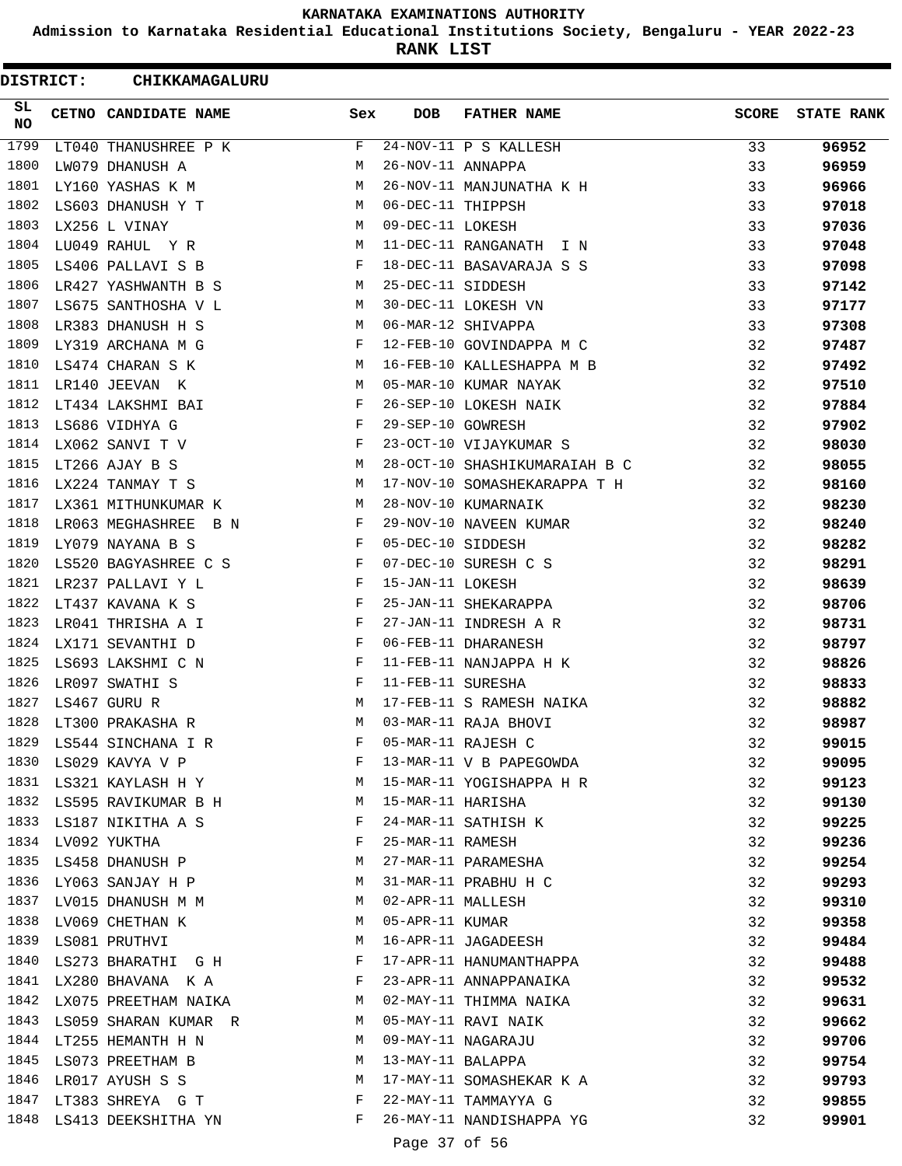**Admission to Karnataka Residential Educational Institutions Society, Bengaluru - YEAR 2022-23**

**RANK LIST**

 $\blacksquare$ 

| <b>DISTRICT:</b> | <b>CHIKKAMAGALURU</b>                                                              |              |                   |                               |              |                   |
|------------------|------------------------------------------------------------------------------------|--------------|-------------------|-------------------------------|--------------|-------------------|
| SL.<br>NO        | CETNO CANDIDATE NAME                                                               | Sex          | DOB               | <b>FATHER NAME</b>            | <b>SCORE</b> | <b>STATE RANK</b> |
| 1799             | LT040 THANUSHREE P K                                                               | F            |                   | 24-NOV-11 P S KALLESH         | 33           | 96952             |
| 1800             | LW079 DHANUSH A                                                                    | М            | 26-NOV-11 ANNAPPA |                               | 33           | 96959             |
| 1801             | LY160 YASHAS K M                                                                   | M            |                   | 26-NOV-11 MANJUNATHA K H      | 33           | 96966             |
| 1802             | LS603 DHANUSH Y T                                                                  | M            | 06-DEC-11 THIPPSH |                               | 33           | 97018             |
| 1803             | LX256 L VINAY                                                                      | M            | 09-DEC-11 LOKESH  |                               | 33           | 97036             |
| 1804             | LU049 RAHUL Y R                                                                    | М            |                   | 11-DEC-11 RANGANATH I N       | 33           | 97048             |
| 1805             | LS406 PALLAVI S B                                                                  | $\mathbf{F}$ |                   | 18-DEC-11 BASAVARAJA S S      | 33           | 97098             |
| 1806             | LR427 YASHWANTH B S                                                                | M            | 25-DEC-11 SIDDESH |                               | 33           | 97142             |
| 1807             | LS675 SANTHOSHA V L                                                                | M            |                   | 30-DEC-11 LOKESH VN           | 33           | 97177             |
| 1808             | LR383 DHANUSH H S                                                                  | M            |                   | 06-MAR-12 SHIVAPPA            | 33           | 97308             |
| 1809             | $\mathbf{F}$ and $\mathbf{F}$ and $\mathbf{F}$<br>LY319 ARCHANA M G                |              |                   | 12-FEB-10 GOVINDAPPA M C      | 32           | 97487             |
| 1810             | M<br>LS474 CHARAN S K                                                              |              |                   | 16-FEB-10 KALLESHAPPA M B     | 32           | 97492             |
| 1811             | LR140 JEEVAN K                                                                     | M            |                   | 05-MAR-10 KUMAR NAYAK         | 32           | 97510             |
| 1812             | LT434 LAKSHMI BAI                                                                  | F            |                   | 26-SEP-10 LOKESH NAIK         | 32           | 97884             |
| 1813             | <b>Example 2</b> F<br>LS686 VIDHYA G                                               |              | 29-SEP-10 GOWRESH |                               | 32           | 97902             |
| 1814             | LX062 SANVI T V                                                                    | $\mathbf{F}$ |                   | 23-OCT-10 VIJAYKUMAR S        | 32           | 98030             |
| 1815             | LT266 AJAY B S                                                                     | M            |                   | 28-OCT-10 SHASHIKUMARAIAH B C | 32           | 98055             |
| 1816             | M <sub>N</sub><br>LX224 TANMAY T S                                                 |              |                   | 17-NOV-10 SOMASHEKARAPPA T H  | 32           | 98160             |
| 1817             | LX361 MITHUNKUMAR K<br><b>M</b>                                                    |              |                   | 28-NOV-10 KUMARNAIK           | 32           | 98230             |
| 1818             | $\mathbf{F}$ and the set of $\mathbf{F}$<br>LR063 MEGHASHREE B N                   |              |                   | 29-NOV-10 NAVEEN KUMAR        | 32           | 98240             |
| 1819             | LY079 NAYANA B S                                                                   | $\mathbf{F}$ | 05-DEC-10 SIDDESH |                               | 32           | 98282             |
| 1820             | LS520 BAGYASHREE C S F                                                             |              |                   | 07-DEC-10 SURESH C S          | 32           | 98291             |
| 1821             | LR237 PALLAVI Y L<br>$\mathbf{F}$ and the contract of the contract of $\mathbf{F}$ |              | 15-JAN-11 LOKESH  |                               | 32           | 98639             |
| 1822             | $\mathbf{F}$ and $\mathbf{F}$<br>LT437 KAVANA K S                                  |              |                   | 25-JAN-11 SHEKARAPPA          | 32           | 98706             |
| 1823             | LR041 THRISHA A I                                                                  | F            |                   | 27-JAN-11 INDRESH A R         | 32           | 98731             |
| 1824             | LX171 SEVANTHI D                                                                   | $\mathbf{F}$ |                   | 06-FEB-11 DHARANESH           | 32           | 98797             |
| 1825             | $\mathbf{F}$ and the contract of the contract $\mathbf{F}$<br>LS693 LAKSHMI C N    |              |                   | 11-FEB-11 NANJAPPA H K        | 32           | 98826             |
| 1826             | LR097 SWATHI S                                                                     | F            | 11-FEB-11 SURESHA |                               | 32           | 98833             |
| 1827             | LS467 GURU R                                                                       | M            |                   | 17-FEB-11 S RAMESH NAIKA      | 32           | 98882             |
| 1828             | LT300 PRAKASHA R                                                                   | M            |                   | 03-MAR-11 RAJA BHOVI          | 32           | 98987             |
| 1829             | LS544 SINCHANA I R                                                                 | F            |                   | 05-MAR-11 RAJESH C            | 32           | 99015             |
|                  | $\mathbf{F}$ and $\mathbf{F}$ and $\mathbf{F}$<br>1830 LS029 KAVYA V P             |              |                   | 13-MAR-11 V B PAPEGOWDA       | 32           | 99095             |
|                  | 1831 LS321 KAYLASH H Y                                                             | M            |                   | 15-MAR-11 YOGISHAPPA H R      | 32           | 99123             |
| 1832             | LS595 RAVIKUMAR B H                                                                |              | 15-MAR-11 HARISHA |                               | 32           | 99130             |
| 1833             | LS187 NIKITHA A S                                                                  | F            |                   | 24-MAR-11 SATHISH K           | 32           | 99225             |
| 1834             | LV092 YUKTHA                                                                       | F            | 25-MAR-11 RAMESH  |                               | 32           | 99236             |
|                  | 1835 LS458 DHANUSH P                                                               | M            |                   | 27-MAR-11 PARAMESHA           | 32           | 99254             |
| 1836             | LY063 SANJAY H P                                                                   | M            |                   | 31-MAR-11 PRABHU H C          | 32           | 99293             |
| 1837             | LV015 DHANUSH M M                                                                  | M            | 02-APR-11 MALLESH |                               | 32           | 99310             |
|                  | 1838 LV069 CHETHAN K                                                               | M            | 05-APR-11 KUMAR   |                               | 32           | 99358             |
|                  | 1839 LS081 PRUTHVI                                                                 | M            |                   | 16-APR-11 JAGADEESH           | 32           | 99484             |
| 1840             | LS273 BHARATHI G H                                                                 | F            |                   | 17-APR-11 HANUMANTHAPPA       | 32           | 99488             |
| 1841             | LX280 BHAVANA K A                                                                  | F            |                   | 23-APR-11 ANNAPPANAIKA        | 32           | 99532             |
| 1842             | LX075 PREETHAM NAIKA                                                               | M            |                   | 02-MAY-11 THIMMA NAIKA        | 32           | 99631             |
|                  | 1843 LS059 SHARAN KUMAR R                                                          | M            |                   | 05-MAY-11 RAVI NAIK           | 32           | 99662             |
|                  | 1844 LT255 HEMANTH H N                                                             | M            |                   | 09-MAY-11 NAGARAJU            | 32           | 99706             |
| 1845             | LS073 PREETHAM B                                                                   | M            | 13-MAY-11 BALAPPA |                               | 32           | 99754             |
| 1846             | LR017 AYUSH S S                                                                    | M            |                   | 17-MAY-11 SOMASHEKAR K A      | 32           | 99793             |
| 1847             | LT383 SHREYA G T                                                                   | $\mathbf{F}$ |                   | 22-MAY-11 TAMMAYYA G          | 32           | 99855             |
| 1848             | LS413 DEEKSHITHA YN                                                                | F            |                   | 26-MAY-11 NANDISHAPPA YG      | 32           | 99901             |

Page 37 of 56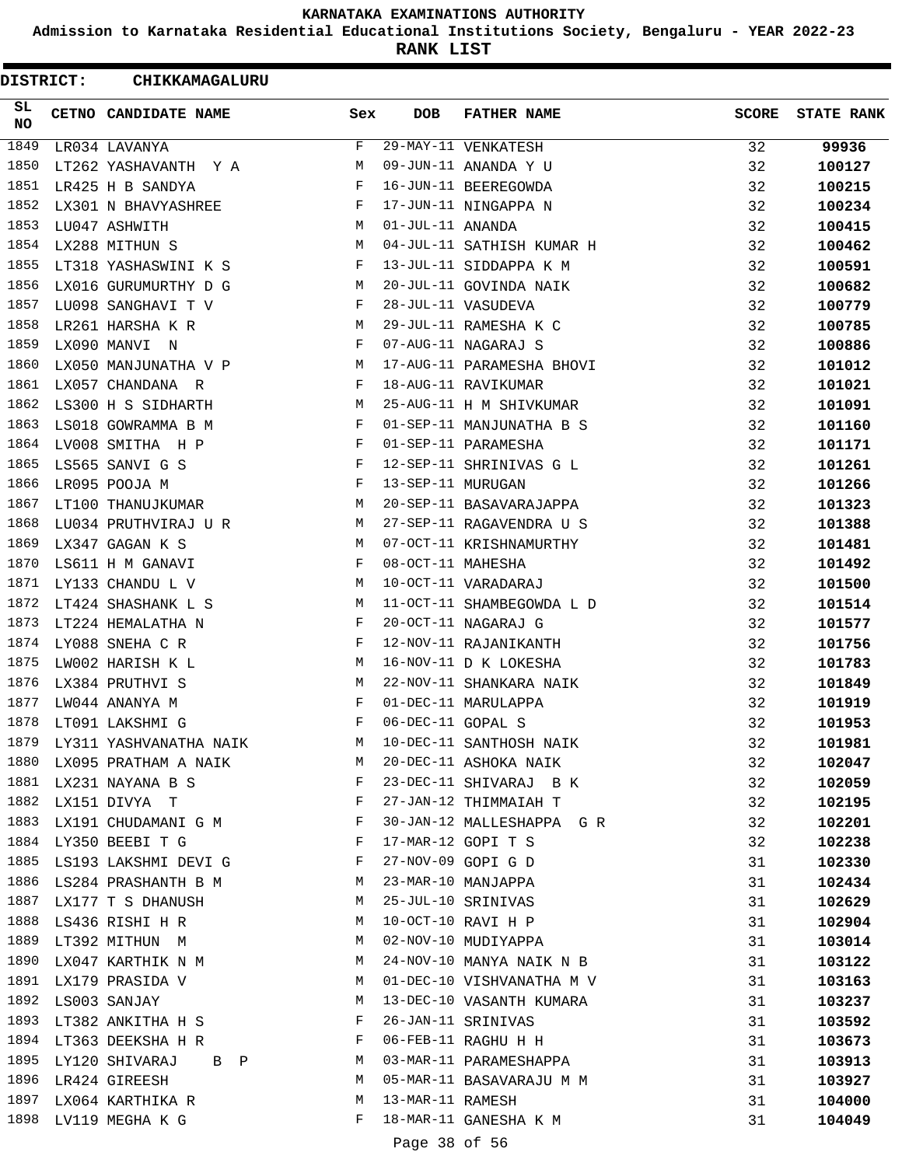**Admission to Karnataka Residential Educational Institutions Society, Bengaluru - YEAR 2022-23**

**RANK LIST**

| DISTRICT: | CHIKKAMAGALURU                                                               |                                         |                   |                           |              |                   |
|-----------|------------------------------------------------------------------------------|-----------------------------------------|-------------------|---------------------------|--------------|-------------------|
| SL<br>NO. | CETNO CANDIDATE NAME                                                         | Sex                                     | <b>DOB</b>        | <b>FATHER NAME</b>        | <b>SCORE</b> | <b>STATE RANK</b> |
| 1849      | LR034 LAVANYA                                                                | F                                       |                   | 29-MAY-11 VENKATESH       | 32           | 99936             |
| 1850      | LT262 YASHAVANTH Y A                                                         | М                                       |                   | 09-JUN-11 ANANDA Y U      | 32           | 100127            |
| 1851      | LR425 H B SANDYA                                                             | F                                       |                   | 16-JUN-11 BEEREGOWDA      | 32           | 100215            |
| 1852      | LX301 N BHAVYASHREE                                                          | F                                       |                   | 17-JUN-11 NINGAPPA N      | 32           | 100234            |
| 1853      | LU047 ASHWITH                                                                | M                                       | 01-JUL-11 ANANDA  |                           | 32           | 100415            |
| 1854      | LX288 MITHUN S                                                               | М                                       |                   | 04-JUL-11 SATHISH KUMAR H | 32           | 100462            |
| 1855      | LT318 YASHASWINI K S                                                         | F                                       |                   | 13-JUL-11 SIDDAPPA K M    | 32           | 100591            |
| 1856      | LX016 GURUMURTHY D G                                                         | М                                       |                   | 20-JUL-11 GOVINDA NAIK    | 32           | 100682            |
| 1857      | LU098 SANGHAVI T V                                                           | F                                       |                   | 28-JUL-11 VASUDEVA        | 32           | 100779            |
| 1858      | LR261 HARSHA K R                                                             | M                                       |                   | 29-JUL-11 RAMESHA K C     | 32           | 100785            |
| 1859      | LX090 MANVI N                                                                | F                                       |                   | 07-AUG-11 NAGARAJ S       | 32           | 100886            |
| 1860      | LX050 MANJUNATHA V P                                                         | M                                       |                   | 17-AUG-11 PARAMESHA BHOVI | 32           | 101012            |
| 1861      | LX057 CHANDANA R                                                             | F                                       |                   | 18-AUG-11 RAVIKUMAR       | 32           | 101021            |
| 1862      | LS300 H S SIDHARTH                                                           | M                                       |                   | 25-AUG-11 H M SHIVKUMAR   | 32           | 101091            |
| 1863      | LS018 GOWRAMMA B M                                                           | F                                       |                   | 01-SEP-11 MANJUNATHA B S  | 32           | 101160            |
| 1864      | LV008 SMITHA H P                                                             | F                                       |                   | 01-SEP-11 PARAMESHA       | 32           | 101171            |
| 1865      | LS565 SANVI G S                                                              | F                                       |                   | 12-SEP-11 SHRINIVAS G L   | 32           | 101261            |
| 1866      | LR095 POOJA M                                                                | F                                       | 13-SEP-11 MURUGAN |                           | 32           | 101266            |
| 1867      | LT100 THANUJKUMAR                                                            | М                                       |                   | 20-SEP-11 BASAVARAJAPPA   | 32           | 101323            |
| 1868      | LU034 PRUTHVIRAJ U R                                                         | M                                       |                   | 27-SEP-11 RAGAVENDRA U S  | 32           | 101388            |
| 1869      | LX347 GAGAN K S                                                              | M                                       |                   | 07-OCT-11 KRISHNAMURTHY   | 32           | 101481            |
| 1870      | LS611 H M GANAVI                                                             | F                                       | 08-OCT-11 MAHESHA |                           | 32           | 101492            |
| 1871      | LY133 CHANDU L V                                                             | M                                       |                   | 10-OCT-11 VARADARAJ       | 32           | 101500            |
| 1872      | LT424 SHASHANK L S                                                           | М                                       |                   | 11-OCT-11 SHAMBEGOWDA L D | 32           | 101514            |
| 1873      | LT224 HEMALATHA N                                                            | F                                       |                   | 20-OCT-11 NAGARAJ G       | 32           | 101577            |
| 1874      | LY088 SNEHA C R                                                              | F                                       |                   | 12-NOV-11 RAJANIKANTH     | 32           | 101756            |
| 1875      | LW002 HARISH K L                                                             | M                                       |                   | 16-NOV-11 D K LOKESHA     | 32           | 101783            |
| 1876      | LX384 PRUTHVI S                                                              | М                                       |                   | 22-NOV-11 SHANKARA NAIK   | 32           | 101849            |
| 1877      | LW044 ANANYA M                                                               | F                                       |                   | 01-DEC-11 MARULAPPA       | 32           | 101919            |
| 1878      | LT091 LAKSHMI G                                                              | F                                       | 06-DEC-11 GOPAL S |                           | 32           | 101953            |
|           | 1879 LY311 YASHVANATHA NAIK                                                  | M                                       |                   | 10-DEC-11 SANTHOSH NAIK   | 32           | 101981            |
| 1880      | LX095 PRATHAM A NAIK                                                         | M                                       |                   | 20-DEC-11 ASHOKA NAIK     | 32           | 102047            |
|           | 1881 LX231 NAYANA B S                                                        | and the state of the Party of the Party |                   | 23-DEC-11 SHIVARAJ B K    | 32           | 102059            |
|           | 1882 LX151 DIVYA T                                                           | $\mathbf{F}$                            |                   | 27-JAN-12 THIMMAIAH T     | 32           | 102195            |
|           | 1883 LX191 CHUDAMANI G M                                                     | $\mathbb F$                             |                   | 30-JAN-12 MALLESHAPPA G R | 32           |                   |
|           | 1884 LY350 BEEBI T G<br>$\mathbf{F}$ and the state of the state $\mathbf{F}$ |                                         |                   | 17-MAR-12 GOPI T S        | 32           | 102201<br>102238  |
|           | 1885 LS193 LAKSHMI DEVI G                                                    | F                                       |                   | 27-NOV-09 GOPI G D        | 31           | 102330            |
|           | 1886 LS284 PRASHANTH B M                                                     | M                                       |                   | 23-MAR-10 MANJAPPA        | 31           | 102434            |
|           | 1887 LX177 T S DHANUSH                                                       | M                                       |                   | 25-JUL-10 SRINIVAS        |              |                   |
|           |                                                                              |                                         |                   |                           | 31           | 102629            |
|           | 1888 LS436 RISHI H R                                                         | M                                       |                   | 10-OCT-10 RAVI H P        | 31           | 102904            |
|           | 1889 LT392 MITHUN M<br>1890 LX047 KARTHIK N M                                | M                                       |                   | 02-NOV-10 MUDIYAPPA       | 31           | 103014            |
|           |                                                                              | M                                       |                   | 24-NOV-10 MANYA NAIK N B  | 31           | 103122            |
|           | 1891 LX179 PRASIDA V                                                         | M                                       |                   | 01-DEC-10 VISHVANATHA M V | 31           | 103163            |
|           | 1892 LS003 SANJAY                                                            | М                                       |                   | 13-DEC-10 VASANTH KUMARA  | 31           | 103237            |
| 1893      | LT382 ANKITHA H S                                                            | F                                       |                   | 26-JAN-11 SRINIVAS        | 31           | 103592            |
|           | 1894 LT363 DEEKSHA H R                                                       | F                                       |                   | 06-FEB-11 RAGHU H H       | 31           | 103673            |
|           | 1895 LY120 SHIVARAJ B P                                                      | M                                       |                   | 03-MAR-11 PARAMESHAPPA    | 31           | 103913            |
|           | 1896 LR424 GIREESH                                                           | M                                       |                   | 05-MAR-11 BASAVARAJU M M  | 31           | 103927            |
|           | 1897 LX064 KARTHIKA R                                                        | M                                       | 13-MAR-11 RAMESH  |                           | 31           | 104000            |
|           | 1898 LV119 MEGHA K G                                                         | F                                       |                   | 18-MAR-11 GANESHA K M     | 31           | 104049            |
|           |                                                                              |                                         | Page 38 of 56     |                           |              |                   |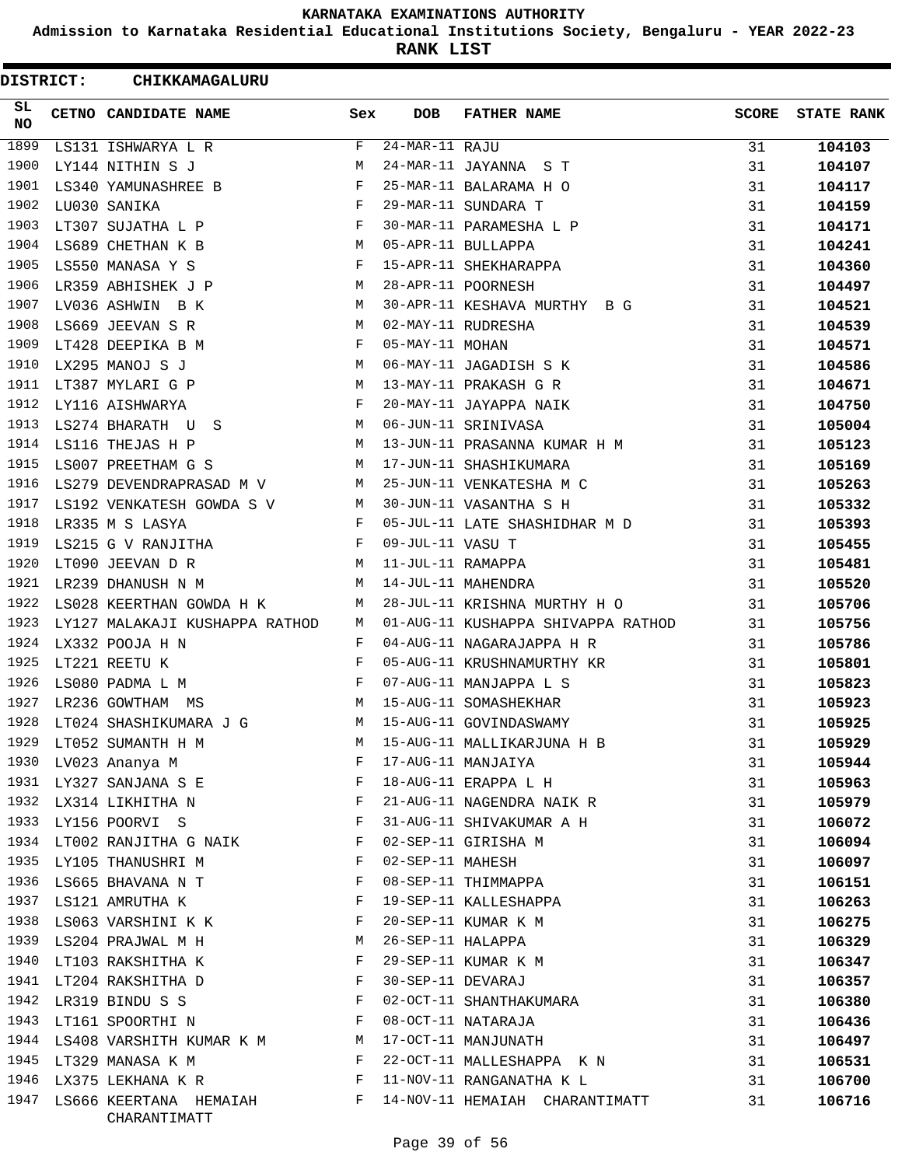**Admission to Karnataka Residential Educational Institutions Society, Bengaluru - YEAR 2022-23**

**RANK LIST**

| <b>DISTRICT:</b> | CHIKKAMAGALURU                                                                                                                    |              |                   |                                               |              |                   |
|------------------|-----------------------------------------------------------------------------------------------------------------------------------|--------------|-------------------|-----------------------------------------------|--------------|-------------------|
| SL.<br>NO.       | CETNO CANDIDATE NAME                                                                                                              | Sex          | <b>DOB</b>        | <b>FATHER NAME</b>                            | <b>SCORE</b> | <b>STATE RANK</b> |
| 1899             | LS131 ISHWARYA L R                                                                                                                | F            | $24-MAR-11$ RAJU  |                                               | 31           | 104103            |
| 1900             | LY144 NITHIN S J                                                                                                                  | М            |                   | 24-MAR-11 JAYANNA S T                         | 31           | 104107            |
| 1901             | LS340 YAMUNASHREE B                                                                                                               | F            |                   | 25-MAR-11 BALARAMA H O                        | 31           | 104117            |
| 1902             | LU030 SANIKA                                                                                                                      | F            |                   | 29-MAR-11 SUNDARA T                           | 31           | 104159            |
| 1903             | LT307 SUJATHA L P                                                                                                                 | F            |                   | 30-MAR-11 PARAMESHA L P                       | 31           | 104171            |
| 1904             | LS689 CHETHAN K B                                                                                                                 | M            |                   | 05-APR-11 BULLAPPA                            | 31           | 104241            |
| 1905             | LS550 MANASA Y S                                                                                                                  | F            |                   | 15-APR-11 SHEKHARAPPA                         | 31           | 104360            |
| 1906             | LR359 ABHISHEK J P                                                                                                                | M            |                   | 28-APR-11 POORNESH                            | 31           | 104497            |
| 1907             | LV036 ASHWIN B K                                                                                                                  | M            |                   | 30-APR-11 KESHAVA MURTHY B G                  | 31           | 104521            |
| 1908             | LS669 JEEVAN S R                                                                                                                  | M            |                   | 02-MAY-11 RUDRESHA                            | 31           | 104539            |
| 1909             | LT428 DEEPIKA B M                                                                                                                 | F            | 05-MAY-11 MOHAN   |                                               | 31           | 104571            |
| 1910             | LX295 MANOJ S J                                                                                                                   | М            |                   | 06-MAY-11 JAGADISH S K                        | 31           | 104586            |
| 1911             | LT387 MYLARI G P                                                                                                                  | M            |                   | 13-MAY-11 PRAKASH G R                         | 31           | 104671            |
| 1912             | LY116 AISHWARYA                                                                                                                   | F            |                   | 20-MAY-11 JAYAPPA NAIK                        | 31           | 104750            |
| 1913             | LS274 BHARATH U S                                                                                                                 | M            |                   | 06-JUN-11 SRINIVASA                           | 31           | 105004            |
| 1914             | LS116 THEJAS H P                                                                                                                  | М            |                   | 13-JUN-11 PRASANNA KUMAR H M                  | 31           | 105123            |
| 1915             | LS007 PREETHAM G S                                                                                                                | М            |                   | 17-JUN-11 SHASHIKUMARA                        | 31           | 105169            |
| 1916             | LS279 DEVENDRAPRASAD M V                                                                                                          | M            |                   | 25-JUN-11 VENKATESHA M C                      | 31           | 105263            |
| 1917             | LS192 VENKATESH GOWDA S V                                                                                                         | M            |                   | 30-JUN-11 VASANTHA S H                        | 31           | 105332            |
| 1918             | LR335 M S LASYA                                                                                                                   | F            |                   | 05-JUL-11 LATE SHASHIDHAR M D                 | 31           | 105393            |
| 1919             | LS215 G V RANJITHA                                                                                                                | F            | 09-JUL-11 VASU T  |                                               | 31           | 105455            |
| 1920             | LT090 JEEVAN D R                                                                                                                  | M            | 11-JUL-11 RAMAPPA |                                               | 31           | 105481            |
| 1921             | LR239 DHANUSH N M                                                                                                                 | M            |                   | 14-JUL-11 MAHENDRA                            | 31           | 105520            |
| 1922             | LS028 KEERTHAN GOWDA H K                                                                                                          | M            |                   | 28-JUL-11 KRISHNA MURTHY H O                  | 31           | 105706            |
| 1923             | LY127 MALAKAJI KUSHAPPA RATHOD                                                                                                    | M            |                   | 01-AUG-11 KUSHAPPA SHIVAPPA RATHOD            | 31           | 105756            |
| 1924             | LX332 POOJA H N                                                                                                                   | F            |                   | 04-AUG-11 NAGARAJAPPA H R                     | 31           | 105786            |
| 1925             | LT221 REETU K                                                                                                                     | F            |                   | 05-AUG-11 KRUSHNAMURTHY KR                    | 31           | 105801            |
| 1926             | LS080 PADMA L M                                                                                                                   | $\mathbf{F}$ |                   | 07-AUG-11 MANJAPPA L S                        | 31           | 105823            |
| 1927             | LR236 GOWTHAM MS                                                                                                                  | М            |                   | 15-AUG-11 SOMASHEKHAR                         | 31           | 105923            |
| 1928             | LT024 SHASHIKUMARA J G                                                                                                            | M            |                   | 15-AUG-11 GOVINDASWAMY                        | 31           | 105925            |
|                  | 1929 LT052 SUMANTH H M                                                                                                            | М            |                   | 15-AUG-11 MALLIKARJUNA H B                    | 31           | 105929            |
| 1930             | LV023 Ananya M                                                                                                                    | F            |                   | 17-AUG-11 MANJAIYA                            | 31           | 105944            |
|                  | 1931 LY327 SANJANA S E                                                                                                            | F            |                   | 18-AUG-11 ERAPPA L H                          | 31           | 105963            |
|                  | $\mathbf{F}$<br>1932 LX314 LIKHITHA N                                                                                             |              |                   | 21-AUG-11 NAGENDRA NAIK R                     | 31           | 105979            |
|                  | 1933 LY156 POORVI S                                                                                                               | F            |                   | 31-AUG-11 SHIVAKUMAR A H                      | 31           | 106072            |
| 1934             | LT002 RANJITHA G NAIK                                                                                                             | F            |                   | 02-SEP-11 GIRISHA M                           | 31           | 106094            |
| 1935             | LY105 THANUSHRI M                                                                                                                 | F            | 02-SEP-11 MAHESH  |                                               | 31           | 106097            |
|                  | 1936 LS665 BHAVANA N T                                                                                                            | F            |                   | 08-SEP-11 THIMMAPPA                           | 31           | 106151            |
|                  | 1937 LS121 AMRUTHA K                                                                                                              | F            |                   | 19-SEP-11 KALLESHAPPA                         | 31           | 106263            |
|                  | 1938 LS063 VARSHINI K K                                                                                                           | F            |                   | 20-SEP-11 KUMAR K M                           | 31           | 106275            |
|                  | 1939 LS204 PRAJWAL M H                                                                                                            | M            | 26-SEP-11 HALAPPA |                                               | 31           | 106329            |
|                  | $\mathbf{F}$ and the set of $\mathbf{F}$<br>1940 LT103 RAKSHITHA K                                                                |              |                   | 29-SEP-11 KUMAR K M                           | 31           |                   |
|                  | 1941 LT204 RAKSHITHA D                                                                                                            | $\mathbf{F}$ | 30-SEP-11 DEVARAJ |                                               | 31           | 106347<br>106357  |
|                  |                                                                                                                                   | F            |                   |                                               |              |                   |
| 1942<br>1943     | LR319 BINDU S S<br>and the contract of the state of the Party of the Party of the Party of the Party of the Party of the Party of |              |                   | 02-OCT-11 SHANTHAKUMARA<br>08-OCT-11 NATARAJA | 31           | 106380            |
|                  | LT161 SPOORTHI N                                                                                                                  |              |                   |                                               | 31           | 106436            |
|                  | 1944 LS408 VARSHITH KUMAR K M M                                                                                                   |              |                   | 17-OCT-11 MANJUNATH                           | 31           | 106497            |
|                  | 1945 LT329 MANASA K M                                                                                                             | $-F$         |                   | 22-OCT-11 MALLESHAPPA K N                     | 31           | 106531            |
|                  | 1946 LX375 LEKHANA K R F                                                                                                          |              |                   | 11-NOV-11 RANGANATHA K L                      | 31           | 106700            |
| 1947             | LS666 KEERTANA HEMAIAH F<br>CHARANTIMATT                                                                                          |              |                   | 14-NOV-11 HEMAIAH CHARANTIMATT                | 31           | 106716            |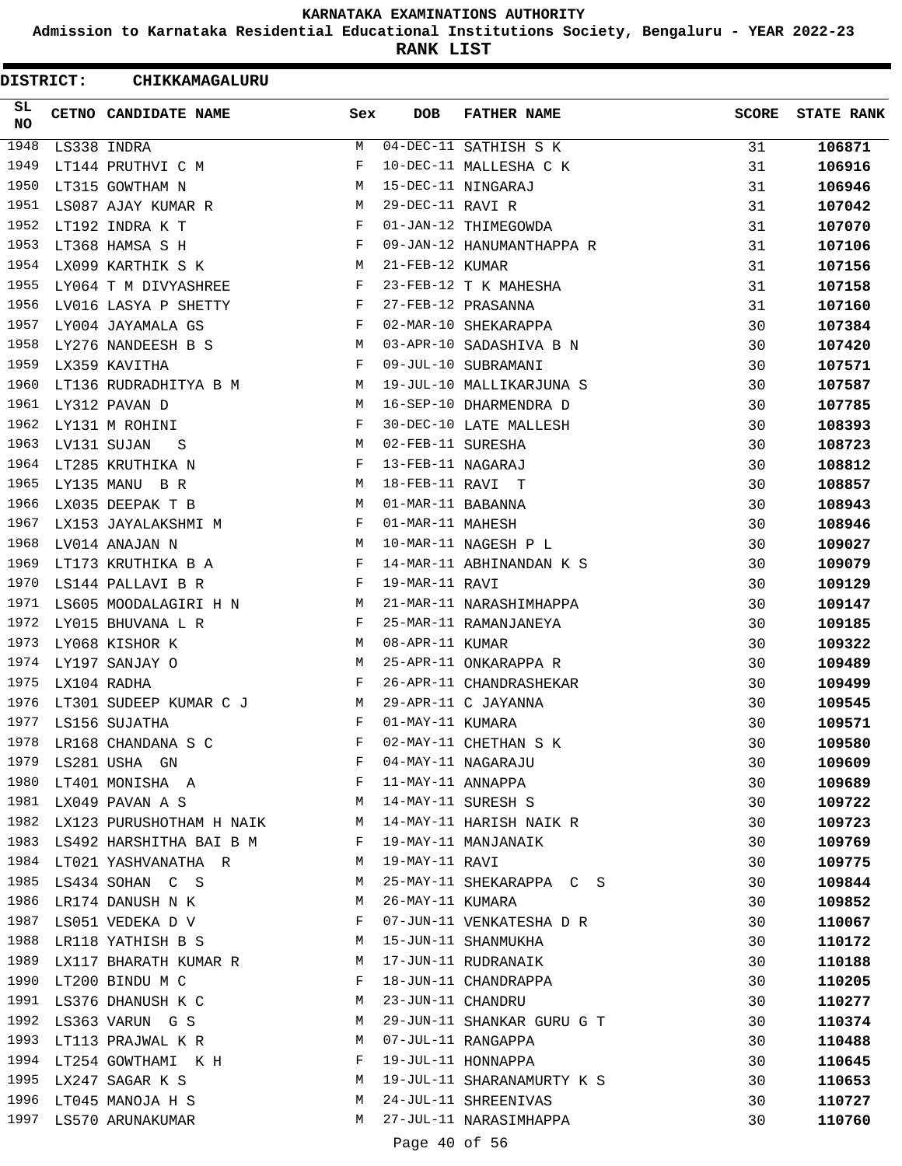**Admission to Karnataka Residential Educational Institutions Society, Bengaluru - YEAR 2022-23**

**RANK LIST**

| <b>DISTRICT:</b> | CHIKKAMAGALURU                           |          |                   |                            |              |                   |
|------------------|------------------------------------------|----------|-------------------|----------------------------|--------------|-------------------|
| SL.<br><b>NO</b> | CETNO CANDIDATE NAME                     | Sex      | <b>DOB</b>        | <b>FATHER NAME</b>         | <b>SCORE</b> | <b>STATE RANK</b> |
| 1948             | LS338 INDRA                              | М        |                   | 04-DEC-11 SATHISH S K      | 31           | 106871            |
| 1949             | LT144 PRUTHVI C M                        | F        |                   | 10-DEC-11 MALLESHA C K     | 31           | 106916            |
| 1950             | LT315 GOWTHAM N                          | M        |                   | 15-DEC-11 NINGARAJ         | 31           | 106946            |
| 1951             | LS087 AJAY KUMAR R                       | М        | 29-DEC-11 RAVI R  |                            | 31           | 107042            |
| 1952             | LT192 INDRA K T                          | F        |                   | 01-JAN-12 THIMEGOWDA       | 31           | 107070            |
| 1953             | LT368 HAMSA S H                          | F        |                   | 09-JAN-12 HANUMANTHAPPA R  | 31           | 107106            |
| 1954             | LX099 KARTHIK S K                        | M        | 21-FEB-12 KUMAR   |                            | 31           | 107156            |
| 1955             | LY064 T M DIVYASHREE                     | F        |                   | 23-FEB-12 T K MAHESHA      | 31           | 107158            |
| 1956             | LV016 LASYA P SHETTY                     | F        |                   | 27-FEB-12 PRASANNA         | 31           | 107160            |
| 1957             | LY004 JAYAMALA GS                        | F        |                   | 02-MAR-10 SHEKARAPPA       | 30           | 107384            |
| 1958             | LY276 NANDEESH B S                       | M        |                   | 03-APR-10 SADASHIVA B N    | 30           | 107420            |
| 1959             | LX359 KAVITHA                            | F        |                   | 09-JUL-10 SUBRAMANI        | 30           | 107571            |
| 1960             | LT136 RUDRADHITYA B M                    | M        |                   | 19-JUL-10 MALLIKARJUNA S   | 30           | 107587            |
| 1961             | LY312 PAVAN D                            | М        |                   | 16-SEP-10 DHARMENDRA D     | 30           | 107785            |
| 1962             | LY131 M ROHINI                           | F        |                   | 30-DEC-10 LATE MALLESH     | 30           | 108393            |
| 1963             | LV131 SUJAN<br>S                         | М        | 02-FEB-11 SURESHA |                            | 30           | 108723            |
| 1964             | LT285 KRUTHIKA N                         | F        | 13-FEB-11 NAGARAJ |                            | 30           | 108812            |
| 1965             | LY135 MANU B R                           | М        | 18-FEB-11 RAVI T  |                            | 30           | 108857            |
| 1966             | LX035 DEEPAK T B                         | M        | 01-MAR-11 BABANNA |                            | 30           | 108943            |
| 1967             | LX153 JAYALAKSHMI M                      | F        | 01-MAR-11 MAHESH  |                            | 30           | 108946            |
| 1968             | LV014 ANAJAN N                           | M        |                   | 10-MAR-11 NAGESH P L       | 30           | 109027            |
| 1969             | LT173 KRUTHIKA B A                       | F        |                   | 14-MAR-11 ABHINANDAN K S   | 30           | 109079            |
| 1970             | LS144 PALLAVI B R                        | F        | 19-MAR-11 RAVI    |                            | 30           | 109129            |
| 1971             | LS605 MOODALAGIRI H N                    | М        |                   | 21-MAR-11 NARASHIMHAPPA    | 30           | 109147            |
| 1972             | LY015 BHUVANA L R                        | F        |                   | 25-MAR-11 RAMANJANEYA      | 30           | 109185            |
| 1973             | LY068 KISHOR K                           | М        | 08-APR-11 KUMAR   |                            | 30           | 109322            |
| 1974             | LY197 SANJAY O                           | M        |                   | 25-APR-11 ONKARAPPA R      | 30           | 109489            |
| 1975             | LX104 RADHA                              | F        |                   | 26-APR-11 CHANDRASHEKAR    | 30           | 109499            |
| 1976             | LT301 SUDEEP KUMAR C J                   | M        |                   | 29-APR-11 C JAYANNA        | 30           | 109545            |
| 1977             | LS156 SUJATHA                            | F        | 01-MAY-11 KUMARA  |                            | 30           | 109571            |
| 1978             | LR168 CHANDANA S C                       | F        |                   | 02-MAY-11 CHETHAN S K      | 30           | 109580            |
| 1979             | LS281 USHA GN                            | F        |                   | 04-MAY-11 NAGARAJU         | 30           | 109609            |
|                  | 1980 LT401 MONISHA A                     | F        | 11-MAY-11 ANNAPPA |                            | 30           | 109689            |
| 1981             | LX049 PAVAN A S                          | <b>M</b> |                   | 14-MAY-11 SURESH S         | 30           | 109722            |
|                  | 1982 LX123 PURUSHOTHAM H NAIK M          |          |                   | 14-MAY-11 HARISH NAIK R    | 30           | 109723            |
| 1983             | LS492 HARSHITHA BAI B M                  | F        |                   | 19-MAY-11 MANJANAIK        | 30           | 109769            |
| 1984             | LT021 YASHVANATHA R                      | M        | 19-MAY-11 RAVI    |                            | 30           | 109775            |
| 1985             | LS434 SOHAN C S                          | М        |                   | 25-MAY-11 SHEKARAPPA C S   | 30           | 109844            |
| 1986             | LR174 DANUSH N K                         | М        | 26-MAY-11 KUMARA  |                            | 30           | 109852            |
| 1987             | LS051 VEDEKA D V                         | F        |                   | 07-JUN-11 VENKATESHA D R   | 30           | 110067            |
| 1988             | LR118 YATHISH B S                        | М        |                   | 15-JUN-11 SHANMUKHA        | 30           | 110172            |
| 1989             | LX117 BHARATH KUMAR R                    | M        |                   | 17-JUN-11 RUDRANAIK        | 30           | 110188            |
| 1990             | LT200 BINDU M C                          | F        |                   | 18-JUN-11 CHANDRAPPA       | 30           | 110205            |
| 1991             | LS376 DHANUSH K C                        | М        | 23-JUN-11 CHANDRU |                            | 30           | 110277            |
| 1992             | LS363 VARUN G S                          | М        |                   | 29-JUN-11 SHANKAR GURU G T | 30           | 110374            |
| 1993             | LT113 PRAJWAL K R                        | М        |                   | 07-JUL-11 RANGAPPA         | 30           | 110488            |
|                  | 1994 LT254 GOWTHAMI K H                  | F        |                   | 19-JUL-11 HONNAPPA         | 30           | 110645            |
| 1995             |                                          | M        |                   | 19-JUL-11 SHARANAMURTY K S | 30           |                   |
|                  | LX247 SAGAR K S<br>1996 LT045 MANOJA H S | M        |                   | 24-JUL-11 SHREENIVAS       | 30           | 110653<br>110727  |
| 1997             | LS570 ARUNAKUMAR                         | М        |                   | 27-JUL-11 NARASIMHAPPA     | 30           | 110760            |
|                  |                                          |          |                   |                            |              |                   |
|                  |                                          |          | Page 40 of 56     |                            |              |                   |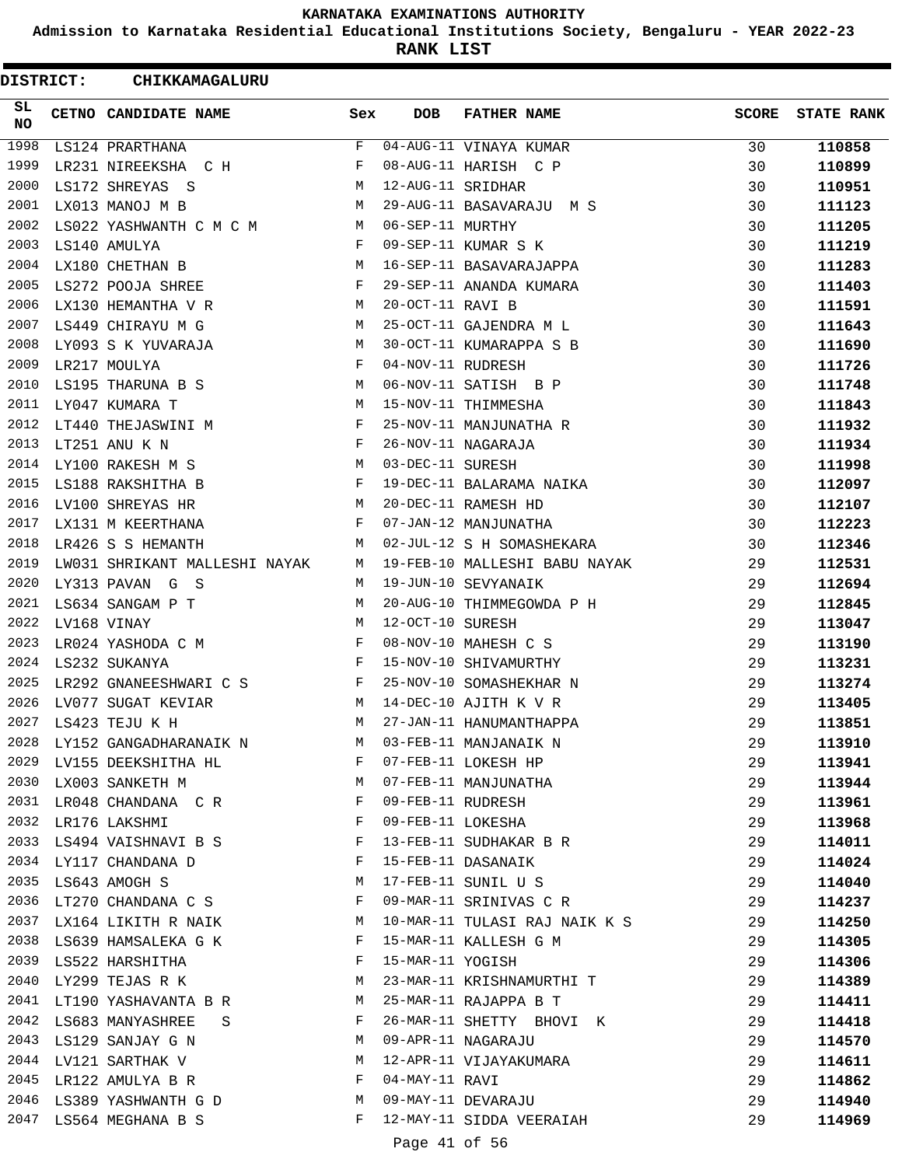**Admission to Karnataka Residential Educational Institutions Society, Bengaluru - YEAR 2022-23**

**RANK LIST**

| <b>DISTRICT:</b> |  | CHIKKAMAGALURU                |              |                   |                               |       |                   |
|------------------|--|-------------------------------|--------------|-------------------|-------------------------------|-------|-------------------|
| SL.<br><b>NO</b> |  | CETNO CANDIDATE NAME          | Sex          | <b>DOB</b>        | <b>FATHER NAME</b>            | SCORE | <b>STATE RANK</b> |
| 1998             |  | LS124 PRARTHANA               | F            |                   | 04-AUG-11 VINAYA KUMAR        | 30    | 110858            |
| 1999             |  | LR231 NIREEKSHA C H           | F            |                   | 08-AUG-11 HARISH C P          | 30    | 110899            |
| 2000             |  | LS172 SHREYAS S               | M            | 12-AUG-11 SRIDHAR |                               | 30    | 110951            |
| 2001             |  | LX013 MANOJ M B               | М            |                   | 29-AUG-11 BASAVARAJU M S      | 30    | 111123            |
| 2002             |  | LS022 YASHWANTH C M C M M     |              | 06-SEP-11 MURTHY  |                               | 30    | 111205            |
| 2003             |  | LS140 AMULYA                  | $\mathbf{F}$ |                   | 09-SEP-11 KUMAR S K           | 30    | 111219            |
| 2004             |  | LX180 CHETHAN B               | M            |                   | 16-SEP-11 BASAVARAJAPPA       | 30    | 111283            |
| 2005             |  | LS272 POOJA SHREE             | F            |                   | 29-SEP-11 ANANDA KUMARA       | 30    | 111403            |
| 2006             |  | LX130 HEMANTHA V R            | М            | 20-OCT-11 RAVI B  |                               | 30    | 111591            |
| 2007             |  | LS449 CHIRAYU M G             | M            |                   | 25-OCT-11 GAJENDRA M L        | 30    | 111643            |
| 2008             |  | LY093 S K YUVARAJA            | M            |                   | 30-OCT-11 KUMARAPPA S B       | 30    | 111690            |
| 2009             |  | LR217 MOULYA                  | F            | 04-NOV-11 RUDRESH |                               | 30    | 111726            |
| 2010             |  | LS195 THARUNA B S             | М            |                   | 06-NOV-11 SATISH B P          | 30    | 111748            |
| 2011             |  | LY047 KUMARA T                | M            |                   | 15-NOV-11 THIMMESHA           | 30    | 111843            |
| 2012             |  | LT440 THEJASWINI M            | F            |                   | 25-NOV-11 MANJUNATHA R        | 30    | 111932            |
| 2013             |  | LT251 ANU K N                 | F            |                   | 26-NOV-11 NAGARAJA            | 30    | 111934            |
| 2014             |  | LY100 RAKESH M S              | М            | 03-DEC-11 SURESH  |                               | 30    | 111998            |
| 2015             |  | LS188 RAKSHITHA B             | $\mathbf{F}$ |                   | 19-DEC-11 BALARAMA NAIKA      | 30    | 112097            |
| 2016             |  | LV100 SHREYAS HR              | M            |                   | 20-DEC-11 RAMESH HD           | 30    | 112107            |
| 2017             |  | LX131 M KEERTHANA             | F            |                   | 07-JAN-12 MANJUNATHA          | 30    | 112223            |
| 2018             |  | LR426 S S HEMANTH             | M            |                   | 02-JUL-12 S H SOMASHEKARA     | 30    | 112346            |
| 2019             |  | LW031 SHRIKANT MALLESHI NAYAK | M            |                   | 19-FEB-10 MALLESHI BABU NAYAK | 29    | 112531            |
| 2020             |  | LY313 PAVAN G S               | M            |                   | 19-JUN-10 SEVYANAIK           | 29    | 112694            |
| 2021             |  | LS634 SANGAM P T              | М            |                   | 20-AUG-10 THIMMEGOWDA P H     | 29    | 112845            |
| 2022             |  | LV168 VINAY                   | М            | 12-OCT-10 SURESH  |                               | 29    | 113047            |
| 2023             |  | LR024 YASHODA C M             | $\mathbf{F}$ |                   | 08-NOV-10 MAHESH C S          | 29    | 113190            |
| 2024             |  | LS232 SUKANYA                 | F            |                   | 15-NOV-10 SHIVAMURTHY         | 29    | 113231            |
| 2025             |  | LR292 GNANEESHWARI C S        | F            |                   | 25-NOV-10 SOMASHEKHAR N       | 29    | 113274            |
| 2026             |  | LV077 SUGAT KEVIAR            | М            |                   | 14-DEC-10 AJITH K V R         | 29    | 113405            |
| 2027             |  | LS423 TEJU K H                | M            |                   | 27-JAN-11 HANUMANTHAPPA       | 29    | 113851            |
| 2028             |  | LY152 GANGADHARANAIK N        | M            |                   | 03-FEB-11 MANJANAIK N         | 29    | 113910            |
| 2029             |  | LV155 DEEKSHITHA HL           | F            |                   | 07-FEB-11 LOKESH HP           | 29    | 113941            |
|                  |  | 2030 LX003 SANKETH M<br>M     |              |                   | 07-FEB-11 MANJUNATHA          | 29    | 113944            |
| 2031             |  | LR048 CHANDANA C R            | $\mathbf{F}$ | 09-FEB-11 RUDRESH |                               | 29    | 113961            |
|                  |  | 2032 LR176 LAKSHMI            | F            | 09-FEB-11 LOKESHA |                               | 29    | 113968            |
| 2033             |  | LS494 VAISHNAVI B S           | F            |                   | 13-FEB-11 SUDHAKAR B R        | 29    | 114011            |
| 2034             |  | LY117 CHANDANA D              | F            |                   | 15-FEB-11 DASANAIK            | 29    | 114024            |
|                  |  | 2035 LS643 AMOGH S            | М            |                   | 17-FEB-11 SUNIL U S           | 29    | 114040            |
| 2036             |  | LT270 CHANDANA C S            | F            |                   | 09-MAR-11 SRINIVAS C R        | 29    | 114237            |
| 2037             |  | LX164 LIKITH R NAIK           | M            |                   | 10-MAR-11 TULASI RAJ NAIK K S | 29    | 114250            |
|                  |  | 2038 LS639 HAMSALEKA G K      | F            |                   | 15-MAR-11 KALLESH G M         | 29    | 114305            |
|                  |  | 2039 LS522 HARSHITHA          | $\mathbf{F}$ | 15-MAR-11 YOGISH  |                               | 29    | 114306            |
| 2040             |  | LY299 TEJAS R K               | M            |                   | 23-MAR-11 KRISHNAMURTHI T     | 29    | 114389            |
| 2041             |  | LT190 YASHAVANTA B R          | M            |                   | 25-MAR-11 RAJAPPA B T         | 29    | 114411            |
| 2042             |  | LS683 MANYASHREE<br>S.        | F            |                   | 26-MAR-11 SHETTY BHOVI K      | 29    | 114418            |
|                  |  | 2043 LS129 SANJAY G N         | M            |                   | 09-APR-11 NAGARAJU            | 29    | 114570            |
|                  |  | 2044 LV121 SARTHAK V          | M            |                   | 12-APR-11 VIJAYAKUMARA        | 29    | 114611            |
| 2045             |  | LR122 AMULYA B R              | F            | 04-MAY-11 RAVI    |                               | 29    | 114862            |
|                  |  | 2046 LS389 YASHWANTH G D      | M            |                   | 09-MAY-11 DEVARAJU            | 29    | 114940            |
|                  |  | 2047 LS564 MEGHANA B S        | F            |                   | 12-MAY-11 SIDDA VEERAIAH      | 29    | 114969            |
|                  |  |                               |              | Page 41 of 56     |                               |       |                   |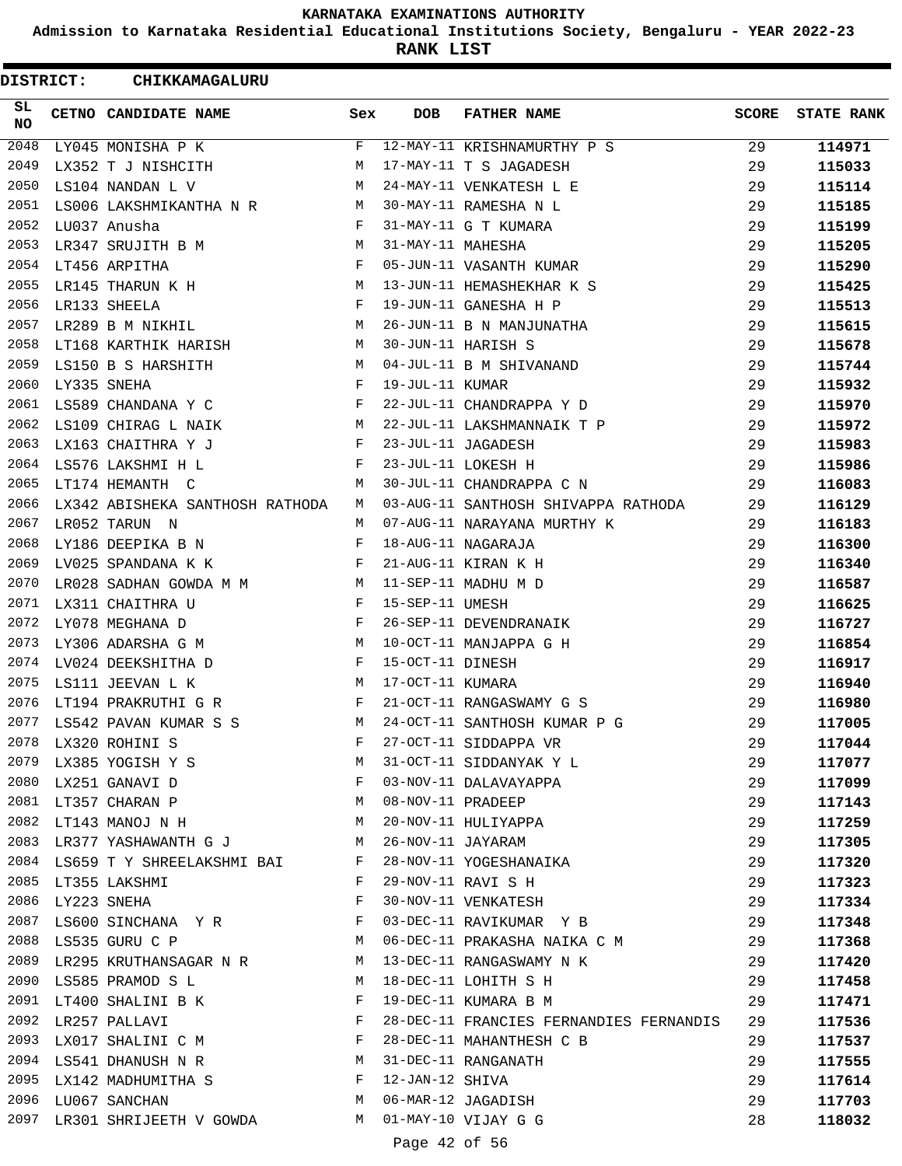**Admission to Karnataka Residential Educational Institutions Society, Bengaluru - YEAR 2022-23**

**RANK LIST**

ı

| DISTRICT: |                  | CHIKKAMAGALURU                        |     |                   |                                         |              |                   |
|-----------|------------------|---------------------------------------|-----|-------------------|-----------------------------------------|--------------|-------------------|
| SL.<br>NO |                  | CETNO CANDIDATE NAME                  | Sex | <b>DOB</b>        | <b>FATHER NAME</b>                      | <b>SCORE</b> | <b>STATE RANK</b> |
| 2048      |                  | LY045 MONISHA P K                     | F   |                   | 12-MAY-11 KRISHNAMURTHY P S             | 29           | 114971            |
| 2049      |                  | LX352 T J NISHCITH                    | М   |                   | 17-MAY-11 T S JAGADESH                  | 29           | 115033            |
| 2050      |                  | LS104 NANDAN L V                      | M   |                   | 24-MAY-11 VENKATESH L E                 | 29           | 115114            |
| 2051      |                  | LS006 LAKSHMIKANTHA N R               | M   |                   | 30-MAY-11 RAMESHA N L                   | 29           | 115185            |
| 2052      |                  | LU037 Anusha                          | F   |                   | 31-MAY-11 G T KUMARA                    | 29           | 115199            |
| 2053      |                  | LR347 SRUJITH B M                     | M   | 31-MAY-11 MAHESHA |                                         | 29           | 115205            |
| 2054      |                  | LT456 ARPITHA                         | F   |                   | 05-JUN-11 VASANTH KUMAR                 | 29           | 115290            |
| 2055      |                  | LR145 THARUN K H                      | М   |                   | 13-JUN-11 HEMASHEKHAR K S               | 29           | 115425            |
| 2056      |                  | LR133 SHEELA                          | F   |                   | 19-JUN-11 GANESHA H P                   | 29           | 115513            |
| 2057      |                  | LR289 B M NIKHIL                      | М   |                   | 26-JUN-11 B N MANJUNATHA                | 29           | 115615            |
| 2058      |                  | LT168 KARTHIK HARISH                  | M   |                   | 30-JUN-11 HARISH S                      | 29           | 115678            |
| 2059      |                  | LS150 B S HARSHITH                    | M   |                   | 04-JUL-11 B M SHIVANAND                 | 29           | 115744            |
| 2060      |                  | LY335 SNEHA                           | F   | 19-JUL-11 KUMAR   |                                         | 29           | 115932            |
| 2061      |                  | LS589 CHANDANA Y C                    | F   |                   | 22-JUL-11 CHANDRAPPA Y D                | 29           | 115970            |
| 2062      |                  | LS109 CHIRAG L NAIK                   | М   |                   | 22-JUL-11 LAKSHMANNAIK T P              | 29           | 115972            |
| 2063      |                  | LX163 CHAITHRA Y J                    | F   |                   | 23-JUL-11 JAGADESH                      | 29           | 115983            |
| 2064      |                  | LS576 LAKSHMI H L                     | F   |                   | 23-JUL-11 LOKESH H                      | 29           | 115986            |
| 2065      |                  | LT174 HEMANTH C                       | М   |                   | 30-JUL-11 CHANDRAPPA C N                | 29           | 116083            |
| 2066      |                  | LX342 ABISHEKA SANTHOSH RATHODA       | М   |                   | 03-AUG-11 SANTHOSH SHIVAPPA RATHODA     | 29           | 116129            |
| 2067      |                  | LR052 TARUN N                         | М   |                   | 07-AUG-11 NARAYANA MURTHY K             | 29           | 116183            |
| 2068      |                  | LY186 DEEPIKA B N                     | F   |                   | 18-AUG-11 NAGARAJA                      | 29           | 116300            |
| 2069      |                  | LV025 SPANDANA K K                    | F   |                   | 21-AUG-11 KIRAN K H                     | 29           | 116340            |
| 2070      |                  | LR028 SADHAN GOWDA M M                | M   |                   | 11-SEP-11 MADHU M D                     | 29           | 116587            |
| 2071      |                  | LX311 CHAITHRA U                      | F   | 15-SEP-11 UMESH   |                                         | 29           | 116625            |
| 2072      |                  | LY078 MEGHANA D                       | F   |                   | 26-SEP-11 DEVENDRANAIK                  | 29           | 116727            |
| 2073      |                  | LY306 ADARSHA G M                     | M   |                   | 10-OCT-11 MANJAPPA G H                  | 29           | 116854            |
| 2074      |                  | LV024 DEEKSHITHA D                    | F   | 15-OCT-11 DINESH  |                                         | 29           | 116917            |
| 2075      |                  | LS111 JEEVAN L K                      | M   | 17-OCT-11 KUMARA  |                                         | 29           | 116940            |
| 2076      |                  | LT194 PRAKRUTHI G R                   | F   |                   | 21-OCT-11 RANGASWAMY G S                | 29           | 116980            |
| 2077      |                  | LS542 PAVAN KUMAR S S                 | M   |                   | 24-OCT-11 SANTHOSH KUMAR P G            | 29           | 117005            |
|           |                  | 2078 LX320 ROHINI S                   | F   |                   | 27-OCT-11 SIDDAPPA VR                   | 29           | 117044            |
| 2079      |                  | LX385 YOGISH Y S                      | M   |                   | 31-OCT-11 SIDDANYAK Y L                 | 29           | 117077            |
|           |                  | 2080 LX251 GANAVI D                   | F   |                   | 03-NOV-11 DALAVAYAPPA                   | 29           | 117099            |
|           |                  | M<br>2081 LT357 CHARAN P              |     | 08-NOV-11 PRADEEP |                                         | 29           | 117143            |
|           |                  | 2082 LT143 MANOJ N H                  | M   |                   | 20-NOV-11 HULIYAPPA                     | 29           | 117259            |
|           |                  | 2083 LR377 YASHAWANTH G J             | M   |                   | 26-NOV-11 JAYARAM                       | 29           | 117305            |
|           |                  | 2084 LS659 T Y SHREELAKSHMI BAI F     |     |                   | 28-NOV-11 YOGESHANAIKA                  | 29           | 117320            |
|           |                  | 2085 LT355 LAKSHMI                    | F   |                   | 29-NOV-11 RAVI S H                      | 29           | 117323            |
|           | 2086 LY223 SNEHA |                                       | F   |                   | 30-NOV-11 VENKATESH                     | 29           | 117334            |
|           |                  | 2087 LS600 SINCHANA Y R F             |     |                   | 03-DEC-11 RAVIKUMAR Y B                 | 29           | 117348            |
|           |                  | M <sub>N</sub><br>2088 LS535 GURU C P |     |                   | 06-DEC-11 PRAKASHA NAIKA C M            | 29           | 117368            |
|           |                  | 2089 LR295 KRUTHANSAGAR N R M         |     |                   | 13-DEC-11 RANGASWAMY N K                | 29           | 117420            |
|           |                  | 2090 LS585 PRAMOD S L                 | M   |                   | 18-DEC-11 LOHITH S H                    | 29           | 117458            |
|           |                  | 2091 LT400 SHALINI B K                | F   |                   | 19-DEC-11 KUMARA B M                    | 29           | 117471            |
| 2092      |                  | LR257 PALLAVI                         | F   |                   | 28-DEC-11 FRANCIES FERNANDIES FERNANDIS | 29           | 117536            |
| 2093      |                  | LX017 SHALINI C M F                   |     |                   | 28-DEC-11 MAHANTHESH C B                | 29           | 117537            |
|           |                  | 2094 LS541 DHANUSH N R M              |     |                   | 31-DEC-11 RANGANATH                     | 29           | 117555            |
|           |                  | 2095 LX142 MADHUMITHA S               |     | 12-JAN-12 SHIVA   |                                         | 29           | 117614            |
|           |                  | 2096 LU067 SANCHAN<br>M <sub>N</sub>  |     |                   | 06-MAR-12 JAGADISH                      | 29           | 117703            |
| 2097      |                  | LR301 SHRIJEETH V GOWDA M             |     |                   | 01-MAY-10 VIJAY G G                     | 28           | 118032            |
|           |                  |                                       |     | Page 42 of 56     |                                         |              |                   |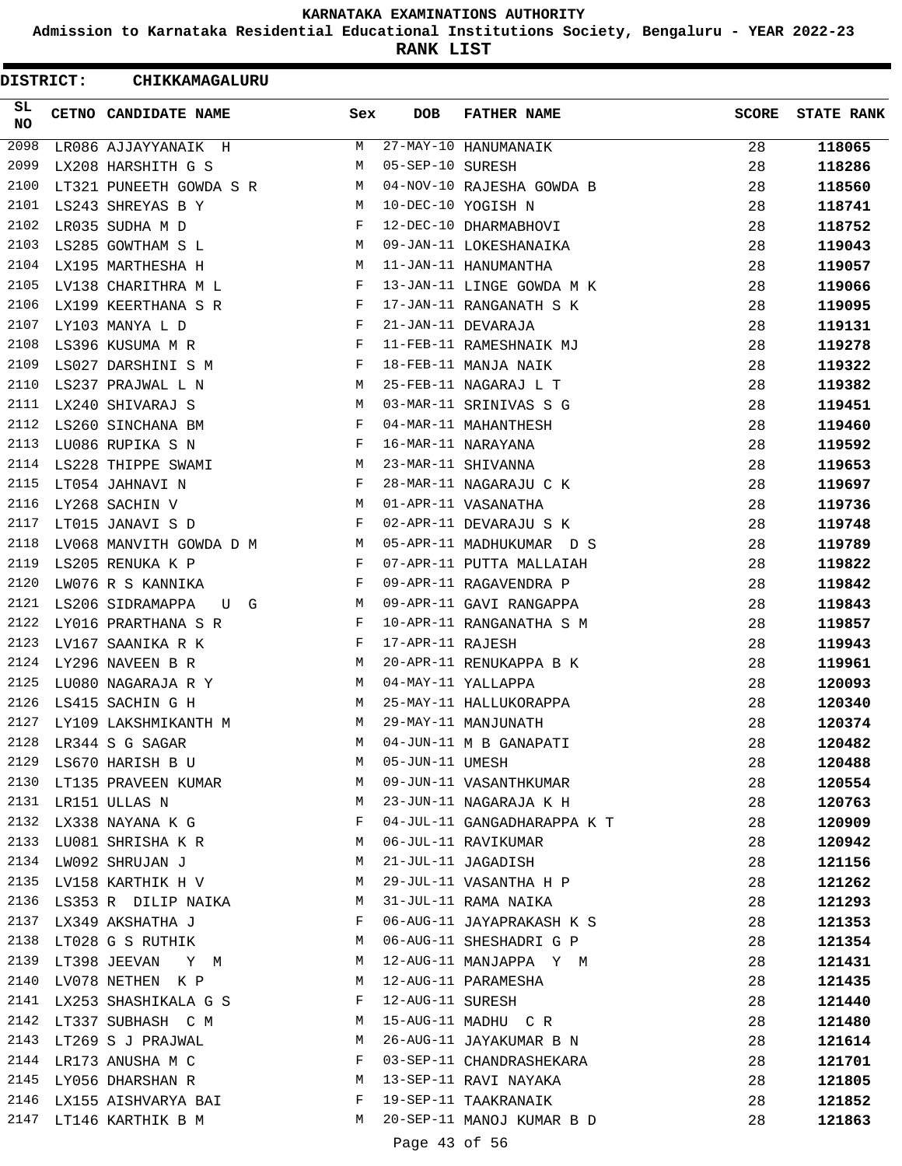**Admission to Karnataka Residential Educational Institutions Society, Bengaluru - YEAR 2022-23**

**RANK LIST**

| <b>DISTRICT:</b> | CHIKKAMAGALURU             |            |                  |                                           |              |                   |
|------------------|----------------------------|------------|------------------|-------------------------------------------|--------------|-------------------|
| SL<br>NO         | CETNO CANDIDATE NAME       | Sex        | DOB              | <b>FATHER NAME</b>                        | <b>SCORE</b> | <b>STATE RANK</b> |
| 2098             | LR086 AJJAYYANAIK H        | М          |                  | 27-MAY-10 HANUMANAIK                      | 28           | 118065            |
| 2099             | LX208 HARSHITH G S         | М          | 05-SEP-10 SURESH |                                           | 28           | 118286            |
| 2100             | LT321 PUNEETH GOWDA S R    | М          |                  | 04-NOV-10 RAJESHA GOWDA B                 | 28           | 118560            |
| 2101             | LS243 SHREYAS B Y          | М          |                  | 10-DEC-10 YOGISH N                        | 28           | 118741            |
| 2102             | LR035 SUDHA M D            | F          |                  | 12-DEC-10 DHARMABHOVI                     | 28           | 118752            |
| 2103             | LS285 GOWTHAM S L          | М          |                  | 09-JAN-11 LOKESHANAIKA                    | 28           | 119043            |
| 2104             | LX195 MARTHESHA H          | М          |                  | 11-JAN-11 HANUMANTHA                      | 28           | 119057            |
| 2105             | LV138 CHARITHRA M L        | F          |                  | 13-JAN-11 LINGE GOWDA M K                 | 28           | 119066            |
| 2106             | LX199 KEERTHANA S R        | F          |                  | 17-JAN-11 RANGANATH S K                   | 28           | 119095            |
| 2107             | LY103 MANYA L D            | F          |                  | 21-JAN-11 DEVARAJA                        | 28           | 119131            |
| 2108             | LS396 KUSUMA M R           | F          |                  | 11-FEB-11 RAMESHNAIK MJ                   | 28           | 119278            |
| 2109             | LS027 DARSHINI S M         | F          |                  | 18-FEB-11 MANJA NAIK                      | 28           | 119322            |
| 2110             | LS237 PRAJWAL L N          | М          |                  | 25-FEB-11 NAGARAJ L T                     | 28           | 119382            |
| 2111             | LX240 SHIVARAJ S           | М          |                  | 03-MAR-11 SRINIVAS S G                    | 28           | 119451            |
| 2112             | LS260 SINCHANA BM          | F          |                  | 04-MAR-11 MAHANTHESH                      | 28           | 119460            |
| 2113             | LU086 RUPIKA S N           | F          |                  | 16-MAR-11 NARAYANA                        | 28           | 119592            |
| 2114             | LS228 THIPPE SWAMI         | М          |                  | 23-MAR-11 SHIVANNA                        | 28           | 119653            |
| 2115             | LT054 JAHNAVI N            | F          |                  | 28-MAR-11 NAGARAJU C K                    | 28           | 119697            |
| 2116             | LY268 SACHIN V             | М          |                  | 01-APR-11 VASANATHA                       | 28           | 119736            |
| 2117             | LT015 JANAVI S D           | $_{\rm F}$ |                  | 02-APR-11 DEVARAJU S K                    | 28           | 119748            |
| 2118             | LV068 MANVITH GOWDA D M    |            |                  | 05-APR-11 MADHUKUMAR D S                  | 28           |                   |
| 2119             | $M_{\odot}$                | F          |                  |                                           |              | 119789            |
|                  | LS205 RENUKA K P           | F          |                  | 07-APR-11 PUTTA MALLAIAH                  | 28           | 119822            |
| 2120<br>2121     | LW076 R S KANNIKA          |            |                  | 09-APR-11 RAGAVENDRA P                    | 28           | 119842            |
|                  | LS206 SIDRAMAPPA<br>G<br>U | M          |                  | 09-APR-11 GAVI RANGAPPA                   | 28           | 119843            |
| 2122             | LY016 PRARTHANA S R        | F          |                  | 10-APR-11 RANGANATHA S M                  | 28           | 119857            |
| 2123             | LV167 SAANIKA R K          | F          | 17-APR-11 RAJESH |                                           | 28           | 119943            |
| 2124             | LY296 NAVEEN B R           | M          |                  | 20-APR-11 RENUKAPPA B K                   | 28           | 119961            |
| 2125             | LU080 NAGARAJA R Y         | М          |                  | 04-MAY-11 YALLAPPA                        | 28           | 120093            |
| 2126             | LS415 SACHIN G H           | M          |                  | 25-MAY-11 HALLUKORAPPA                    | 28           | 120340            |
| 2127             | LY109 LAKSHMIKANTH M       | M          |                  | 29-MAY-11 MANJUNATH                       | 28           | 120374            |
| 2128             | LR344 S G SAGAR            | M          |                  | 04-JUN-11 M B GANAPATI                    | 28           | 120482            |
| 2129             | LS670 HARISH B U           | М          |                  | 05-JUN-11 UMESH<br>09-JUN-11 VASANTHKUMAR | 28           | 120488            |
| 2130             | LT135 PRAVEEN KUMAR        | M          |                  |                                           | 28           | 120554            |
| 2131             | LR151 ULLAS N              | М          |                  | 23-JUN-11 NAGARAJA K H                    | 28           | 120763            |
| 2132             | LX338 NAYANA K G           | F          |                  | 04-JUL-11 GANGADHARAPPA K T               | 28           | 120909            |
|                  | 2133 LU081 SHRISHA K R     | M          |                  | 06-JUL-11 RAVIKUMAR                       | 28           | 120942            |
|                  | 2134 LW092 SHRUJAN J       | M          |                  | 21-JUL-11 JAGADISH                        | 28           | 121156            |
| 2135             | LV158 KARTHIK H V          | M          |                  | 29-JUL-11 VASANTHA H P                    | 28           | 121262            |
| 2136             | LS353 R DILIP NAIKA        | M          |                  | 31-JUL-11 RAMA NAIKA                      | 28           | 121293            |
| 2137             | LX349 AKSHATHA J           | F          |                  | 06-AUG-11 JAYAPRAKASH K S                 | 28           | 121353            |
| 2138             | LT028 G S RUTHIK           | M          |                  | 06-AUG-11 SHESHADRI G P                   | 28           | 121354            |
| 2139             | LT398 JEEVAN<br>Y M        | M          |                  | 12-AUG-11 MANJAPPA Y M                    | 28           | 121431            |
| 2140             | LV078 NETHEN K P           | M          |                  | 12-AUG-11 PARAMESHA                       | 28           | 121435            |
|                  | 2141 LX253 SHASHIKALA G S  | F          | 12-AUG-11 SURESH |                                           | 28           | 121440            |
|                  | 2142 LT337 SUBHASH C M     | M          |                  | 15-AUG-11 MADHU C R                       | 28           | 121480            |
| 2143             | LT269 S J PRAJWAL          | М          |                  | 26-AUG-11 JAYAKUMAR B N                   | 28           | 121614            |
| 2144             | LR173 ANUSHA M C           | F          |                  | 03-SEP-11 CHANDRASHEKARA                  | 28           | 121701            |
|                  | 2145 LY056 DHARSHAN R      | M          |                  | 13-SEP-11 RAVI NAYAKA                     | 28           | 121805            |
| 2146             | LX155 AISHVARYA BAI        | F          |                  | 19-SEP-11 TAAKRANAIK                      | 28           | 121852            |
|                  | 2147 LT146 KARTHIK B M     | M          |                  | 20-SEP-11 MANOJ KUMAR B D                 | 28           | 121863            |
|                  |                            |            | Page 43 of 56    |                                           |              |                   |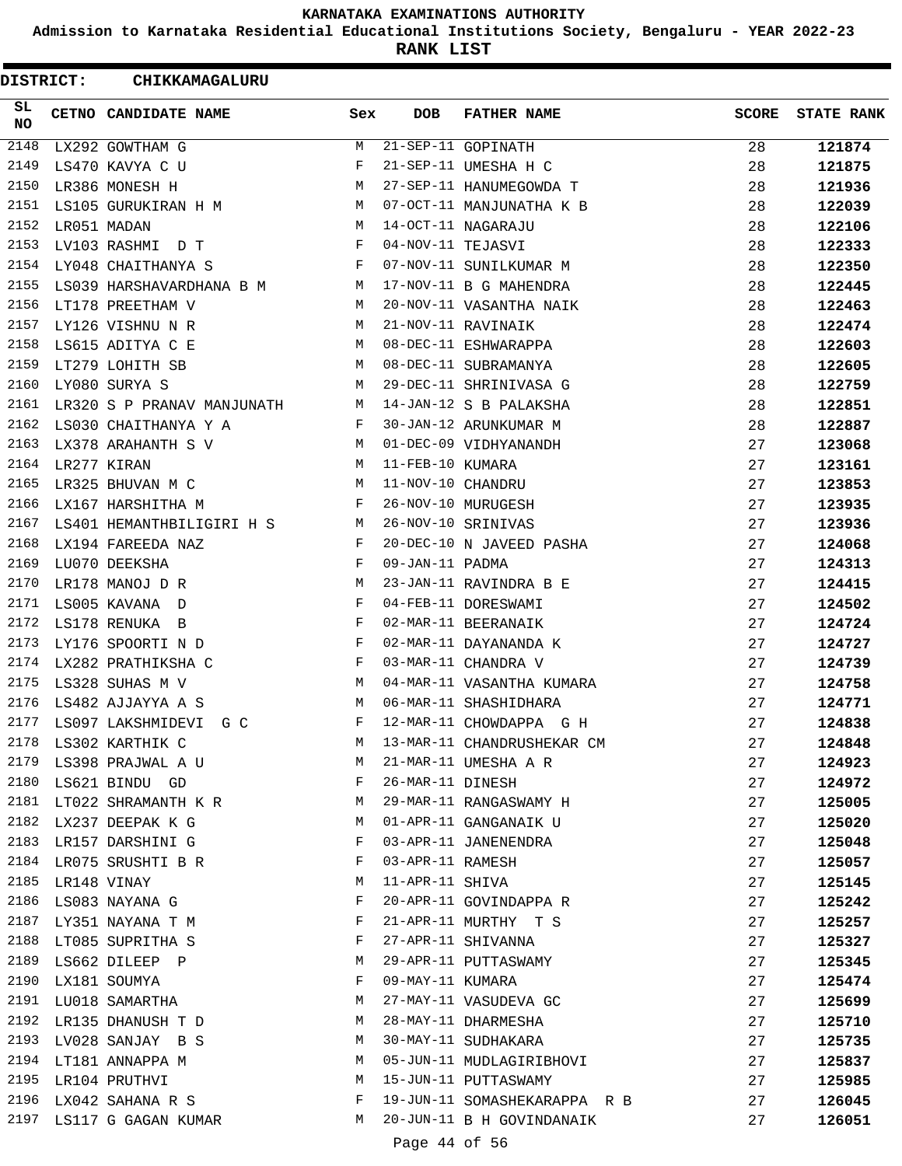**Admission to Karnataka Residential Educational Institutions Society, Bengaluru - YEAR 2022-23**

**RANK LIST**

| <b>DISTRICT:</b> | CHIKKAMAGALURU                    |              |                   |                              |              |                   |
|------------------|-----------------------------------|--------------|-------------------|------------------------------|--------------|-------------------|
| SL<br><b>NO</b>  | CETNO CANDIDATE NAME              | Sex          | <b>DOB</b>        | <b>FATHER NAME</b>           | <b>SCORE</b> | <b>STATE RANK</b> |
| 2148             | LX292 GOWTHAM G                   | M            |                   | $21 - SEP - 11$ GOPINATH     | 28           | 121874            |
| 2149             | LS470 KAVYA C U                   | F            |                   | 21-SEP-11 UMESHA H C         | 28           | 121875            |
| 2150             | LR386 MONESH H                    | М            |                   | 27-SEP-11 HANUMEGOWDA T      | 28           | 121936            |
| 2151             | LS105 GURUKIRAN H M               | М            |                   | 07-OCT-11 MANJUNATHA K B     | 28           | 122039            |
| 2152             | LR051 MADAN                       | М            |                   | 14-OCT-11 NAGARAJU           | 28           | 122106            |
| 2153             | LV103 RASHMI D T                  | F            | 04-NOV-11 TEJASVI |                              | 28           | 122333            |
| 2154             | LY048 CHAITHANYA S                | F            |                   | 07-NOV-11 SUNILKUMAR M       | 28           | 122350            |
| 2155             | LS039 HARSHAVARDHANA B M          | M            |                   | 17-NOV-11 B G MAHENDRA       | 28           | 122445            |
| 2156             | LT178 PREETHAM V                  | М            |                   | 20-NOV-11 VASANTHA NAIK      | 28           | 122463            |
| 2157             | LY126 VISHNU N R                  | M            |                   | 21-NOV-11 RAVINAIK           | 28           | 122474            |
| 2158             | LS615 ADITYA C E                  | M            |                   | 08-DEC-11 ESHWARAPPA         | 28           | 122603            |
| 2159             | LT279 LOHITH SB<br>M <sub>N</sub> |              |                   | 08-DEC-11 SUBRAMANYA         | 28           | 122605            |
| 2160             | LY080 SURYA S                     | M            |                   | 29-DEC-11 SHRINIVASA G       | 28           | 122759            |
| 2161             | LR320 S P PRANAV MANJUNATH        | M            |                   | 14-JAN-12 S B PALAKSHA       | 28           | 122851            |
| 2162             | LS030 CHAITHANYA Y A              | F            |                   | 30-JAN-12 ARUNKUMAR M        | 28           | 122887            |
| 2163             | LX378 ARAHANTH S V                | M            |                   | 01-DEC-09 VIDHYANANDH        | 27           | 123068            |
| 2164             | LR277 KIRAN                       | M            | 11-FEB-10 KUMARA  |                              | 27           | 123161            |
| 2165             | LR325 BHUVAN M C                  | M            | 11-NOV-10 CHANDRU |                              | 27           | 123853            |
| 2166             | LX167 HARSHITHA M                 | F            |                   | 26-NOV-10 MURUGESH           | 27           | 123935            |
| 2167             | LS401 HEMANTHBILIGIRI H S         | M            |                   | 26-NOV-10 SRINIVAS           | 27           | 123936            |
| 2168             | LX194 FAREEDA NAZ                 | F            |                   | 20-DEC-10 N JAVEED PASHA     | 27           | 124068            |
| 2169             | LU070 DEEKSHA                     | $_{\rm F}$   | 09-JAN-11 PADMA   |                              | 27           | 124313            |
| 2170             | LR178 MANOJ D R                   | М            |                   | 23-JAN-11 RAVINDRA B E       | 27           | 124415            |
| 2171             | LS005 KAVANA D                    | F            |                   | 04-FEB-11 DORESWAMI          | 27           | 124502            |
| 2172             | LS178 RENUKA B                    | F            |                   | 02-MAR-11 BEERANAIK          | 27           | 124724            |
| 2173             | LY176 SPOORTI N D                 | $\mathbf{F}$ |                   | 02-MAR-11 DAYANANDA K        | 27           | 124727            |
| 2174             | LX282 PRATHIKSHA C                | $\mathbf{F}$ |                   | 03-MAR-11 CHANDRA V          | 27           | 124739            |
| 2175             | LS328 SUHAS M V                   | M            |                   | 04-MAR-11 VASANTHA KUMARA    | 27           | 124758            |
| 2176             | LS482 AJJAYYA A S                 | M            |                   | 06-MAR-11 SHASHIDHARA        | 27           | 124771            |
| 2177             | LS097 LAKSHMIDEVI<br>G C          | F            |                   | 12-MAR-11 CHOWDAPPA G H      | 27           | 124838            |
|                  | 2178 LS302 KARTHIK C              | M            |                   | 13-MAR-11 CHANDRUSHEKAR CM   | 27           | 124848            |
| 2179             | LS398 PRAJWAL A U                 | M            |                   | 21-MAR-11 UMESHA A R         | 27           | 124923            |
|                  | 2180 LS621 BINDU GD               | F            | 26-MAR-11 DINESH  |                              | 27           | 124972            |
|                  | 2181 LT022 SHRAMANTH K R          | М            |                   | 29-MAR-11 RANGASWAMY H       | 27           | 125005            |
|                  | 2182 LX237 DEEPAK K G             | М            |                   | 01-APR-11 GANGANAIK U        | 27           | 125020            |
| 2183             | LR157 DARSHINI G                  | F            |                   | 03-APR-11 JANENENDRA         | 27           | 125048            |
| 2184             | LR075 SRUSHTI B R                 | F            | 03-APR-11 RAMESH  |                              | 27           | 125057            |
| 2185             | LR148 VINAY                       | М            | 11-APR-11 SHIVA   |                              | 27           | 125145            |
|                  | 2186 LS083 NAYANA G               | F            |                   | 20-APR-11 GOVINDAPPA R       | 27           | 125242            |
| 2187             | LY351 NAYANA T M                  | F            |                   | 21-APR-11 MURTHY T S         | 27           | 125257            |
|                  | 2188 LT085 SUPRITHA S             | F            |                   | 27-APR-11 SHIVANNA           | 27           | 125327            |
| 2189             | LS662 DILEEP P                    | M            |                   | 29-APR-11 PUTTASWAMY         | 27           | 125345            |
| 2190             | LX181 SOUMYA                      | F            | 09-MAY-11 KUMARA  |                              | 27           | 125474            |
| 2191             | LU018 SAMARTHA                    | М            |                   | 27-MAY-11 VASUDEVA GC        | 27           | 125699            |
| 2192             | LR135 DHANUSH T D                 | М            |                   | 28-MAY-11 DHARMESHA          | 27           | 125710            |
| 2193             | LV028 SANJAY B S                  | М            |                   | 30-MAY-11 SUDHAKARA          | 27           | 125735            |
|                  | 2194 LT181 ANNAPPA M              | M            |                   | 05-JUN-11 MUDLAGIRIBHOVI     | 27           | 125837            |
| 2195             | LR104 PRUTHVI                     | М            |                   | 15-JUN-11 PUTTASWAMY         | 27           | 125985            |
|                  | 2196 LX042 SAHANA R S             | F            |                   | 19-JUN-11 SOMASHEKARAPPA R B | 27           | 126045            |
| 2197             | LS117 G GAGAN KUMAR               | M            |                   | 20-JUN-11 B H GOVINDANAIK    | 27           | 126051            |
|                  |                                   |              |                   |                              |              |                   |

Page 44 of 56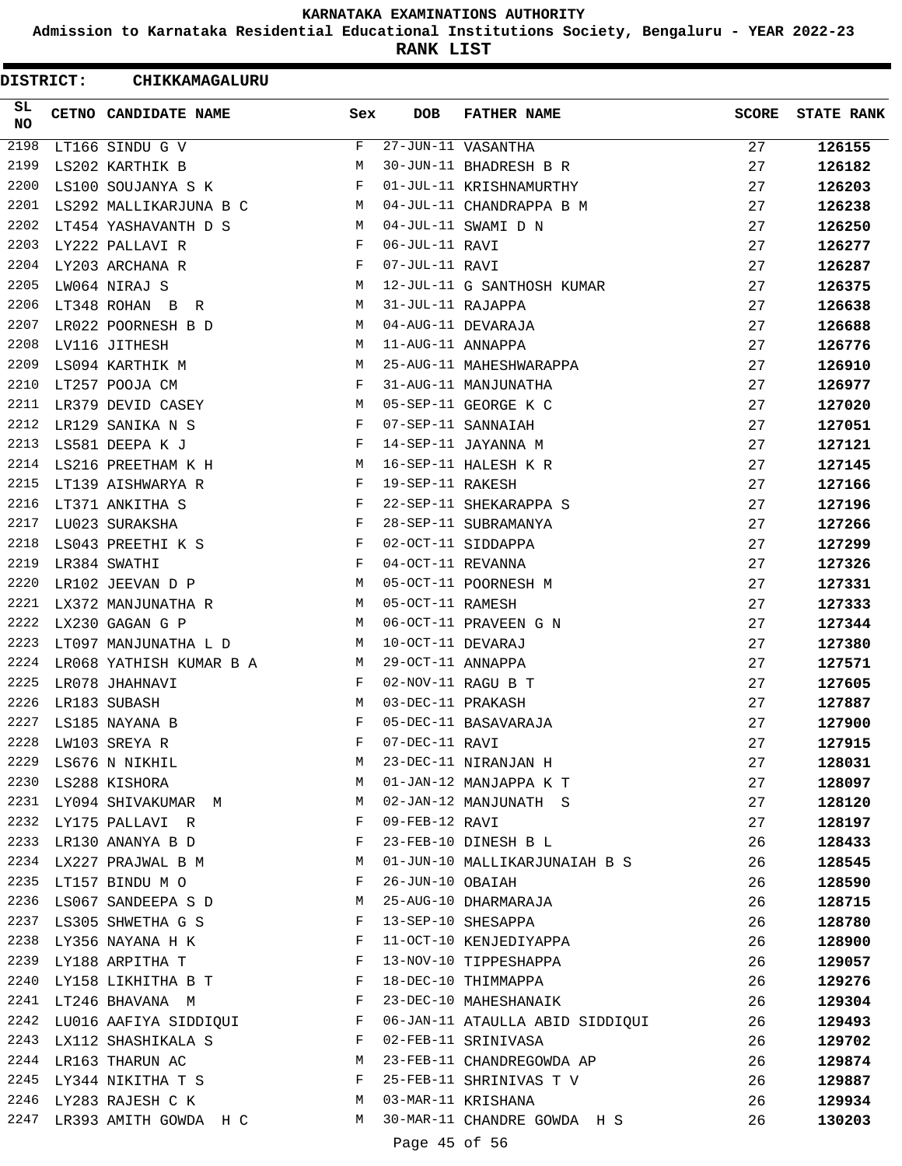**Admission to Karnataka Residential Educational Institutions Society, Bengaluru - YEAR 2022-23**

**RANK LIST**

| DISTRICT:  | CHIKKAMAGALURU                            |              |                   |                                                          |              |                   |
|------------|-------------------------------------------|--------------|-------------------|----------------------------------------------------------|--------------|-------------------|
| SL.<br>NO. | CETNO CANDIDATE NAME                      | Sex          | <b>DOB</b>        | <b>FATHER NAME</b>                                       | <b>SCORE</b> | <b>STATE RANK</b> |
| 2198       | LT166 SINDU G V                           | F            |                   | $27 - JUN - 11$ VASANTHA                                 | 27           | 126155            |
| 2199       | LS202 KARTHIK B                           | М            |                   | 30-JUN-11 BHADRESH B R                                   | 27           | 126182            |
| 2200       | LS100 SOUJANYA S K                        | F            |                   | 01-JUL-11 KRISHNAMURTHY                                  | 27           | 126203            |
| 2201       | LS292 MALLIKARJUNA B C                    | M            |                   | 04-JUL-11 CHANDRAPPA B M                                 | 27           | 126238            |
| 2202       | LT454 YASHAVANTH D S                      | M            |                   | 04-JUL-11 SWAMI D N                                      | 27           | 126250            |
| 2203       | LY222 PALLAVI R                           | F            | 06-JUL-11 RAVI    |                                                          | 27           | 126277            |
| 2204       | LY203 ARCHANA R                           | F            | 07-JUL-11 RAVI    |                                                          | 27           | 126287            |
| 2205       | LW064 NIRAJ S                             | М            |                   | 12-JUL-11 G SANTHOSH KUMAR                               | 27           | 126375            |
| 2206       | LT348 ROHAN B R                           | M            | 31-JUL-11 RAJAPPA |                                                          | 27           | 126638            |
| 2207       | LR022 POORNESH B D                        | М            |                   | 04-AUG-11 DEVARAJA                                       | 27           | 126688            |
| 2208       | LV116 JITHESH                             | М            | 11-AUG-11 ANNAPPA |                                                          | 27           | 126776            |
| 2209       | LS094 KARTHIK M                           | М            |                   | 25-AUG-11 MAHESHWARAPPA                                  | 27           | 126910            |
| 2210       | LT257 POOJA CM                            | F            |                   | 31-AUG-11 MANJUNATHA                                     | 27           | 126977            |
| 2211       | LR379 DEVID CASEY                         | M            |                   | 05-SEP-11 GEORGE K C                                     | 27           | 127020            |
| 2212       | LR129 SANIKA N S                          | F            |                   | 07-SEP-11 SANNAIAH                                       | 27           | 127051            |
| 2213       | LS581 DEEPA K J                           | F            |                   | 14-SEP-11 JAYANNA M                                      | 27           | 127121            |
| 2214       | LS216 PREETHAM K H                        | М            |                   | 16-SEP-11 HALESH K R                                     | 27           | 127145            |
| 2215       | LT139 AISHWARYA R                         | F            | 19-SEP-11 RAKESH  |                                                          | 27           | 127166            |
| 2216       | LT371 ANKITHA S                           | F            |                   | 22-SEP-11 SHEKARAPPA S                                   | 27           | 127196            |
| 2217       | LU023 SURAKSHA                            | F            |                   | 28-SEP-11 SUBRAMANYA                                     | 27           | 127266            |
| 2218       | LS043 PREETHI K S                         | F            |                   | 02-OCT-11 SIDDAPPA                                       | 27           | 127299            |
| 2219       | LR384 SWATHI                              | $\mathbf{F}$ | 04-OCT-11 REVANNA |                                                          | 27           | 127326            |
| 2220       | LR102 JEEVAN D P                          | М            |                   | 05-OCT-11 POORNESH M                                     | 27           | 127331            |
| 2221       | LX372 MANJUNATHA R                        | M            | 05-OCT-11 RAMESH  |                                                          | 27           | 127333            |
| 2222       | LX230 GAGAN G P                           | M            |                   | 06-OCT-11 PRAVEEN G N                                    | 27           | 127344            |
| 2223       | LT097 MANJUNATHA L D                      | М            | 10-OCT-11 DEVARAJ |                                                          | 27           | 127380            |
| 2224       | LR068 YATHISH KUMAR B A                   | М            | 29-OCT-11 ANNAPPA |                                                          | 27           | 127571            |
| 2225       | LR078 JHAHNAVI                            | F            |                   | 02-NOV-11 RAGU B T                                       | 27           | 127605            |
| 2226       | LR183 SUBASH                              | M            | 03-DEC-11 PRAKASH |                                                          | 27           | 127887            |
| 2227       | LS185 NAYANA B                            | F            |                   | 05-DEC-11 BASAVARAJA                                     | 27           | 127900            |
|            |                                           | F            |                   |                                                          | 27           | 127915            |
|            | 2228 LW103 SREYA R<br>2229 LS676 N NIKHIL | М            |                   | 07 DEC 11 RAVI<br>07-DEC-11 RAVI<br>23-DEC-11 NIRANJAN H | 27           | 128031            |
|            | 2230 LS288 KISHORA                        | M            |                   | 01-JAN-12 MANJAPPA K T                                   | 27           | 128097            |
|            | 2231 LY094 SHIVAKUMAR M                   | M            |                   | 02-JAN-12 MANJUNATH S                                    | 27           | 128120            |
|            | 2232 LY175 PALLAVI R                      | F            | 09-FEB-12 RAVI    |                                                          | 27           |                   |
|            | 2233 LR130 ANANYA B D                     | F            |                   | 23-FEB-10 DINESH B L                                     | 26           | 128197            |
|            | 2234 LX227 PRAJWAL B M                    | М            |                   |                                                          | 26           | 128433            |
|            | 2235 LT157 BINDU M O                      | F            | 26-JUN-10 OBAIAH  | 01-JUN-10 MALLIKARJUNAIAH B S                            |              | 128545            |
|            |                                           |              |                   |                                                          | 26           | 128590            |
|            | 2236 LS067 SANDEEPA S D                   | M            |                   | 25-AUG-10 DHARMARAJA                                     | 26           | 128715            |
|            | 2237 LS305 SHWETHA G S F                  |              |                   | 13-SEP-10 SHESAPPA<br>11-OCT-10 KENJEDIYAPPA             | 26           | 128780            |
|            | 2238 LY356 NAYANA H K $F$<br>$\mathbf{F}$ |              |                   |                                                          | 26           | 128900            |
|            | 2239 LY188 ARPITHA T                      |              |                   | 13-NOV-10 TIPPESHAPPA                                    | 26           | 129057            |
|            | 2240 LY158 LIKHITHA B T                   | $\mathbb F$  |                   | 18-DEC-10 THIMMAPPA                                      | 26           | 129276            |
| 2241       | LT246 BHAVANA M                           |              |                   | 23-DEC-10 MAHESHANAIK                                    | 26           | 129304            |
| 2242       | LU016 AAFIYA SIDDIQUI F                   |              |                   | 06-JAN-11 ATAULLA ABID SIDDIQUI                          | 26           | 129493            |
|            | 2243 LX112 SHASHIKALA S $$\rm F$$         |              |                   | 02-FEB-11 SRINIVASA                                      | 26           | 129702            |
|            | M<br>2244 LR163 THARUN AC                 |              |                   | 23-FEB-11 CHANDREGOWDA AP                                | 26           | 129874            |
|            | 2245 LY344 NIKITHA T S F                  |              |                   | 25-FEB-11 SHRINIVAS T V                                  | 26           | 129887            |
|            | M <sub>N</sub><br>2246 LY283 RAJESH C K   |              |                   | 03-MAR-11 KRISHANA                                       | 26           | 129934            |
|            | 2247 LR393 AMITH GOWDA H C M              |              |                   | 30-MAR-11 CHANDRE GOWDA H S                              | 26           | 130203            |
|            |                                           |              | Page 45 of 56     |                                                          |              |                   |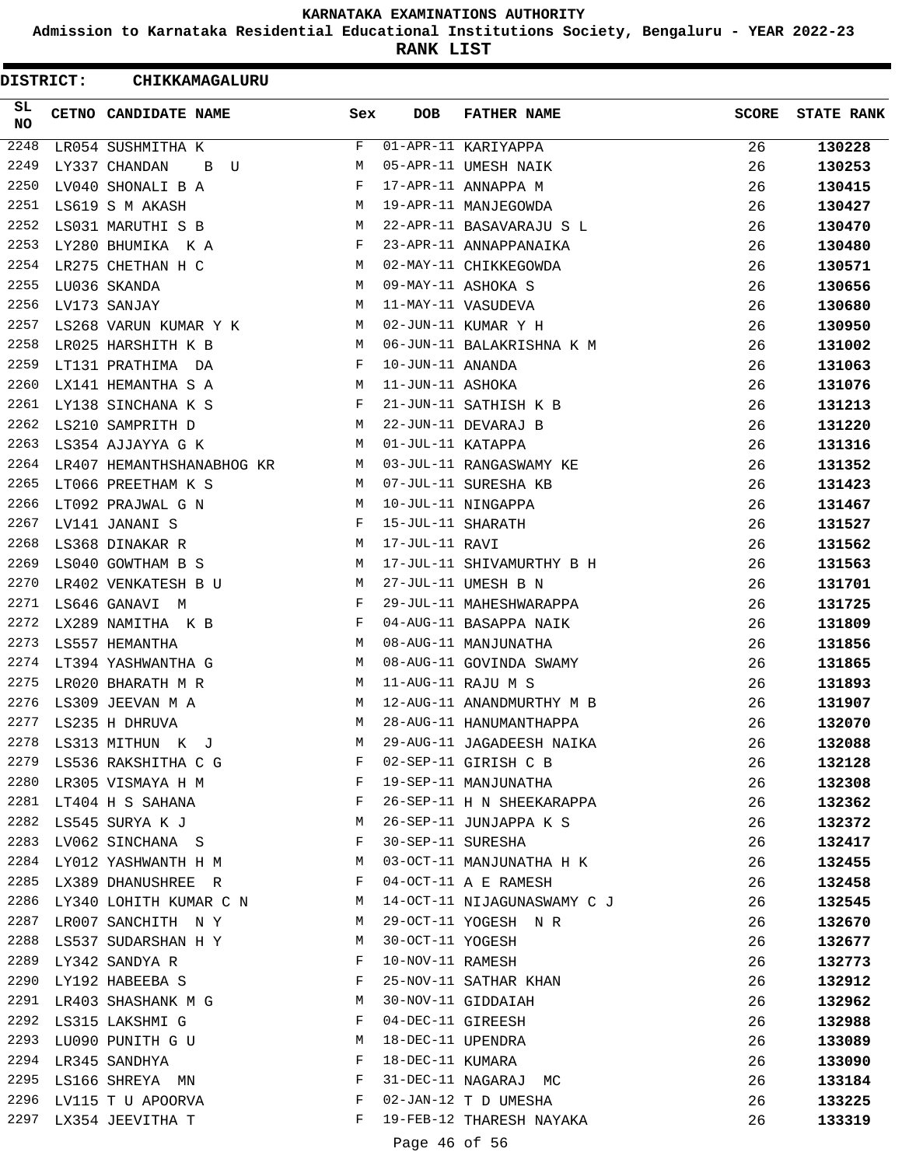**Admission to Karnataka Residential Educational Institutions Society, Bengaluru - YEAR 2022-23**

**RANK LIST**

ı

| DISTRICT:        | CHIKKAMAGALURU                         |                                      |                   |                             |              |                   |
|------------------|----------------------------------------|--------------------------------------|-------------------|-----------------------------|--------------|-------------------|
| SL.<br><b>NO</b> | CETNO CANDIDATE NAME                   | Sex                                  | <b>DOB</b>        | <b>FATHER NAME</b>          | <b>SCORE</b> | <b>STATE RANK</b> |
| 2248             | LR054 SUSHMITHA K                      | F                                    |                   | 01-APR-11 KARIYAPPA         | 26           | 130228            |
| 2249             | LY337 CHANDAN<br>B<br>U                | M                                    |                   | 05-APR-11 UMESH NAIK        | 26           | 130253            |
| 2250             | LV040 SHONALI B A                      | F                                    |                   | 17-APR-11 ANNAPPA M         | 26           | 130415            |
| 2251             | LS619 S M AKASH                        | М                                    |                   | 19-APR-11 MANJEGOWDA        | 26           | 130427            |
| 2252             | LS031 MARUTHI S B                      | M                                    |                   | 22-APR-11 BASAVARAJU S L    | 26           | 130470            |
| 2253             | LY280 BHUMIKA KA                       | $\mathbf{F}$                         |                   | 23-APR-11 ANNAPPANAIKA      | 26           | 130480            |
| 2254             | LR275 CHETHAN H C                      | М                                    |                   | 02-MAY-11 CHIKKEGOWDA       | 26           | 130571            |
| 2255             | LU036 SKANDA                           | М                                    |                   | 09-MAY-11 ASHOKA S          | 26           | 130656            |
| 2256             | LV173 SANJAY                           | М                                    |                   | 11-MAY-11 VASUDEVA          | 26           | 130680            |
| 2257             | LS268 VARUN KUMAR Y K                  | М                                    |                   | 02-JUN-11 KUMAR Y H         | 26           | 130950            |
| 2258             | LR025 HARSHITH K B                     | M                                    |                   | 06-JUN-11 BALAKRISHNA K M   | 26           | 131002            |
| 2259             | LT131 PRATHIMA DA                      | F                                    | 10-JUN-11 ANANDA  |                             | 26           | 131063            |
| 2260             | LX141 HEMANTHA S A                     | М                                    | 11-JUN-11 ASHOKA  |                             | 26           | 131076            |
| 2261             | LY138 SINCHANA K S                     | $\mathbf{F}$                         |                   | 21-JUN-11 SATHISH K B       | 26           | 131213            |
| 2262             | LS210 SAMPRITH D                       | М                                    |                   | 22-JUN-11 DEVARAJ B         | 26           | 131220            |
| 2263             | LS354 AJJAYYA G K                      | M                                    | 01-JUL-11 KATAPPA |                             | 26           | 131316            |
| 2264             | LR407 HEMANTHSHANABHOG KR              | М                                    |                   | 03-JUL-11 RANGASWAMY KE     | 26           | 131352            |
| 2265             | LT066 PREETHAM K S                     | M                                    |                   | 07-JUL-11 SURESHA KB        | 26           | 131423            |
| 2266             | LT092 PRAJWAL G N                      | М                                    |                   | 10-JUL-11 NINGAPPA          | 26           | 131467            |
| 2267             | LV141 JANANI S                         | F                                    | 15-JUL-11 SHARATH |                             | 26           | 131527            |
| 2268             | LS368 DINAKAR R                        | M                                    | 17-JUL-11 RAVI    |                             | 26           | 131562            |
| 2269             | LS040 GOWTHAM B S                      | М                                    |                   | 17-JUL-11 SHIVAMURTHY B H   | 26           | 131563            |
| 2270             | LR402 VENKATESH B U                    | M                                    |                   | 27-JUL-11 UMESH B N         | 26           | 131701            |
| 2271             | LS646 GANAVI M                         | F                                    |                   | 29-JUL-11 MAHESHWARAPPA     | 26           | 131725            |
| 2272             | LX289 NAMITHA K B                      | F                                    |                   | 04-AUG-11 BASAPPA NAIK      | 26           | 131809            |
| 2273             | LS557 HEMANTHA                         | M                                    |                   | 08-AUG-11 MANJUNATHA        | 26           | 131856            |
| 2274             | LT394 YASHWANTHA G                     | М                                    |                   | 08-AUG-11 GOVINDA SWAMY     | 26           | 131865            |
| 2275             | LR020 BHARATH M R                      | М                                    |                   | 11-AUG-11 RAJU M S          | 26           | 131893            |
| 2276             | LS309 JEEVAN M A                       | М                                    |                   | 12-AUG-11 ANANDMURTHY M B   | 26           | 131907            |
| 2277             | LS235 H DHRUVA                         | M                                    |                   | 28-AUG-11 HANUMANTHAPPA     | 26           | 132070            |
| 2278             | LS313 MITHUN K J                       | M                                    |                   | 29-AUG-11 JAGADEESH NAIKA   | 26           | 132088            |
|                  | 2279 LS536 RAKSHITHA C G               | F                                    |                   | 02-SEP-11 GIRISH C B        | 26           | 132128            |
|                  | $\mathbf{F}$<br>2280 LR305 VISMAYA H M |                                      |                   | 19-SEP-11 MANJUNATHA        | 26           | 132308            |
|                  | 2281 LT404 H S SAHANA                  | $\mathbf{F}$ and $\mathbf{F}$        |                   | 26-SEP-11 H N SHEEKARAPPA   | 26           | 132362            |
| 2282             | LS545 SURYA K J                        | <b>M</b>                             |                   | 26-SEP-11 JUNJAPPA K S      | 26           | 132372            |
| 2283             | LV062 SINCHANA S                       |                                      |                   | 30-SEP-11 SURESHA           | 26           | 132417            |
| 2284             | LY012 YASHWANTH H M                    |                                      |                   | 03-OCT-11 MANJUNATHA H K    | 26           | 132455            |
|                  | 2285 LX389 DHANUSHREE R                | $\mathbb F$ . The set of $\mathbb F$ |                   | 04-OCT-11 A E RAMESH        | 26           | 132458            |
|                  | 2286 LY340 LOHITH KUMAR C N M          |                                      |                   | 14-OCT-11 NIJAGUNASWAMY C J | 26           | 132545            |
|                  | 2287 LR007 SANCHITH N Y                | M                                    |                   | 29-OCT-11 YOGESH N R        | 26           | 132670            |
|                  | 2288 LS537 SUDARSHAN H Y               | M                                    | 30-OCT-11 YOGESH  |                             | 26           | 132677            |
|                  | 2289 LY342 SANDYA R                    | F                                    | 10-NOV-11 RAMESH  |                             | 26           | 132773            |
| 2290             | LY192 HABEEBA S                        | F                                    |                   | 25-NOV-11 SATHAR KHAN       | 26           | 132912            |
|                  | 2291 LR403 SHASHANK M G                | M                                    |                   | 30-NOV-11 GIDDAIAH          | 26           | 132962            |
| 2292             | LS315 LAKSHMI G                        | F                                    |                   | 04-DEC-11 GIREESH           | 26           | 132988            |
|                  | 2293 LU090 PUNITH G U                  | М                                    |                   | 18-DEC-11 UPENDRA           | 26           | 133089            |
|                  | 2294 LR345 SANDHYA                     | F                                    | 18-DEC-11 KUMARA  |                             | 26           | 133090            |
|                  | 2295 LS166 SHREYA MN                   | F                                    |                   | 31-DEC-11 NAGARAJ MC        | 26           | 133184            |
|                  | 2296 LV115 T U APOORVA                 | F                                    |                   | 02-JAN-12 T D UMESHA        | 26           | 133225            |
|                  | 2297 LX354 JEEVITHA T                  | F                                    |                   | 19-FEB-12 THARESH NAYAKA    | 26           | 133319            |
|                  |                                        |                                      |                   |                             |              |                   |
|                  |                                        |                                      | Page 46 of 56     |                             |              |                   |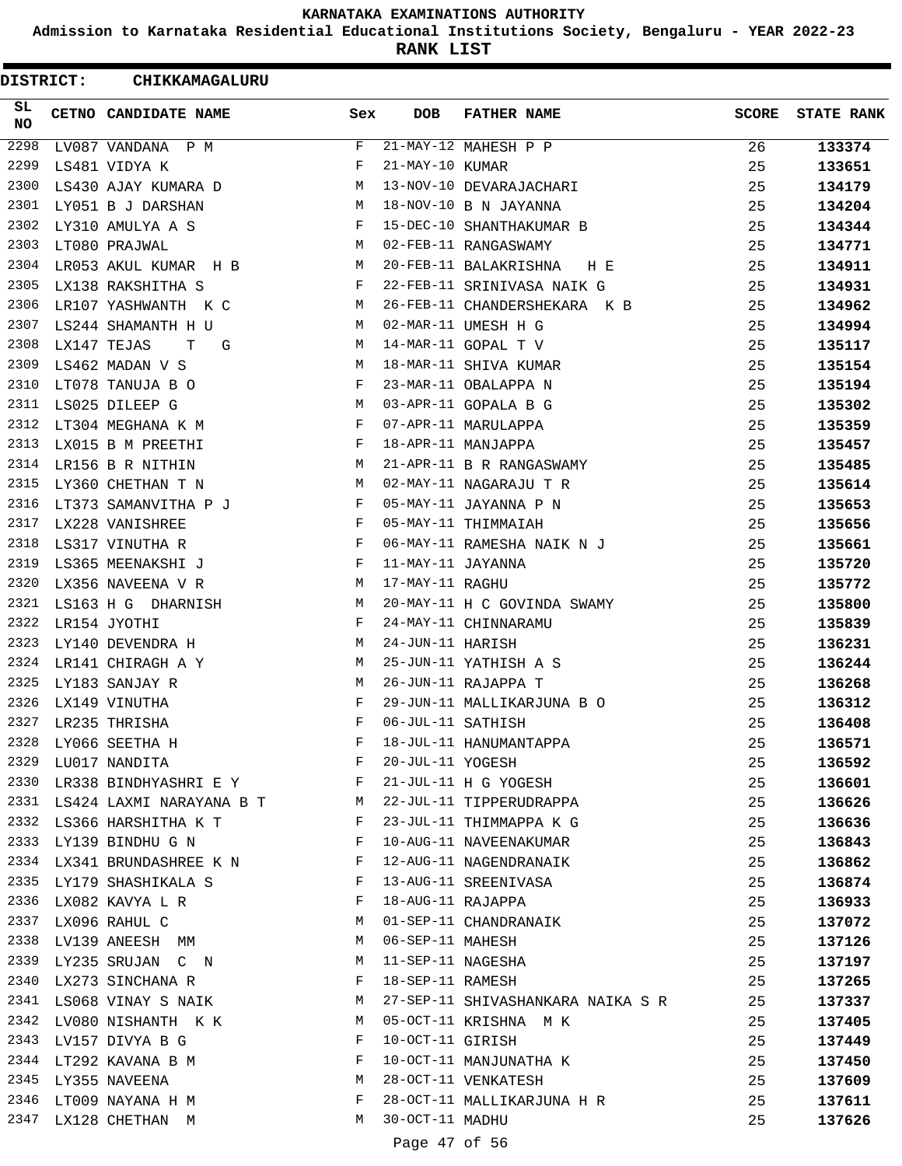**Admission to Karnataka Residential Educational Institutions Society, Bengaluru - YEAR 2022-23**

**RANK LIST**

| <b>DISTRICT:</b> |             | <b>CHIKKAMAGALURU</b>                                                     |              |                    |                                   |              |                   |
|------------------|-------------|---------------------------------------------------------------------------|--------------|--------------------|-----------------------------------|--------------|-------------------|
| SL.<br><b>NO</b> |             | <b>CETNO CANDIDATE NAME</b>                                               | Sex          | <b>DOB</b>         | <b>FATHER NAME</b>                | <b>SCORE</b> | <b>STATE RANK</b> |
| 2298             |             | LV087 VANDANA P M                                                         | F            |                    | $21-MAY-12$ MAHESH P P            | 26           | 133374            |
| 2299             |             | LS481 VIDYA K                                                             | F            | 21-MAY-10 KUMAR    |                                   | 25           | 133651            |
| 2300             |             | LS430 AJAY KUMARA D                                                       | M            |                    | 13-NOV-10 DEVARAJACHARI           | 25           | 134179            |
| 2301             |             | LY051 B J DARSHAN                                                         | M            |                    | 18-NOV-10 B N JAYANNA             | 25           | 134204            |
| 2302             |             | LY310 AMULYA A S                                                          | F            |                    | 15-DEC-10 SHANTHAKUMAR B          | 25           | 134344            |
| 2303             |             | LT080 PRAJWAL                                                             | М            |                    | 02-FEB-11 RANGASWAMY              | 25           | 134771            |
| 2304             |             | LR053 AKUL KUMAR H B                                                      | M            |                    | 20-FEB-11 BALAKRISHNA H E         | 25           | 134911            |
| 2305             |             | LX138 RAKSHITHA S                                                         | F            |                    | 22-FEB-11 SRINIVASA NAIK G        | 25           | 134931            |
| 2306             |             | LR107 YASHWANTH K C                                                       | M            |                    | 26-FEB-11 CHANDERSHEKARA K B      | 25           | 134962            |
| 2307             |             | LS244 SHAMANTH H U                                                        | M            |                    | 02-MAR-11 UMESH H G               | 25           | 134994            |
| 2308             | LX147 TEJAS | T.<br>G                                                                   | M            |                    | 14-MAR-11 GOPAL T V               | 25           | 135117            |
| 2309             |             | LS462 MADAN V S                                                           | M            |                    | 18-MAR-11 SHIVA KUMAR             | 25           | 135154            |
| 2310             |             | LT078 TANUJA B O                                                          | F            |                    | 23-MAR-11 OBALAPPA N              | 25           | 135194            |
| 2311             |             | LS025 DILEEP G                                                            | М            |                    | 03-APR-11 GOPALA B G              | 25           | 135302            |
| 2312             |             | LT304 MEGHANA K M                                                         | F            |                    | 07-APR-11 MARULAPPA               | 25           | 135359            |
| 2313             |             | LX015 B M PREETHI                                                         | F            |                    | 18-APR-11 MANJAPPA                | 25           | 135457            |
|                  |             | 2314 LR156 B R NITHIN                                                     | М            |                    | 21-APR-11 B R RANGASWAMY          | 25           | 135485            |
| 2315             |             | LY360 CHETHAN T N                                                         | M            |                    | 02-MAY-11 NAGARAJU T R            | 25           | 135614            |
| 2316             |             | LT373 SAMANVITHA P J                                                      | F            |                    | 05-MAY-11 JAYANNA P N             | 25           | 135653            |
| 2317             |             | LX228 VANISHREE                                                           | $\mathbf{F}$ |                    | 05-MAY-11 THIMMAIAH               | 25           | 135656            |
| 2318             |             | LS317 VINUTHA R                                                           | $\mathbf{F}$ |                    | 06-MAY-11 RAMESHA NAIK N J        | 25           | 135661            |
| 2319             |             | LS365 MEENAKSHI J                                                         | F            | 11-MAY-11 JAYANNA  |                                   | 25           | 135720            |
| 2320             |             | LX356 NAVEENA V R                                                         | M            | 17-MAY-11 RAGHU    |                                   | 25           | 135772            |
| 2321             |             | LS163 H G DHARNISH                                                        | М            |                    | 20-MAY-11 H C GOVINDA SWAMY       | 25           | 135800            |
| 2322             |             | LR154 JYOTHI                                                              | F            |                    | 24-MAY-11 CHINNARAMU              | 25           | 135839            |
| 2323             |             | LY140 DEVENDRA H                                                          | M            | 24-JUN-11 HARISH   |                                   | 25           | 136231            |
| 2324             |             | LR141 CHIRAGH A Y                                                         | M            |                    | 25-JUN-11 YATHISH A S             | 25           | 136244            |
| 2325             |             | LY183 SANJAY R                                                            | M            |                    | 26-JUN-11 RAJAPPA T               | 25           | 136268            |
| 2326             |             | LX149 VINUTHA                                                             | F            |                    | 29-JUN-11 MALLIKARJUNA B O        | 25           | 136312            |
| 2327             |             | LR235 THRISHA                                                             | $\mathbf F$  | 06-JUL-11 SATHISH  |                                   | 25           | 136408            |
|                  |             | 2328 LY066 SEETHA H                                                       | F            |                    | 18-JUL-11 HANUMANTAPPA            | 25           | 136571            |
| 2329             |             | $\mathbf{F}$<br>LU017 NANDITA                                             |              | 20-JUL-11 YOGESH   |                                   | 25           | 136592            |
|                  |             | 2330 LR338 BINDHYASHRI E Y                                                |              |                    | 21-JUL-11 H G YOGESH              | 25           | 136601            |
|                  |             | 2331 LS424 LAXMI NARAYANA B T M                                           |              |                    | 22-JUL-11 TIPPERUDRAPPA           | 25           | 136626            |
|                  |             | 2332 LS366 HARSHITHA K T F                                                |              |                    | 23-JUL-11 THIMMAPPA K G           | 25           | 136636            |
| 2333             |             | $\mathbf{F}$ and $\mathbf{F}$<br>LY139 BINDHU G N                         |              |                    | 10-AUG-11 NAVEENAKUMAR            | 25           | 136843            |
|                  |             | 2334 LX341 BRUNDASHREE K N F                                              |              |                    | 12-AUG-11 NAGENDRANAIK            | 25           | 136862            |
|                  |             | 2335 LY179 SHASHIKALA S<br>$\mathbf{F}$ and $\mathbf{F}$ and $\mathbf{F}$ |              |                    | 13-AUG-11 SREENIVASA              | 25           | 136874            |
|                  |             | 2336 LX082 KAVYA L R                                                      | F            | 18-AUG-11 RAJAPPA  |                                   | 25           | 136933            |
|                  |             | 2337 LX096 RAHUL C<br>$\mathbb M$                                         |              |                    | 01-SEP-11 CHANDRANAIK             | 25           | 137072            |
|                  |             | 2338 LV139 ANEESH MM                                                      |              | M 06-SEP-11 MAHESH |                                   | 25           | 137126            |
| 2339             |             | LY235 SRUJAN C N                                                          | M            |                    | 11-SEP-11 NAGESHA                 | 25           | 137197            |
| 2340             |             | LX273 SINCHANA R                                                          | F            | 18-SEP-11 RAMESH   |                                   | 25           | 137265            |
| 2341             |             | LS068 VINAY S NAIK M                                                      |              |                    | 27-SEP-11 SHIVASHANKARA NAIKA S R | 25           | 137337            |
|                  |             | 2342 LV080 NISHANTH K K                                                   | M            |                    | 05-OCT-11 KRISHNA M K             | 25           | 137405            |
|                  |             | 2343 LV157 DIVYA B G                                                      | F            | 10-OCT-11 GIRISH   |                                   | 25           | 137449            |
|                  |             | 2344 LT292 KAVANA B M                                                     | F            |                    | 10-OCT-11 MANJUNATHA K            | 25           | 137450            |
|                  |             | <b>M</b><br>2345 LY355 NAVEENA                                            |              |                    | 28-OCT-11 VENKATESH               | 25           | 137609            |
|                  |             | 2346 LT009 NAYANA H M                                                     | F            |                    | 28-OCT-11 MALLIKARJUNA H R        | 25           | 137611            |
| 2347             |             | LX128 CHETHAN M                                                           | M            | 30-OCT-11 MADHU    |                                   | 25           | 137626            |
|                  |             |                                                                           |              | Page 47 of 56      |                                   |              |                   |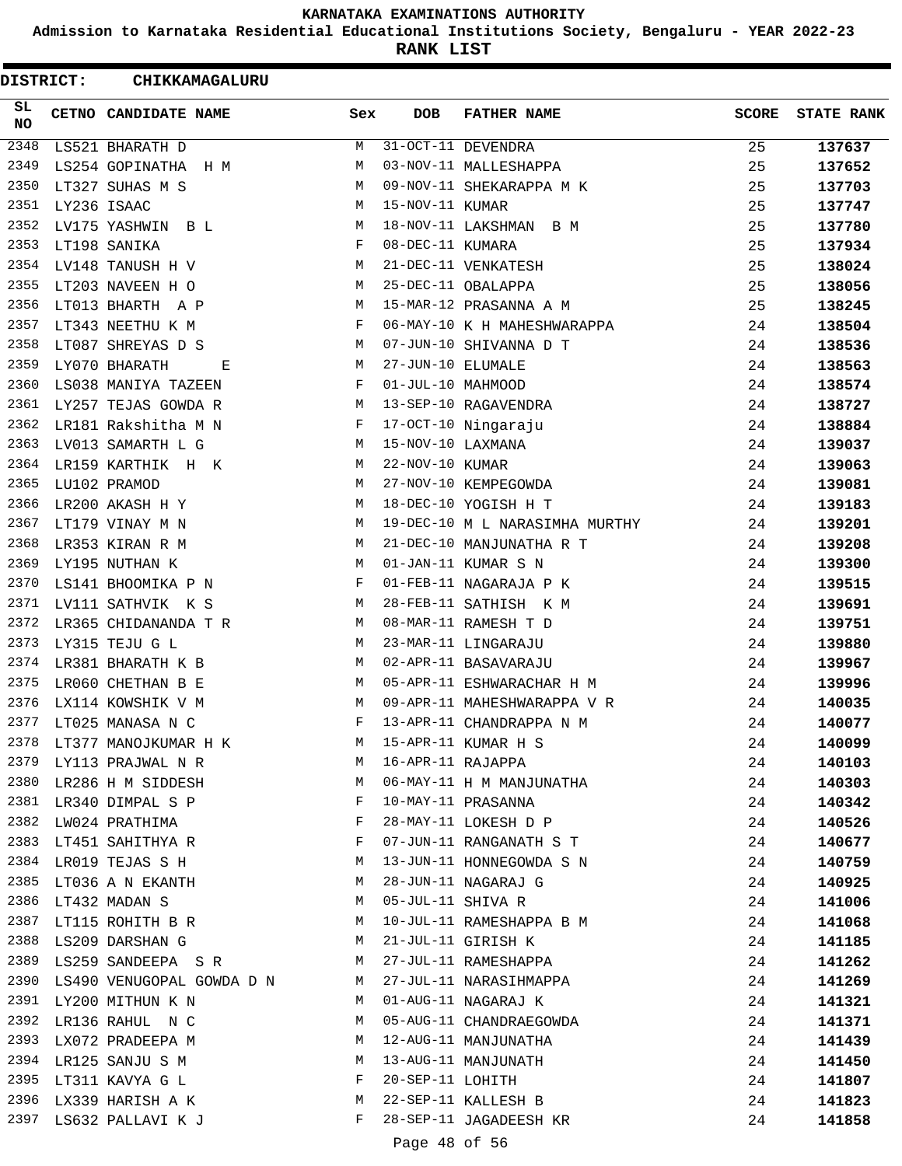**Admission to Karnataka Residential Educational Institutions Society, Bengaluru - YEAR 2022-23**

**RANK LIST**

|          | <b>DISTRICT:</b> | CHIKKAMAGALURU            |     |                   |                                |              |                   |
|----------|------------------|---------------------------|-----|-------------------|--------------------------------|--------------|-------------------|
| SL<br>NO |                  | CETNO CANDIDATE NAME      | Sex | <b>DOB</b>        | <b>FATHER NAME</b>             | <b>SCORE</b> | <b>STATE RANK</b> |
| 2348     |                  | LS521 BHARATH D           | М   |                   | 31-OCT-11 DEVENDRA             | 25           | 137637            |
| 2349     |                  | LS254 GOPINATHA<br>H M    | М   |                   | 03-NOV-11 MALLESHAPPA          | 25           | 137652            |
| 2350     |                  | LT327 SUHAS M S           | М   |                   | 09-NOV-11 SHEKARAPPA M K       | 25           | 137703            |
| 2351     |                  | LY236 ISAAC               | М   | 15-NOV-11 KUMAR   |                                | 25           | 137747            |
| 2352     |                  | LV175 YASHWIN B L         | М   |                   | 18-NOV-11 LAKSHMAN<br>B M      | 25           | 137780            |
| 2353     |                  | LT198 SANIKA              | F   | 08-DEC-11 KUMARA  |                                | 25           | 137934            |
| 2354     |                  | LV148 TANUSH H V          | М   |                   | 21-DEC-11 VENKATESH            | 25           | 138024            |
| 2355     |                  | LT203 NAVEEN H O          | М   |                   | 25-DEC-11 OBALAPPA             | 25           | 138056            |
| 2356     |                  | LT013 BHARTH A P          | М   |                   | 15-MAR-12 PRASANNA A M         | 25           | 138245            |
| 2357     |                  | LT343 NEETHU K M          | F   |                   | 06-MAY-10 K H MAHESHWARAPPA    | 24           | 138504            |
| 2358     |                  | LT087 SHREYAS D S         | М   |                   | 07-JUN-10 SHIVANNA D T         | 24           | 138536            |
| 2359     |                  | LY070 BHARATH<br>Е        | М   | 27-JUN-10 ELUMALE |                                | 24           | 138563            |
| 2360     |                  | LS038 MANIYA TAZEEN       | F   | 01-JUL-10 MAHMOOD |                                | 24           | 138574            |
| 2361     |                  | LY257 TEJAS GOWDA R       | М   |                   | 13-SEP-10 RAGAVENDRA           | 24           | 138727            |
| 2362     |                  | LR181 Rakshitha M N       | F   |                   | 17-OCT-10 Ningaraju            | 24           | 138884            |
| 2363     |                  | LV013 SAMARTH L G         | М   | 15-NOV-10 LAXMANA |                                | 24           | 139037            |
| 2364     |                  | LR159 KARTHIK H K         | М   | 22-NOV-10 KUMAR   |                                | 24           | 139063            |
| 2365     |                  | LU102 PRAMOD              | М   |                   | 27-NOV-10 KEMPEGOWDA           | 24           | 139081            |
| 2366     |                  | LR200 AKASH H Y           | М   |                   | 18-DEC-10 YOGISH H T           | 24           | 139183            |
| 2367     |                  | LT179 VINAY M N           | М   |                   | 19-DEC-10 M L NARASIMHA MURTHY | 24           | 139201            |
| 2368     |                  | LR353 KIRAN R M           | М   |                   | 21-DEC-10 MANJUNATHA R T       | 24           | 139208            |
| 2369     |                  | LY195 NUTHAN K            | М   |                   | 01-JAN-11 KUMAR S N            | 24           | 139300            |
| 2370     |                  | LS141 BHOOMIKA P N        | F   |                   | 01-FEB-11 NAGARAJA P K         | 24           | 139515            |
| 2371     |                  | LV111 SATHVIK K S         | М   |                   | 28-FEB-11 SATHISH K M          | 24           | 139691            |
| 2372     |                  | LR365 CHIDANANDA T R      | М   |                   | 08-MAR-11 RAMESH T D           | 24           | 139751            |
| 2373     |                  | LY315 TEJU G L            | М   |                   | 23-MAR-11 LINGARAJU            | 24           | 139880            |
| 2374     |                  | LR381 BHARATH K B         | М   |                   | 02-APR-11 BASAVARAJU           | 24           | 139967            |
| 2375     |                  | LR060 CHETHAN B E         | М   |                   | 05-APR-11 ESHWARACHAR H M      | 24           | 139996            |
| 2376     |                  | LX114 KOWSHIK V M         | М   |                   | 09-APR-11 MAHESHWARAPPA V R    | 24           | 140035            |
| 2377     |                  | LT025 MANASA N C          | F   |                   | 13-APR-11 CHANDRAPPA N M       | 24           | 140077            |
| 2378     |                  | LT377 MANOJKUMAR H K      | M   |                   | 15-APR-11 KUMAR H S            | 24           | 140099            |
| 2379     |                  | M<br>LY113 PRAJWAL N R    |     | 16-APR-11 RAJAPPA |                                | 24           | 140103            |
| 2380     |                  | LR286 H M SIDDESH         | М   |                   | 06-MAY-11 H M MANJUNATHA       | 24           | 140303            |
| 2381     |                  | LR340 DIMPAL S P          | F   |                   | 10-MAY-11 PRASANNA             | 24           | 140342            |
| 2382     |                  | LW024 PRATHIMA            | F   |                   | 28-MAY-11 LOKESH D P           | 24           | 140526            |
|          |                  | 2383 LT451 SAHITHYA R     | F   |                   | 07-JUN-11 RANGANATH S T        | 24           | 140677            |
|          |                  | 2384 LR019 TEJAS S H      | M   |                   | 13-JUN-11 HONNEGOWDA S N       | 24           | 140759            |
| 2385     |                  | LT036 A N EKANTH          | M   |                   | 28-JUN-11 NAGARAJ G            | 24           | 140925            |
| 2386     |                  | LT432 MADAN S             | М   |                   | 05-JUL-11 SHIVA R              | 24           | 141006            |
| 2387     |                  | LT115 ROHITH B R          | M   |                   | 10-JUL-11 RAMESHAPPA B M       | 24           | 141068            |
|          |                  | 2388 LS209 DARSHAN G      | M   |                   | 21-JUL-11 GIRISH K             | 24           | 141185            |
| 2389     |                  | LS259 SANDEEPA SR M       |     |                   | 27-JUL-11 RAMESHAPPA           | 24           | 141262            |
| 2390     |                  | LS490 VENUGOPAL GOWDA D N | M   |                   | 27-JUL-11 NARASIHMAPPA         | 24           | 141269            |
|          |                  | 2391 LY200 MITHUN K N     | M   |                   | 01-AUG-11 NAGARAJ K            | 24           | 141321            |
| 2392     |                  | LR136 RAHUL N C           | M   |                   | 05-AUG-11 CHANDRAEGOWDA        | 24           | 141371            |
| 2393     |                  | LX072 PRADEEPA M          | M   |                   | 12-AUG-11 MANJUNATHA           | 24           | 141439            |
| 2394     |                  | LR125 SANJU S M           | M   |                   | 13-AUG-11 MANJUNATH            | 24           | 141450            |
| 2395     |                  |                           | F   | 20-SEP-11 LOHITH  |                                | 24           |                   |
| 2396     |                  | LT311 KAVYA G L           | M   |                   | 22-SEP-11 KALLESH B            | 24           | 141807            |
| 2397     |                  | LX339 HARISH A K          | F   |                   | 28-SEP-11 JAGADEESH KR         |              | 141823            |
|          |                  | LS632 PALLAVI K J         |     |                   |                                | 24           | 141858            |
|          |                  |                           |     | Page 48 of 56     |                                |              |                   |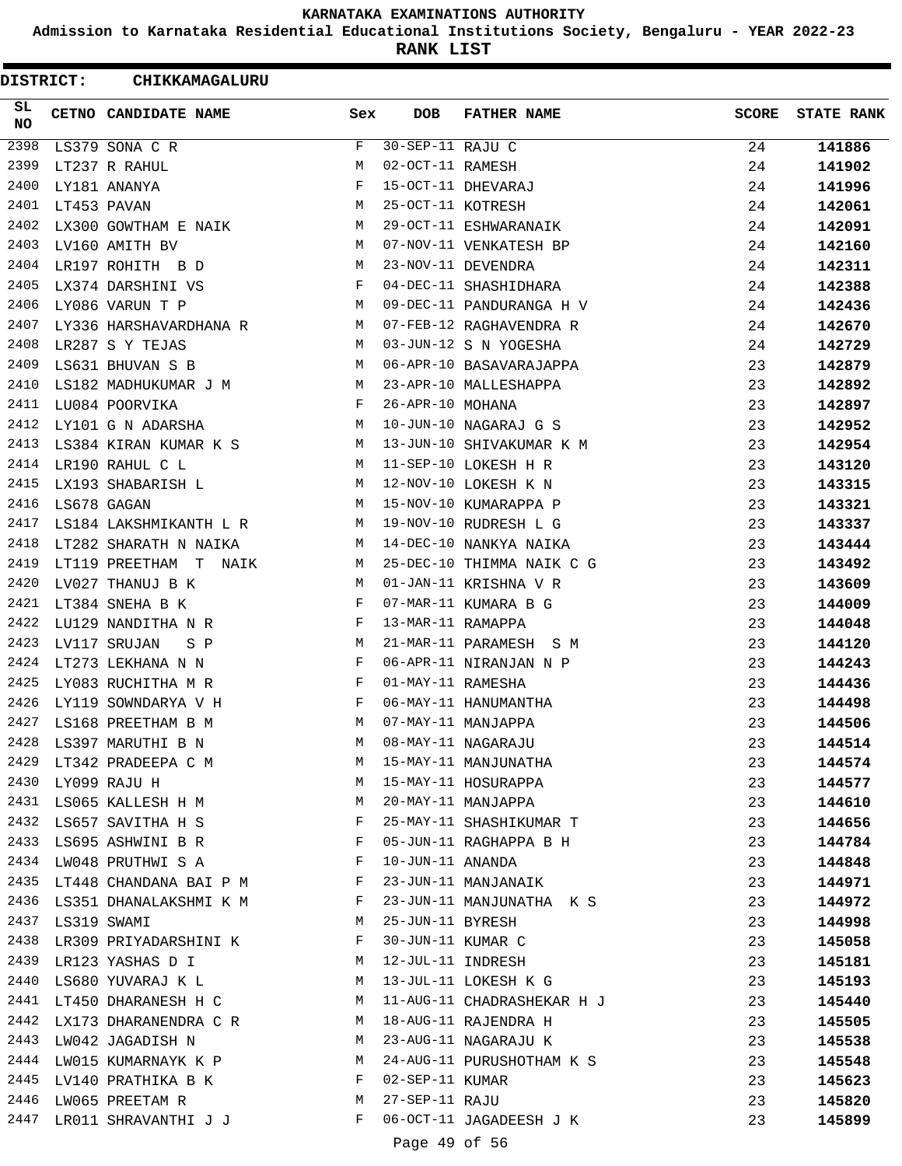**Admission to Karnataka Residential Educational Institutions Society, Bengaluru - YEAR 2022-23**

**RANK LIST**

ı

| <b>DISTRICT:</b> |                  | CHIKKAMAGALURU                |              |                   |                                            |       |                   |
|------------------|------------------|-------------------------------|--------------|-------------------|--------------------------------------------|-------|-------------------|
| SL.<br><b>NO</b> |                  | CETNO CANDIDATE NAME          | Sex          | <b>DOB</b>        | <b>FATHER NAME</b>                         | SCORE | <b>STATE RANK</b> |
| 2398             |                  | LS379 SONA C R                | F            | 30-SEP-11 RAJU C  |                                            | 24    | 141886            |
| 2399             |                  | LT237 R RAHUL                 | M            | 02-OCT-11 RAMESH  |                                            | 24    | 141902            |
| 2400             |                  | LY181 ANANYA                  | F            |                   | 15-OCT-11 DHEVARAJ                         | 24    | 141996            |
| 2401             |                  | LT453 PAVAN                   | М            | 25-OCT-11 KOTRESH |                                            | 24    | 142061            |
| 2402             |                  | LX300 GOWTHAM E NAIK M        |              |                   | 29-OCT-11 ESHWARANAIK                      | 24    | 142091            |
| 2403             |                  | LV160 AMITH BV                | M            |                   | 07-NOV-11 VENKATESH BP                     | 24    | 142160            |
| 2404             |                  | LR197 ROHITH B D              | M            |                   | 23-NOV-11 DEVENDRA                         | 24    | 142311            |
| 2405             |                  | LX374 DARSHINI VS             | F            |                   | 04-DEC-11 SHASHIDHARA                      | 24    | 142388            |
| 2406             |                  | LY086 VARUN T P               | M            |                   | 09-DEC-11 PANDURANGA H V                   | 24    | 142436            |
| 2407             |                  | LY336 HARSHAVARDHANA R        | M            |                   | 07-FEB-12 RAGHAVENDRA R                    | 24    | 142670            |
| 2408             |                  | LR287 S Y TEJAS               | M            |                   | 03-JUN-12 S N YOGESHA                      | 24    | 142729            |
| 2409             |                  | LS631 BHUVAN S B              | M            |                   | 06-APR-10 BASAVARAJAPPA                    | 23    | 142879            |
| 2410             |                  | LS182 MADHUKUMAR J M          | M            |                   | 23-APR-10 MALLESHAPPA                      | 23    | 142892            |
| 2411             |                  | LU084 POORVIKA                | F            | 26-APR-10 MOHANA  |                                            | 23    | 142897            |
| 2412             |                  | LY101 G N ADARSHA             | M            |                   | 10-JUN-10 NAGARAJ G S                      | 23    | 142952            |
| 2413             |                  | LS384 KIRAN KUMAR K S         | M            |                   | 13-JUN-10 SHIVAKUMAR K M                   | 23    | 142954            |
| 2414             |                  | LR190 RAHUL C L               | M            |                   | 11-SEP-10 LOKESH H R                       | 23    | 143120            |
| 2415             |                  | LX193 SHABARISH L             | M            |                   | 12-NOV-10 LOKESH K N                       | 23    | 143315            |
| 2416             |                  | LS678 GAGAN                   | M            |                   | 15-NOV-10 KUMARAPPA P                      | 23    | 143321            |
| 2417             |                  | LS184 LAKSHMIKANTH L R        | M            |                   | 19-NOV-10 RUDRESH L G                      | 23    | 143337            |
| 2418             |                  | LT282 SHARATH N NAIKA         | M            |                   | 14-DEC-10 NANKYA NAIKA                     | 23    | 143444            |
| 2419             |                  | LT119 PREETHAM T NAIK         | M            |                   | 25-DEC-10 THIMMA NAIK C G                  | 23    | 143492            |
| 2420             |                  | LV027 THANUJ B K              | M            |                   | 01-JAN-11 KRISHNA V R                      | 23    | 143609            |
| 2421             |                  | LT384 SNEHA B K               | F            |                   | 07-MAR-11 KUMARA B G                       | 23    | 144009            |
| 2422             |                  | LU129 NANDITHA N R            | F            | 13-MAR-11 RAMAPPA |                                            | 23    | 144048            |
| 2423             |                  | LV117 SRUJAN<br>S P           | M            |                   | 21-MAR-11 PARAMESH S M                     | 23    | 144120            |
| 2424             |                  | LT273 LEKHANA N N             | F            |                   | 06-APR-11 NIRANJAN N P                     | 23    | 144243            |
| 2425             |                  | LY083 RUCHITHA M R            | F            | 01-MAY-11 RAMESHA |                                            | 23    | 144436            |
| 2426             |                  | LY119 SOWNDARYA V H           | F            |                   | 06-MAY-11 HANUMANTHA                       | 23    | 144498            |
| 2427             |                  | LS168 PREETHAM B M            | M            |                   | 07-MAY-11 MANJAPPA                         | 23    | 144506            |
| 2428             |                  | LS397 MARUTHI B N             | M            |                   |                                            | 23    | 144514            |
|                  |                  | 2429 LT342 PRADEEPA C M       | M            |                   | 08-MAY-11 NAGARAJU<br>15-MAY-11 MANJUNATHA | 23    | 144574            |
|                  |                  | M<br>2430 LY099 RAJU H        |              |                   | 15-MAY-11 HOSURAPPA                        | 23    | 144577            |
|                  |                  | 2431 LS065 KALLESH H M        | M            |                   | 20-MAY-11 MANJAPPA                         | 23    | 144610            |
| 2432             |                  | LS657 SAVITHA H S F           |              |                   | 25-MAY-11 SHASHIKUMAR T                    | 23    | 144656            |
| 2433             |                  | LS695 ASHWINI B R F           |              |                   | 05-JUN-11 RAGHAPPA B H                     | 23    | 144784            |
| 2434             |                  | LW048 PRUTHWI S A F           |              | 10-JUN-11 ANANDA  |                                            | 23    | 144848            |
|                  |                  | 2435 LT448 CHANDANA BAI P M F |              |                   | 23-JUN-11 MANJANAIK                        | 23    | 144971            |
|                  |                  | 2436 LS351 DHANALAKSHMI K M F |              |                   | 23-JUN-11 MANJUNATHA K S                   | 23    | 144972            |
|                  | 2437 LS319 SWAMI |                               | M            | 25-JUN-11 BYRESH  |                                            | 23    | 144998            |
|                  |                  | 2438 LR309 PRIYADARSHINI K F  |              | 30-JUN-11 KUMAR C |                                            | 23    | 145058            |
|                  |                  | 2439 LR123 YASHAS D I         | M            | 12-JUL-11 INDRESH |                                            | 23    | 145181            |
| 2440             |                  | LS680 YUVARAJ K L             | M            |                   | 13-JUL-11 LOKESH K G                       | 23    | 145193            |
| 2441             |                  | LT450 DHARANESH H C           | M            |                   | 11-AUG-11 CHADRASHEKAR H J                 | 23    | 145440            |
| 2442             |                  | LX173 DHARANENDRA C R         | M            |                   | 18-AUG-11 RAJENDRA H                       | 23    | 145505            |
|                  |                  | 2443 LW042 JAGADISH N         | M            |                   | 23-AUG-11 NAGARAJU K                       | 23    | 145538            |
|                  |                  | 2444 LW015 KUMARNAYK K P M    |              |                   | 24-AUG-11 PURUSHOTHAM K S                  | 23    | 145548            |
|                  |                  | 2445 LV140 PRATHIKA B K F     |              | 02-SEP-11 KUMAR   |                                            | 23    | 145623            |
| 2446             |                  | M<br>LW065 PREETAM R          |              | 27-SEP-11 RAJU    |                                            | 23    | 145820            |
| 2447             |                  | LR011 SHRAVANTHI J J          | $\mathbf{F}$ |                   | 06-OCT-11 JAGADEESH J K                    | 23    | 145899            |
|                  |                  |                               |              | Page 49 of 56     |                                            |       |                   |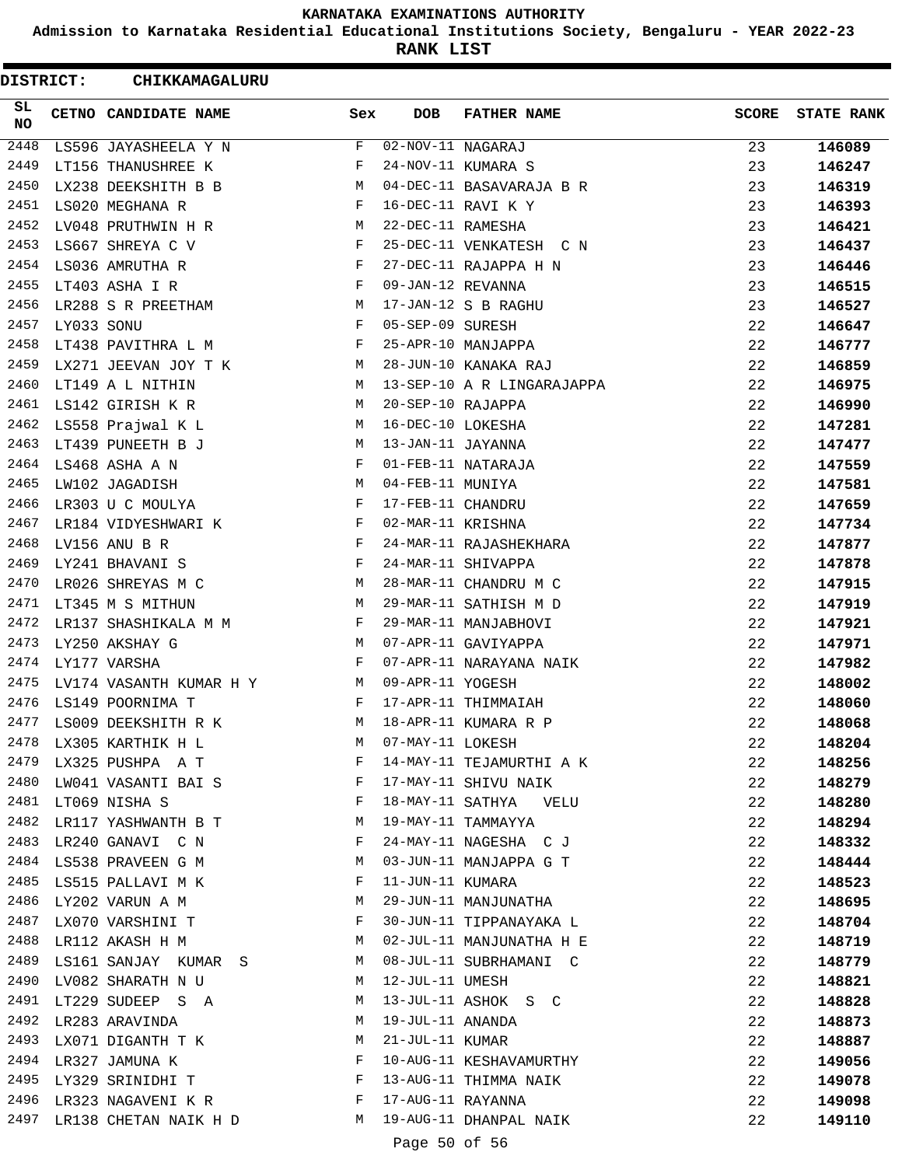**Admission to Karnataka Residential Educational Institutions Society, Bengaluru - YEAR 2022-23**

**RANK LIST**

ı

|                  | <b>DISTRICT:</b> | CHIKKAMAGALURU          |              |                   |                            |              |                   |
|------------------|------------------|-------------------------|--------------|-------------------|----------------------------|--------------|-------------------|
| SL<br>NO         |                  | CETNO CANDIDATE NAME    | Sex          | <b>DOB</b>        | <b>FATHER NAME</b>         | <b>SCORE</b> | <b>STATE RANK</b> |
| $\frac{2448}{ }$ |                  | LS596 JAYASHEELA Y N    | F            | 02-NOV-11 NAGARAJ |                            | 23           | 146089            |
| 2449             |                  | LT156 THANUSHREE K      | F            |                   | 24-NOV-11 KUMARA S         | 23           | 146247            |
| 2450             |                  | LX238 DEEKSHITH B B     | М            |                   | 04-DEC-11 BASAVARAJA B R   | 23           | 146319            |
| 2451             |                  | LS020 MEGHANA R         | F            |                   | 16-DEC-11 RAVI K Y         | 23           | 146393            |
| 2452             |                  | LV048 PRUTHWIN H R      | M            | 22-DEC-11 RAMESHA |                            | 23           | 146421            |
| 2453             |                  | LS667 SHREYA C V        | F            |                   | 25-DEC-11 VENKATESH C N    | 23           | 146437            |
| 2454             |                  | LS036 AMRUTHA R         | F            |                   | 27-DEC-11 RAJAPPA H N      | 23           | 146446            |
| 2455             |                  | LT403 ASHA I R          | $_{\rm F}$   | 09-JAN-12 REVANNA |                            | 23           | 146515            |
| 2456             |                  | LR288 S R PREETHAM      | M            |                   | 17-JAN-12 S B RAGHU        | 23           | 146527            |
| 2457             | LY033 SONU       |                         | $_{\rm F}$   | 05-SEP-09 SURESH  |                            | 22           | 146647            |
| 2458             |                  | LT438 PAVITHRA L M      | F            |                   | 25-APR-10 MANJAPPA         | 22           | 146777            |
| 2459             |                  | LX271 JEEVAN JOY T K    | М            |                   | 28-JUN-10 KANAKA RAJ       | 22           | 146859            |
| 2460             |                  | LT149 A L NITHIN        | М            |                   | 13-SEP-10 A R LINGARAJAPPA | 22           | 146975            |
| 2461             |                  | LS142 GIRISH K R        | М            | 20-SEP-10 RAJAPPA |                            | 22           | 146990            |
| 2462             |                  | LS558 Prajwal K L       | М            | 16-DEC-10 LOKESHA |                            | 22           | 147281            |
| 2463             |                  | LT439 PUNEETH B J       | М            | 13-JAN-11 JAYANNA |                            | 22           | 147477            |
| 2464             |                  | LS468 ASHA A N          | $_{\rm F}$   |                   | 01-FEB-11 NATARAJA         | 22           | 147559            |
| 2465             |                  | LW102 JAGADISH          | M            | 04-FEB-11 MUNIYA  |                            | 22           | 147581            |
| 2466             |                  | LR303 U C MOULYA        | F            | 17-FEB-11 CHANDRU |                            | 22           | 147659            |
| 2467             |                  | LR184 VIDYESHWARI K     | F            | 02-MAR-11 KRISHNA |                            | 22           | 147734            |
| 2468             |                  | LV156 ANU B R           | $_{\rm F}$   |                   | 24-MAR-11 RAJASHEKHARA     | 22           |                   |
| 2469             |                  |                         | F            |                   |                            |              | 147877            |
| 2470             |                  | LY241 BHAVANI S         |              |                   | 24-MAR-11 SHIVAPPA         | 22           | 147878            |
| 2471             |                  | LR026 SHREYAS M C       | М            |                   | 28-MAR-11 CHANDRU M C      | 22           | 147915            |
|                  |                  | LT345 M S MITHUN        | М            |                   | 29-MAR-11 SATHISH M D      | 22           | 147919            |
| 2472             |                  | LR137 SHASHIKALA M M    | F            |                   | 29-MAR-11 MANJABHOVI       | 22           | 147921            |
| 2473             |                  | LY250 AKSHAY G          | М            |                   | 07-APR-11 GAVIYAPPA        | 22           | 147971            |
| 2474             |                  | LY177 VARSHA            | F            |                   | 07-APR-11 NARAYANA NAIK    | 22           | 147982            |
| 2475             |                  | LV174 VASANTH KUMAR H Y | M            | 09-APR-11 YOGESH  |                            | 22           | 148002            |
|                  |                  | 2476 LS149 POORNIMA T   | F            |                   | 17-APR-11 THIMMAIAH        | 22           | 148060            |
| 2477             |                  | LS009 DEEKSHITH R K     | М            |                   | 18-APR-11 KUMARA R P       | 22           | 148068            |
| 2478             |                  | LX305 KARTHIK H L       | М            | 07-MAY-11 LOKESH  |                            | 22           | 148204            |
| 2479             |                  | LX325 PUSHPA A T        | F            |                   | 14-MAY-11 TEJAMURTHI A K   | 22           | 148256            |
| 2480             |                  | LW041 VASANTI BAI S     | F            |                   | 17-MAY-11 SHIVU NAIK       | 22           | 148279            |
| 2481             |                  | LT069 NISHA S           | F            |                   | 18-MAY-11 SATHYA VELU      | 22           | 148280            |
| 2482             |                  | LR117 YASHWANTH B T     | М            |                   | 19-MAY-11 TAMMAYYA         | 22           | 148294            |
|                  |                  | 2483 LR240 GANAVI C N   | F            |                   | 24-MAY-11 NAGESHA C J      | 22           | 148332            |
|                  |                  | 2484 LS538 PRAVEEN G M  | M            |                   | 03-JUN-11 MANJAPPA G T     | 22           | 148444            |
| 2485             |                  | LS515 PALLAVI M K       | F            | 11-JUN-11 KUMARA  |                            | 22           | 148523            |
| 2486             |                  | LY202 VARUN A M         | М            |                   | 29-JUN-11 MANJUNATHA       | 22           | 148695            |
| 2487             |                  | LX070 VARSHINI T        | F            |                   | 30-JUN-11 TIPPANAYAKA L    | 22           | 148704            |
|                  |                  | 2488 LR112 AKASH H M    | M            |                   | 02-JUL-11 MANJUNATHA H E   | 22           | 148719            |
| 2489             |                  | LS161 SANJAY KUMAR S    | M            |                   | 08-JUL-11 SUBRHAMANI C     | 22           | 148779            |
| 2490             |                  | LV082 SHARATH N U       | M            | 12-JUL-11 UMESH   |                            | 22           | 148821            |
| 2491             |                  | LT229 SUDEEP S A        | M            |                   | 13-JUL-11 ASHOK S C        | 22           | 148828            |
| 2492             |                  | LR283 ARAVINDA          | M            | 19-JUL-11 ANANDA  |                            | 22           | 148873            |
| 2493             |                  | LX071 DIGANTH T K       | M            | 21-JUL-11 KUMAR   |                            | 22           | 148887            |
| 2494             |                  | LR327 JAMUNA K          | F            |                   | 10-AUG-11 KESHAVAMURTHY    | 22           | 149056            |
|                  |                  | 2495 LY329 SRINIDHI T   | F            |                   | 13-AUG-11 THIMMA NAIK      | 22           | 149078            |
|                  |                  | 2496 LR323 NAGAVENI K R | $\mathbf{F}$ | 17-AUG-11 RAYANNA |                            | 22           | 149098            |
| 2497             |                  | LR138 CHETAN NAIK H D   | М            |                   | 19-AUG-11 DHANPAL NAIK     | 22           | 149110            |
|                  |                  |                         |              | Page 50 of 56     |                            |              |                   |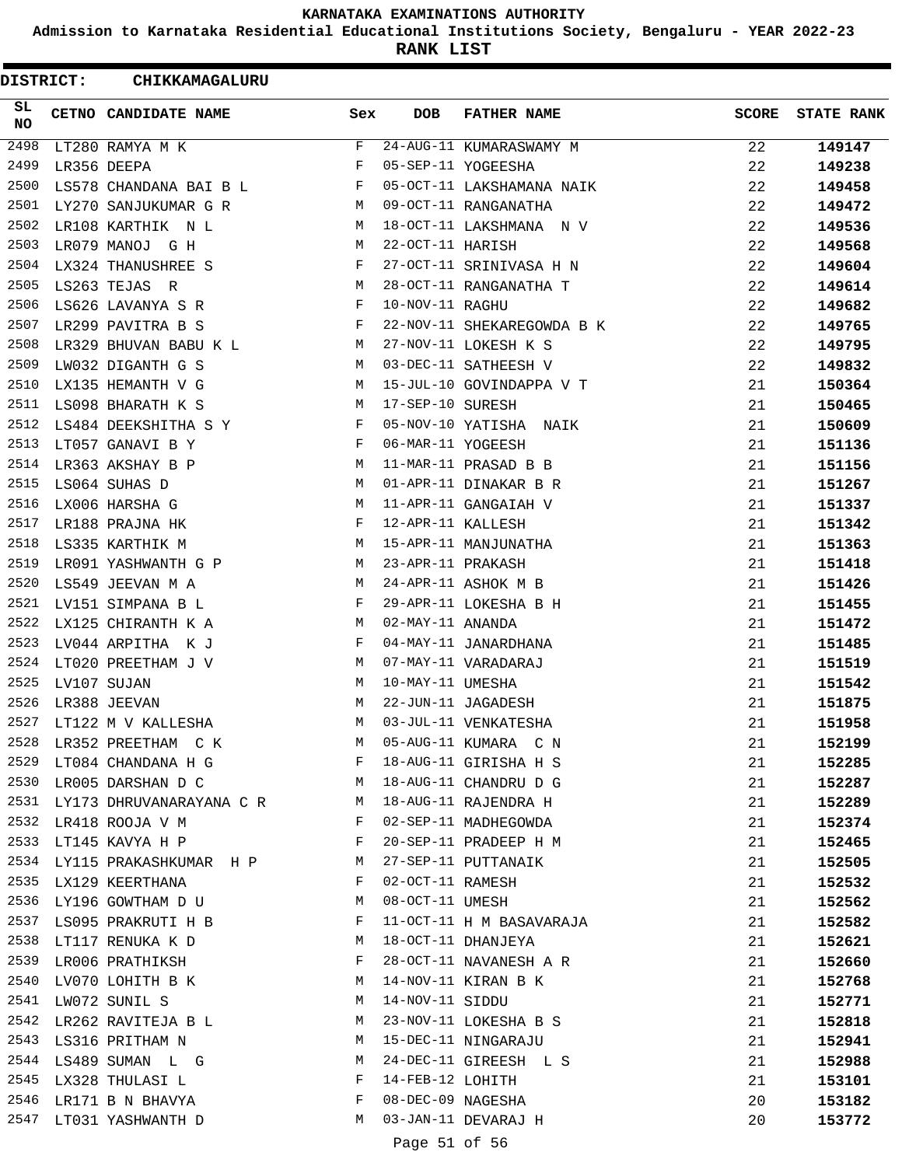**Admission to Karnataka Residential Educational Institutions Society, Bengaluru - YEAR 2022-23**

**RANK LIST**

ı

| DISTRICT:        | CHIKKAMAGALURU                   |              |                   |                            |              |                   |
|------------------|----------------------------------|--------------|-------------------|----------------------------|--------------|-------------------|
| SL.<br><b>NO</b> | CETNO CANDIDATE NAME             | Sex          | <b>DOB</b>        | <b>FATHER NAME</b>         | <b>SCORE</b> | <b>STATE RANK</b> |
| 2498             | LT280 RAMYA M K                  | F            |                   | 24-AUG-11 KUMARASWAMY M    | 22           | 149147            |
| 2499             | LR356 DEEPA                      | F            |                   | 05-SEP-11 YOGEESHA         | 22           | 149238            |
| 2500             | LS578 CHANDANA BAI B L           | F            |                   | 05-OCT-11 LAKSHAMANA NAIK  | 22           | 149458            |
| 2501             | LY270 SANJUKUMAR G R             | M            |                   | 09-OCT-11 RANGANATHA       | 22           | 149472            |
| 2502             | LR108 KARTHIK N L                | М            |                   | 18-OCT-11 LAKSHMANA N V    | 22           | 149536            |
| 2503             | LR079 MANOJ G H                  | м            | 22-OCT-11 HARISH  |                            | 22           | 149568            |
| 2504             | LX324 THANUSHREE S               | F            |                   | 27-OCT-11 SRINIVASA H N    | 22           | 149604            |
| 2505             | LS263 TEJAS R                    | М            |                   | 28-OCT-11 RANGANATHA T     | 22           | 149614            |
| 2506             | LS626 LAVANYA S R                | F            | 10-NOV-11 RAGHU   |                            | 22           | 149682            |
| 2507             | LR299 PAVITRA B S                | F            |                   | 22-NOV-11 SHEKAREGOWDA B K | 22           | 149765            |
| 2508             | LR329 BHUVAN BABU K L            | M            |                   | 27-NOV-11 LOKESH K S       | 22           | 149795            |
| 2509             | LW032 DIGANTH G S                | M            |                   | 03-DEC-11 SATHEESH V       | 22           | 149832            |
| 2510             | LX135 HEMANTH V G                | M            |                   | 15-JUL-10 GOVINDAPPA V T   | 21           | 150364            |
|                  | 2511 LS098 BHARATH K S           | M            | 17-SEP-10 SURESH  |                            | 21           | 150465            |
| 2512             | LS484 DEEKSHITHA S Y             | F            |                   | 05-NOV-10 YATISHA NAIK     | 21           | 150609            |
| 2513             | LT057 GANAVI B Y                 | F            | 06-MAR-11 YOGEESH |                            | 21           | 151136            |
| 2514             | LR363 AKSHAY B P                 | M            |                   | 11-MAR-11 PRASAD B B       | 21           | 151156            |
| 2515             | LS064 SUHAS D                    | M            |                   | 01-APR-11 DINAKAR B R      | 21           | 151267            |
| 2516             | LX006 HARSHA G                   | М            |                   | 11-APR-11 GANGAIAH V       | 21           | 151337            |
| 2517             | LR188 PRAJNA HK                  | F            | 12-APR-11 KALLESH |                            | 21           | 151342            |
| 2518             | LS335 KARTHIK M                  | M            |                   | 15-APR-11 MANJUNATHA       | 21           | 151363            |
| 2519             | LR091 YASHWANTH G P              | M            | 23-APR-11 PRAKASH |                            | 21           | 151418            |
| 2520             | LS549 JEEVAN M A                 | M            |                   | 24-APR-11 ASHOK M B        | 21           | 151426            |
| 2521             | LV151 SIMPANA B L                | F            |                   | 29-APR-11 LOKESHA B H      | 21           | 151455            |
| 2522             | LX125 CHIRANTH K A               | M            | 02-MAY-11 ANANDA  |                            | 21           | 151472            |
| 2523             | LV044 ARPITHA KJ                 | F            |                   | 04-MAY-11 JANARDHANA       | 21           | 151485            |
| 2524             | LT020 PREETHAM J V               | M            |                   | 07-MAY-11 VARADARAJ        | 21           | 151519            |
| 2525             | LV107 SUJAN                      | М            | 10-MAY-11 UMESHA  |                            | 21           | 151542            |
| 2526             | LR388 JEEVAN                     | М            |                   | 22-JUN-11 JAGADESH         | 21           | 151875            |
| 2527             | LT122 M V KALLESHA               | M            |                   | 03-JUL-11 VENKATESHA       | 21           | 151958            |
| 2528             | LR352 PREETHAM C K               | M            |                   | 05-AUG-11 KUMARA C N       | 21           | 152199            |
|                  | 2529 LT084 CHANDANA H G F        |              |                   | 18-AUG-11 GIRISHA H S      | 21           | 152285            |
| 2530             | $\mathbf M$<br>LR005 DARSHAN D C |              |                   | 18-AUG-11 CHANDRU D G      | 21           | 152287            |
|                  | 2531 LY173 DHRUVANARAYANA C R M  |              |                   | 18-AUG-11 RAJENDRA H       | 21           | 152289            |
| 2532             | LR418 ROOJA V M                  | $\mathbf{F}$ |                   | 02-SEP-11 MADHEGOWDA       | 21           | 152374            |
| 2533             | LT145 KAVYA H P                  | F            |                   | 20-SEP-11 PRADEEP H M      | 21           | 152465            |
| 2534             | LY115 PRAKASHKUMAR H P M         |              |                   | 27-SEP-11 PUTTANAIK        | 21           | 152505            |
|                  | 2535 LX129 KEERTHANA             | F            | 02-OCT-11 RAMESH  |                            | 21           | 152532            |
|                  | 2536 LY196 GOWTHAM D U           | M            | 08-OCT-11 UMESH   |                            | 21           | 152562            |
|                  | 2537 LS095 PRAKRUTI H B          | F            |                   | 11-OCT-11 H M BASAVARAJA   | 21           | 152582            |
|                  | 2538 LT117 RENUKA K D            | M            |                   | 18-OCT-11 DHANJEYA         | 21           | 152621            |
|                  | 2539 LR006 PRATHIKSH             | F            |                   | 28-OCT-11 NAVANESH A R     | 21           | 152660            |
| 2540             | LV070 LOHITH B K                 | M            |                   | 14-NOV-11 KIRAN B K        | 21           | 152768            |
| 2541             | LW072 SUNIL S                    | М            | 14-NOV-11 SIDDU   |                            | 21           | 152771            |
| 2542             | LR262 RAVITEJA B L               | M            |                   | 23-NOV-11 LOKESHA B S      | 21           | 152818            |
|                  | 2543 LS316 PRITHAM N             | M            |                   | 15-DEC-11 NINGARAJU        | 21           | 152941            |
|                  | 2544 LS489 SUMAN L G             | M            |                   | 24-DEC-11 GIREESH L S      | 21           | 152988            |
|                  | 2545 LX328 THULASI L             | F            | 14-FEB-12 LOHITH  |                            | 21           | 153101            |
| 2546             | $\mathbf{F}$<br>LR171 B N BHAVYA |              | 08-DEC-09 NAGESHA |                            | 20           | 153182            |
|                  | 2547 LT031 YASHWANTH D           | M            |                   | 03-JAN-11 DEVARAJ H        | 20           | 153772            |
|                  |                                  |              |                   |                            |              |                   |
|                  |                                  |              | Page 51 of 56     |                            |              |                   |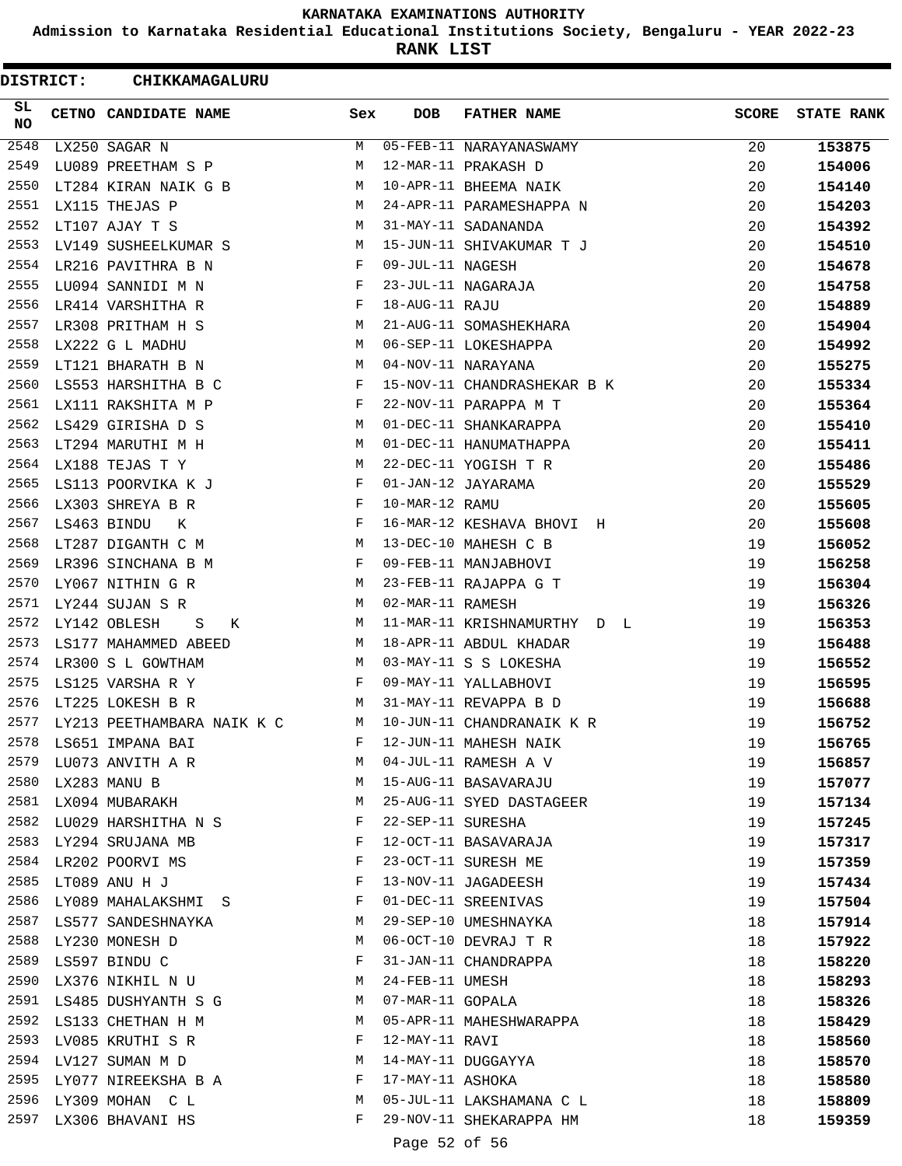**Admission to Karnataka Residential Educational Institutions Society, Bengaluru - YEAR 2022-23**

**RANK LIST**

| <b>DISTRICT:</b> | CHIKKAMAGALURU                        |              |                   |                             |              |                   |
|------------------|---------------------------------------|--------------|-------------------|-----------------------------|--------------|-------------------|
| SL.<br>NO        | CETNO CANDIDATE NAME                  | Sex          | <b>DOB</b>        | <b>FATHER NAME</b>          | <b>SCORE</b> | <b>STATE RANK</b> |
| 2548             | LX250 SAGAR N                         | М            |                   | 05-FEB-11 NARAYANASWAMY     | 20           | 153875            |
| 2549             | LU089 PREETHAM S P                    | М            |                   | 12-MAR-11 PRAKASH D         | 20           | 154006            |
| 2550             | LT284 KIRAN NAIK G B                  | М            |                   | 10-APR-11 BHEEMA NAIK       | 20           | 154140            |
| 2551             | LX115 THEJAS P                        | M            |                   | 24-APR-11 PARAMESHAPPA N    | 20           | 154203            |
| 2552             | LT107 AJAY T S                        | М            |                   | 31-MAY-11 SADANANDA         | 20           | 154392            |
| 2553             | LV149 SUSHEELKUMAR S                  | М            |                   | 15-JUN-11 SHIVAKUMAR T J    | 20           | 154510            |
| 2554             | LR216 PAVITHRA B N                    | $\mathbf{F}$ | 09-JUL-11 NAGESH  |                             | 20           | 154678            |
| 2555             | LU094 SANNIDI M N                     | F            |                   | 23-JUL-11 NAGARAJA          | 20           | 154758            |
| 2556             | LR414 VARSHITHA R                     | F            | 18-AUG-11 RAJU    |                             | 20           | 154889            |
| 2557             | LR308 PRITHAM H S                     | M            |                   | 21-AUG-11 SOMASHEKHARA      | 20           | 154904            |
| 2558             | LX222 G L MADHU                       | M            |                   | 06-SEP-11 LOKESHAPPA        | 20           | 154992            |
| 2559             | LT121 BHARATH B N                     | M            |                   | 04-NOV-11 NARAYANA          | 20           | 155275            |
| 2560             | LS553 HARSHITHA B C                   | F            |                   | 15-NOV-11 CHANDRASHEKAR B K | 20           | 155334            |
| 2561             | LX111 RAKSHITA M P                    | F            |                   | 22-NOV-11 PARAPPA M T       | 20           | 155364            |
| 2562             | LS429 GIRISHA D S                     | M            |                   | 01-DEC-11 SHANKARAPPA       | 20           | 155410            |
| 2563             | LT294 MARUTHI M H                     | M            |                   | 01-DEC-11 HANUMATHAPPA      | 20           | 155411            |
| 2564             | LX188 TEJAS T Y                       | M            |                   | 22-DEC-11 YOGISH T R        | 20           | 155486            |
| 2565             | LS113 POORVIKA K J                    | F            |                   | 01-JAN-12 JAYARAMA          | 20           | 155529            |
| 2566             | LX303 SHREYA B R                      | F            | 10-MAR-12 RAMU    |                             | 20           | 155605            |
| 2567             | LS463 BINDU<br>К                      | F            |                   | 16-MAR-12 KESHAVA BHOVI H   | 20           | 155608            |
| 2568             | LT287 DIGANTH C M                     | М            |                   | 13-DEC-10 MAHESH C B        | 19           | 156052            |
| 2569             | LR396 SINCHANA B M                    | F            |                   | 09-FEB-11 MANJABHOVI        | 19           | 156258            |
| 2570             | LY067 NITHIN G R                      | М            |                   | 23-FEB-11 RAJAPPA G T       | 19           | 156304            |
| 2571             | LY244 SUJAN S R                       | M            | 02-MAR-11 RAMESH  |                             | 19           | 156326            |
| 2572             | LY142 OBLESH<br>S<br>К                | M            |                   | 11-MAR-11 KRISHNAMURTHY D L | 19           | 156353            |
| 2573             | LS177 MAHAMMED ABEED                  | M            |                   | 18-APR-11 ABDUL KHADAR      | 19           | 156488            |
| 2574             | LR300 S L GOWTHAM                     | M            |                   | 03-MAY-11 S S LOKESHA       | 19           | 156552            |
| 2575             | LS125 VARSHA R Y                      | F            |                   | 09-MAY-11 YALLABHOVI        | 19           | 156595            |
| 2576             | LT225 LOKESH B R                      | M            |                   | 31-MAY-11 REVAPPA B D       | 19           | 156688            |
| 2577             | LY213 PEETHAMBARA NAIK K C            | M            |                   | 10-JUN-11 CHANDRANAIK K R   | 19           | 156752            |
|                  | 2578 LS651 IMPANA BAI                 | F            |                   | 12-JUN-11 MAHESH NAIK       | 19           | 156765            |
| 2579             | LU073 ANVITH A R                      | M            |                   | 04-JUL-11 RAMESH A V        | 19           | 156857            |
|                  | 2580 LX283 MANU B                     | M            |                   | 15-AUG-11 BASAVARAJU        | 19           | 157077            |
|                  | 2581 LX094 MUBARAKH                   | М            |                   | 25-AUG-11 SYED DASTAGEER    | 19           | 157134            |
|                  | 2582 LU029 HARSHITHA N S              | F            | 22-SEP-11 SURESHA |                             | 19           | 157245            |
| 2583             | LY294 SRUJANA MB                      | F            |                   | 12-OCT-11 BASAVARAJA        | 19           | 157317            |
| 2584             |                                       | F            |                   | 23-OCT-11 SURESH ME         | 19           |                   |
|                  | LR202 POORVI MS<br>2585 LT089 ANU H J | F            |                   | 13-NOV-11 JAGADEESH         | 19           | 157359<br>157434  |
|                  | 2586 LY089 MAHALAKSHMI S              | F            |                   | 01-DEC-11 SREENIVAS         | 19           |                   |
|                  |                                       |              |                   |                             |              | 157504            |
|                  | 2587 LS577 SANDESHNAYKA               | M            |                   | 29-SEP-10 UMESHNAYKA        | 18           | 157914            |
|                  | 2588 LY230 MONESH D                   | М            |                   | 06-OCT-10 DEVRAJ T R        | 18           | 157922            |
|                  | 2589 LS597 BINDU C                    | F            |                   | 31-JAN-11 CHANDRAPPA        | 18           | 158220            |
| 2590             | LX376 NIKHIL N U                      | M            | 24-FEB-11 UMESH   |                             | 18           | 158293            |
|                  | 2591 LS485 DUSHYANTH S G              | M            |                   | 07-MAR-11 GOPALA            | 18           | 158326            |
| 2592             | LS133 CHETHAN H M                     | M            |                   | 05-APR-11 MAHESHWARAPPA     | 18           | 158429            |
| 2593             | LV085 KRUTHI S R                      | F            | 12-MAY-11 RAVI    |                             | 18           | 158560            |
|                  | 2594 LV127 SUMAN M D                  | M            |                   | 14-MAY-11 DUGGAYYA          | 18           | 158570            |
|                  | 2595 LY077 NIREEKSHA B A              | F            | 17-MAY-11 ASHOKA  |                             | 18           | 158580            |
|                  | 2596 LY309 MOHAN C L                  | М            |                   | 05-JUL-11 LAKSHAMANA C L    | 18           | 158809            |
| 2597             | LX306 BHAVANI HS                      | F            |                   | 29-NOV-11 SHEKARAPPA HM     | 18           | 159359            |
|                  |                                       |              | Page 52 of 56     |                             |              |                   |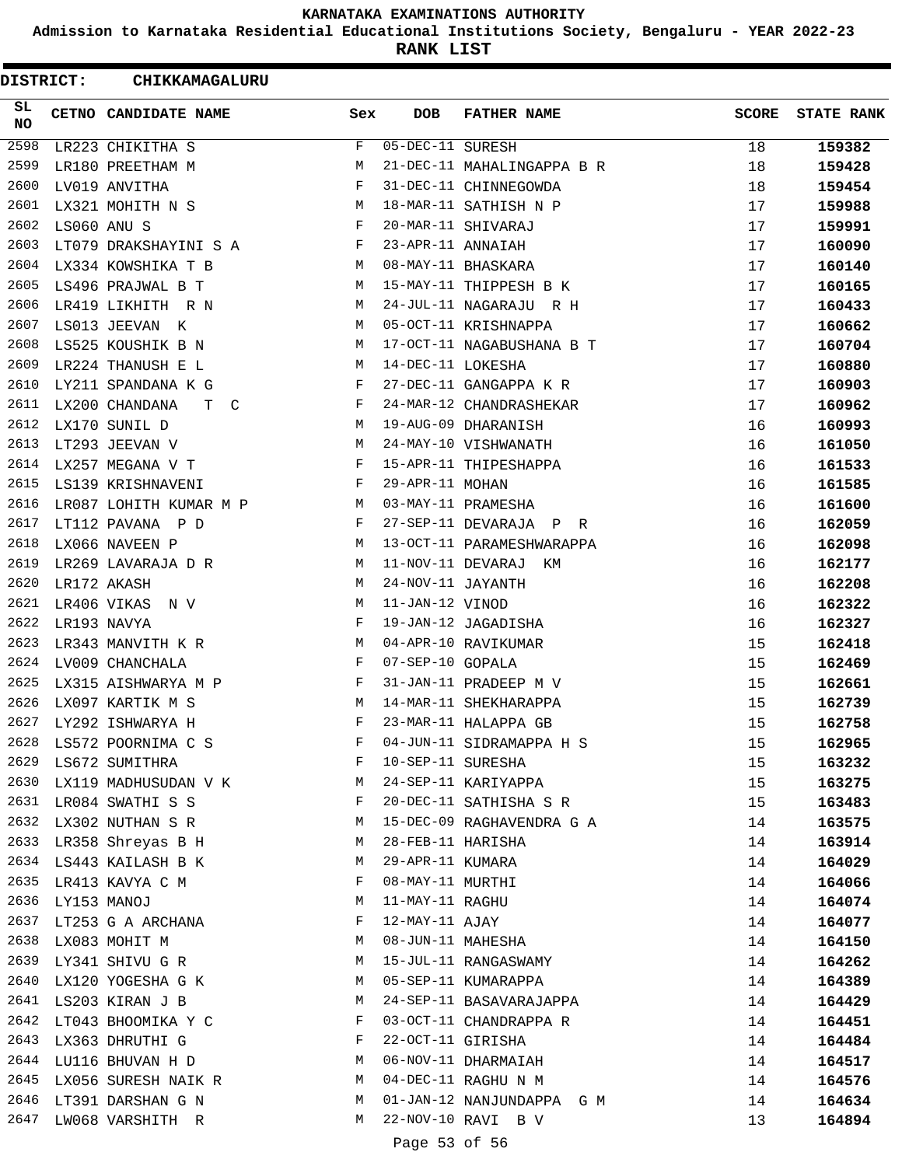**Admission to Karnataka Residential Educational Institutions Society, Bengaluru - YEAR 2022-23**

**RANK LIST**

| <b>DISTRICT:</b> |             | CHIKKAMAGALURU                       |              |                   |                            |              |                   |
|------------------|-------------|--------------------------------------|--------------|-------------------|----------------------------|--------------|-------------------|
| SL.<br>NO        |             | CETNO CANDIDATE NAME                 | Sex          | <b>DOB</b>        | <b>FATHER NAME</b>         | <b>SCORE</b> | <b>STATE RANK</b> |
| 2598             |             | LR223 CHIKITHA S                     | F            | 05-DEC-11 SURESH  |                            | 18           | 159382            |
| 2599             |             | LR180 PREETHAM M                     | М            |                   | 21-DEC-11 MAHALINGAPPA B R | 18           | 159428            |
| 2600             |             | LV019 ANVITHA                        | F            |                   | 31-DEC-11 CHINNEGOWDA      | 18           | 159454            |
| 2601             |             | LX321 MOHITH N S                     | М            |                   | 18-MAR-11 SATHISH N P      | 17           | 159988            |
| 2602             | LS060 ANU S |                                      | F            |                   | 20-MAR-11 SHIVARAJ         | 17           | 159991            |
| 2603             |             | LT079 DRAKSHAYINI S A                | F            | 23-APR-11 ANNAIAH |                            | 17           | 160090            |
| 2604             |             | LX334 KOWSHIKA T B                   | M            |                   | 08-MAY-11 BHASKARA         | 17           | 160140            |
| 2605             |             | LS496 PRAJWAL B T                    | М            |                   | 15-MAY-11 THIPPESH B K     | 17           | 160165            |
| 2606             |             | LR419 LIKHITH R N                    | М            |                   | 24-JUL-11 NAGARAJU R H     | 17           | 160433            |
| 2607             |             | LS013 JEEVAN K                       | M            |                   | 05-OCT-11 KRISHNAPPA       | 17           | 160662            |
| 2608             |             | LS525 KOUSHIK B N                    | M            |                   | 17-OCT-11 NAGABUSHANA B T  | 17           | 160704            |
| 2609             |             | LR224 THANUSH E L                    | M            | 14-DEC-11 LOKESHA |                            | 17           | 160880            |
| 2610             |             | LY211 SPANDANA K G                   | F            |                   | 27-DEC-11 GANGAPPA K R     | 17           | 160903            |
| 2611             |             | LX200 CHANDANA<br>T.<br>$\mathbb{C}$ | F            |                   | 24-MAR-12 CHANDRASHEKAR    | 17           | 160962            |
| 2612             |             | LX170 SUNIL D                        | М            |                   | 19-AUG-09 DHARANISH        | 16           | 160993            |
| 2613             |             | LT293 JEEVAN V                       | М            |                   | 24-MAY-10 VISHWANATH       | 16           | 161050            |
| 2614             |             | LX257 MEGANA V T                     | F            |                   | 15-APR-11 THIPESHAPPA      | 16           | 161533            |
| 2615             |             | LS139 KRISHNAVENI                    | F            | 29-APR-11 MOHAN   |                            | 16           | 161585            |
| 2616             |             | LR087 LOHITH KUMAR M P               | M            |                   | 03-MAY-11 PRAMESHA         | 16           | 161600            |
| 2617             |             | LT112 PAVANA P D                     | F            |                   | 27-SEP-11 DEVARAJA P R     | 16           | 162059            |
| 2618             |             | LX066 NAVEEN P                       | М            |                   | 13-OCT-11 PARAMESHWARAPPA  | 16           | 162098            |
| 2619             |             | LR269 LAVARAJA D R                   | М            |                   | 11-NOV-11 DEVARAJ KM       | 16           | 162177            |
| 2620             |             | LR172 AKASH                          | M            | 24-NOV-11 JAYANTH |                            | 16           | 162208            |
| 2621             |             | LR406 VIKAS N V                      | М            | 11-JAN-12 VINOD   |                            | 16           | 162322            |
| 2622             |             | LR193 NAVYA                          | F            |                   | 19-JAN-12 JAGADISHA        | 16           | 162327            |
| 2623             |             | LR343 MANVITH K R                    | M            |                   | 04-APR-10 RAVIKUMAR        | 15           | 162418            |
| 2624             |             | LV009 CHANCHALA                      | F            | 07-SEP-10 GOPALA  |                            | 15           | 162469            |
| 2625             |             | LX315 AISHWARYA M P                  | F            |                   | 31-JAN-11 PRADEEP M V      | 15           | 162661            |
| 2626             |             | LX097 KARTIK M S                     | М            |                   | 14-MAR-11 SHEKHARAPPA      | 15           | 162739            |
| 2627             |             | LY292 ISHWARYA H                     | F            |                   | 23-MAR-11 HALAPPA GB       | 15           | 162758            |
| 2628             |             | LS572 POORNIMA C S                   | F            |                   | 04-JUN-11 SIDRAMAPPA H S   | 15           | 162965            |
| 2629             |             | LS672 SUMITHRA                       | F            | 10-SEP-11 SURESHA |                            | 15           |                   |
|                  |             | 2630 LX119 MADHUSUDAN V K M          |              |                   | 24-SEP-11 KARIYAPPA        | 15           | 163232<br>163275  |
|                  |             | 2631 LR084 SWATHI S S                | $\mathbf{F}$ |                   | 20-DEC-11 SATHISHA S R     |              |                   |
|                  |             |                                      |              |                   |                            | 15           | 163483            |
| 2633             |             | 2632 LX302 NUTHAN S R                | M            |                   | 15-DEC-09 RAGHAVENDRA G A  | 14           | 163575            |
|                  |             | LR358 Shreyas B H                    | M            | 28-FEB-11 HARISHA |                            | 14           | 163914            |
|                  |             | 2634 LS443 KAILASH B K               | М            | 29-APR-11 KUMARA  |                            | 14           | 164029            |
|                  |             | 2635 LR413 KAVYA C M                 | F            | 08-MAY-11 MURTHI  |                            | 14           | 164066            |
| 2636             | LY153 MANOJ |                                      | М            | 11-MAY-11 RAGHU   |                            | 14           | 164074            |
|                  |             | 2637 LT253 G A ARCHANA               | F            | 12-MAY-11 AJAY    |                            | 14           | 164077            |
|                  |             | 2638 LX083 MOHIT M                   | M            |                   | 08-JUN-11 MAHESHA          | 14           | 164150            |
|                  |             | 2639 LY341 SHIVU G R                 | M            |                   | 15-JUL-11 RANGASWAMY       | 14           | 164262            |
| 2640             |             | LX120 YOGESHA G K                    | M            |                   | 05-SEP-11 KUMARAPPA        | 14           | 164389            |
| 2641             |             | LS203 KIRAN J B                      | M            |                   | 24-SEP-11 BASAVARAJAPPA    | 14           | 164429            |
| 2642             |             | LT043 BHOOMIKA Y C                   | F            |                   | 03-OCT-11 CHANDRAPPA R     | 14           | 164451            |
|                  |             | 2643 LX363 DHRUTHI G                 | F            | 22-OCT-11 GIRISHA |                            | 14           | 164484            |
|                  |             | 2644 LU116 BHUVAN H D                | M            |                   | 06-NOV-11 DHARMAIAH        | 14           | 164517            |
| 2645             |             | LX056 SURESH NAIK R                  | M            |                   | 04-DEC-11 RAGHU N M        | 14           | 164576            |
|                  |             | 2646 LT391 DARSHAN G N               | M            |                   | 01-JAN-12 NANJUNDAPPA G M  | 14           | 164634            |
|                  |             | 2647 LW068 VARSHITH R                | М            |                   | 22-NOV-10 RAVI B V         | 13           | 164894            |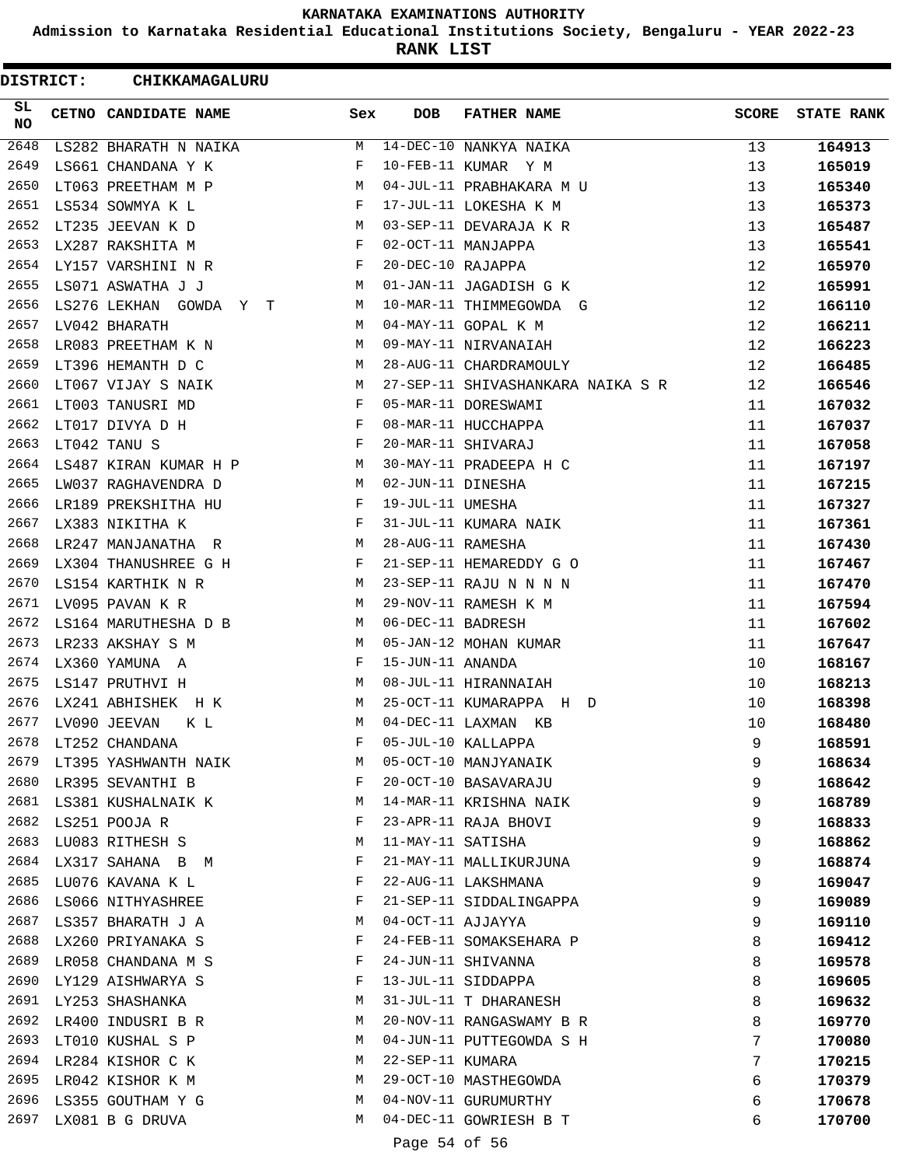**Admission to Karnataka Residential Educational Institutions Society, Bengaluru - YEAR 2022-23**

**RANK LIST**

 $\blacksquare$ 

| DISTRICT:    | <b>CHIKKAMAGALURU</b>                                              |              |                   |                                   |              |                   |
|--------------|--------------------------------------------------------------------|--------------|-------------------|-----------------------------------|--------------|-------------------|
| SL.<br>NO    | CETNO CANDIDATE NAME                                               | Sex          | DOB               | <b>FATHER NAME</b>                | <b>SCORE</b> | <b>STATE RANK</b> |
| 2648         | LS282 BHARATH N NAIKA                                              | M            |                   | $14 - DEC - 10$ NANKYA NAIKA      | 13           | 164913            |
| 2649         | LS661 CHANDANA Y K                                                 | $\mathbf{F}$ |                   | 10-FEB-11 KUMAR Y M               | 13           | 165019            |
| 2650         | LT063 PREETHAM M P                                                 | M            |                   | 04-JUL-11 PRABHAKARA M U          | 13           | 165340            |
| 2651         | $\mathbf{F}$ and $\mathbf{F}$ and $\mathbf{F}$<br>LS534 SOWMYA K L |              |                   | 17-JUL-11 LOKESHA K M             | 13           | 165373            |
| 2652         | LT235 JEEVAN K D                                                   | M            |                   | 03-SEP-11 DEVARAJA K R            | 13           | 165487            |
| 2653         | LX287 RAKSHITA M                                                   | $\mathbf{F}$ |                   | 02-OCT-11 MANJAPPA                | 13           | 165541            |
| 2654         | LY157 VARSHINI N R                                                 | $\mathbf{F}$ | 20-DEC-10 RAJAPPA |                                   | 12           | 165970            |
| 2655         | LS071 ASWATHA J J                                                  | M            |                   | 01-JAN-11 JAGADISH G K            | 12           | 165991            |
| 2656         | LS276 LEKHAN GOWDA Y T                                             | M            |                   | 10-MAR-11 THIMMEGOWDA G           | 12           | 166110            |
| 2657         | LV042 BHARATH                                                      | M            |                   | 04-MAY-11 GOPAL K M               | 12           | 166211            |
| 2658         | LR083 PREETHAM K N                                                 | M            |                   | 09-MAY-11 NIRVANAIAH              | 12           | 166223            |
| 2659         | <b>M</b><br>LT396 HEMANTH D C                                      |              |                   | 28-AUG-11 CHARDRAMOULY            | 12           | 166485            |
| 2660         | LT067 VIJAY S NAIK                                                 | M            |                   | 27-SEP-11 SHIVASHANKARA NAIKA S R | 12           | 166546            |
| 2661         | LT003 TANUSRI MD                                                   | $\mathbf{F}$ |                   | 05-MAR-11 DORESWAMI               | 11           | 167032            |
| 2662         | $\mathbf{F}$ and $\mathbf{F}$ and $\mathbf{F}$<br>LT017 DIVYA D H  |              |                   | 08-MAR-11 HUCCHAPPA               | 11           | 167037            |
| 2663         | $\mathbf{F}$<br>LT042 TANU S                                       |              |                   | 20-MAR-11 SHIVARAJ                | 11           | 167058            |
|              | 2664 LS487 KIRAN KUMAR H P M                                       |              |                   | 30-MAY-11 PRADEEPA H C            | 11           | 167197            |
| 2665         | LW037 RAGHAVENDRA D<br><b>M</b>                                    |              | 02-JUN-11 DINESHA |                                   | 11           | 167215            |
| 2666         | LR189 PREKSHITHA HU                                                | F            | 19-JUL-11 UMESHA  |                                   | 11           | 167327            |
| 2667         | $\mathbf{F}$ and $\mathbf{F}$<br>LX383 NIKITHA K                   |              |                   | 31-JUL-11 KUMARA NAIK             | 11           | 167361            |
| 2668         | LR247 MANJANATHA R                                                 | M            | 28-AUG-11 RAMESHA |                                   | 11           | 167430            |
| 2669         | LX304 THANUSHREE G H                                               | F            |                   | 21-SEP-11 HEMAREDDY G O           | 11           | 167467            |
| 2670         | LS154 KARTHIK N R                                                  | M            |                   | 23-SEP-11 RAJU N N N N            | 11           | 167470            |
| 2671         | LV095 PAVAN K R                                                    | М            |                   | 29-NOV-11 RAMESH K M              | 11           | 167594            |
| 2672         | LS164 MARUTHESHA D B                                               | M            | 06-DEC-11 BADRESH |                                   | 11           | 167602            |
| 2673         | LR233 AKSHAY S M                                                   | M            |                   | 05-JAN-12 MOHAN KUMAR             | 11           | 167647            |
| 2674         | LX360 YAMUNA A                                                     | $\mathbf{F}$ | 15-JUN-11 ANANDA  |                                   | 10           | 168167            |
| 2675         | LS147 PRUTHVI H                                                    | M            |                   | 08-JUL-11 HIRANNAIAH              | 10           | 168213            |
| 2676         | LX241 ABHISHEK H K                                                 | M            |                   | 25-OCT-11 KUMARAPPA H D           | 10           | 168398            |
| 2677         | LV090 JEEVAN<br>K L                                                | M            |                   | 04-DEC-11 LAXMAN KB               | 10           | 168480            |
| 2678         | LT252 CHANDANA                                                     | F            |                   | 05-JUL-10 KALLAPPA                | 9            | 168591            |
| 2679         | LT395 YASHWANTH NAIK                                               | М            |                   | 05-OCT-10 MANJYANAIK              | 9            | 168634            |
| 2680         | LR395 SEVANTHI B                                                   | F            |                   | 20-OCT-10 BASAVARAJU              | 9            | 168642            |
| 2681         | LS381 KUSHALNAIK K                                                 | M            |                   | 14-MAR-11 KRISHNA NAIK            | 9            | 168789            |
| 2682         | LS251 POOJA R                                                      | F            |                   | 23-APR-11 RAJA BHOVI              | 9            | 168833            |
| 2683         | LU083 RITHESH S                                                    | М            | 11-MAY-11 SATISHA |                                   | 9            | 168862            |
| 2684         | LX317 SAHANA B M                                                   | F            |                   | 21-MAY-11 MALLIKURJUNA            | 9            | 168874            |
| 2685         | LU076 KAVANA K L                                                   | F            |                   | 22-AUG-11 LAKSHMANA               | 9            | 169047            |
| 2686         | LS066 NITHYASHREE                                                  | F            |                   | 21-SEP-11 SIDDALINGAPPA           | 9            | 169089            |
| 2687         | LS357 BHARATH J A                                                  | M            | 04-OCT-11 AJJAYYA |                                   | 9            | 169110            |
| 2688         | LX260 PRIYANAKA S                                                  | F            |                   | 24-FEB-11 SOMAKSEHARA P           | 8            | 169412            |
| 2689         | LR058 CHANDANA M S                                                 | F            |                   | 24-JUN-11 SHIVANNA                |              |                   |
|              |                                                                    |              |                   |                                   | 8            | 169578            |
| 2690<br>2691 | LY129 AISHWARYA S                                                  | F<br>М       |                   | 13-JUL-11 SIDDAPPA                | 8            | 169605            |
| 2692         | LY253 SHASHANKA                                                    | М            |                   | 31-JUL-11 T DHARANESH             | 8            | 169632            |
| 2693         | LR400 INDUSRI B R                                                  | М            |                   | 20-NOV-11 RANGASWAMY B R          | 8            | 169770            |
|              | LT010 KUSHAL S P                                                   |              |                   | 04-JUN-11 PUTTEGOWDA S H          | 7            | 170080            |
| 2694<br>2695 | LR284 KISHOR C K                                                   | M            | 22-SEP-11 KUMARA  |                                   | 7            | 170215            |
|              | LR042 KISHOR K M                                                   | M            |                   | 29-OCT-10 MASTHEGOWDA             | 6            | 170379            |
| 2696         | LS355 GOUTHAM Y G                                                  | M            |                   | 04-NOV-11 GURUMURTHY              | 6            | 170678            |
| 2697         | LX081 B G DRUVA                                                    | M            |                   | 04-DEC-11 GOWRIESH B T            | 6            | 170700            |

Page 54 of 56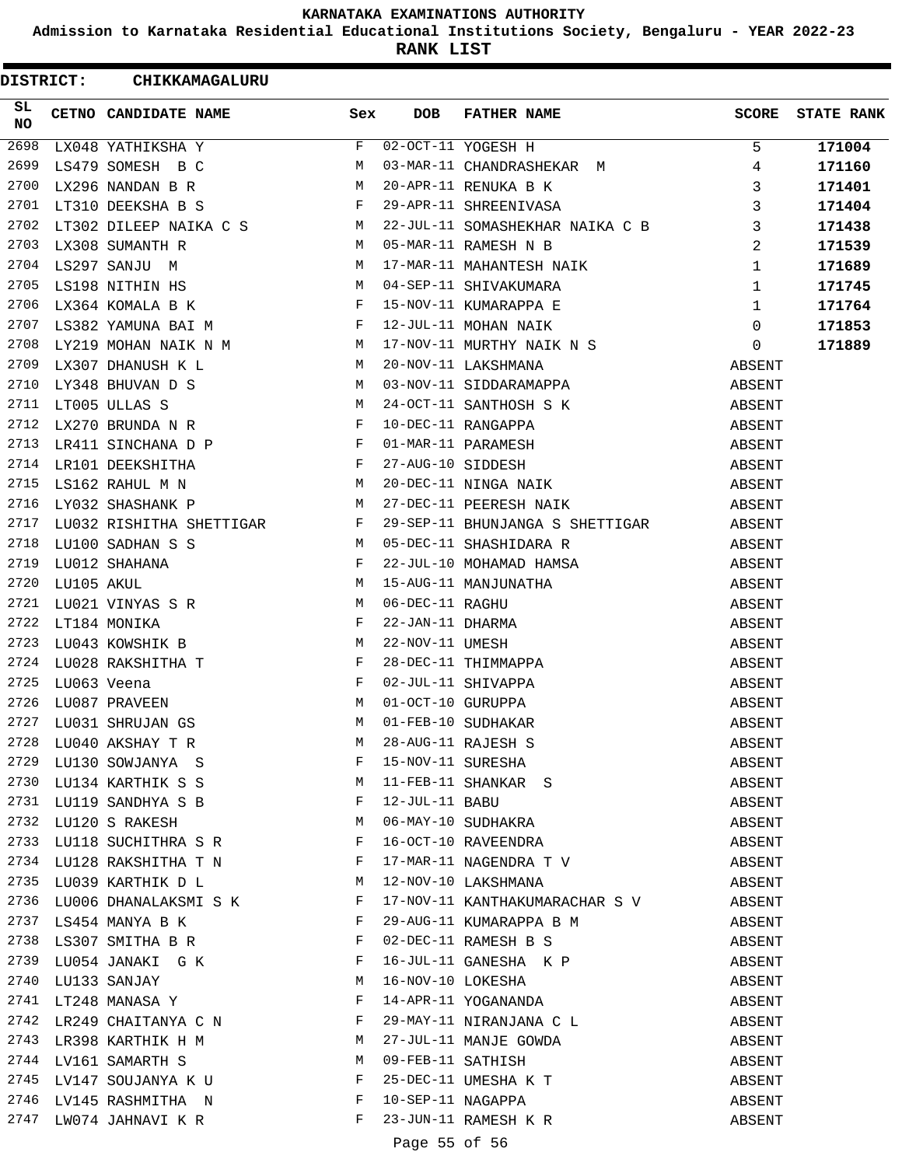**Admission to Karnataka Residential Educational Institutions Society, Bengaluru - YEAR 2022-23**

**RANK LIST**

| DISTRICT: | CHIKKAMAGALURU                                                                                                                                                                                                                                                                      |              |                   |                                                                                                                                                                                                  |                  |                   |
|-----------|-------------------------------------------------------------------------------------------------------------------------------------------------------------------------------------------------------------------------------------------------------------------------------------|--------------|-------------------|--------------------------------------------------------------------------------------------------------------------------------------------------------------------------------------------------|------------------|-------------------|
| SL<br>NO  | <b>CETNO CANDIDATE NAME</b>                                                                                                                                                                                                                                                         | Sex          | <b>DOB</b>        | FATHER NAME                                                                                                                                                                                      | <b>SCORE</b>     | <b>STATE RANK</b> |
| 2698      | LX048 YATHIKSHA Y                                                                                                                                                                                                                                                                   | F            |                   | 02-OCT-11 YOGESH H                                                                                                                                                                               | 5                | 171004            |
| 2699      | M<br>LS479 SOMESH B C                                                                                                                                                                                                                                                               |              |                   | 03-MAR-11 CHANDRASHEKAR M<br>20-APR-11 RENUKA B K<br>29-APR-11 SHREENIVASA                                                                                                                       | 4                | 171160            |
| 2700      | LX296 NANDAN B R                                                                                                                                                                                                                                                                    |              |                   |                                                                                                                                                                                                  | $\mathbf{3}$     | 171401            |
| 2701      | $M$<br>$F$<br>LT310 DEEKSHA B S                                                                                                                                                                                                                                                     |              |                   |                                                                                                                                                                                                  | $\overline{3}$   | 171404            |
| 2702      | LT302 DILEEP NAIKA C S M                                                                                                                                                                                                                                                            |              |                   | 22-JUL-11 SOMASHEKHAR NAIKA C B                                                                                                                                                                  | 3                | 171438            |
| 2703      |                                                                                                                                                                                                                                                                                     |              |                   |                                                                                                                                                                                                  |                  | 171539            |
|           | 2704 LS297 SANJU M                                                                                                                                                                                                                                                                  |              |                   |                                                                                                                                                                                                  |                  | 171689            |
| 2705      |                                                                                                                                                                                                                                                                                     |              |                   |                                                                                                                                                                                                  |                  | 171745            |
| 2706      |                                                                                                                                                                                                                                                                                     |              |                   |                                                                                                                                                                                                  |                  | 171764            |
| 2707      |                                                                                                                                                                                                                                                                                     |              |                   |                                                                                                                                                                                                  |                  | 171853            |
| 2708      |                                                                                                                                                                                                                                                                                     |              |                   |                                                                                                                                                                                                  |                  | 171889            |
| 2709      |                                                                                                                                                                                                                                                                                     |              |                   |                                                                                                                                                                                                  |                  |                   |
| 2710      |                                                                                                                                                                                                                                                                                     |              |                   | 03-NOV-11 SIDDARAMAPPA                                                                                                                                                                           | ABSENT           |                   |
| 2711      |                                                                                                                                                                                                                                                                                     |              |                   |                                                                                                                                                                                                  | ABSENT           |                   |
| 2712      |                                                                                                                                                                                                                                                                                     |              |                   |                                                                                                                                                                                                  | ABSENT           |                   |
| 2713      | $\begin{array}{lllllllll} \text{LY348 BHUVAN D S} & \text{M} & \text{M} & \text{N} \\ \text{LT005 ULLAS} & \text{M} & \text{M} & \text{N} \\ \text{LX270 BRUNDA N R} & \text{F} & \text{F} & \text{F} \\ \text{LR411 SINCHANA D P} & \text{F} & \text{F} & \text{N} \\ \end{array}$ |              |                   | 24-OCT-11 SANTHOSH S K<br>10-DEC-11 RANGAPPA<br>01-MAR-11 PARAMESH<br>27-AUG-10 SIDDESH<br>20-DEC-11 NINGA NAIK<br>27-DEC-11 PEERESH NAIK                                                        | ABSENT           |                   |
| 2714      | $\mathbf{F}$ and $\mathbf{F}$ are the set of $\mathbf{F}$<br>LR101 DEEKSHITHA                                                                                                                                                                                                       |              |                   |                                                                                                                                                                                                  | ABSENT           |                   |
| 2715      |                                                                                                                                                                                                                                                                                     |              |                   |                                                                                                                                                                                                  | ABSENT           |                   |
| 2716      | LS162 RAHUL M N<br>LY032 SHASHANK P M M                                                                                                                                                                                                                                             |              |                   |                                                                                                                                                                                                  | ABSENT           |                   |
| 2717      | LU032 RISHITHA SHETTIGAR F                                                                                                                                                                                                                                                          |              |                   | 29-SEP-11 BHUNJANGA S SHETTIGAR ABSENT                                                                                                                                                           |                  |                   |
| 2718      |                                                                                                                                                                                                                                                                                     |              |                   |                                                                                                                                                                                                  | ABSENT           |                   |
| 2719      |                                                                                                                                                                                                                                                                                     |              |                   | 22-JUL-10 MOHAMAD HAMSA                                                                                                                                                                          | ABSENT           |                   |
| 2720      |                                                                                                                                                                                                                                                                                     |              |                   |                                                                                                                                                                                                  | ABSENT           |                   |
| 2721      |                                                                                                                                                                                                                                                                                     |              |                   |                                                                                                                                                                                                  | ABSENT           |                   |
| 2722      | LU100 SADHAN S S<br>LU012 SHAHANA F 22-JUL-10 MOHAMAD HAMSA<br>LU012 SHAHANA F 22-JUL-10 MOHAMAD HAMSA<br>LU105 AKUL M 15-AUG-11 MANJUNATHA<br>LU021 VINYAS S R M 06-DEC-11 RAGHU<br>LT184 MONIKA F 22-JAN-11 DHARMA                                                                |              |                   | 22-000-10 MOHAMAD HAMSA<br>15-AUG-11 MANJUNATHA<br>06-DEC-11 RAGHU<br>22-JAN-11 DHARMA<br>22-NOV-11 UMESH<br>28-DEC-11 THIMMAPPA<br>02-JUL-11 SHIVAPPA<br>01-OCT-10 GURUPPA<br>01-OCT-10 GURUPPA | ABSENT           |                   |
| 2723      | M<br>LU043 KOWSHIK B                                                                                                                                                                                                                                                                |              |                   |                                                                                                                                                                                                  | ABSENT           |                   |
|           |                                                                                                                                                                                                                                                                                     |              |                   |                                                                                                                                                                                                  | ABSENT           |                   |
|           | 2724 LU028 RAKSHITHA T<br>2725 LU063 Veena F<br>2726 LU087 PRAVEEN M                                                                                                                                                                                                                |              |                   |                                                                                                                                                                                                  | ABSENT           |                   |
|           |                                                                                                                                                                                                                                                                                     |              |                   |                                                                                                                                                                                                  | ABSENT           |                   |
| 2727      | LU031 SHRUJAN GS                                                                                                                                                                                                                                                                    | M            |                   |                                                                                                                                                                                                  | ABSENT           |                   |
| 2728      |                                                                                                                                                                                                                                                                                     | M            |                   |                                                                                                                                                                                                  | ABSENT           |                   |
| 2729      | LU040 AKSHAY T R<br>LU130 SOWJANYA S                                                                                                                                                                                                                                                | F            |                   | 28-AUG-11 RAJESH S<br>15-NOV-11 SURESHA                                                                                                                                                          | ABSENT           |                   |
|           | 2730 LU134 KARTHIK S S M                                                                                                                                                                                                                                                            |              |                   |                                                                                                                                                                                                  | ABSENT           |                   |
|           | 2731 LU119 SANDHYA S B $F$                                                                                                                                                                                                                                                          |              |                   |                                                                                                                                                                                                  | ABSENT           |                   |
|           | 2732 LU120 S RAKESH                                                                                                                                                                                                                                                                 | M            |                   | 11-FEB-11 SHANKAR S<br>12-JUL-11 BABU<br>06-MAY-10 SUDHAKRA                                                                                                                                      | ABSENT           |                   |
| 2733      | LU118 SUCHITHRA S R F                                                                                                                                                                                                                                                               |              |                   | 16-OCT-10 RAVEENDRA                                                                                                                                                                              |                  |                   |
| 2734      | LU128 RAKSHITHA T N F                                                                                                                                                                                                                                                               |              |                   | 17-MAR-11 NAGENDRA T V                                                                                                                                                                           | ABSENT<br>ABSENT |                   |
| 2735      | LU039 KARTHIK D L M                                                                                                                                                                                                                                                                 |              |                   | 12-NOV-10 LAKSHMANA                                                                                                                                                                              |                  |                   |
|           |                                                                                                                                                                                                                                                                                     |              |                   |                                                                                                                                                                                                  | ABSENT           |                   |
|           | 2736 LU006 DHANALAKSMI S K $$\rm F$$                                                                                                                                                                                                                                                |              |                   | 17-NOV-11 KANTHAKUMARACHAR S V                                                                                                                                                                   | ABSENT           |                   |
|           | $\mathbf{F}$ and $\mathbf{F}$ and $\mathbf{F}$<br>2737 LS454 MANYA B K<br>2738 LS307 SMITHA B R F                                                                                                                                                                                   |              |                   | 29-AUG-11 KUMARAPPA B M                                                                                                                                                                          | ABSENT           |                   |
| 2739      |                                                                                                                                                                                                                                                                                     |              |                   | 02-DEC-11 RAMESH B S                                                                                                                                                                             | ABSENT           |                   |
|           | LU054 JANAKI G K F F                                                                                                                                                                                                                                                                |              |                   | 16-JUL-11 GANESHA K P<br>16-NOV-10 LOKESHA                                                                                                                                                       | ABSENT           |                   |
| 2740      | LU133 SANJAY<br>LT248 MANASA Y F<br>LU133 SANJAY                                                                                                                                                                                                                                    |              |                   |                                                                                                                                                                                                  | ABSENT           |                   |
| 2741      |                                                                                                                                                                                                                                                                                     |              |                   | 14-APR-11 YOGANANDA                                                                                                                                                                              | ABSENT           |                   |
| 2742      | LR249 CHAITANYA C N F                                                                                                                                                                                                                                                               |              |                   | 29-MAY-11 NIRANJANA C L                                                                                                                                                                          | ABSENT           |                   |
| 2743      | LR398 KARTHIK H M M                                                                                                                                                                                                                                                                 |              |                   | 27-JUL-11 MANJE GOWDA                                                                                                                                                                            | ABSENT           |                   |
|           | 2744 LV161 SAMARTH S<br>2745 LV147 SOUJANYA K U                                                                                                                                                                                                                                     |              |                   | 09-FEB-11 SATHISH                                                                                                                                                                                | ABSENT           |                   |
|           |                                                                                                                                                                                                                                                                                     |              |                   | 25-DEC-11 UMESHA K T                                                                                                                                                                             | ABSENT           |                   |
|           | 2746 LV145 RASHMITHA N F                                                                                                                                                                                                                                                            |              | 10-SEP-11 NAGAPPA |                                                                                                                                                                                                  | ABSENT           |                   |
| 2747      | LW074 JAHNAVI K R                                                                                                                                                                                                                                                                   | $\mathbf{F}$ |                   | 23-JUN-11 RAMESH K R                                                                                                                                                                             | ABSENT           |                   |
|           |                                                                                                                                                                                                                                                                                     |              | Page 55 of 56     |                                                                                                                                                                                                  |                  |                   |